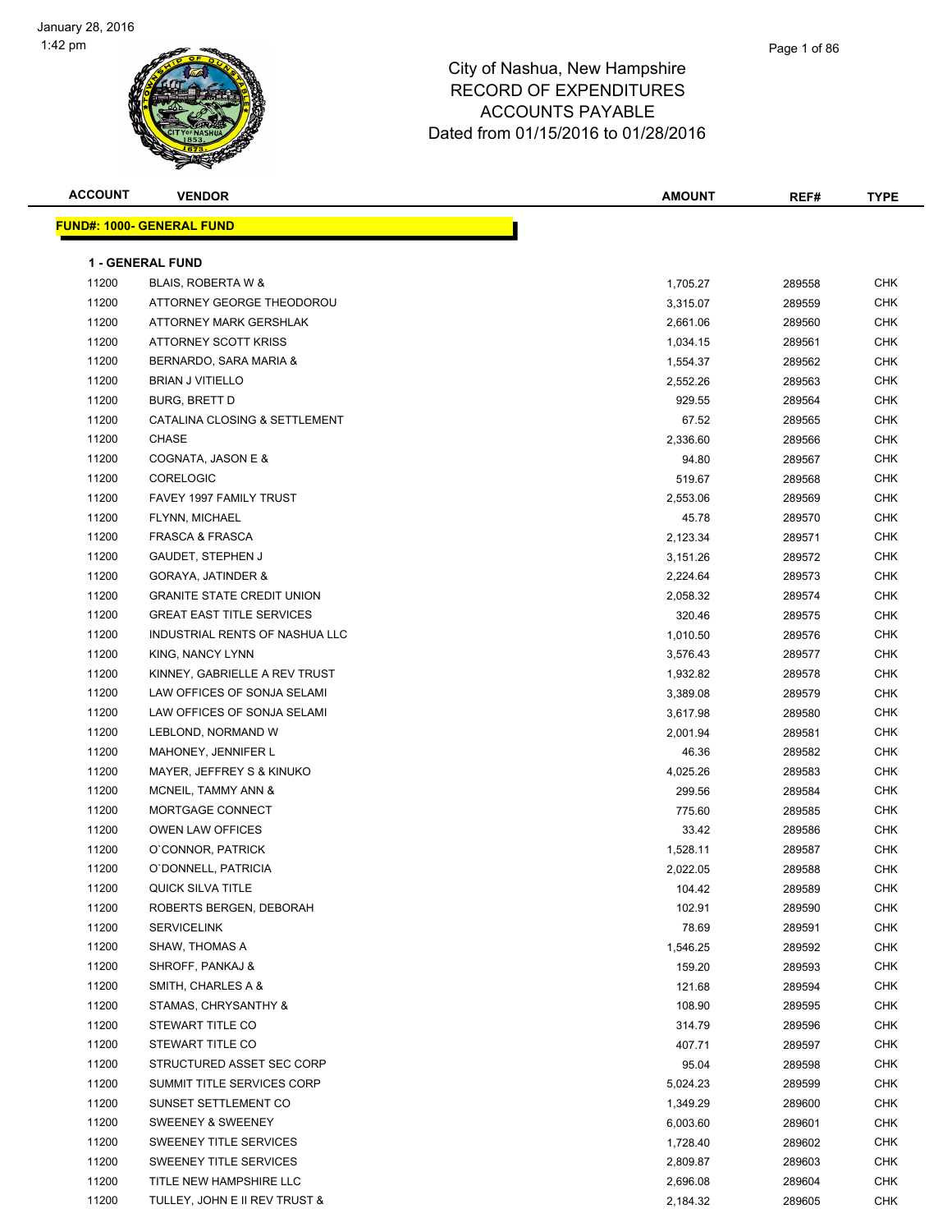| <b>ACCOUNT</b> | <b>VENDOR</b>                     | <b>AMOUNT</b> | REF#   | <b>TYPE</b> |
|----------------|-----------------------------------|---------------|--------|-------------|
|                | <b>FUND#: 1000- GENERAL FUND</b>  |               |        |             |
|                |                                   |               |        |             |
|                | <b>1 - GENERAL FUND</b>           |               |        |             |
| 11200          | BLAIS, ROBERTA W &                | 1,705.27      | 289558 | <b>CHK</b>  |
| 11200          | ATTORNEY GEORGE THEODOROU         | 3,315.07      | 289559 | <b>CHK</b>  |
| 11200          | ATTORNEY MARK GERSHLAK            | 2,661.06      | 289560 | <b>CHK</b>  |
| 11200          | ATTORNEY SCOTT KRISS              | 1,034.15      | 289561 | CHK         |
| 11200          | BERNARDO, SARA MARIA &            | 1,554.37      | 289562 | <b>CHK</b>  |
| 11200          | <b>BRIAN J VITIELLO</b>           | 2,552.26      | 289563 | <b>CHK</b>  |
| 11200          | <b>BURG, BRETT D</b>              | 929.55        | 289564 | <b>CHK</b>  |
| 11200          | CATALINA CLOSING & SETTLEMENT     | 67.52         | 289565 | <b>CHK</b>  |
| 11200          | <b>CHASE</b>                      | 2,336.60      | 289566 | <b>CHK</b>  |
| 11200          | COGNATA, JASON E &                | 94.80         | 289567 | <b>CHK</b>  |
| 11200          | <b>CORELOGIC</b>                  | 519.67        | 289568 | CHK         |
| 11200          | FAVEY 1997 FAMILY TRUST           | 2,553.06      | 289569 | <b>CHK</b>  |
| 11200          | FLYNN, MICHAEL                    | 45.78         | 289570 | CHK         |
| 11200          | <b>FRASCA &amp; FRASCA</b>        | 2,123.34      | 289571 | CHK         |
| 11200          | GAUDET, STEPHEN J                 | 3,151.26      | 289572 | CHK         |
| 11200          | GORAYA, JATINDER &                | 2,224.64      | 289573 | <b>CHK</b>  |
| 11200          | <b>GRANITE STATE CREDIT UNION</b> | 2,058.32      | 289574 | CHK         |
| 11200          | <b>GREAT EAST TITLE SERVICES</b>  | 320.46        | 289575 | <b>CHK</b>  |
| 11200          | INDUSTRIAL RENTS OF NASHUA LLC    | 1,010.50      | 289576 | <b>CHK</b>  |
| 11200          | KING, NANCY LYNN                  | 3,576.43      | 289577 | <b>CHK</b>  |
| 11200          | KINNEY, GABRIELLE A REV TRUST     | 1,932.82      | 289578 | <b>CHK</b>  |
| 11200          | LAW OFFICES OF SONJA SELAMI       | 3,389.08      | 289579 | <b>CHK</b>  |
| 11200          | LAW OFFICES OF SONJA SELAMI       | 3,617.98      | 289580 | <b>CHK</b>  |
| 11200          | LEBLOND, NORMAND W                | 2,001.94      | 289581 | <b>CHK</b>  |
| 11200          | MAHONEY, JENNIFER L               | 46.36         | 289582 | <b>CHK</b>  |
| 11200          | MAYER, JEFFREY S & KINUKO         | 4,025.26      | 289583 | <b>CHK</b>  |
| 11200          | MCNEIL, TAMMY ANN &               | 299.56        | 289584 | <b>CHK</b>  |
| 11200          | MORTGAGE CONNECT                  | 775.60        | 289585 | CHK         |
| 11200          | <b>OWEN LAW OFFICES</b>           | 33.42         | 289586 | <b>CHK</b>  |
| 11200          | O'CONNOR, PATRICK                 | 1,528.11      | 289587 | CHK         |
| 11200          | O'DONNELL, PATRICIA               | 2,022.05      | 289588 | <b>CHK</b>  |
| 11200          | QUICK SILVA TITLE                 | 104.42        | 289589 | <b>CHK</b>  |
| 11200          | ROBERTS BERGEN, DEBORAH           | 102.91        | 289590 | <b>CHK</b>  |
| 11200          | <b>SERVICELINK</b>                | 78.69         | 289591 | <b>CHK</b>  |
| 11200          | SHAW, THOMAS A                    | 1,546.25      | 289592 | <b>CHK</b>  |
| 11200          | SHROFF, PANKAJ &                  | 159.20        | 289593 | <b>CHK</b>  |
| 11200          | SMITH, CHARLES A &                | 121.68        | 289594 | CHK         |
| 11200          | STAMAS, CHRYSANTHY &              | 108.90        | 289595 | CHK         |
| 11200          | STEWART TITLE CO                  | 314.79        | 289596 | CHK         |
| 11200          | STEWART TITLE CO                  | 407.71        | 289597 | CHK         |
| 11200          | STRUCTURED ASSET SEC CORP         | 95.04         | 289598 | CHK         |
| 11200          | SUMMIT TITLE SERVICES CORP        | 5,024.23      | 289599 | <b>CHK</b>  |
| 11200          | SUNSET SETTLEMENT CO              | 1,349.29      | 289600 | CHK         |
| 11200          | SWEENEY & SWEENEY                 | 6,003.60      | 289601 | CHK         |
| 11200          | SWEENEY TITLE SERVICES            | 1,728.40      | 289602 | <b>CHK</b>  |
| 11200          | SWEENEY TITLE SERVICES            | 2,809.87      | 289603 | CHK         |
| 11200          | TITLE NEW HAMPSHIRE LLC           | 2,696.08      | 289604 | CHK         |
| 11200          | TULLEY, JOHN E II REV TRUST &     | 2,184.32      | 289605 | CHK         |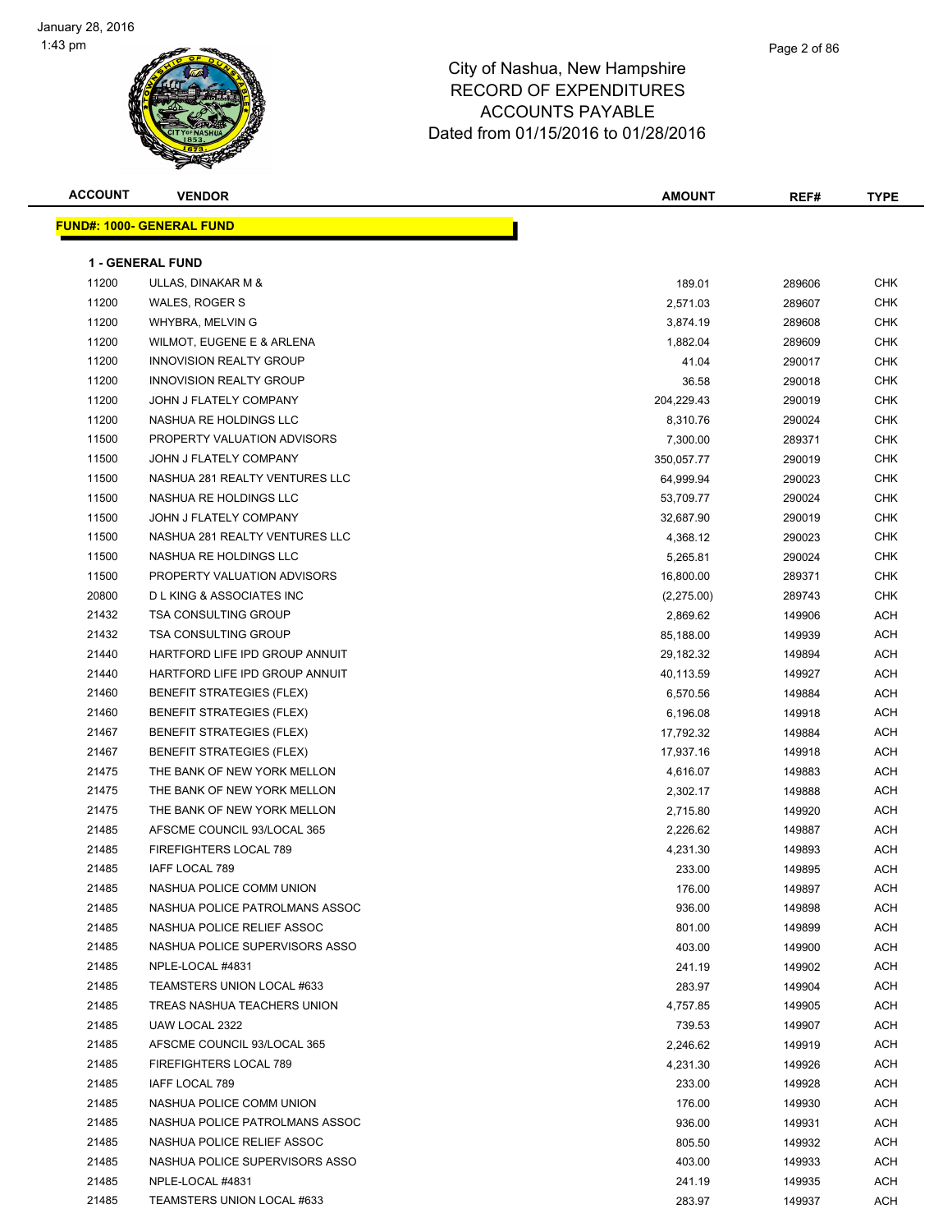# Page 2 of 86

| <b>ACCOUNT</b> | <b>VENDOR</b>                      | <b>AMOUNT</b> | REF#   | <b>TYPE</b> |
|----------------|------------------------------------|---------------|--------|-------------|
|                | <b>FUND#: 1000- GENERAL FUND</b>   |               |        |             |
|                |                                    |               |        |             |
|                | <b>1 - GENERAL FUND</b>            |               |        |             |
| 11200          | ULLAS, DINAKAR M &                 | 189.01        | 289606 | CHK         |
| 11200          | WALES, ROGER S                     | 2,571.03      | 289607 | <b>CHK</b>  |
| 11200          | WHYBRA, MELVIN G                   | 3,874.19      | 289608 | <b>CHK</b>  |
| 11200          | WILMOT, EUGENE E & ARLENA          | 1,882.04      | 289609 | CHK         |
| 11200          | <b>INNOVISION REALTY GROUP</b>     | 41.04         | 290017 | CHK         |
| 11200          | <b>INNOVISION REALTY GROUP</b>     | 36.58         | 290018 | <b>CHK</b>  |
| 11200          | JOHN J FLATELY COMPANY             | 204,229.43    | 290019 | CHK         |
| 11200          | NASHUA RE HOLDINGS LLC             | 8,310.76      | 290024 | CHK         |
| 11500          | PROPERTY VALUATION ADVISORS        | 7,300.00      | 289371 | CHK         |
| 11500          | JOHN J FLATELY COMPANY             | 350,057.77    | 290019 | CHK         |
| 11500          | NASHUA 281 REALTY VENTURES LLC     | 64,999.94     | 290023 | <b>CHK</b>  |
| 11500          | NASHUA RE HOLDINGS LLC             | 53,709.77     | 290024 | <b>CHK</b>  |
| 11500          | JOHN J FLATELY COMPANY             | 32,687.90     | 290019 | CHK         |
| 11500          | NASHUA 281 REALTY VENTURES LLC     | 4,368.12      | 290023 | CHK         |
| 11500          | NASHUA RE HOLDINGS LLC             | 5,265.81      | 290024 | CHK         |
| 11500          | PROPERTY VALUATION ADVISORS        | 16,800.00     | 289371 | CHK         |
| 20800          | <b>DLKING &amp; ASSOCIATES INC</b> | (2,275.00)    | 289743 | CHK         |
| 21432          | <b>TSA CONSULTING GROUP</b>        | 2,869.62      | 149906 | ACH         |
| 21432          | TSA CONSULTING GROUP               | 85,188.00     | 149939 | ACH         |
| 21440          | HARTFORD LIFE IPD GROUP ANNUIT     | 29,182.32     | 149894 | <b>ACH</b>  |
| 21440          | HARTFORD LIFE IPD GROUP ANNUIT     | 40,113.59     | 149927 | ACH         |
| 21460          | <b>BENEFIT STRATEGIES (FLEX)</b>   | 6,570.56      | 149884 | <b>ACH</b>  |
| 21460          | <b>BENEFIT STRATEGIES (FLEX)</b>   | 6,196.08      | 149918 | ACH         |
| 21467          | BENEFIT STRATEGIES (FLEX)          | 17,792.32     | 149884 | <b>ACH</b>  |
| 21467          | <b>BENEFIT STRATEGIES (FLEX)</b>   | 17,937.16     | 149918 | <b>ACH</b>  |
| 21475          | THE BANK OF NEW YORK MELLON        | 4,616.07      | 149883 | <b>ACH</b>  |
| 21475          | THE BANK OF NEW YORK MELLON        | 2,302.17      | 149888 | ACH         |
| 21475          | THE BANK OF NEW YORK MELLON        | 2,715.80      | 149920 | ACH         |
| 21485          | AFSCME COUNCIL 93/LOCAL 365        | 2,226.62      | 149887 | ACH         |
| 21485          | FIREFIGHTERS LOCAL 789             | 4,231.30      | 149893 | ACH         |
| 21485          | IAFF LOCAL 789                     | 233.00        | 149895 | ACH         |
| 21485          | NASHUA POLICE COMM UNION           | 176.00        | 149897 | <b>ACH</b>  |
| 21485          | NASHUA POLICE PATROLMANS ASSOC     | 936.00        | 149898 | <b>ACH</b>  |
| 21485          | NASHUA POLICE RELIEF ASSOC         | 801.00        | 149899 | ACH         |
| 21485          | NASHUA POLICE SUPERVISORS ASSO     | 403.00        | 149900 | ACH         |
| 21485          | NPLE-LOCAL #4831                   | 241.19        | 149902 | ACH         |
| 21485          | TEAMSTERS UNION LOCAL #633         | 283.97        | 149904 | ACH         |
| 21485          | TREAS NASHUA TEACHERS UNION        | 4,757.85      | 149905 | ACH         |
| 21485          | UAW LOCAL 2322                     | 739.53        | 149907 | ACH         |
| 21485          | AFSCME COUNCIL 93/LOCAL 365        | 2,246.62      | 149919 | ACH         |
| 21485          | FIREFIGHTERS LOCAL 789             | 4,231.30      | 149926 | ACH         |
| 21485          | IAFF LOCAL 789                     | 233.00        | 149928 | ACH         |
| 21485          | NASHUA POLICE COMM UNION           | 176.00        | 149930 | ACH         |
| 21485          | NASHUA POLICE PATROLMANS ASSOC     | 936.00        | 149931 | ACH         |
| 21485          | NASHUA POLICE RELIEF ASSOC         | 805.50        | 149932 | ACH         |
| 21485          | NASHUA POLICE SUPERVISORS ASSO     | 403.00        | 149933 | ACH         |
| 21485          | NPLE-LOCAL #4831                   | 241.19        | 149935 | ACH         |
| 21485          | TEAMSTERS UNION LOCAL #633         | 283.97        | 149937 | ACH         |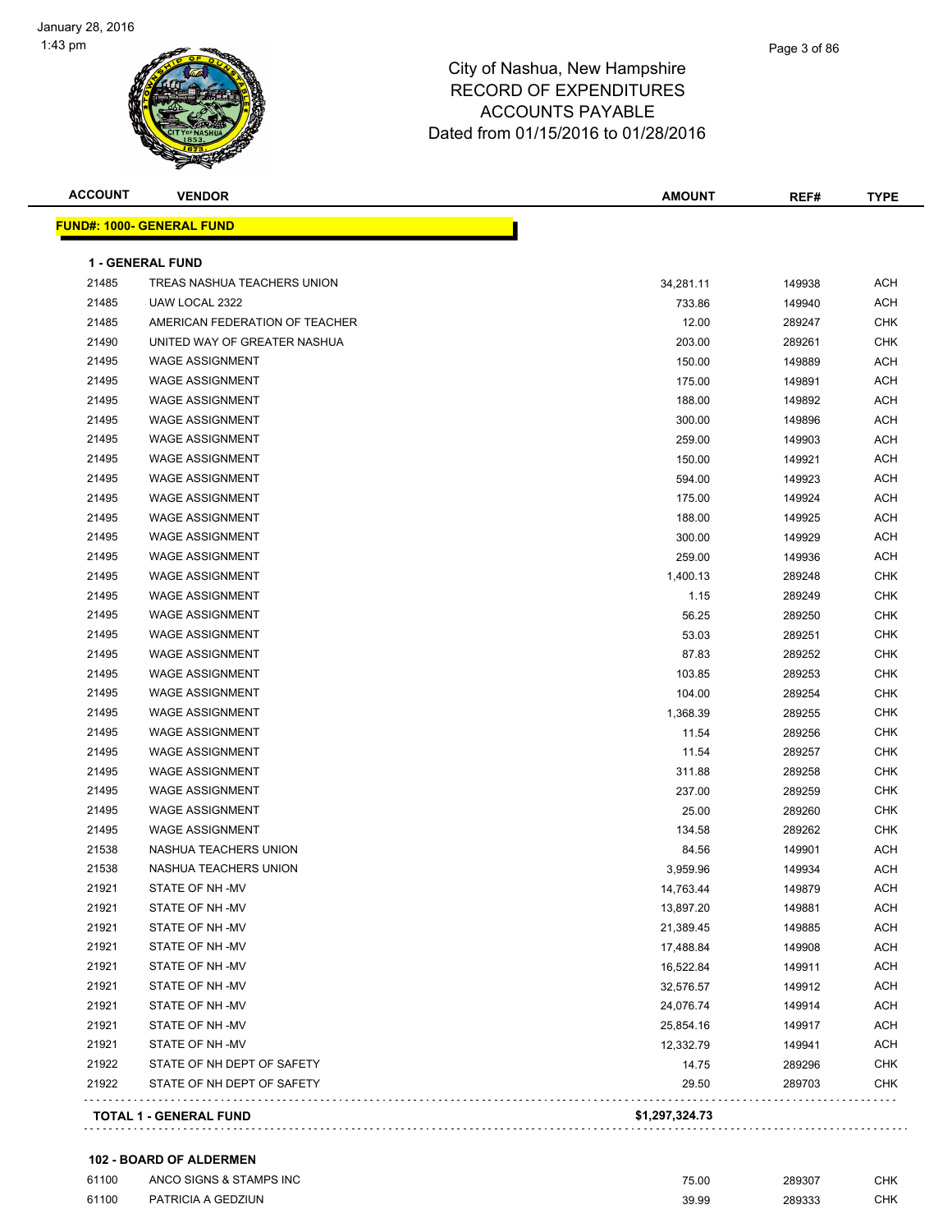

| <b>ACCOUNT</b> | <b>VENDOR</b>                      | <b>AMOUNT</b>  | REF#   | <b>TYPE</b> |
|----------------|------------------------------------|----------------|--------|-------------|
|                | <b>FUND#: 1000- GENERAL FUND</b>   |                |        |             |
|                | <b>1 - GENERAL FUND</b>            |                |        |             |
| 21485          | <b>TREAS NASHUA TEACHERS UNION</b> | 34,281.11      | 149938 | <b>ACH</b>  |
| 21485          | UAW LOCAL 2322                     | 733.86         | 149940 | <b>ACH</b>  |
| 21485          | AMERICAN FEDERATION OF TEACHER     | 12.00          | 289247 | <b>CHK</b>  |
| 21490          | UNITED WAY OF GREATER NASHUA       | 203.00         | 289261 | <b>CHK</b>  |
| 21495          | <b>WAGE ASSIGNMENT</b>             | 150.00         | 149889 | <b>ACH</b>  |
| 21495          | <b>WAGE ASSIGNMENT</b>             | 175.00         | 149891 | <b>ACH</b>  |
| 21495          | <b>WAGE ASSIGNMENT</b>             | 188.00         | 149892 | <b>ACH</b>  |
| 21495          | <b>WAGE ASSIGNMENT</b>             | 300.00         | 149896 | <b>ACH</b>  |
| 21495          | <b>WAGE ASSIGNMENT</b>             | 259.00         | 149903 | <b>ACH</b>  |
| 21495          | <b>WAGE ASSIGNMENT</b>             | 150.00         | 149921 | <b>ACH</b>  |
| 21495          | <b>WAGE ASSIGNMENT</b>             | 594.00         | 149923 | <b>ACH</b>  |
| 21495          | <b>WAGE ASSIGNMENT</b>             | 175.00         | 149924 | <b>ACH</b>  |
| 21495          | WAGE ASSIGNMENT                    | 188.00         | 149925 | <b>ACH</b>  |
| 21495          | <b>WAGE ASSIGNMENT</b>             | 300.00         | 149929 | ACH         |
| 21495          | <b>WAGE ASSIGNMENT</b>             | 259.00         | 149936 | <b>ACH</b>  |
| 21495          | <b>WAGE ASSIGNMENT</b>             | 1,400.13       | 289248 | <b>CHK</b>  |
| 21495          | <b>WAGE ASSIGNMENT</b>             | 1.15           | 289249 | <b>CHK</b>  |
| 21495          | <b>WAGE ASSIGNMENT</b>             | 56.25          | 289250 | <b>CHK</b>  |
| 21495          | <b>WAGE ASSIGNMENT</b>             | 53.03          | 289251 | <b>CHK</b>  |
| 21495          | <b>WAGE ASSIGNMENT</b>             | 87.83          | 289252 | <b>CHK</b>  |
| 21495          | <b>WAGE ASSIGNMENT</b>             | 103.85         | 289253 | <b>CHK</b>  |
| 21495          | <b>WAGE ASSIGNMENT</b>             | 104.00         | 289254 | <b>CHK</b>  |
| 21495          | <b>WAGE ASSIGNMENT</b>             | 1,368.39       | 289255 | <b>CHK</b>  |
| 21495          | WAGE ASSIGNMENT                    | 11.54          | 289256 | <b>CHK</b>  |
| 21495          | <b>WAGE ASSIGNMENT</b>             | 11.54          | 289257 | <b>CHK</b>  |
| 21495          | <b>WAGE ASSIGNMENT</b>             | 311.88         | 289258 | <b>CHK</b>  |
| 21495          | <b>WAGE ASSIGNMENT</b>             | 237.00         | 289259 | <b>CHK</b>  |
| 21495          | <b>WAGE ASSIGNMENT</b>             | 25.00          | 289260 | <b>CHK</b>  |
| 21495          | <b>WAGE ASSIGNMENT</b>             | 134.58         | 289262 | <b>CHK</b>  |
| 21538          | NASHUA TEACHERS UNION              | 84.56          | 149901 | <b>ACH</b>  |
| 21538          | NASHUA TEACHERS UNION              | 3,959.96       | 149934 | <b>ACH</b>  |
| 21921          | STATE OF NH-MV                     | 14,763.44      | 149879 | ACH         |
| 21921          | STATE OF NH-MV                     | 13,897.20      | 149881 | ACH         |
| 21921          | STATE OF NH-MV                     | 21,389.45      | 149885 | <b>ACH</b>  |
| 21921          | STATE OF NH -MV                    | 17,488.84      | 149908 | <b>ACH</b>  |
| 21921          | STATE OF NH-MV                     | 16,522.84      | 149911 | ACH         |
| 21921          | STATE OF NH-MV                     | 32,576.57      | 149912 | ACH         |
| 21921          | STATE OF NH-MV                     | 24,076.74      | 149914 | ACH         |
| 21921          | STATE OF NH-MV                     | 25,854.16      | 149917 | ACH         |
| 21921          | STATE OF NH-MV                     | 12,332.79      | 149941 | ACH         |
| 21922          | STATE OF NH DEPT OF SAFETY         | 14.75          | 289296 | <b>CHK</b>  |
| 21922          | STATE OF NH DEPT OF SAFETY         | 29.50          | 289703 | <b>CHK</b>  |
|                | <b>TOTAL 1 - GENERAL FUND</b>      | \$1,297,324.73 |        |             |
|                |                                    |                |        |             |

#### **102 - BOARD OF ALDERMEN**

| 61100 | ANCO SIGNS & STAMPS INC | 75.00 | 289307 | CHK |
|-------|-------------------------|-------|--------|-----|
| 61100 | PATRICIA A GEDZIUN      | 39.99 | 289333 | CHK |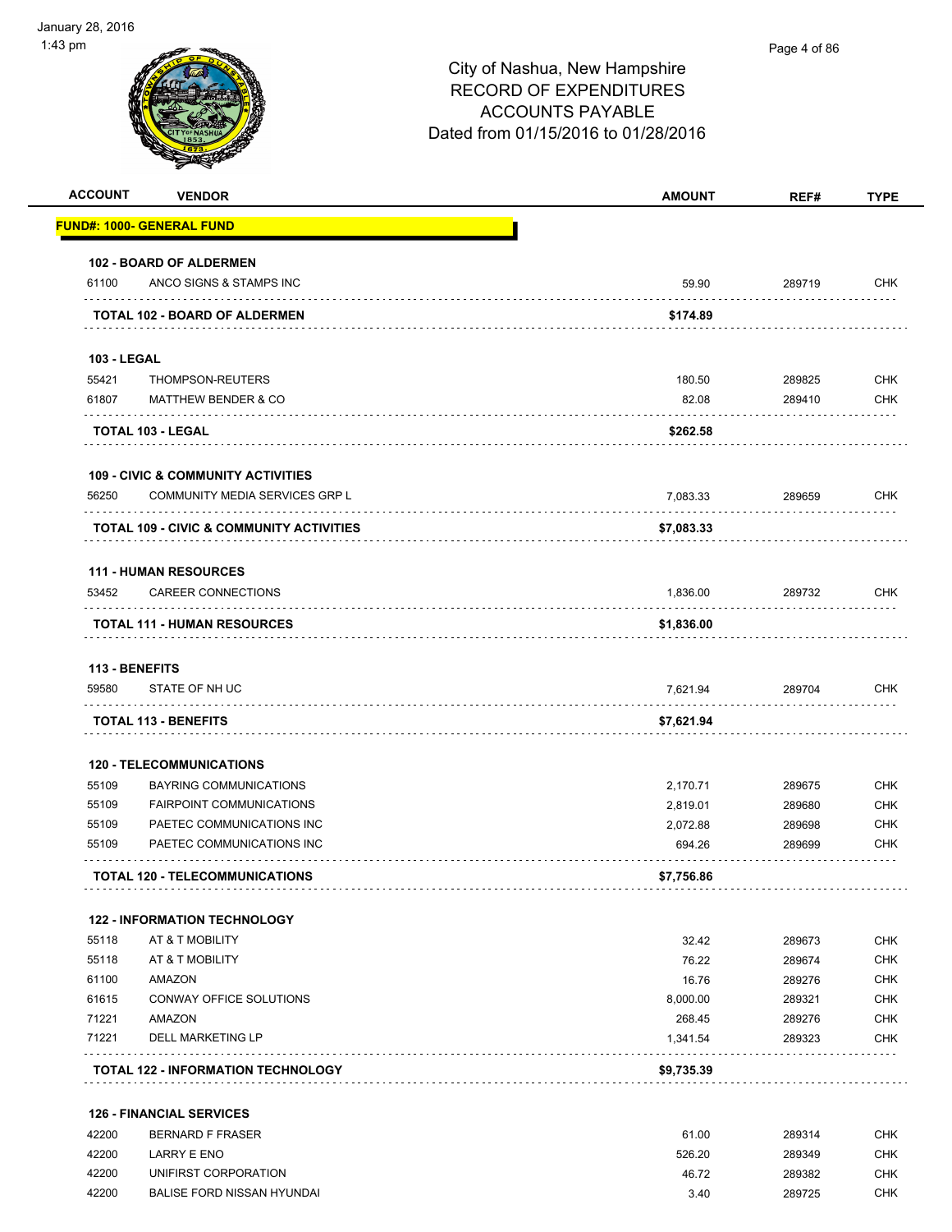| iuary 28, 2016     |                                                     |                                                                                                                                  |              |             |
|--------------------|-----------------------------------------------------|----------------------------------------------------------------------------------------------------------------------------------|--------------|-------------|
| ⊦3 pm              |                                                     | City of Nashua, New Hampshire<br><b>RECORD OF EXPENDITURES</b><br><b>ACCOUNTS PAYABLE</b><br>Dated from 01/15/2016 to 01/28/2016 | Page 4 of 86 |             |
| <b>ACCOUNT</b>     | <b>VENDOR</b>                                       | <b>AMOUNT</b>                                                                                                                    | REF#         | <b>TYPE</b> |
|                    | <u> FUND#: 1000- GENERAL FUND</u>                   |                                                                                                                                  |              |             |
| 61100              | 102 - BOARD OF ALDERMEN<br>ANCO SIGNS & STAMPS INC  | 59.90                                                                                                                            | 289719       | <b>CHK</b>  |
|                    | <b>TOTAL 102 - BOARD OF ALDERMEN</b>                | \$174.89                                                                                                                         |              |             |
| <b>103 - LEGAL</b> |                                                     |                                                                                                                                  |              |             |
| 55421              | THOMPSON-REUTERS                                    | 180.50                                                                                                                           | 289825       | <b>CHK</b>  |
| 61807              | <b>MATTHEW BENDER &amp; CO</b>                      | 82.08                                                                                                                            | 289410       | <b>CHK</b>  |
|                    | TOTAL 103 - LEGAL                                   | \$262.58                                                                                                                         |              |             |
|                    | <b>109 - CIVIC &amp; COMMUNITY ACTIVITIES</b>       |                                                                                                                                  |              |             |
| 56250              | COMMUNITY MEDIA SERVICES GRP L                      | 7,083.33                                                                                                                         | 289659       | <b>CHK</b>  |
|                    | <b>TOTAL 109 - CIVIC &amp; COMMUNITY ACTIVITIES</b> | \$7,083.33                                                                                                                       |              |             |
|                    | <b>111 - HUMAN RESOURCES</b>                        |                                                                                                                                  |              |             |
| 53452              | <b>CAREER CONNECTIONS</b>                           | 1,836.00                                                                                                                         | 289732       | <b>CHK</b>  |
|                    | <b>TOTAL 111 - HUMAN RESOURCES</b>                  | \$1,836.00                                                                                                                       |              |             |
| 113 - BENEFITS     |                                                     |                                                                                                                                  |              |             |
| 59580              | STATE OF NH UC                                      | 7,621.94                                                                                                                         | 289704       | <b>CHK</b>  |
|                    | <b>TOTAL 113 - BENEFITS</b>                         | \$7,621.94                                                                                                                       |              |             |
|                    | <b>120 - TELECOMMUNICATIONS</b>                     |                                                                                                                                  |              |             |
| 55109              | <b>BAYRING COMMUNICATIONS</b>                       | 2,170.71                                                                                                                         | 289675       | <b>CHK</b>  |

|       | <b>TOTAL 120 - TELECOMMUNICATIONS</b> | \$7.756.86 |        |            |
|-------|---------------------------------------|------------|--------|------------|
| 55109 | PAETEC COMMUNICATIONS INC             | 694.26     | 289699 | <b>CHK</b> |
| 55109 | PAETEC COMMUNICATIONS INC             | 2.072.88   | 289698 | <b>CHK</b> |
| 55109 | <b>FAIRPOINT COMMUNICATIONS</b>       | 2.819.01   | 289680 | <b>CHK</b> |

#### **122 - INFORMATION TECHNOLOGY**

|       | <b>TOTAL 122 - INFORMATION TECHNOLOGY</b> | \$9.735.39 |        |            |
|-------|-------------------------------------------|------------|--------|------------|
| 71221 | DELL MARKETING LP                         | 1.341.54   | 289323 | CHK        |
| 71221 | AMAZON                                    | 268.45     | 289276 | <b>CHK</b> |
| 61615 | CONWAY OFFICE SOLUTIONS                   | 8.000.00   | 289321 | <b>CHK</b> |
| 61100 | AMAZON                                    | 16.76      | 289276 | <b>CHK</b> |
| 55118 | AT & T MOBILITY                           | 76.22      | 289674 | <b>CHK</b> |
| 55118 | AT & T MOBILITY                           | 32.42      | 289673 | <b>CHK</b> |
|       |                                           |            |        |            |

#### **126 - FINANCIAL SERVICES**

| 42200 | <b>BERNARD F FRASER</b>    | 61.00  | 289314 | СНК |
|-------|----------------------------|--------|--------|-----|
| 42200 | LARRY E ENO                | 526.20 | 289349 | СНК |
| 42200 | UNIFIRST CORPORATION       | 46.72  | 289382 | снк |
| 42200 | BALISE FORD NISSAN HYUNDAI | 3.40   | 289725 | СНК |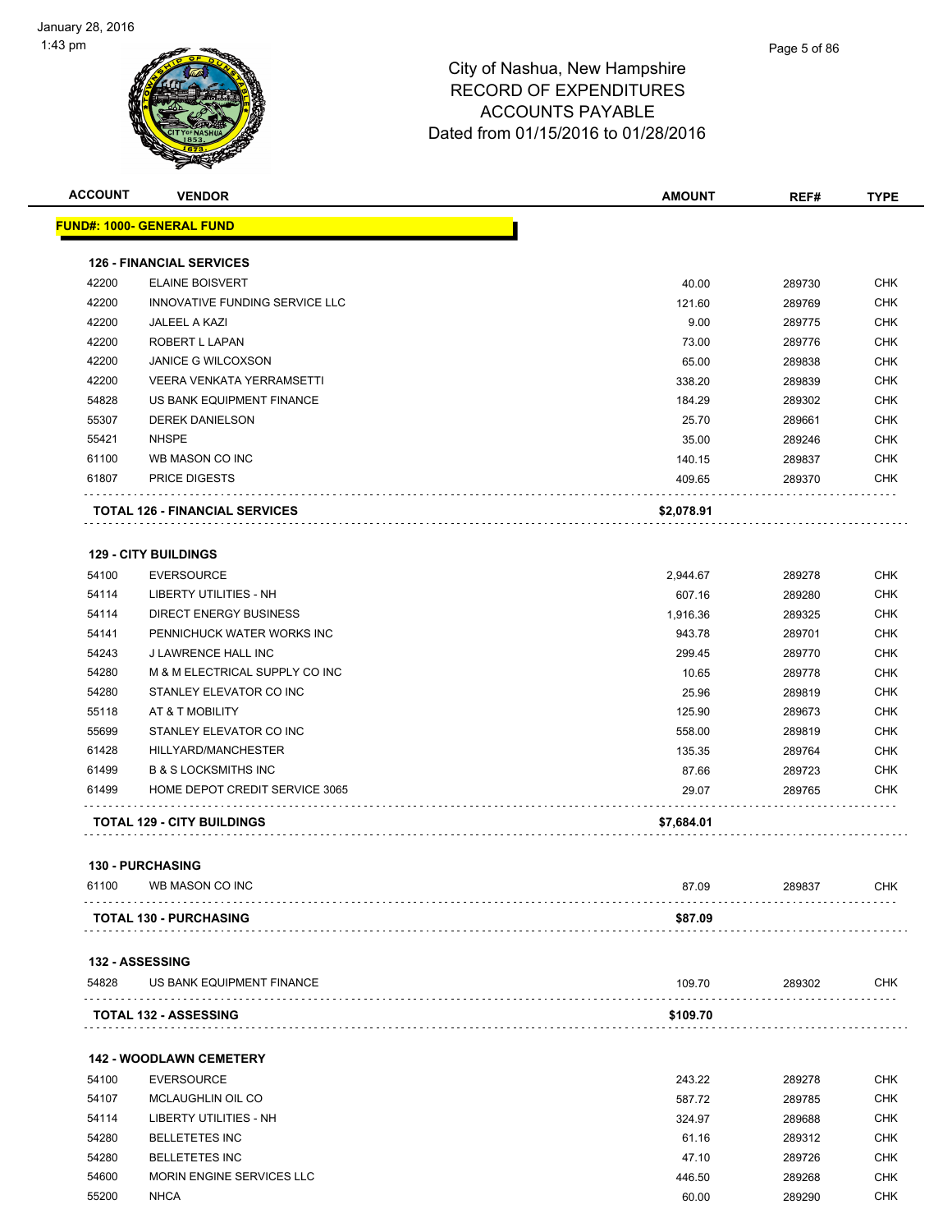

| <b>ACCOUNT</b> | <b>VENDOR</b>                         | <b>AMOUNT</b> | REF#   | <b>TYPE</b> |
|----------------|---------------------------------------|---------------|--------|-------------|
|                | <u> FUND#: 1000- GENERAL FUND</u>     |               |        |             |
|                |                                       |               |        |             |
|                | <b>126 - FINANCIAL SERVICES</b>       |               |        |             |
| 42200          | <b>ELAINE BOISVERT</b>                | 40.00         | 289730 | CHK         |
| 42200          | INNOVATIVE FUNDING SERVICE LLC        | 121.60        | 289769 | <b>CHK</b>  |
| 42200          | <b>JALEEL A KAZI</b>                  | 9.00          | 289775 | CHK         |
| 42200          | ROBERT L LAPAN                        | 73.00         | 289776 | CHK         |
| 42200          | <b>JANICE G WILCOXSON</b>             | 65.00         | 289838 | <b>CHK</b>  |
| 42200          | VEERA VENKATA YERRAMSETTI             | 338.20        | 289839 | CHK         |
| 54828          | US BANK EQUIPMENT FINANCE             | 184.29        | 289302 | CHK         |
| 55307          | <b>DEREK DANIELSON</b>                | 25.70         | 289661 | <b>CHK</b>  |
| 55421          | <b>NHSPE</b>                          | 35.00         | 289246 | CHK         |
| 61100          | WB MASON CO INC                       | 140.15        | 289837 | CHK         |
| 61807          | <b>PRICE DIGESTS</b>                  | 409.65        | 289370 | CHK         |
|                | <b>TOTAL 126 - FINANCIAL SERVICES</b> | \$2,078.91    |        |             |
|                | <b>129 - CITY BUILDINGS</b>           |               |        |             |
| 54100          | <b>EVERSOURCE</b>                     | 2,944.67      | 289278 | CHK         |
| 54114          | LIBERTY UTILITIES - NH                | 607.16        | 289280 | CHK         |
| 54114          | <b>DIRECT ENERGY BUSINESS</b>         | 1,916.36      | 289325 | CHK         |
| 54141          | PENNICHUCK WATER WORKS INC            | 943.78        | 289701 | <b>CHK</b>  |
| 54243          | J LAWRENCE HALL INC                   | 299.45        | 289770 | <b>CHK</b>  |
| 54280          | M & M ELECTRICAL SUPPLY CO INC        | 10.65         | 289778 | CHK         |
| 54280          | STANLEY ELEVATOR CO INC               | 25.96         | 289819 | <b>CHK</b>  |
|                |                                       |               |        | <b>CHK</b>  |
| 55118          | AT & T MOBILITY                       | 125.90        | 289673 |             |
| 55699          | STANLEY ELEVATOR CO INC               | 558.00        | 289819 | CHK         |
| 61428          | HILLYARD/MANCHESTER                   | 135.35        | 289764 | CHK         |
| 61499          | <b>B &amp; S LOCKSMITHS INC</b>       | 87.66         | 289723 | <b>CHK</b>  |
| 61499          | HOME DEPOT CREDIT SERVICE 3065        | 29.07         | 289765 | CHK         |
|                | <b>TOTAL 129 - CITY BUILDINGS</b>     | \$7,684.01    |        |             |
|                | <b>130 - PURCHASING</b>               |               |        |             |
| 61100          | WB MASON CO INC                       | 87.09         | 289837 | <b>CHK</b>  |
|                | <b>TOTAL 130 - PURCHASING</b>         | \$87.09       |        |             |
|                | <b>132 - ASSESSING</b>                |               |        |             |
| 54828          | US BANK EQUIPMENT FINANCE             | 109.70        | 289302 | CHK         |
|                | <b>TOTAL 132 - ASSESSING</b>          | \$109.70      |        |             |
|                | <b>142 - WOODLAWN CEMETERY</b>        |               |        |             |
| 54100          | <b>EVERSOURCE</b>                     | 243.22        |        | <b>CHK</b>  |
|                |                                       |               | 289278 |             |
| 54107          | MCLAUGHLIN OIL CO                     | 587.72        | 289785 | CHK         |
| 54114          | LIBERTY UTILITIES - NH                | 324.97        | 289688 | <b>CHK</b>  |
| 54280          | <b>BELLETETES INC</b>                 | 61.16         | 289312 | CHK         |
| 54280          | <b>BELLETETES INC</b>                 | 47.10         | 289726 | CHK         |
| 54600          | MORIN ENGINE SERVICES LLC             | 446.50        | 289268 | <b>CHK</b>  |
| 55200          | <b>NHCA</b>                           | 60.00         | 289290 | CHK         |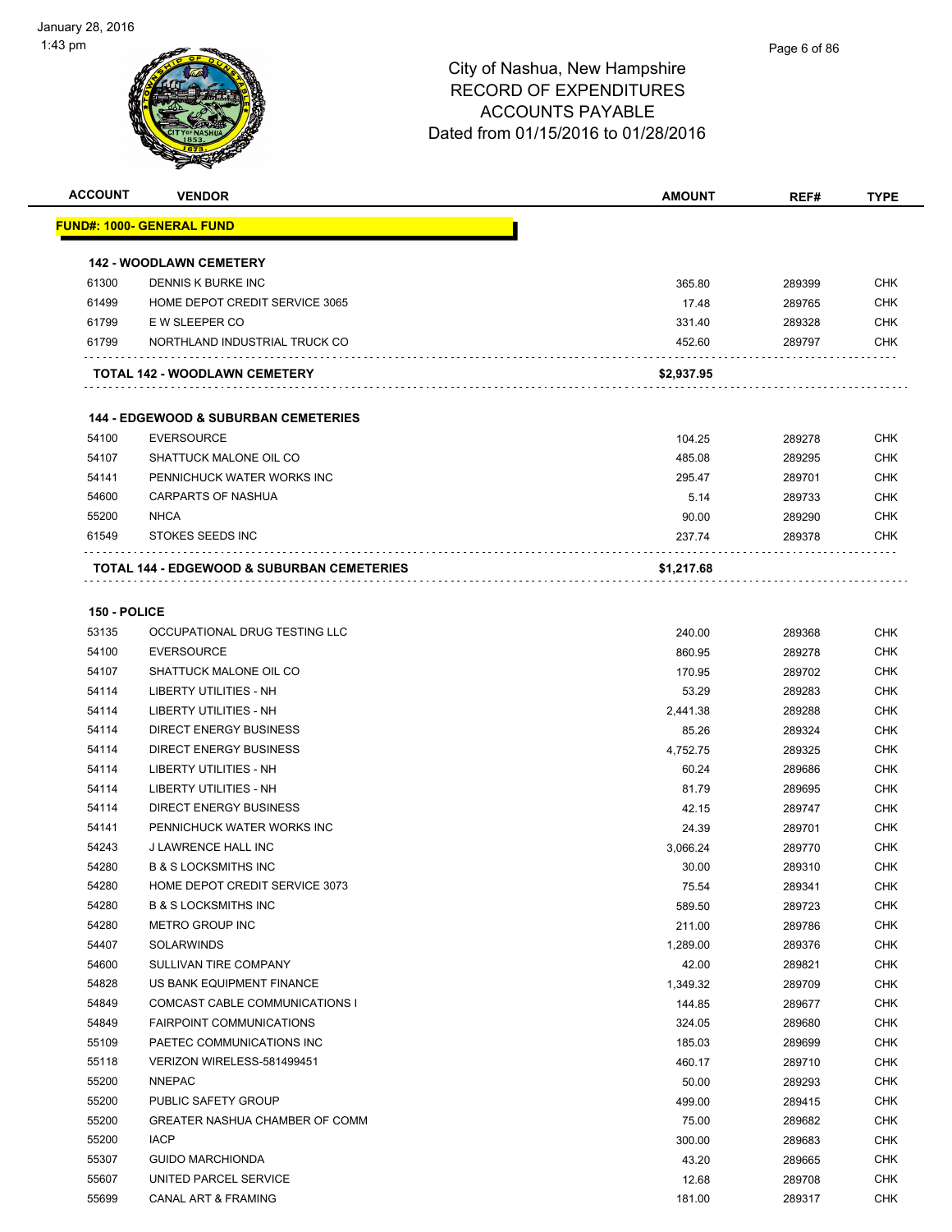

| <b>ACCOUNT</b> | <b>VENDOR</b>                                         | AMOUNT     | REF#   | <b>TYPE</b> |
|----------------|-------------------------------------------------------|------------|--------|-------------|
|                | <u> FUND#: 1000- GENERAL FUND</u>                     |            |        |             |
|                |                                                       |            |        |             |
|                | <b>142 - WOODLAWN CEMETERY</b>                        |            |        |             |
| 61300          | DENNIS K BURKE INC                                    | 365.80     | 289399 | <b>CHK</b>  |
| 61499          | HOME DEPOT CREDIT SERVICE 3065                        | 17.48      | 289765 | <b>CHK</b>  |
| 61799          | E W SLEEPER CO                                        | 331.40     | 289328 | <b>CHK</b>  |
| 61799          | NORTHLAND INDUSTRIAL TRUCK CO                         | 452.60     | 289797 | <b>CHK</b>  |
|                | <b>TOTAL 142 - WOODLAWN CEMETERY</b>                  | \$2,937.95 |        |             |
|                | <b>144 - EDGEWOOD &amp; SUBURBAN CEMETERIES</b>       |            |        |             |
| 54100          | <b>EVERSOURCE</b>                                     | 104.25     | 289278 | <b>CHK</b>  |
| 54107          | SHATTUCK MALONE OIL CO                                | 485.08     | 289295 | <b>CHK</b>  |
| 54141          | PENNICHUCK WATER WORKS INC                            | 295.47     | 289701 | <b>CHK</b>  |
| 54600          | <b>CARPARTS OF NASHUA</b>                             | 5.14       | 289733 | <b>CHK</b>  |
| 55200          | <b>NHCA</b>                                           | 90.00      | 289290 | <b>CHK</b>  |
| 61549          | <b>STOKES SEEDS INC</b>                               | 237.74     | 289378 | <b>CHK</b>  |
|                | <b>TOTAL 144 - EDGEWOOD &amp; SUBURBAN CEMETERIES</b> | \$1,217.68 |        |             |
|                |                                                       |            |        |             |
| 150 - POLICE   |                                                       |            |        |             |
| 53135          | OCCUPATIONAL DRUG TESTING LLC                         | 240.00     | 289368 | <b>CHK</b>  |
| 54100          | <b>EVERSOURCE</b>                                     | 860.95     | 289278 | <b>CHK</b>  |
| 54107          | SHATTUCK MALONE OIL CO                                | 170.95     | 289702 | <b>CHK</b>  |
| 54114          | LIBERTY UTILITIES - NH                                | 53.29      | 289283 | <b>CHK</b>  |
| 54114          | LIBERTY UTILITIES - NH                                | 2,441.38   | 289288 | <b>CHK</b>  |
| 54114          | DIRECT ENERGY BUSINESS                                | 85.26      | 289324 | <b>CHK</b>  |
| 54114          | DIRECT ENERGY BUSINESS                                | 4,752.75   | 289325 | <b>CHK</b>  |
| 54114          | LIBERTY UTILITIES - NH                                | 60.24      | 289686 | <b>CHK</b>  |
| 54114          | <b>LIBERTY UTILITIES - NH</b>                         | 81.79      | 289695 | <b>CHK</b>  |
| 54114          | <b>DIRECT ENERGY BUSINESS</b>                         | 42.15      | 289747 | <b>CHK</b>  |
| 54141          | PENNICHUCK WATER WORKS INC                            | 24.39      | 289701 | <b>CHK</b>  |
| 54243          | <b>J LAWRENCE HALL INC</b>                            | 3,066.24   | 289770 | <b>CHK</b>  |
| 54280          | <b>B &amp; S LOCKSMITHS INC</b>                       | 30.00      | 289310 | <b>CHK</b>  |
| 54280          | HOME DEPOT CREDIT SERVICE 3073                        | 75.54      | 289341 | <b>CHK</b>  |
| 54280          | <b>B &amp; S LOCKSMITHS INC</b>                       | 589.50     | 289723 | <b>CHK</b>  |
| 54280          | METRO GROUP INC                                       | 211.00     | 289786 | <b>CHK</b>  |
| 54407          | SOLARWINDS                                            | 1,289.00   | 289376 | <b>CHK</b>  |
| 54600          | SULLIVAN TIRE COMPANY                                 | 42.00      | 289821 | <b>CHK</b>  |
| 54828          | US BANK EQUIPMENT FINANCE                             | 1,349.32   | 289709 | <b>CHK</b>  |
| 54849          | COMCAST CABLE COMMUNICATIONS I                        | 144.85     | 289677 | <b>CHK</b>  |
| 54849          | <b>FAIRPOINT COMMUNICATIONS</b>                       | 324.05     | 289680 | <b>CHK</b>  |
| 55109          | PAETEC COMMUNICATIONS INC                             | 185.03     | 289699 | <b>CHK</b>  |
| 55118          | VERIZON WIRELESS-581499451                            | 460.17     | 289710 | <b>CHK</b>  |
| 55200          | <b>NNEPAC</b>                                         | 50.00      | 289293 | <b>CHK</b>  |
| 55200          | PUBLIC SAFETY GROUP                                   | 499.00     | 289415 | <b>CHK</b>  |
| 55200          | GREATER NASHUA CHAMBER OF COMM                        | 75.00      | 289682 | <b>CHK</b>  |
| 55200          | <b>IACP</b>                                           | 300.00     | 289683 | <b>CHK</b>  |
| 55307          | <b>GUIDO MARCHIONDA</b>                               | 43.20      | 289665 | <b>CHK</b>  |
| 55607          | UNITED PARCEL SERVICE                                 | 12.68      | 289708 | <b>CHK</b>  |
| 55699          | CANAL ART & FRAMING                                   | 181.00     | 289317 | <b>CHK</b>  |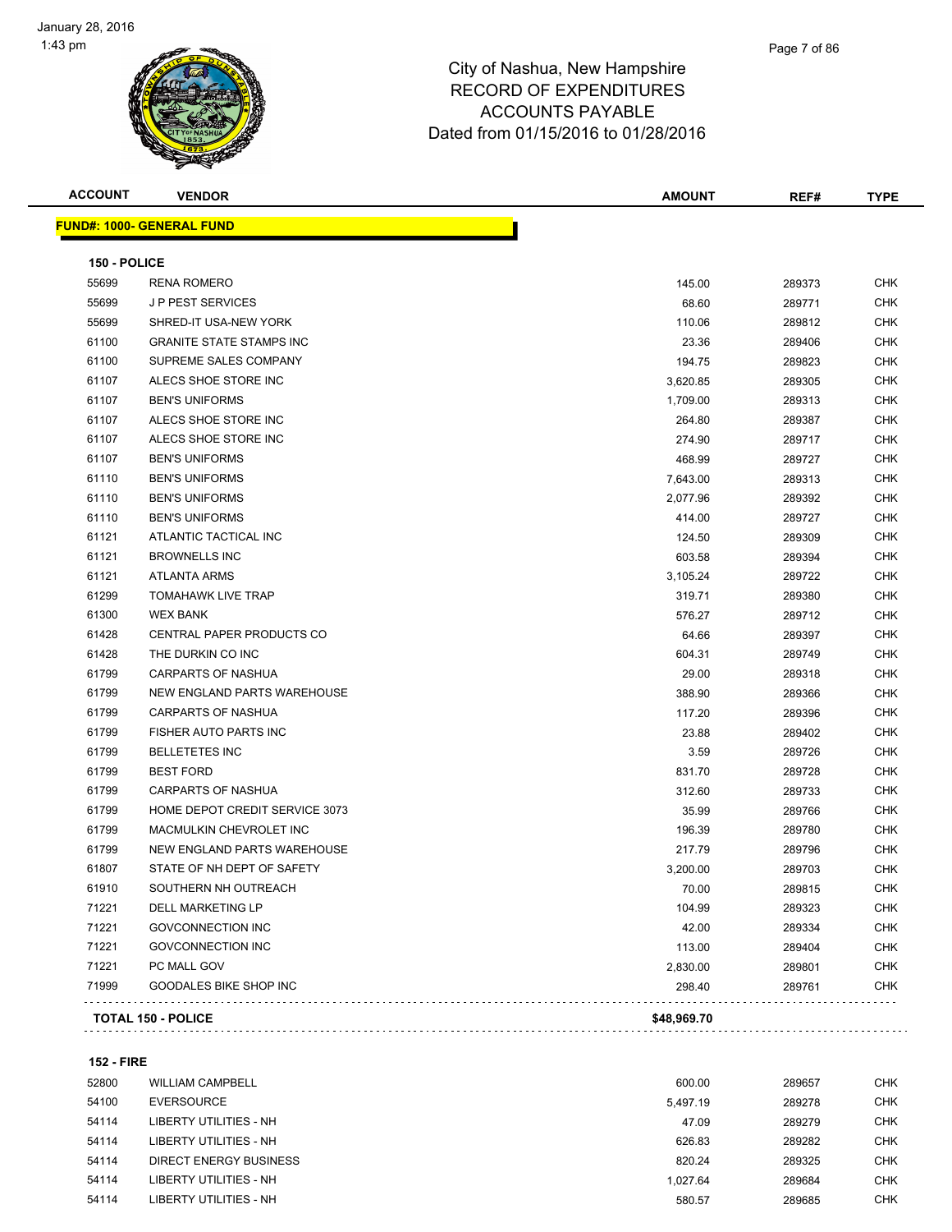**FUND#: 1000- GENERAL FUND**

# City of Nashua, New Hampshire RECORD OF EXPENDITURES ACCOUNTS PAYABLE Dated from 01/15/2016 to 01/28/2016

| <b>ACCOUNT</b> | <b>VENDOR</b>                     | <b>AMOUNT</b> | REF#   | <b>TYPE</b> |
|----------------|-----------------------------------|---------------|--------|-------------|
|                | <u>  IND#: 1000- GENERAL FUND</u> |               |        |             |
|                |                                   |               |        |             |
| 150 - POLICE   |                                   |               |        |             |
| 55699          | <b>RENA ROMERO</b>                | 145.00        | 289373 | <b>CHK</b>  |
| 55699          | <b>JP PEST SERVICES</b>           | 68.60         | 289771 | <b>CHK</b>  |
| 55699          | SHRED-IT USA-NEW YORK             | 110.06        | 289812 | <b>CHK</b>  |
| 61100          | <b>GRANITE STATE STAMPS INC</b>   | 23.36         | 289406 | <b>CHK</b>  |
| 61100          | SUPREME SALES COMPANY             | 194.75        | 289823 | <b>CHK</b>  |
| 61107          | ALECS SHOE STORE INC              | 3,620.85      | 289305 | <b>CHK</b>  |
| 61107          | <b>BEN'S UNIFORMS</b>             | 1,709.00      | 289313 | <b>CHK</b>  |
| 61107          | ALECS SHOE STORE INC              | 264.80        | 289387 | <b>CHK</b>  |
| 61107          | ALECS SHOE STORE INC              | 274.90        | 289717 | <b>CHK</b>  |
| 61107          | <b>BEN'S UNIFORMS</b>             | 468.99        | 289727 | <b>CHK</b>  |
| 61110          | <b>BEN'S UNIFORMS</b>             | 7,643.00      | 289313 | <b>CHK</b>  |
| 61110          | <b>BEN'S UNIFORMS</b>             | 2,077.96      | 289392 | <b>CHK</b>  |
| 61110          | <b>BEN'S UNIFORMS</b>             | 414.00        | 289727 | <b>CHK</b>  |
| 61121          | ATLANTIC TACTICAL INC             | 124.50        | 289309 | <b>CHK</b>  |
| 61121          | <b>BROWNELLS INC</b>              | 603.58        | 289394 | <b>CHK</b>  |
| 61121          | <b>ATLANTA ARMS</b>               | 3,105.24      | 289722 | <b>CHK</b>  |
| 61299          | <b>TOMAHAWK LIVE TRAP</b>         | 319.71        | 289380 | <b>CHK</b>  |
| 61300          | <b>WEX BANK</b>                   | 576.27        | 289712 | <b>CHK</b>  |
| 61428          | CENTRAL PAPER PRODUCTS CO         | 64.66         | 289397 | <b>CHK</b>  |
| 61428          | THE DURKIN CO INC                 | 604.31        | 289749 | <b>CHK</b>  |
| 61799          | <b>CARPARTS OF NASHUA</b>         | 29.00         | 289318 | <b>CHK</b>  |
| 61799          | NEW ENGLAND PARTS WAREHOUSE       | 388.90        | 289366 | <b>CHK</b>  |
| 61799          | <b>CARPARTS OF NASHUA</b>         | 117.20        | 289396 | <b>CHK</b>  |
| 61799          | FISHER AUTO PARTS INC             | 23.88         | 289402 | <b>CHK</b>  |
| 61799          | <b>BELLETETES INC</b>             | 3.59          | 289726 | <b>CHK</b>  |

 BEST FORD 831.70 289728 CHK CARPARTS OF NASHUA 312.60 289733 CHK HOME DEPOT CREDIT SERVICE 3073 35.99 289766 CHK MACMULKIN CHEVROLET INC 196.39 289780 CHK NEW ENGLAND PARTS WAREHOUSE 217.79 289796 CHK STATE OF NH DEPT OF SAFETY 3,200.00 289703 CHK SOUTHERN NH OUTREACH 70.00 289815 CHK DELL MARKETING LP 104.99 289323 CHK GOVCONNECTION INC 42.00 289334 CHK The Solution of the CHK of the CHK of the CHK of the CHK of the CHK of the CHK of the CHK of the CHK of the CHK of the CHK of the CHK of the CHK of the CHK of the CHK of the CHK of the CHK of the CHK of the CHK of the CHK PC MALL GOV 2,830.00 289801 CHK GOODALES BIKE SHOP INC 298.40 289761 CHK

| <b>TOTAL 150 - POLICE</b> | \$48.969.70 |
|---------------------------|-------------|
|                           |             |

. . . . . . . . .

. . . . . . . .

. . . . .

| <b>152 - FIRE</b> |                         |          |        |     |
|-------------------|-------------------------|----------|--------|-----|
| 52800             | <b>WILLIAM CAMPBELL</b> | 600.00   | 289657 | CHK |
| 54100             | <b>EVERSOURCE</b>       | 5,497.19 | 289278 | CHK |
| 54114             | LIBERTY UTILITIES - NH  | 47.09    | 289279 | CHK |
| 54114             | LIBERTY UTILITIES - NH  | 626.83   | 289282 | CHK |
| 54114             | DIRECT ENERGY BUSINESS  | 820.24   | 289325 | CHK |
| 54114             | LIBERTY UTILITIES - NH  | 1.027.64 | 289684 | CHK |
| 54114             | LIBERTY UTILITIES - NH  | 580.57   | 289685 | CHK |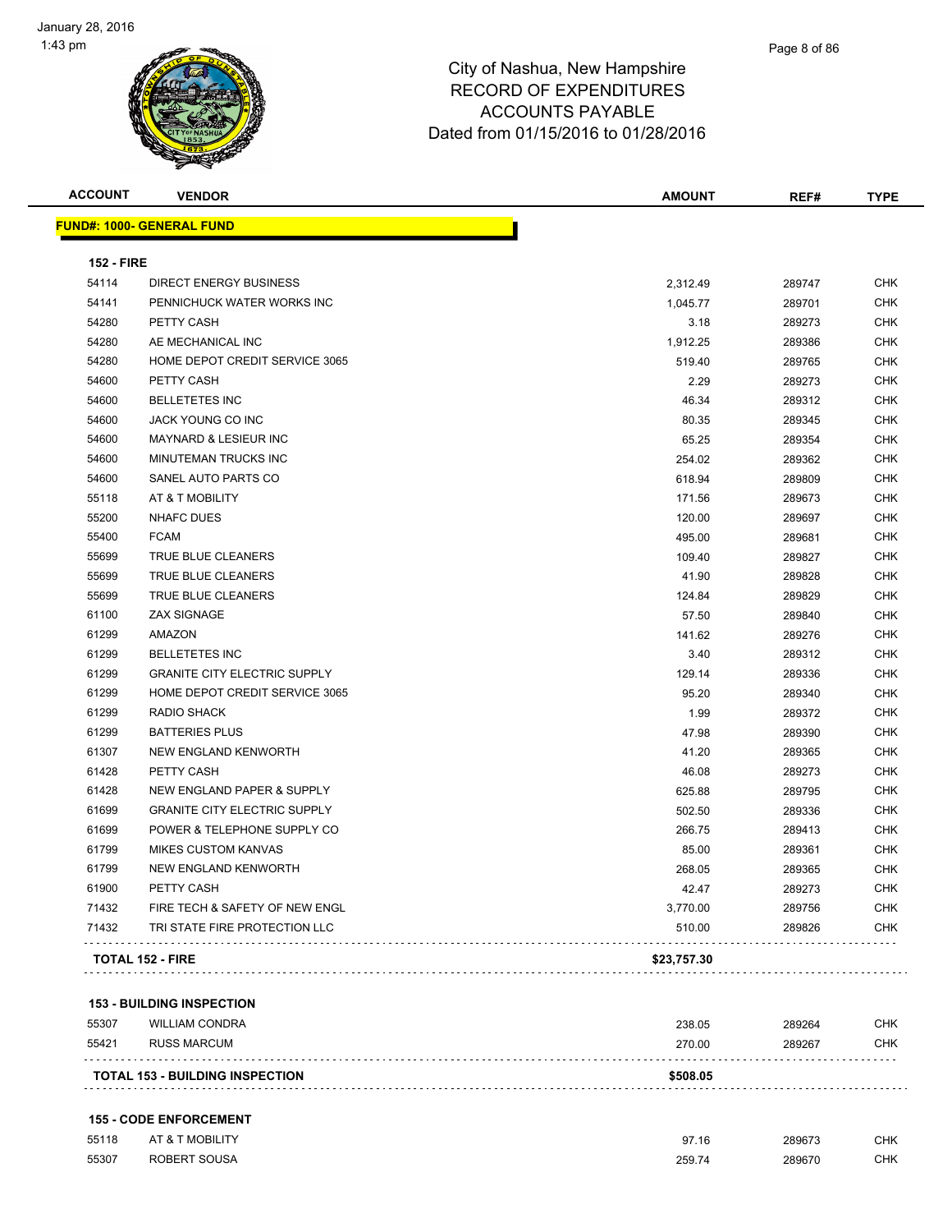| <b>ACCOUNT</b>    | <b>VENDOR</b>                       | <b>AMOUNT</b> | REF#   | <b>TYPE</b> |
|-------------------|-------------------------------------|---------------|--------|-------------|
|                   | <b>FUND#: 1000- GENERAL FUND</b>    |               |        |             |
| <b>152 - FIRE</b> |                                     |               |        |             |
| 54114             | <b>DIRECT ENERGY BUSINESS</b>       | 2,312.49      | 289747 | <b>CHK</b>  |
| 54141             | PENNICHUCK WATER WORKS INC          | 1,045.77      | 289701 | <b>CHK</b>  |
| 54280             | PETTY CASH                          | 3.18          | 289273 | <b>CHK</b>  |
| 54280             | AE MECHANICAL INC                   | 1,912.25      | 289386 | <b>CHK</b>  |
| 54280             | HOME DEPOT CREDIT SERVICE 3065      | 519.40        | 289765 | <b>CHK</b>  |
| 54600             | PETTY CASH                          | 2.29          | 289273 | <b>CHK</b>  |
| 54600             | <b>BELLETETES INC</b>               | 46.34         | 289312 | <b>CHK</b>  |
| 54600             | JACK YOUNG CO INC                   | 80.35         | 289345 | <b>CHK</b>  |
| 54600             | <b>MAYNARD &amp; LESIEUR INC</b>    | 65.25         | 289354 | <b>CHK</b>  |
| 54600             | MINUTEMAN TRUCKS INC                | 254.02        | 289362 | <b>CHK</b>  |
| 54600             | SANEL AUTO PARTS CO                 | 618.94        | 289809 | <b>CHK</b>  |
| 55118             | AT & T MOBILITY                     | 171.56        | 289673 | <b>CHK</b>  |
| 55200             | <b>NHAFC DUES</b>                   | 120.00        | 289697 | <b>CHK</b>  |
| 55400             | <b>FCAM</b>                         | 495.00        | 289681 | <b>CHK</b>  |
| 55699             | TRUE BLUE CLEANERS                  | 109.40        | 289827 | <b>CHK</b>  |
| 55699             | TRUE BLUE CLEANERS                  | 41.90         | 289828 | <b>CHK</b>  |
| 55699             | TRUE BLUE CLEANERS                  | 124.84        | 289829 | <b>CHK</b>  |
| 61100             | <b>ZAX SIGNAGE</b>                  | 57.50         | 289840 | <b>CHK</b>  |
| 61299             | AMAZON                              | 141.62        | 289276 | <b>CHK</b>  |
| 61299             | <b>BELLETETES INC</b>               | 3.40          | 289312 | <b>CHK</b>  |
| 61299             | <b>GRANITE CITY ELECTRIC SUPPLY</b> | 129.14        | 289336 | <b>CHK</b>  |
| 61299             | HOME DEPOT CREDIT SERVICE 3065      | 95.20         | 289340 | <b>CHK</b>  |
| 61299             | <b>RADIO SHACK</b>                  | 1.99          | 289372 | <b>CHK</b>  |
| 61299             | <b>BATTERIES PLUS</b>               | 47.98         | 289390 | <b>CHK</b>  |
| 61307             | NEW ENGLAND KENWORTH                | 41.20         | 289365 | <b>CHK</b>  |
| 61428             | PETTY CASH                          | 46.08         | 289273 | <b>CHK</b>  |
| 61428             | NEW ENGLAND PAPER & SUPPLY          | 625.88        | 289795 | <b>CHK</b>  |
| 61699             | <b>GRANITE CITY ELECTRIC SUPPLY</b> | 502.50        | 289336 | <b>CHK</b>  |
| 61699             | POWER & TELEPHONE SUPPLY CO         | 266.75        | 289413 | <b>CHK</b>  |
| 61799             | <b>MIKES CUSTOM KANVAS</b>          | 85.00         | 289361 | <b>CHK</b>  |
| 61799             | NEW ENGLAND KENWORTH                | 268.05        | 289365 | <b>CHK</b>  |
| 61900             | PETTY CASH                          | 42.47         | 289273 | <b>CHK</b>  |
| 71432             | FIRE TECH & SAFETY OF NEW ENGL      | 3,770.00      | 289756 | <b>CHK</b>  |
| 71432             | TRI STATE FIRE PROTECTION LLC       | 510.00        | 289826 | <b>CHK</b>  |
|                   | <b>TOTAL 152 - FIRE</b>             | \$23,757.30   |        |             |
|                   |                                     |               |        |             |

#### **153 - BUILDING INSPECTION**

| 55307 | <b>WILLIAM CONDRA</b>                  | 238.05   | 289264 | снк |
|-------|----------------------------------------|----------|--------|-----|
| 55421 | RUSS MARCUM                            | 270.00   | 289267 | снк |
|       | <b>TOTAL 153 - BUILDING INSPECTION</b> | \$508.05 |        |     |

#### **155 - CODE ENFORCEMENT**

| 55118 | AT & T MOBILITY | 07.4C  | 289673 | <b>CHK</b> |
|-------|-----------------|--------|--------|------------|
| 55307 | ROBERT SOUSA    | 259.74 | 289670 | <b>CHK</b> |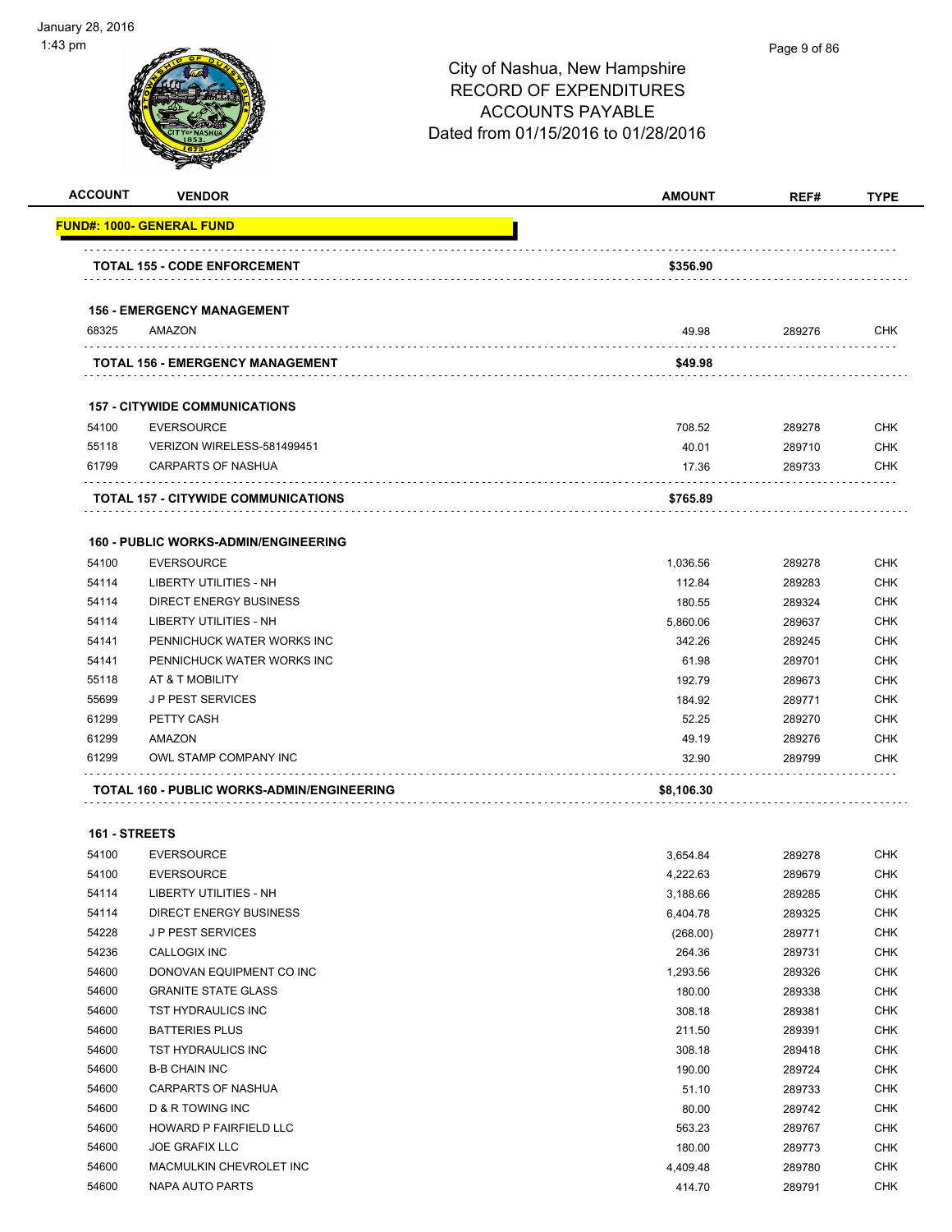| <b>ACCOUNT</b> | <b>VENDOR</b>                                     | <b>AMOUNT</b> | REF#   | <b>TYPE</b> |
|----------------|---------------------------------------------------|---------------|--------|-------------|
|                | <b>FUND#: 1000- GENERAL FUND</b>                  |               |        |             |
|                | <b>TOTAL 155 - CODE ENFORCEMENT</b>               | \$356.90      |        |             |
|                |                                                   |               |        |             |
|                | <b>156 - EMERGENCY MANAGEMENT</b>                 |               |        |             |
| 68325          | AMAZON                                            | 49.98         | 289276 | <b>CHK</b>  |
|                | <b>TOTAL 156 - EMERGENCY MANAGEMENT</b>           | \$49.98       |        |             |
|                | <b>157 - CITYWIDE COMMUNICATIONS</b>              |               |        |             |
| 54100          | <b>EVERSOURCE</b>                                 | 708.52        | 289278 | <b>CHK</b>  |
| 55118          | VERIZON WIRELESS-581499451                        | 40.01         | 289710 | <b>CHK</b>  |
| 61799          | CARPARTS OF NASHUA                                | 17.36         | 289733 | <b>CHK</b>  |
|                | <b>TOTAL 157 - CITYWIDE COMMUNICATIONS</b>        | \$765.89      |        |             |
|                |                                                   |               |        |             |
|                | 160 - PUBLIC WORKS-ADMIN/ENGINEERING              |               |        |             |
| 54100          | <b>EVERSOURCE</b>                                 | 1,036.56      | 289278 | <b>CHK</b>  |
| 54114          | LIBERTY UTILITIES - NH                            | 112.84        | 289283 | <b>CHK</b>  |
| 54114          | <b>DIRECT ENERGY BUSINESS</b>                     | 180.55        | 289324 | <b>CHK</b>  |
| 54114          | <b>LIBERTY UTILITIES - NH</b>                     | 5.860.06      | 289637 | <b>CHK</b>  |
| 54141          | PENNICHUCK WATER WORKS INC                        | 342.26        | 289245 | <b>CHK</b>  |
| 54141          | PENNICHUCK WATER WORKS INC                        | 61.98         | 289701 | <b>CHK</b>  |
| 55118          | AT & T MOBILITY                                   | 192.79        | 289673 | <b>CHK</b>  |
| 55699          | <b>JP PEST SERVICES</b>                           | 184.92        | 289771 | <b>CHK</b>  |
| 61299          | PETTY CASH                                        | 52.25         | 289270 | <b>CHK</b>  |
| 61299          | AMAZON                                            | 49.19         | 289276 | <b>CHK</b>  |
| 61299          | OWL STAMP COMPANY INC                             | 32.90         | 289799 | <b>CHK</b>  |
|                | <b>TOTAL 160 - PUBLIC WORKS-ADMIN/ENGINEERING</b> | \$8,106.30    |        |             |
| 161 - STREETS  |                                                   |               |        |             |
| 54100          | <b>EVERSOURCE</b>                                 | 3,654.84      | 289278 | <b>CHK</b>  |
| 54100          | <b>EVERSOURCE</b>                                 | 4.222.63      | 289679 | <b>CHK</b>  |
| 54114          | LIBERTY UTILITIES - NH                            | 3,188.66      | 289285 | <b>CHK</b>  |
| 54114          | <b>DIRECT ENERGY BUSINESS</b>                     | 6,404.78      | 289325 | <b>CHK</b>  |
| 54228          | J P PEST SERVICES                                 | (268.00)      | 289771 | <b>CHK</b>  |
| 54236          | CALLOGIX INC                                      | 264.36        | 289731 | <b>CHK</b>  |
| 54600          | DONOVAN EQUIPMENT CO INC                          | 1,293.56      | 289326 | <b>CHK</b>  |
| 54600          | <b>GRANITE STATE GLASS</b>                        | 180.00        | 289338 | <b>CHK</b>  |
| 54600          | TST HYDRAULICS INC                                | 308.18        | 289381 | <b>CHK</b>  |
| 54600          | <b>BATTERIES PLUS</b>                             | 211.50        | 289391 | <b>CHK</b>  |
| 54600          | TST HYDRAULICS INC                                | 308.18        | 289418 | <b>CHK</b>  |
| 54600          | <b>B-B CHAIN INC</b>                              | 190.00        | 289724 | <b>CHK</b>  |
| 54600          | <b>CARPARTS OF NASHUA</b>                         | 51.10         | 289733 | <b>CHK</b>  |
| 54600          | D & R TOWING INC                                  | 80.00         | 289742 | <b>CHK</b>  |
| 54600          | HOWARD P FAIRFIELD LLC                            | 563.23        | 289767 | <b>CHK</b>  |
| 54600          | <b>JOE GRAFIX LLC</b>                             | 180.00        | 289773 | <b>CHK</b>  |
| 54600          | MACMULKIN CHEVROLET INC                           | 4,409.48      | 289780 | <b>CHK</b>  |
| 54600          | NAPA AUTO PARTS                                   | 414.70        | 289791 | <b>CHK</b>  |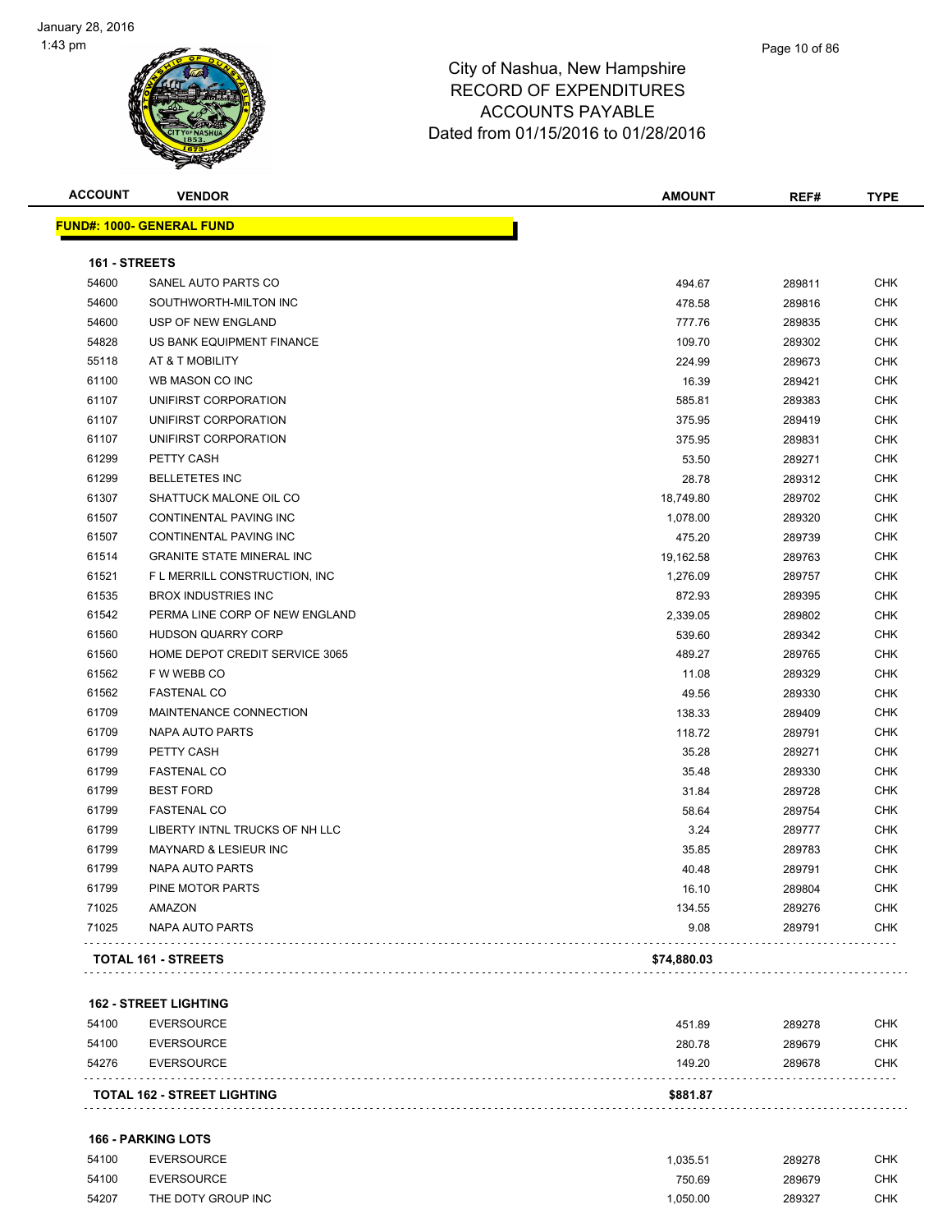| <b>ACCOUNT</b> | <b>VENDOR</b>                    | <b>AMOUNT</b> | REF#   | <b>TYPE</b> |
|----------------|----------------------------------|---------------|--------|-------------|
|                | <b>FUND#: 1000- GENERAL FUND</b> |               |        |             |
| 161 - STREETS  |                                  |               |        |             |
| 54600          | SANEL AUTO PARTS CO              | 494.67        | 289811 | <b>CHK</b>  |
| 54600          | SOUTHWORTH-MILTON INC            | 478.58        | 289816 | <b>CHK</b>  |
| 54600          | USP OF NEW ENGLAND               | 777.76        | 289835 | <b>CHK</b>  |
| 54828          | US BANK EQUIPMENT FINANCE        | 109.70        | 289302 | <b>CHK</b>  |
| 55118          | AT & T MOBILITY                  | 224.99        | 289673 | <b>CHK</b>  |
| 61100          | WB MASON CO INC                  | 16.39         | 289421 | <b>CHK</b>  |
| 61107          | UNIFIRST CORPORATION             | 585.81        | 289383 | <b>CHK</b>  |
| 61107          | UNIFIRST CORPORATION             | 375.95        | 289419 | <b>CHK</b>  |
| 61107          | UNIFIRST CORPORATION             | 375.95        | 289831 | <b>CHK</b>  |
| 61299          | PETTY CASH                       | 53.50         | 289271 | <b>CHK</b>  |
| 61299          | <b>BELLETETES INC</b>            | 28.78         | 289312 | <b>CHK</b>  |
| 61307          | SHATTUCK MALONE OIL CO           | 18,749.80     | 289702 | <b>CHK</b>  |
| 61507          | CONTINENTAL PAVING INC           | 1,078.00      | 289320 | <b>CHK</b>  |
| 61507          | CONTINENTAL PAVING INC           | 475.20        | 289739 | <b>CHK</b>  |
| 61514          | <b>GRANITE STATE MINERAL INC</b> | 19,162.58     | 289763 | <b>CHK</b>  |
| 61521          | F L MERRILL CONSTRUCTION, INC.   | 1,276.09      | 289757 | <b>CHK</b>  |
| 61535          | <b>BROX INDUSTRIES INC</b>       | 872.93        | 289395 | <b>CHK</b>  |
| 61542          | PERMA LINE CORP OF NEW ENGLAND   | 2,339.05      | 289802 | <b>CHK</b>  |
| 61560          | <b>HUDSON QUARRY CORP</b>        | 539.60        | 289342 | <b>CHK</b>  |
| 61560          | HOME DEPOT CREDIT SERVICE 3065   | 489.27        | 289765 | <b>CHK</b>  |
| 61562          | F W WEBB CO                      | 11.08         | 289329 | <b>CHK</b>  |
| 61562          | <b>FASTENAL CO</b>               | 49.56         | 289330 | <b>CHK</b>  |
| 61709          | MAINTENANCE CONNECTION           | 138.33        | 289409 | <b>CHK</b>  |
| 61709          | NAPA AUTO PARTS                  | 118.72        | 289791 | <b>CHK</b>  |
| 61799          | PETTY CASH                       | 35.28         | 289271 | <b>CHK</b>  |
| 61799          | <b>FASTENAL CO</b>               | 35.48         | 289330 | <b>CHK</b>  |
| 61799          | <b>BEST FORD</b>                 | 31.84         | 289728 | <b>CHK</b>  |
| 61799          | <b>FASTENAL CO</b>               | 58.64         | 289754 | <b>CHK</b>  |
| 61799          | LIBERTY INTNL TRUCKS OF NH LLC   | 3.24          | 289777 | <b>CHK</b>  |
| 61799          | MAYNARD & LESIEUR INC            | 35.85         | 289783 | <b>CHK</b>  |
| 61799          | NAPA AUTO PARTS                  | 40.48         | 289791 | <b>CHK</b>  |
| 61799          | PINE MOTOR PARTS                 | 16.10         | 289804 | <b>CHK</b>  |
| 71025          | AMAZON                           | 134.55        | 289276 | <b>CHK</b>  |
| 71025          | <b>NAPA AUTO PARTS</b>           | 9.08          | 289791 | <b>CHK</b>  |
|                | <b>TOTAL 161 - STREETS</b>       | \$74,880.03   |        |             |
|                |                                  |               |        |             |

#### **162 - STREET LIGHTING**

|       | <b>TOTAL 162 - STREET LIGHTING</b> | \$881.87 |        |     |
|-------|------------------------------------|----------|--------|-----|
| 54276 | EVERSOURCE                         | 149.20   | 289678 | CHK |
| 54100 | EVERSOURCE                         | 280.78   | 289679 | CHK |
| 54100 | EVERSOURCE                         | 451.89   | 289278 | СНК |

#### **166 - PARKING LOTS**

| 54100 | <b>EVERSOURCE</b>  | .035.51  | 289278 | CHK |
|-------|--------------------|----------|--------|-----|
| 54100 | <b>EVERSOURCE</b>  | 750.69   | 289679 | СНК |
| 54207 | THE DOTY GROUP INC | 1.050.00 | 289327 | СНК |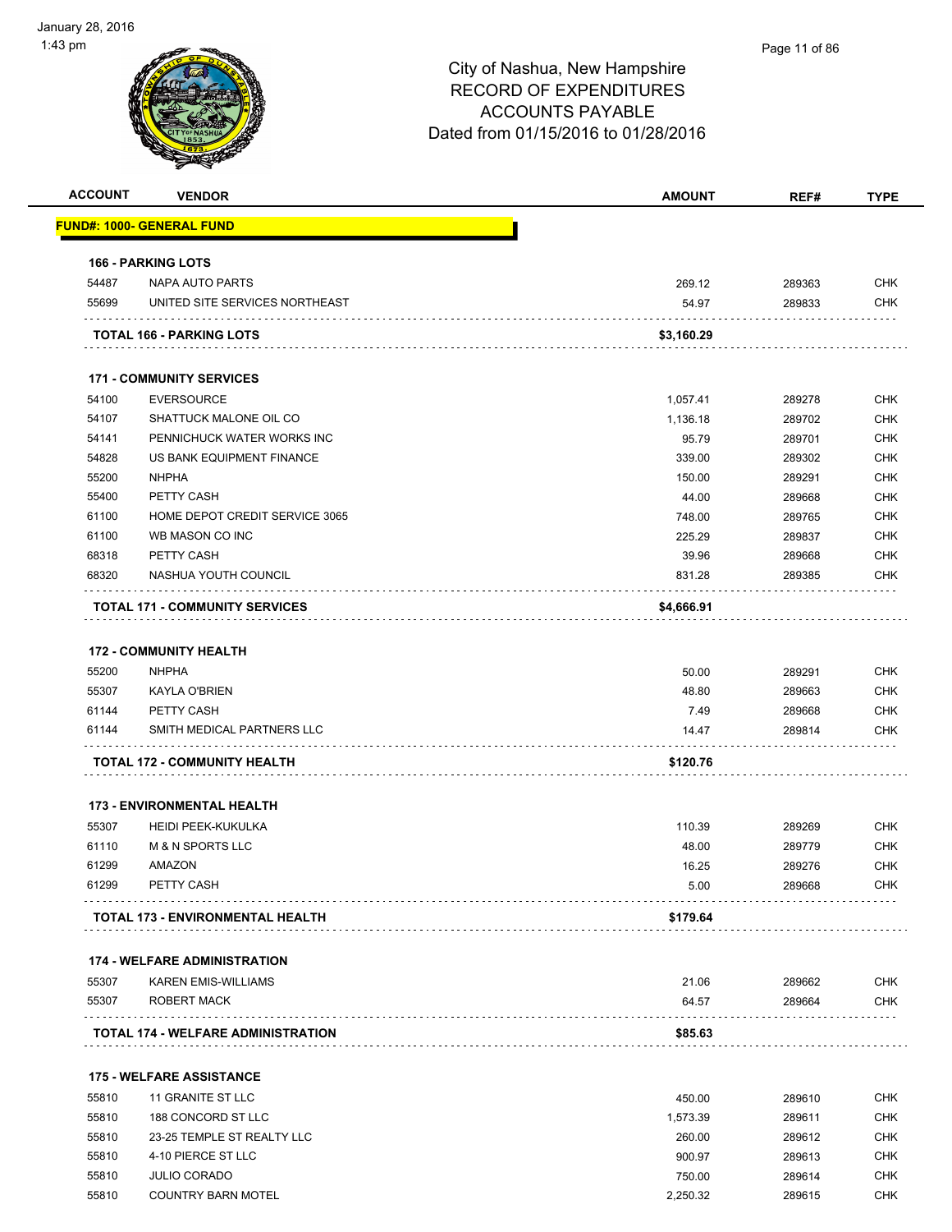|                | <b>VENDOR</b>                             | <b>AMOUNT</b>    | REF#             | <b>TYPE</b>              |
|----------------|-------------------------------------------|------------------|------------------|--------------------------|
|                | <b>FUND#: 1000- GENERAL FUND</b>          |                  |                  |                          |
|                | <b>166 - PARKING LOTS</b>                 |                  |                  |                          |
| 54487          | <b>NAPA AUTO PARTS</b>                    | 269.12           | 289363           | <b>CHK</b>               |
| 55699          | UNITED SITE SERVICES NORTHEAST            | 54.97            | 289833           | <b>CHK</b>               |
|                | TOTAL 166 - PARKING LOTS                  | \$3,160.29       |                  |                          |
|                | <b>171 - COMMUNITY SERVICES</b>           |                  |                  |                          |
| 54100          | <b>EVERSOURCE</b>                         | 1,057.41         | 289278           | <b>CHK</b>               |
| 54107          | SHATTUCK MALONE OIL CO                    | 1,136.18         | 289702           | <b>CHK</b>               |
| 54141          | PENNICHUCK WATER WORKS INC                | 95.79            | 289701           | <b>CHK</b>               |
| 54828          | US BANK EQUIPMENT FINANCE                 | 339.00           | 289302           | <b>CHK</b>               |
| 55200          | <b>NHPHA</b>                              | 150.00           | 289291           | <b>CHK</b>               |
| 55400          | PETTY CASH                                | 44.00            | 289668           | <b>CHK</b>               |
| 61100          | HOME DEPOT CREDIT SERVICE 3065            | 748.00           | 289765           | <b>CHK</b>               |
| 61100          | WB MASON CO INC                           | 225.29           | 289837           | <b>CHK</b>               |
| 68318          | PETTY CASH                                | 39.96            | 289668           | <b>CHK</b>               |
| 68320          | NASHUA YOUTH COUNCIL                      | 831.28           | 289385           | CHK                      |
|                | <b>TOTAL 171 - COMMUNITY SERVICES</b>     | \$4,666.91       |                  |                          |
|                | <b>172 - COMMUNITY HEALTH</b>             |                  |                  |                          |
| 55200          | <b>NHPHA</b>                              | 50.00            | 289291           | <b>CHK</b>               |
| 55307          | <b>KAYLA O'BRIEN</b>                      | 48.80            | 289663           | <b>CHK</b>               |
| 61144          | PETTY CASH                                | 7.49             | 289668           | <b>CHK</b>               |
| 61144          | SMITH MEDICAL PARTNERS LLC                | 14.47            | 289814           | <b>CHK</b>               |
|                | <b>TOTAL 172 - COMMUNITY HEALTH</b>       | \$120.76         |                  |                          |
|                | <b>173 - ENVIRONMENTAL HEALTH</b>         |                  |                  |                          |
| 55307          | <b>HEIDI PEEK-KUKULKA</b>                 | 110.39           | 289269           | <b>CHK</b>               |
| 61110          | M & N SPORTS LLC                          | 48.00            | 289779           | <b>CHK</b>               |
| 61299          | AMAZON                                    | 16.25            | 289276           | <b>CHK</b>               |
| 61299          | PETTY CASH                                | 5.00             | 289668           | <b>CHK</b>               |
|                | <b>TOTAL 173 - ENVIRONMENTAL HEALTH</b>   | \$179.64         |                  |                          |
|                | <b>174 - WELFARE ADMINISTRATION</b>       |                  |                  |                          |
| 55307          | <b>KAREN EMIS-WILLIAMS</b>                | 21.06            | 289662           | <b>CHK</b>               |
| 55307          | ROBERT MACK                               | 64.57            | 289664           | <b>CHK</b>               |
|                | <b>TOTAL 174 - WELFARE ADMINISTRATION</b> | \$85.63          |                  |                          |
|                | <b>175 - WELFARE ASSISTANCE</b>           |                  |                  |                          |
|                | 11 GRANITE ST LLC                         | 450.00           | 289610           | <b>CHK</b>               |
|                | 188 CONCORD ST LLC                        | 1,573.39         | 289611           | <b>CHK</b>               |
| 55810          |                                           |                  |                  | <b>CHK</b>               |
| 55810          |                                           |                  |                  |                          |
| 55810          | 23-25 TEMPLE ST REALTY LLC                | 260.00           | 289612           |                          |
| 55810<br>55810 | 4-10 PIERCE ST LLC<br><b>JULIO CORADO</b> | 900.97<br>750.00 | 289613<br>289614 | <b>CHK</b><br><b>CHK</b> |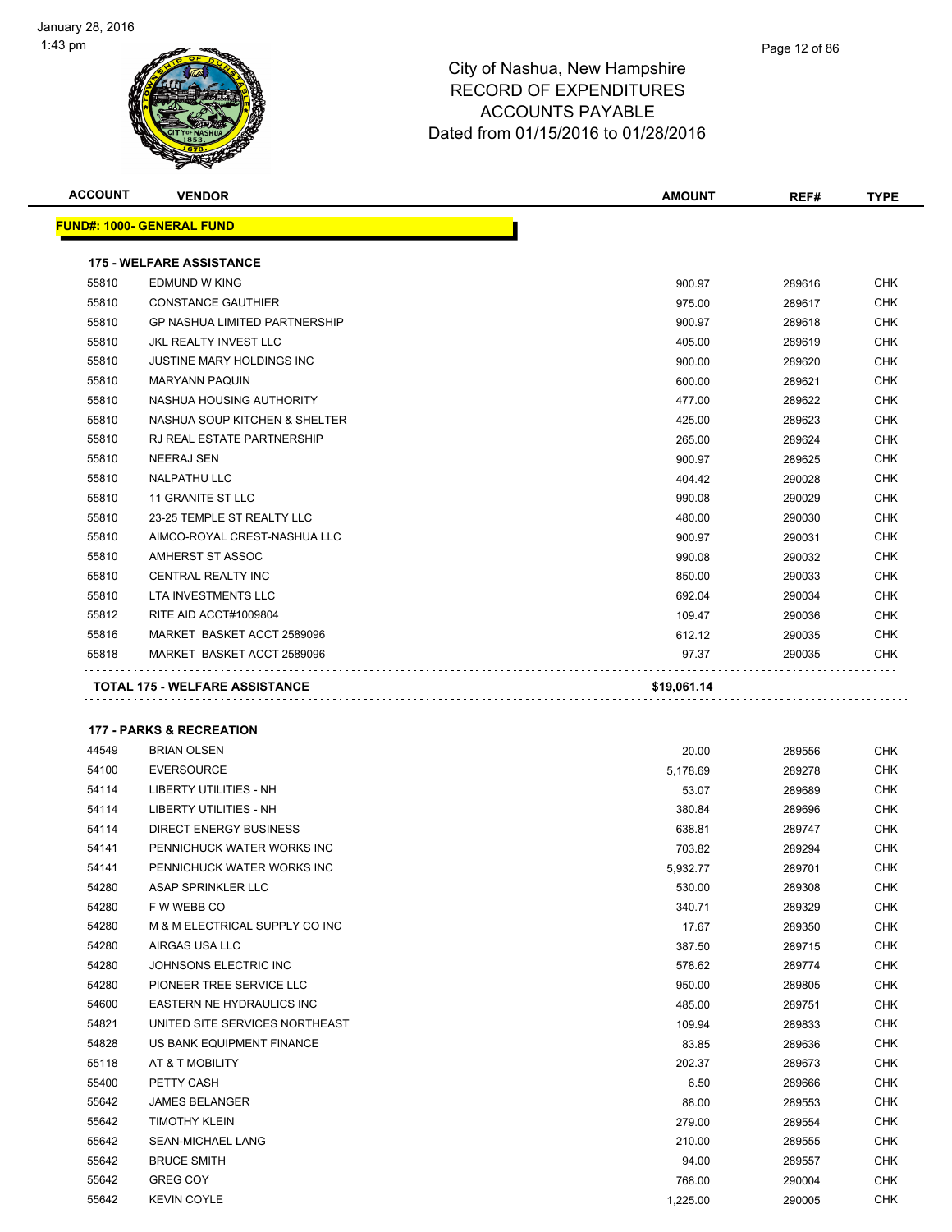| <b>ACCOUNT</b> | <b>VENDOR</b>                        | <b>AMOUNT</b> | REF#   | <b>TYPE</b> |
|----------------|--------------------------------------|---------------|--------|-------------|
|                | <u> FUND#: 1000- GENERAL FUND</u>    |               |        |             |
|                | <b>175 - WELFARE ASSISTANCE</b>      |               |        |             |
| 55810          | <b>EDMUND W KING</b>                 | 900.97        | 289616 | CHK         |
| 55810          | <b>CONSTANCE GAUTHIER</b>            | 975.00        | 289617 | <b>CHK</b>  |
| 55810          | <b>GP NASHUA LIMITED PARTNERSHIP</b> | 900.97        | 289618 | <b>CHK</b>  |
| 55810          | JKL REALTY INVEST LLC                | 405.00        | 289619 | CHK         |
| 55810          | JUSTINE MARY HOLDINGS INC            | 900.00        | 289620 | CHK         |
| 55810          | <b>MARYANN PAQUIN</b>                | 600.00        | 289621 | CHK         |
| 55810          | NASHUA HOUSING AUTHORITY             | 477.00        | 289622 | <b>CHK</b>  |
| 55810          | NASHUA SOUP KITCHEN & SHELTER        | 425.00        | 289623 | CHK         |
| 55810          | RJ REAL ESTATE PARTNERSHIP           | 265.00        | 289624 | CHK         |
| 55810          | NEERAJ SEN                           | 900.97        | 289625 | CHK         |
| 55810          | <b>NALPATHU LLC</b>                  | 404.42        | 290028 | <b>CHK</b>  |
| 55810          | 11 GRANITE ST LLC                    | 990.08        | 290029 | <b>CHK</b>  |
| 55810          | 23-25 TEMPLE ST REALTY LLC           | 480.00        | 290030 | <b>CHK</b>  |
| 55810          | AIMCO-ROYAL CREST-NASHUA LLC         | 900.97        | 290031 | <b>CHK</b>  |
| 55810          | AMHERST ST ASSOC                     | 990.08        | 290032 | <b>CHK</b>  |
| 55810          | CENTRAL REALTY INC                   | 850.00        | 290033 | <b>CHK</b>  |
| 55810          | LTA INVESTMENTS LLC                  | 692.04        | 290034 | <b>CHK</b>  |
| 55812          | RITE AID ACCT#1009804                | 109.47        | 290036 | <b>CHK</b>  |
| 55816          | MARKET BASKET ACCT 2589096           | 612.12        | 290035 | <b>CHK</b>  |
| 55818          | MARKET BASKET ACCT 2589096           | 97.37         | 290035 | <b>CHK</b>  |
|                | <b>177 - PARKS &amp; RECREATION</b>  |               |        |             |
| 44549          | <b>BRIAN OLSEN</b>                   | 20.00         | 289556 | <b>CHK</b>  |
| 54100          | <b>EVERSOURCE</b>                    | 5,178.69      | 289278 | <b>CHK</b>  |
| 54114          | LIBERTY UTILITIES - NH               | 53.07         | 289689 | <b>CHK</b>  |
| 54114          | LIBERTY UTILITIES - NH               | 380.84        | 289696 | <b>CHK</b>  |
| 54114          | DIRECT ENERGY BUSINESS               | 638.81        | 289747 | <b>CHK</b>  |
| 54141          | PENNICHUCK WATER WORKS INC           | 703.82        | 289294 | <b>CHK</b>  |
| 54141          | PENNICHUCK WATER WORKS INC           | 5,932.77      | 289701 | <b>CHK</b>  |
| 54280          | ASAP SPRINKLER LLC                   | 530.00        | 289308 | <b>CHK</b>  |
| 54280          | F W WEBB CO                          | 340.71        | 289329 | CHK         |
| 54280          | M & M ELECTRICAL SUPPLY CO INC       | 17.67         | 289350 | CHK         |
| 54280          | AIRGAS USA LLC                       | 387.50        | 289715 | CHK         |
| 54280          | JOHNSONS ELECTRIC INC                | 578.62        | 289774 | CHK         |
| 54280          | PIONEER TREE SERVICE LLC             | 950.00        | 289805 | CHK         |
| 54600          | EASTERN NE HYDRAULICS INC            | 485.00        | 289751 | CHK         |
| 54821          | UNITED SITE SERVICES NORTHEAST       | 109.94        | 289833 | CHK         |
| 54828          | US BANK EQUIPMENT FINANCE            | 83.85         | 289636 | CHK         |
| 55118          | AT & T MOBILITY                      | 202.37        | 289673 | <b>CHK</b>  |
| 55400          | PETTY CASH                           | 6.50          | 289666 | CHK         |
| 55642          | <b>JAMES BELANGER</b>                | 88.00         | 289553 | CHK         |
| 55642          | <b>TIMOTHY KLEIN</b>                 | 279.00        | 289554 | CHK         |
| 55642          | SEAN-MICHAEL LANG                    | 210.00        | 289555 | CHK         |
| 55642          | <b>BRUCE SMITH</b>                   | 94.00         | 289557 | CHK         |
| 55642          | <b>GREG COY</b>                      | 768.00        | 290004 | CHK         |
| 55642          | <b>KEVIN COYLE</b>                   | 1,225.00      | 290005 | CHK         |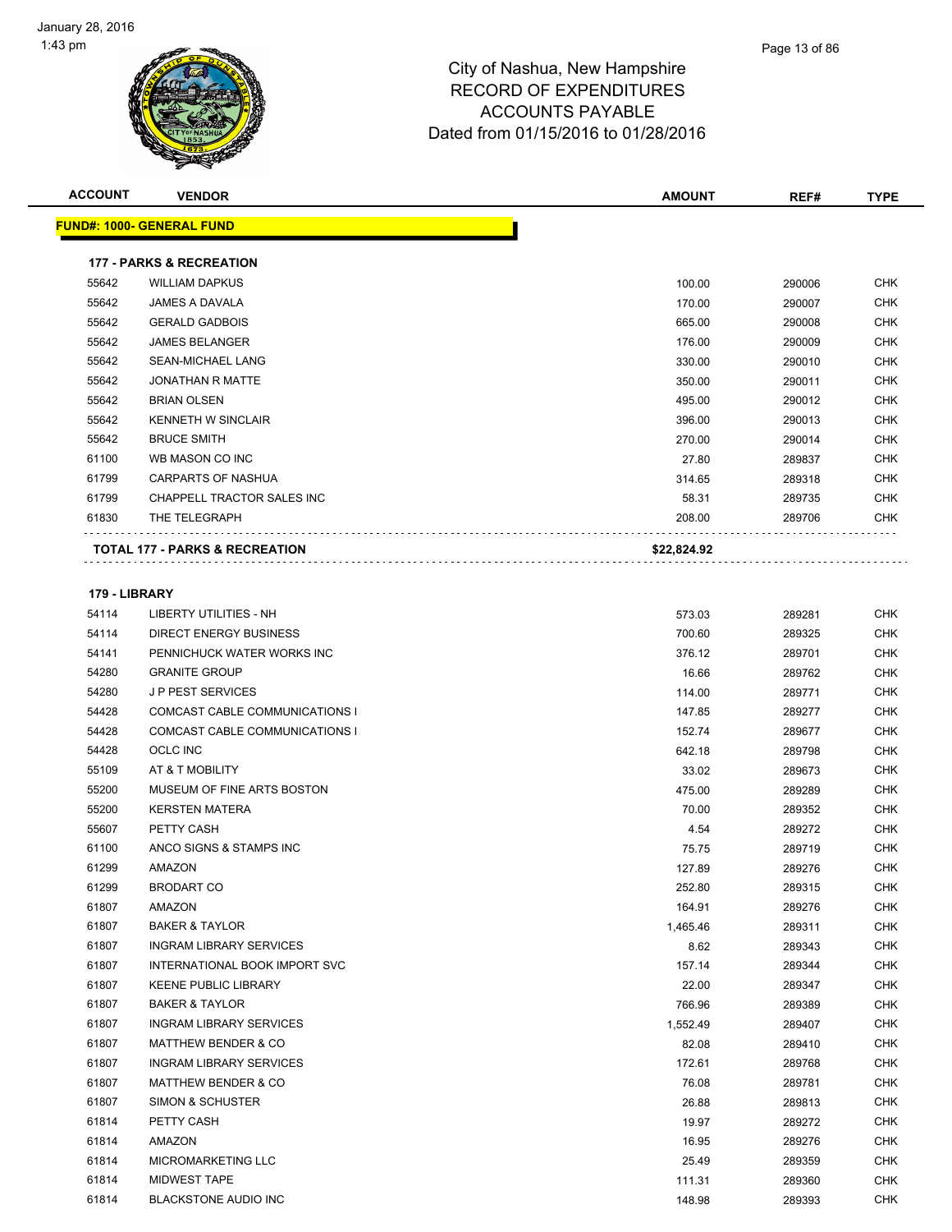| <b>ACCOUNT</b> | <b>VENDOR</b>                             | <b>AMOUNT</b> | REF#   | <b>TYPE</b> |
|----------------|-------------------------------------------|---------------|--------|-------------|
|                | <b>FUND#: 1000- GENERAL FUND</b>          |               |        |             |
|                | <b>177 - PARKS &amp; RECREATION</b>       |               |        |             |
| 55642          | <b>WILLIAM DAPKUS</b>                     | 100.00        | 290006 | <b>CHK</b>  |
| 55642          | <b>JAMES A DAVALA</b>                     | 170.00        | 290007 | <b>CHK</b>  |
| 55642          | <b>GERALD GADBOIS</b>                     | 665.00        | 290008 | <b>CHK</b>  |
| 55642          | <b>JAMES BELANGER</b>                     | 176.00        | 290009 | <b>CHK</b>  |
| 55642          | SEAN-MICHAEL LANG                         | 330.00        | 290010 | <b>CHK</b>  |
| 55642          | <b>JONATHAN R MATTE</b>                   | 350.00        | 290011 | <b>CHK</b>  |
| 55642          | <b>BRIAN OLSEN</b>                        | 495.00        | 290012 | <b>CHK</b>  |
| 55642          | <b>KENNETH W SINCLAIR</b>                 | 396.00        | 290013 | <b>CHK</b>  |
| 55642          | <b>BRUCE SMITH</b>                        | 270.00        | 290014 | <b>CHK</b>  |
| 61100          | WB MASON CO INC                           | 27.80         | 289837 | <b>CHK</b>  |
| 61799          | CARPARTS OF NASHUA                        | 314.65        | 289318 | <b>CHK</b>  |
| 61799          | CHAPPELL TRACTOR SALES INC                | 58.31         | 289735 | <b>CHK</b>  |
| 61830          | THE TELEGRAPH                             | 208.00        | 289706 | <b>CHK</b>  |
|                |                                           |               |        |             |
|                | <b>TOTAL 177 - PARKS &amp; RECREATION</b> | \$22,824.92   |        |             |
| 179 - LIBRARY  |                                           |               |        |             |
| 54114          | <b>LIBERTY UTILITIES - NH</b>             | 573.03        | 289281 | <b>CHK</b>  |
| 54114          | DIRECT ENERGY BUSINESS                    | 700.60        | 289325 | <b>CHK</b>  |
| 54141          | PENNICHUCK WATER WORKS INC                | 376.12        | 289701 | <b>CHK</b>  |
| 54280          | <b>GRANITE GROUP</b>                      | 16.66         | 289762 | <b>CHK</b>  |
| 54280          | <b>JP PEST SERVICES</b>                   | 114.00        | 289771 | <b>CHK</b>  |
| 54428          | COMCAST CABLE COMMUNICATIONS I            | 147.85        | 289277 | <b>CHK</b>  |
| 54428          | COMCAST CABLE COMMUNICATIONS I            | 152.74        | 289677 | <b>CHK</b>  |
| 54428          | <b>OCLC INC</b>                           | 642.18        | 289798 | <b>CHK</b>  |
| 55109          | AT & T MOBILITY                           | 33.02         | 289673 | <b>CHK</b>  |
| 55200          | MUSEUM OF FINE ARTS BOSTON                | 475.00        | 289289 | <b>CHK</b>  |
| 55200          | <b>KERSTEN MATERA</b>                     | 70.00         | 289352 | <b>CHK</b>  |
| 55607          | PETTY CASH                                | 4.54          | 289272 | <b>CHK</b>  |
| 61100          | ANCO SIGNS & STAMPS INC                   | 75.75         | 289719 | <b>CHK</b>  |
| 61299          | AMAZON                                    | 127.89        | 289276 | <b>CHK</b>  |
| 61299          | <b>BRODART CO</b>                         | 252.80        | 289315 | <b>CHK</b>  |
| 61807          | AMAZON                                    | 164.91        | 289276 | <b>CHK</b>  |
| 61807          | <b>BAKER &amp; TAYLOR</b>                 | 1,465.46      | 289311 | CHK         |
| 61807          | <b>INGRAM LIBRARY SERVICES</b>            | 8.62          | 289343 | <b>CHK</b>  |
| 61807          | INTERNATIONAL BOOK IMPORT SVC             | 157.14        | 289344 | <b>CHK</b>  |
| 61807          | <b>KEENE PUBLIC LIBRARY</b>               | 22.00         | 289347 | <b>CHK</b>  |
| 61807          | <b>BAKER &amp; TAYLOR</b>                 | 766.96        | 289389 | <b>CHK</b>  |
| 61807          | <b>INGRAM LIBRARY SERVICES</b>            | 1,552.49      | 289407 | <b>CHK</b>  |
| 61807          | <b>MATTHEW BENDER &amp; CO</b>            | 82.08         | 289410 | <b>CHK</b>  |
| 61807          | <b>INGRAM LIBRARY SERVICES</b>            | 172.61        | 289768 | <b>CHK</b>  |
| 61807          | <b>MATTHEW BENDER &amp; CO</b>            | 76.08         | 289781 | <b>CHK</b>  |
| 61807          | SIMON & SCHUSTER                          | 26.88         | 289813 | <b>CHK</b>  |
| 61814          | PETTY CASH                                | 19.97         | 289272 | <b>CHK</b>  |
| 61814          | AMAZON                                    | 16.95         | 289276 | CHK         |
| 61814          | MICROMARKETING LLC                        | 25.49         | 289359 | <b>CHK</b>  |
| 61814          | MIDWEST TAPE                              | 111.31        | 289360 | <b>CHK</b>  |
|                |                                           |               |        |             |

BLACKSTONE AUDIO INC 148.98 289393 CHK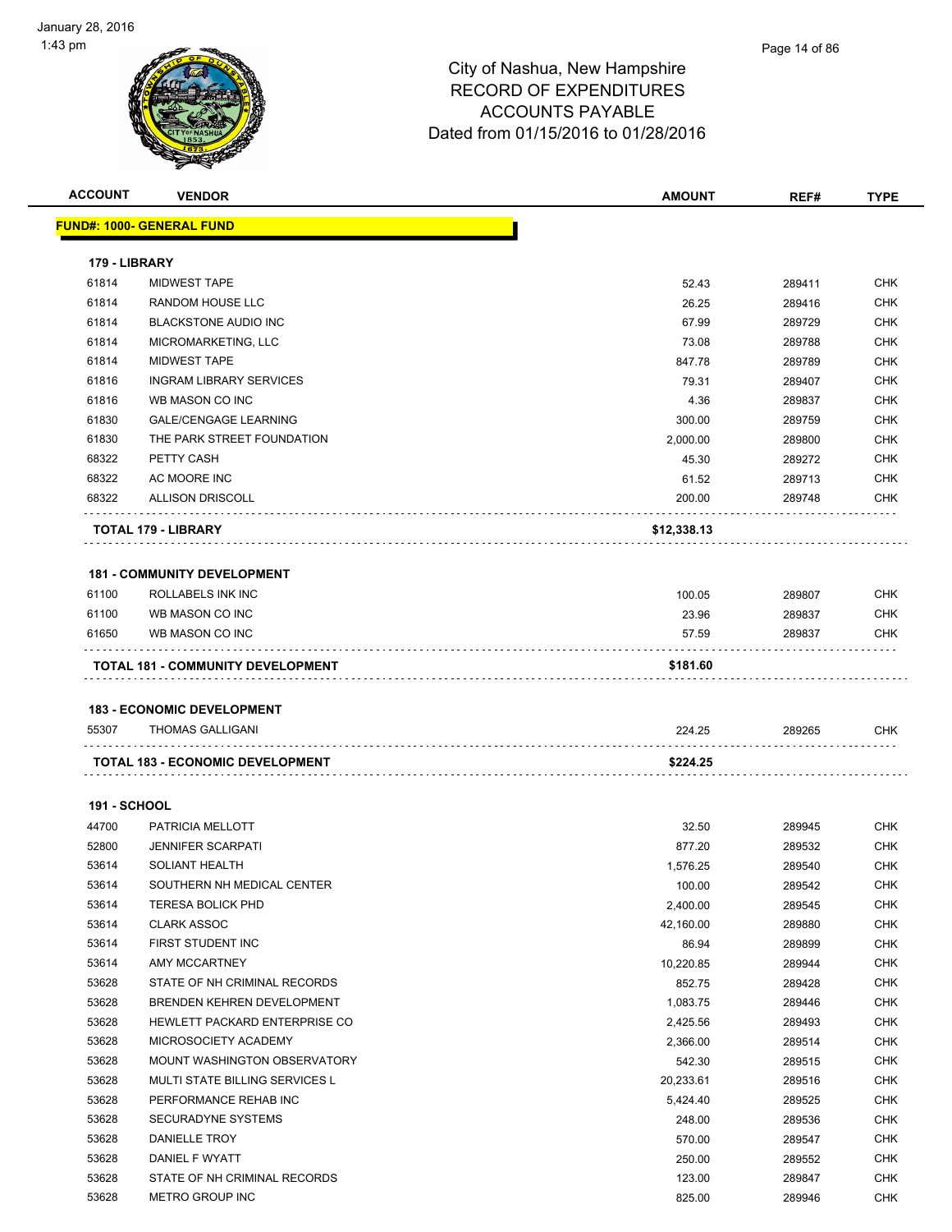| <b>ACCOUNT</b>      | <b>VENDOR</b>                                                | <b>AMOUNT</b> | REF#   | <b>TYPE</b> |
|---------------------|--------------------------------------------------------------|---------------|--------|-------------|
|                     | <u> FUND#: 1000- GENERAL FUND</u>                            |               |        |             |
| 179 - LIBRARY       |                                                              |               |        |             |
| 61814               | <b>MIDWEST TAPE</b>                                          | 52.43         | 289411 | <b>CHK</b>  |
| 61814               | RANDOM HOUSE LLC                                             | 26.25         | 289416 | <b>CHK</b>  |
| 61814               | <b>BLACKSTONE AUDIO INC</b>                                  | 67.99         | 289729 | <b>CHK</b>  |
| 61814               | MICROMARKETING, LLC                                          | 73.08         | 289788 | <b>CHK</b>  |
| 61814               | <b>MIDWEST TAPE</b>                                          | 847.78        | 289789 | <b>CHK</b>  |
| 61816               | <b>INGRAM LIBRARY SERVICES</b>                               | 79.31         | 289407 | <b>CHK</b>  |
| 61816               | WB MASON CO INC                                              | 4.36          | 289837 | <b>CHK</b>  |
| 61830               | <b>GALE/CENGAGE LEARNING</b>                                 | 300.00        | 289759 | <b>CHK</b>  |
| 61830               | THE PARK STREET FOUNDATION                                   | 2,000.00      | 289800 | <b>CHK</b>  |
| 68322               | PETTY CASH                                                   | 45.30         | 289272 | <b>CHK</b>  |
| 68322               | AC MOORE INC                                                 | 61.52         | 289713 | <b>CHK</b>  |
| 68322               | <b>ALLISON DRISCOLL</b>                                      | 200.00        | 289748 | <b>CHK</b>  |
|                     | <b>TOTAL 179 - LIBRARY</b>                                   | \$12,338.13   |        |             |
|                     | <b>181 - COMMUNITY DEVELOPMENT</b>                           |               |        |             |
| 61100               | ROLLABELS INK INC                                            | 100.05        | 289807 | <b>CHK</b>  |
| 61100               | WB MASON CO INC                                              | 23.96         | 289837 | CHK         |
| 61650               | WB MASON CO INC                                              | 57.59         | 289837 | CHK         |
|                     | <b>TOTAL 181 - COMMUNITY DEVELOPMENT</b>                     | \$181.60      |        |             |
|                     |                                                              |               |        |             |
| 55307               | <b>183 - ECONOMIC DEVELOPMENT</b><br><b>THOMAS GALLIGANI</b> | 224.25        | 289265 | CHK         |
|                     | .<br><b>TOTAL 183 - ECONOMIC DEVELOPMENT</b>                 | \$224.25      | .      |             |
|                     |                                                              |               |        |             |
| <b>191 - SCHOOL</b> |                                                              |               |        |             |
| 44700               | PATRICIA MELLOTT                                             | 32.50         | 289945 | CHK         |
| 52800               | <b>JENNIFER SCARPATI</b>                                     | 877.20        | 289532 | <b>CHK</b>  |
| 53614               | <b>SOLIANT HEALTH</b>                                        | 1,576.25      | 289540 | CHK         |
| 53614               | SOUTHERN NH MEDICAL CENTER                                   | 100.00        | 289542 | CHK         |
| 53614               | <b>TERESA BOLICK PHD</b>                                     | 2,400.00      | 289545 | CHK         |
| 53614               | <b>CLARK ASSOC</b>                                           | 42,160.00     | 289880 | CHK         |
| 53614               | FIRST STUDENT INC                                            | 86.94         | 289899 | CHK         |
| 53614               | AMY MCCARTNEY                                                | 10,220.85     | 289944 | CHK         |
| 53628               | STATE OF NH CRIMINAL RECORDS                                 | 852.75        | 289428 | CHK         |
| 53628               | BRENDEN KEHREN DEVELOPMENT                                   | 1,083.75      | 289446 | CHK         |
| 53628               | HEWLETT PACKARD ENTERPRISE CO                                | 2,425.56      | 289493 | CHK         |
| 53628               | MICROSOCIETY ACADEMY                                         | 2,366.00      | 289514 | CHK         |
| 53628               | MOUNT WASHINGTON OBSERVATORY                                 | 542.30        | 289515 | <b>CHK</b>  |
| 53628               | MULTI STATE BILLING SERVICES L                               | 20,233.61     | 289516 | CHK         |
| 53628               | PERFORMANCE REHAB INC                                        | 5,424.40      | 289525 | <b>CHK</b>  |
| 53628               | SECURADYNE SYSTEMS                                           | 248.00        | 289536 | <b>CHK</b>  |
| 53628               | DANIELLE TROY                                                | 570.00        | 289547 | CHK         |
| 53628               | DANIEL F WYATT                                               | 250.00        | 289552 | CHK         |
| 53628               | STATE OF NH CRIMINAL RECORDS                                 | 123.00        | 289847 | CHK         |
| 53628               | METRO GROUP INC                                              | 825.00        | 289946 | CHK         |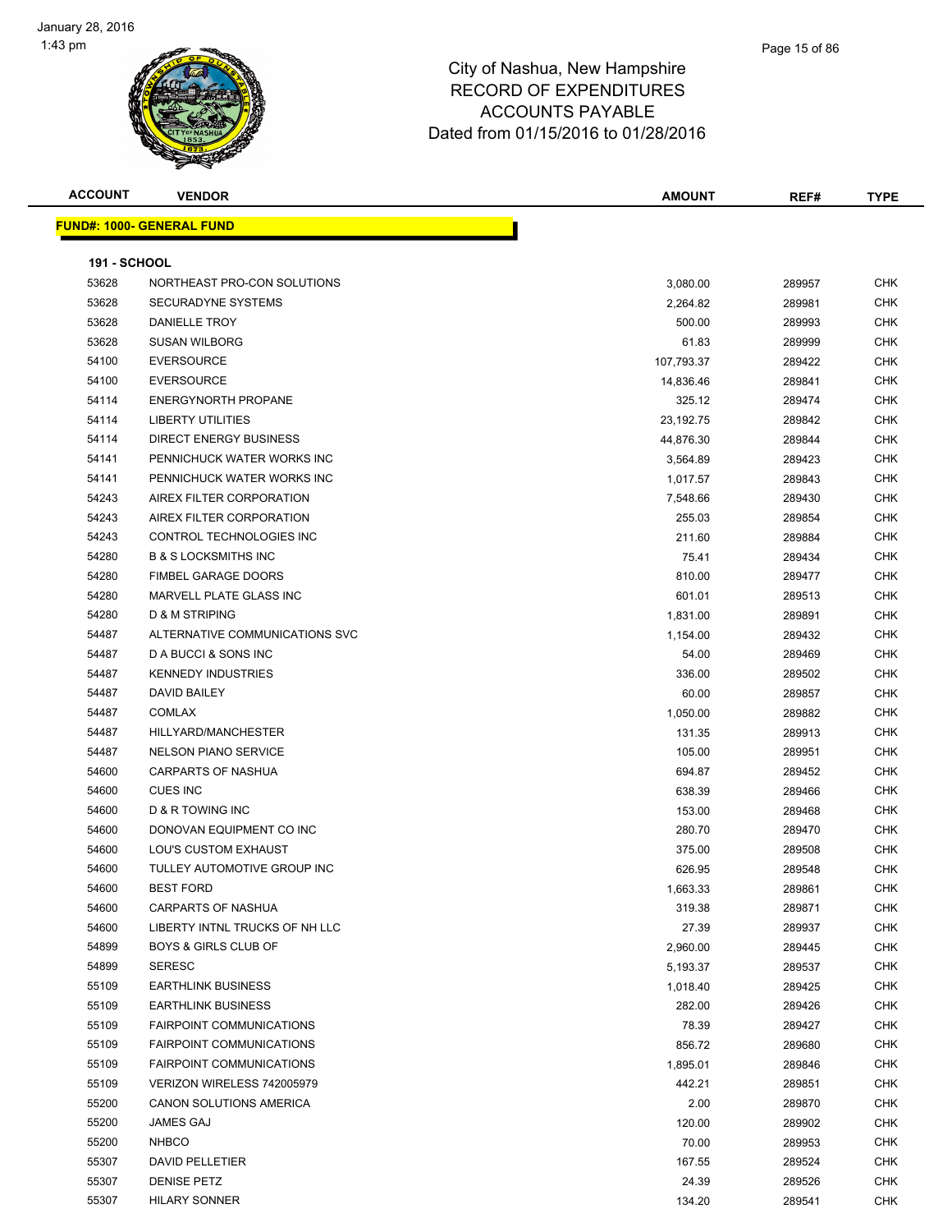

| <b>ACCOUNT</b>      | <b>VENDOR</b>                    | <b>AMOUNT</b> | REF#   | <b>TYPE</b> |
|---------------------|----------------------------------|---------------|--------|-------------|
|                     | <b>FUND#: 1000- GENERAL FUND</b> |               |        |             |
| <b>191 - SCHOOL</b> |                                  |               |        |             |
| 53628               | NORTHEAST PRO-CON SOLUTIONS      | 3,080.00      | 289957 | <b>CHK</b>  |
| 53628               | <b>SECURADYNE SYSTEMS</b>        | 2,264.82      | 289981 | <b>CHK</b>  |
| 53628               | DANIELLE TROY                    | 500.00        | 289993 | <b>CHK</b>  |
| 53628               | <b>SUSAN WILBORG</b>             | 61.83         | 289999 | <b>CHK</b>  |
| 54100               | <b>EVERSOURCE</b>                | 107,793.37    | 289422 | <b>CHK</b>  |
| 54100               | <b>EVERSOURCE</b>                | 14,836.46     | 289841 | <b>CHK</b>  |
| 54114               | <b>ENERGYNORTH PROPANE</b>       | 325.12        | 289474 | <b>CHK</b>  |
| 54114               | <b>LIBERTY UTILITIES</b>         | 23,192.75     | 289842 | <b>CHK</b>  |
| 54114               | <b>DIRECT ENERGY BUSINESS</b>    | 44,876.30     | 289844 | <b>CHK</b>  |
| 54141               | PENNICHUCK WATER WORKS INC       | 3,564.89      | 289423 | <b>CHK</b>  |
| 54141               | PENNICHUCK WATER WORKS INC       | 1,017.57      | 289843 | <b>CHK</b>  |
| 54243               | AIREX FILTER CORPORATION         | 7,548.66      | 289430 | <b>CHK</b>  |
| 54243               | AIREX FILTER CORPORATION         | 255.03        | 289854 | <b>CHK</b>  |
| 54243               | CONTROL TECHNOLOGIES INC         | 211.60        | 289884 | <b>CHK</b>  |
| 54280               | <b>B &amp; S LOCKSMITHS INC</b>  | 75.41         | 289434 | <b>CHK</b>  |
| 54280               | <b>FIMBEL GARAGE DOORS</b>       | 810.00        | 289477 | <b>CHK</b>  |
| 54280               | MARVELL PLATE GLASS INC          | 601.01        | 289513 | <b>CHK</b>  |
| 54280               | D & M STRIPING                   | 1,831.00      | 289891 | <b>CHK</b>  |
| 54487               | ALTERNATIVE COMMUNICATIONS SVC   | 1,154.00      | 289432 | <b>CHK</b>  |
| 54487               | D A BUCCI & SONS INC             | 54.00         | 289469 | <b>CHK</b>  |
| 54487               | <b>KENNEDY INDUSTRIES</b>        | 336.00        | 289502 | <b>CHK</b>  |
| 54487               | <b>DAVID BAILEY</b>              | 60.00         | 289857 | CHK         |
| 54487               | <b>COMLAX</b>                    | 1,050.00      | 289882 | <b>CHK</b>  |
| 54487               | HILLYARD/MANCHESTER              | 131.35        | 289913 | <b>CHK</b>  |
| 54487               | <b>NELSON PIANO SERVICE</b>      | 105.00        | 289951 | <b>CHK</b>  |
| 54600               | CARPARTS OF NASHUA               | 694.87        | 289452 | <b>CHK</b>  |
| 54600               | <b>CUES INC</b>                  | 638.39        | 289466 | <b>CHK</b>  |
| 54600               | D & R TOWING INC                 | 153.00        | 289468 | <b>CHK</b>  |
| 54600               | DONOVAN EQUIPMENT CO INC         | 280.70        | 289470 | <b>CHK</b>  |
| 54600               | LOU'S CUSTOM EXHAUST             | 375.00        | 289508 | <b>CHK</b>  |
| 54600               | TULLEY AUTOMOTIVE GROUP INC      | 626.95        | 289548 | <b>CHK</b>  |
| 54600               | <b>BEST FORD</b>                 | 1,663.33      | 289861 | <b>CHK</b>  |
| 54600               | CARPARTS OF NASHUA               | 319.38        | 289871 | <b>CHK</b>  |
| 54600               | LIBERTY INTNL TRUCKS OF NH LLC   | 27.39         | 289937 | <b>CHK</b>  |
| 54899               | <b>BOYS &amp; GIRLS CLUB OF</b>  | 2,960.00      | 289445 | <b>CHK</b>  |
| 54899               | <b>SERESC</b>                    | 5,193.37      | 289537 | <b>CHK</b>  |
| 55109               | <b>EARTHLINK BUSINESS</b>        | 1,018.40      | 289425 | <b>CHK</b>  |
| 55109               | <b>EARTHLINK BUSINESS</b>        | 282.00        | 289426 | <b>CHK</b>  |
| 55109               | FAIRPOINT COMMUNICATIONS         | 78.39         | 289427 | <b>CHK</b>  |
| 55109               | <b>FAIRPOINT COMMUNICATIONS</b>  | 856.72        | 289680 | <b>CHK</b>  |
| 55109               | FAIRPOINT COMMUNICATIONS         | 1,895.01      | 289846 | <b>CHK</b>  |
| 55109               | VERIZON WIRELESS 742005979       | 442.21        | 289851 | <b>CHK</b>  |
| 55200               | CANON SOLUTIONS AMERICA          | 2.00          | 289870 | <b>CHK</b>  |
| 55200               | JAMES GAJ                        | 120.00        | 289902 | <b>CHK</b>  |
| 55200               | <b>NHBCO</b>                     | 70.00         | 289953 | <b>CHK</b>  |
| 55307               | <b>DAVID PELLETIER</b>           | 167.55        | 289524 | <b>CHK</b>  |
| 55307               | <b>DENISE PETZ</b>               | 24.39         | 289526 | <b>CHK</b>  |
| 55307               | <b>HILARY SONNER</b>             | 134.20        | 289541 | <b>CHK</b>  |
|                     |                                  |               |        |             |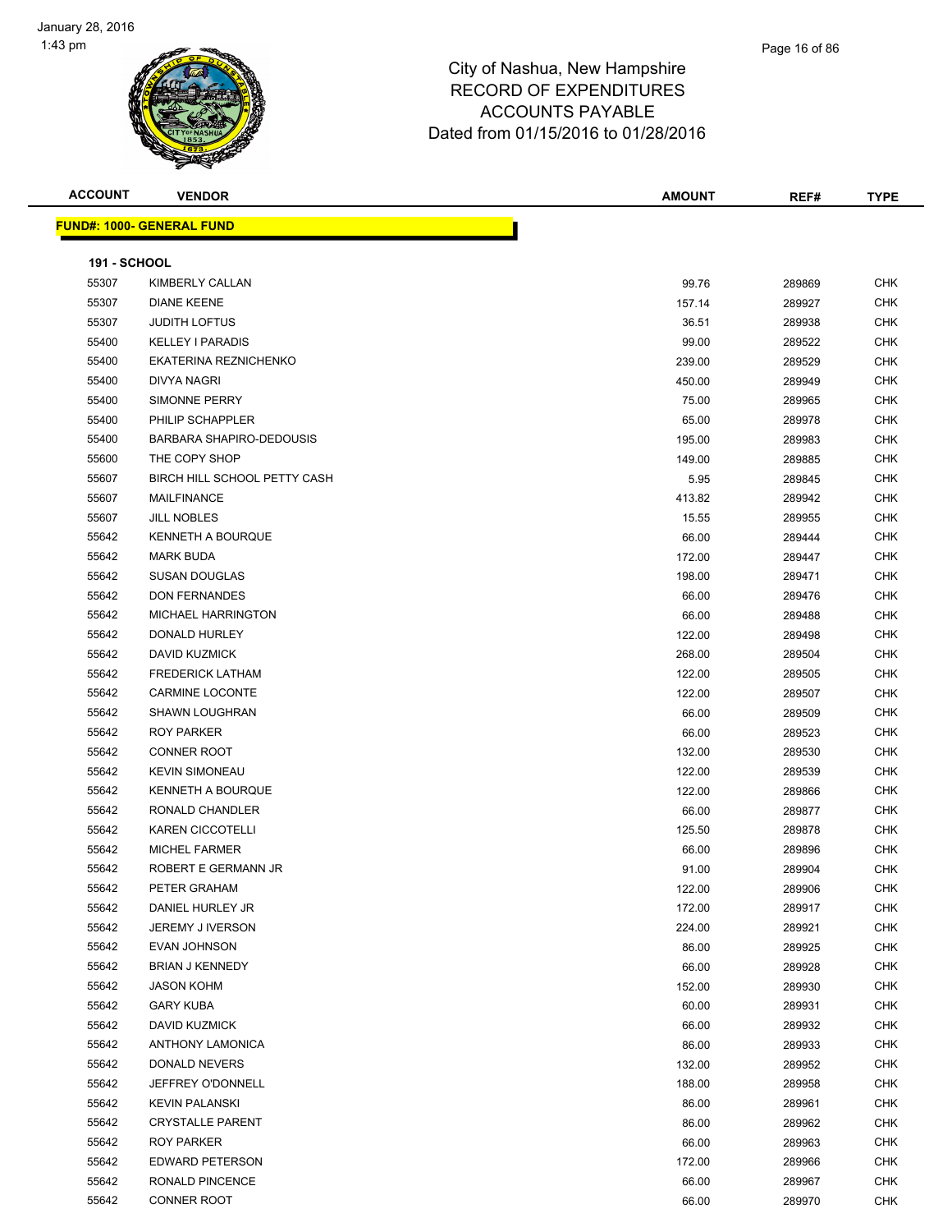

| <b>ACCOUNT</b>      | <b>VENDOR</b>                     | <b>AMOUNT</b> | REF#   | <b>TYPE</b> |
|---------------------|-----------------------------------|---------------|--------|-------------|
|                     | <u> FUND#: 1000- GENERAL FUND</u> |               |        |             |
|                     |                                   |               |        |             |
| <b>191 - SCHOOL</b> |                                   |               |        |             |
| 55307               | KIMBERLY CALLAN                   | 99.76         | 289869 | <b>CHK</b>  |
| 55307               | <b>DIANE KEENE</b>                | 157.14        | 289927 | <b>CHK</b>  |
| 55307               | <b>JUDITH LOFTUS</b>              | 36.51         | 289938 | <b>CHK</b>  |
| 55400               | <b>KELLEY I PARADIS</b>           | 99.00         | 289522 | <b>CHK</b>  |
| 55400               | EKATERINA REZNICHENKO             | 239.00        | 289529 | <b>CHK</b>  |
| 55400               | <b>DIVYA NAGRI</b>                | 450.00        | 289949 | <b>CHK</b>  |
| 55400               | SIMONNE PERRY                     | 75.00         | 289965 | <b>CHK</b>  |
| 55400               | PHILIP SCHAPPLER                  | 65.00         | 289978 | <b>CHK</b>  |
| 55400               | BARBARA SHAPIRO-DEDOUSIS          | 195.00        | 289983 | <b>CHK</b>  |
| 55600               | THE COPY SHOP                     | 149.00        | 289885 | <b>CHK</b>  |
| 55607               | BIRCH HILL SCHOOL PETTY CASH      | 5.95          | 289845 | <b>CHK</b>  |
| 55607               | <b>MAILFINANCE</b>                | 413.82        | 289942 | <b>CHK</b>  |
| 55607               | <b>JILL NOBLES</b>                | 15.55         | 289955 | <b>CHK</b>  |
| 55642               | <b>KENNETH A BOURQUE</b>          | 66.00         | 289444 | <b>CHK</b>  |
| 55642               | <b>MARK BUDA</b>                  | 172.00        | 289447 | <b>CHK</b>  |
| 55642               | <b>SUSAN DOUGLAS</b>              | 198.00        | 289471 | <b>CHK</b>  |
| 55642               | <b>DON FERNANDES</b>              | 66.00         | 289476 | <b>CHK</b>  |
| 55642               | <b>MICHAEL HARRINGTON</b>         | 66.00         | 289488 | <b>CHK</b>  |
| 55642               | DONALD HURLEY                     | 122.00        | 289498 | <b>CHK</b>  |
| 55642               | DAVID KUZMICK                     | 268.00        | 289504 | <b>CHK</b>  |
| 55642               | <b>FREDERICK LATHAM</b>           | 122.00        | 289505 | <b>CHK</b>  |
| 55642               | <b>CARMINE LOCONTE</b>            | 122.00        | 289507 | <b>CHK</b>  |
| 55642               | <b>SHAWN LOUGHRAN</b>             | 66.00         | 289509 | <b>CHK</b>  |
| 55642               | <b>ROY PARKER</b>                 | 66.00         | 289523 | <b>CHK</b>  |
| 55642               | <b>CONNER ROOT</b>                | 132.00        | 289530 | <b>CHK</b>  |
| 55642               | <b>KEVIN SIMONEAU</b>             | 122.00        | 289539 | <b>CHK</b>  |
| 55642               | <b>KENNETH A BOURQUE</b>          | 122.00        | 289866 | <b>CHK</b>  |
| 55642               | RONALD CHANDLER                   | 66.00         | 289877 | <b>CHK</b>  |
| 55642               | <b>KAREN CICCOTELLI</b>           | 125.50        | 289878 | <b>CHK</b>  |
| 55642               | <b>MICHEL FARMER</b>              | 66.00         | 289896 | <b>CHK</b>  |
| 55642               | ROBERT E GERMANN JR               | 91.00         | 289904 | <b>CHK</b>  |
| 55642               | PETER GRAHAM                      | 122.00        | 289906 | CHK         |
| 55642               | DANIEL HURLEY JR                  | 172.00        | 289917 | CHK         |
| 55642               | JEREMY J IVERSON                  | 224.00        | 289921 | <b>CHK</b>  |
| 55642               | EVAN JOHNSON                      | 86.00         | 289925 | <b>CHK</b>  |
| 55642               | <b>BRIAN J KENNEDY</b>            | 66.00         | 289928 | <b>CHK</b>  |
| 55642               | <b>JASON KOHM</b>                 | 152.00        | 289930 | <b>CHK</b>  |
| 55642               | <b>GARY KUBA</b>                  | 60.00         | 289931 | <b>CHK</b>  |
| 55642               | DAVID KUZMICK                     | 66.00         | 289932 | <b>CHK</b>  |
| 55642               | <b>ANTHONY LAMONICA</b>           | 86.00         | 289933 | <b>CHK</b>  |
| 55642               | DONALD NEVERS                     | 132.00        | 289952 | <b>CHK</b>  |
| 55642               | JEFFREY O'DONNELL                 | 188.00        | 289958 | <b>CHK</b>  |
| 55642               | <b>KEVIN PALANSKI</b>             | 86.00         | 289961 | <b>CHK</b>  |
| 55642               | <b>CRYSTALLE PARENT</b>           | 86.00         | 289962 | <b>CHK</b>  |
| 55642               | ROY PARKER                        | 66.00         | 289963 | <b>CHK</b>  |
| 55642               | EDWARD PETERSON                   | 172.00        | 289966 | CHK         |

 RONALD PINCENCE 66.00 289967 CHK CONNER ROOT 66.00 289970 CHK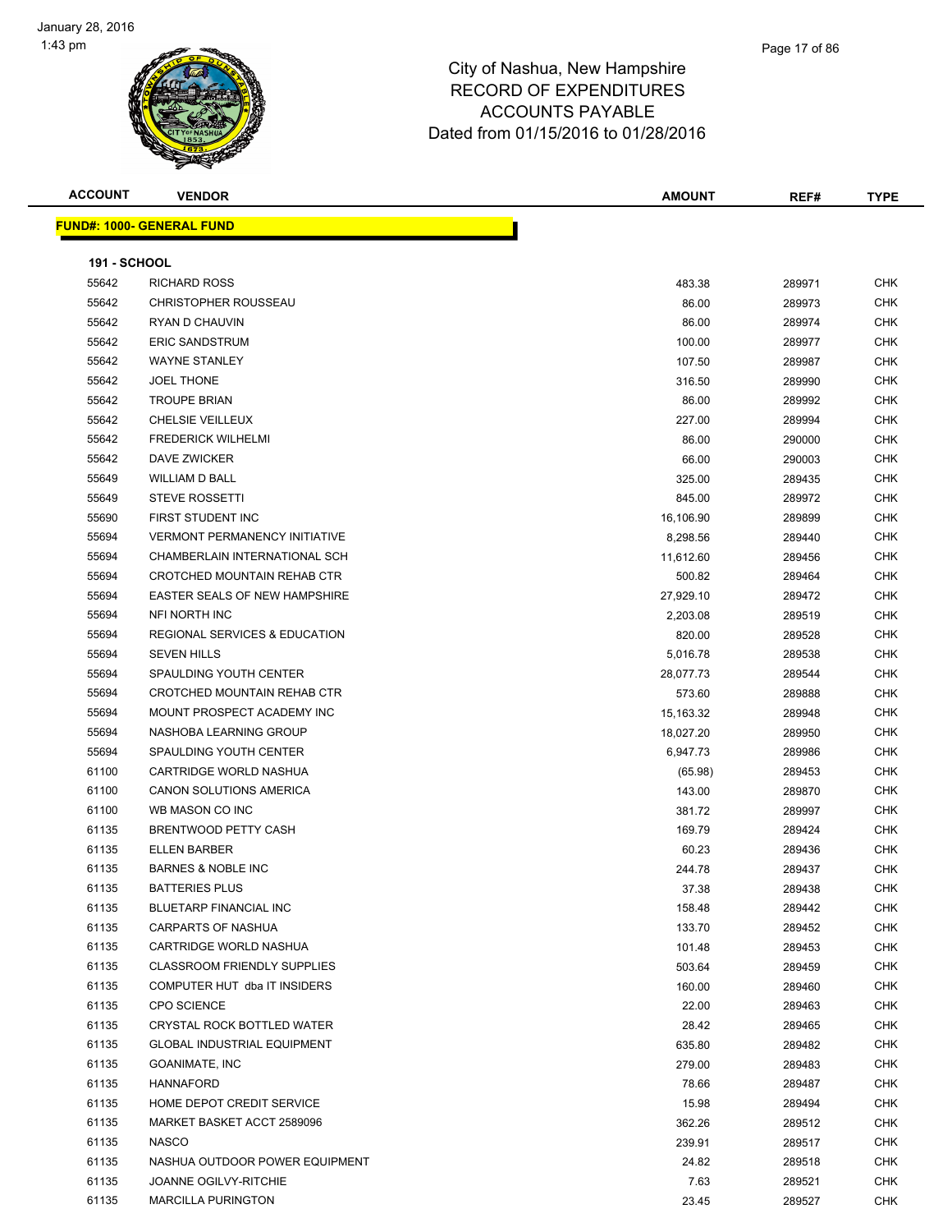

Page 17 of 86

|                     | <b>FUND#: 1000- GENERAL FUND</b>     |           |        |            |
|---------------------|--------------------------------------|-----------|--------|------------|
| <b>191 - SCHOOL</b> |                                      |           |        |            |
| 55642               | <b>RICHARD ROSS</b>                  | 483.38    | 289971 | <b>CHK</b> |
| 55642               | <b>CHRISTOPHER ROUSSEAU</b>          | 86.00     | 289973 | <b>CHK</b> |
| 55642               | RYAN D CHAUVIN                       | 86.00     | 289974 | <b>CHK</b> |
| 55642               | <b>ERIC SANDSTRUM</b>                | 100.00    | 289977 | <b>CHK</b> |
| 55642               | <b>WAYNE STANLEY</b>                 | 107.50    | 289987 | <b>CHK</b> |
| 55642               | <b>JOEL THONE</b>                    | 316.50    | 289990 | <b>CHK</b> |
| 55642               | <b>TROUPE BRIAN</b>                  | 86.00     | 289992 | <b>CHK</b> |
| 55642               | <b>CHELSIE VEILLEUX</b>              | 227.00    | 289994 | <b>CHK</b> |
| 55642               | <b>FREDERICK WILHELMI</b>            | 86.00     | 290000 | <b>CHK</b> |
| 55642               | <b>DAVE ZWICKER</b>                  | 66.00     | 290003 | <b>CHK</b> |
| 55649               | <b>WILLIAM D BALL</b>                | 325.00    | 289435 | <b>CHK</b> |
| 55649               | <b>STEVE ROSSETTI</b>                | 845.00    | 289972 | <b>CHK</b> |
| 55690               | FIRST STUDENT INC                    | 16,106.90 | 289899 | <b>CHK</b> |
| 55694               | <b>VERMONT PERMANENCY INITIATIVE</b> | 8,298.56  | 289440 | <b>CHK</b> |
| 55694               | CHAMBERLAIN INTERNATIONAL SCH        | 11,612.60 | 289456 | <b>CHK</b> |
| 55694               | CROTCHED MOUNTAIN REHAB CTR          | 500.82    | 289464 | <b>CHK</b> |
| 55694               | EASTER SEALS OF NEW HAMPSHIRE        | 27,929.10 | 289472 | <b>CHK</b> |
| 55694               | <b>NFI NORTH INC</b>                 | 2,203.08  | 289519 | <b>CHK</b> |
| 55694               | REGIONAL SERVICES & EDUCATION        | 820.00    | 289528 | <b>CHK</b> |
| 55694               | <b>SEVEN HILLS</b>                   | 5,016.78  | 289538 | <b>CHK</b> |
| 55694               | <b>SPAULDING YOUTH CENTER</b>        | 28,077.73 | 289544 | <b>CHK</b> |
| 55694               | CROTCHED MOUNTAIN REHAB CTR          | 573.60    | 289888 | <b>CHK</b> |
| 55694               | MOUNT PROSPECT ACADEMY INC           | 15,163.32 | 289948 | <b>CHK</b> |
| 55694               | NASHOBA LEARNING GROUP               | 18,027.20 | 289950 | <b>CHK</b> |
| 55694               | SPAULDING YOUTH CENTER               | 6,947.73  | 289986 | <b>CHK</b> |
| 61100               | <b>CARTRIDGE WORLD NASHUA</b>        | (65.98)   | 289453 | <b>CHK</b> |
| 61100               | CANON SOLUTIONS AMERICA              | 143.00    | 289870 | <b>CHK</b> |
| 61100               | WB MASON CO INC                      | 381.72    | 289997 | <b>CHK</b> |
| 61135               | <b>BRENTWOOD PETTY CASH</b>          | 169.79    | 289424 | <b>CHK</b> |
| 61135               | <b>ELLEN BARBER</b>                  | 60.23     | 289436 | <b>CHK</b> |
| 61135               | <b>BARNES &amp; NOBLE INC</b>        | 244.78    | 289437 | <b>CHK</b> |
| 61135               | <b>BATTERIES PLUS</b>                | 37.38     | 289438 | <b>CHK</b> |
| 61135               | <b>BLUETARP FINANCIAL INC</b>        | 158.48    | 289442 | <b>CHK</b> |
| 61135               | <b>CARPARTS OF NASHUA</b>            | 133.70    | 289452 | <b>CHK</b> |
| 61135               | CARTRIDGE WORLD NASHUA               | 101.48    | 289453 | <b>CHK</b> |
| 61135               | <b>CLASSROOM FRIENDLY SUPPLIES</b>   | 503.64    | 289459 | <b>CHK</b> |
| 61135               | COMPUTER HUT dba IT INSIDERS         | 160.00    | 289460 | <b>CHK</b> |

 CPO SCIENCE 22.00 289463 CHK CRYSTAL ROCK BOTTLED WATER 28.42 289465 CHK GLOBAL INDUSTRIAL EQUIPMENT 635.80 289482 CHK GOANIMATE, INC 279.00 289483 CHK HANNAFORD 78.66 289487 CHK er and the series of the series of the series of the series of the series of the series of the series of the series of the series of the series of the series of the series of the series of the series of the series of the s MARKET BASKET ACCT 2589096 362.26 289512 CHK NASCO 239.91 289517 CHK NASHUA OUTDOOR POWER EQUIPMENT 24.82 289518 CHK 61135 JOANNE OGILVY-RITCHIE **1996 START 1996 START 1997 START 1996 START 1997 START 1997 START 1998** MARCILLA PURINGTON 23.45 289527 CHK

**ACCOUNT VENDOR AMOUNT REF# TYPE**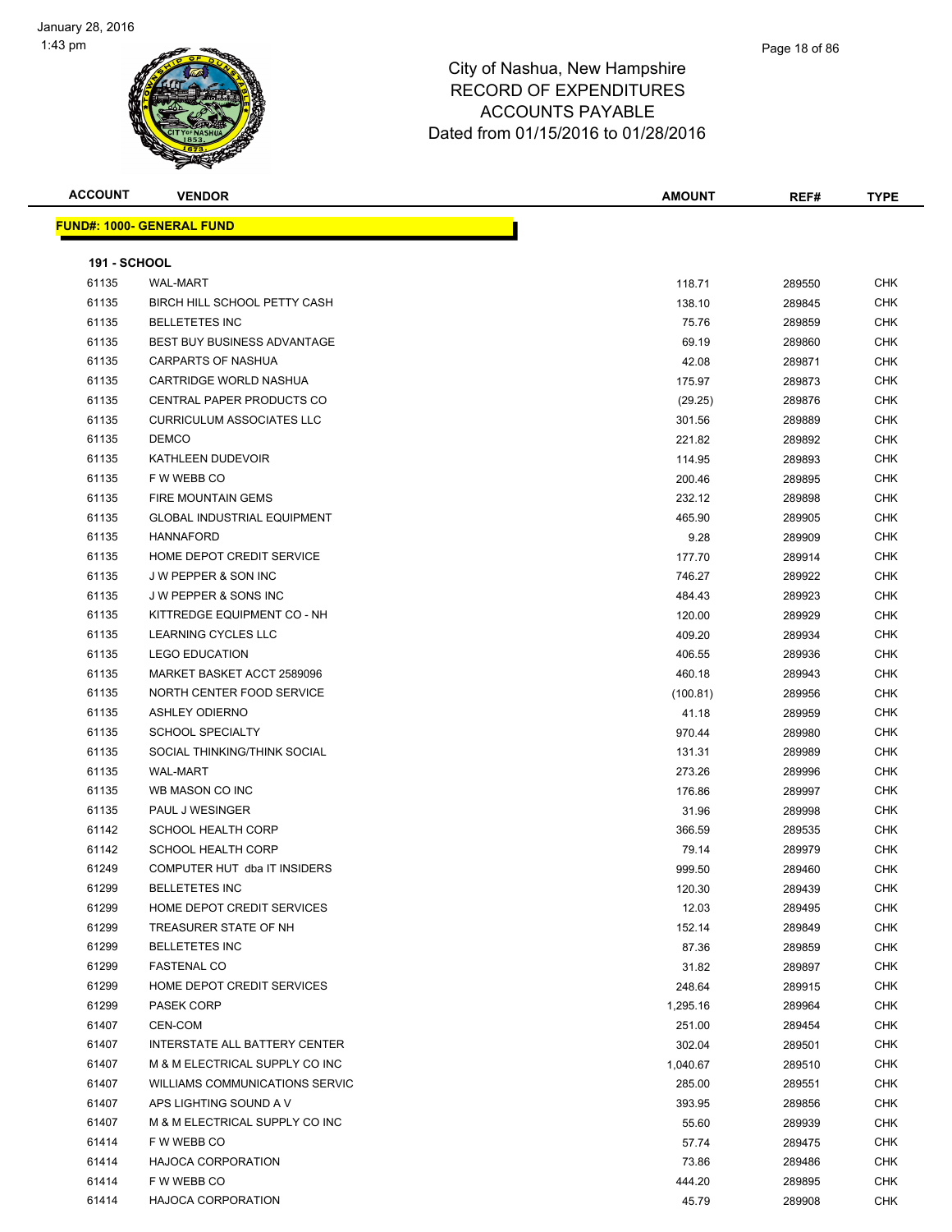| <b>ACCOUNT</b>      | <b>VENDOR</b>                         | <b>AMOUNT</b> | REF#   | <b>TYPE</b> |
|---------------------|---------------------------------------|---------------|--------|-------------|
|                     | <b>FUND#: 1000- GENERAL FUND</b>      |               |        |             |
|                     |                                       |               |        |             |
| <b>191 - SCHOOL</b> |                                       |               |        |             |
| 61135               | <b>WAL-MART</b>                       | 118.71        | 289550 | CHK         |
| 61135               | BIRCH HILL SCHOOL PETTY CASH          | 138.10        | 289845 | CHK         |
| 61135               | <b>BELLETETES INC</b>                 | 75.76         | 289859 | CHK         |
| 61135               | <b>BEST BUY BUSINESS ADVANTAGE</b>    | 69.19         | 289860 | <b>CHK</b>  |
| 61135               | CARPARTS OF NASHUA                    | 42.08         | 289871 | <b>CHK</b>  |
| 61135               | CARTRIDGE WORLD NASHUA                | 175.97        | 289873 | <b>CHK</b>  |
| 61135               | CENTRAL PAPER PRODUCTS CO             | (29.25)       | 289876 | <b>CHK</b>  |
| 61135               | <b>CURRICULUM ASSOCIATES LLC</b>      | 301.56        | 289889 | <b>CHK</b>  |
| 61135               | <b>DEMCO</b>                          | 221.82        | 289892 | CHK         |
| 61135               | KATHLEEN DUDEVOIR                     | 114.95        | 289893 | CHK         |
| 61135               | F W WEBB CO                           | 200.46        | 289895 | <b>CHK</b>  |
| 61135               | <b>FIRE MOUNTAIN GEMS</b>             | 232.12        | 289898 | CHK         |
| 61135               | <b>GLOBAL INDUSTRIAL EQUIPMENT</b>    | 465.90        | 289905 | CHK         |
| 61135               | <b>HANNAFORD</b>                      | 9.28          | 289909 | CHK         |
| 61135               | HOME DEPOT CREDIT SERVICE             | 177.70        | 289914 | <b>CHK</b>  |
| 61135               | <b>JW PEPPER &amp; SON INC</b>        | 746.27        | 289922 | <b>CHK</b>  |
| 61135               | <b>JW PEPPER &amp; SONS INC</b>       | 484.43        | 289923 | <b>CHK</b>  |
| 61135               | KITTREDGE EQUIPMENT CO - NH           | 120.00        | 289929 | <b>CHK</b>  |
| 61135               | <b>LEARNING CYCLES LLC</b>            | 409.20        | 289934 | <b>CHK</b>  |
| 61135               | <b>LEGO EDUCATION</b>                 | 406.55        | 289936 | CHK         |
| 61135               | MARKET BASKET ACCT 2589096            | 460.18        | 289943 | <b>CHK</b>  |
| 61135               | NORTH CENTER FOOD SERVICE             | (100.81)      | 289956 | <b>CHK</b>  |
| 61135               | <b>ASHLEY ODIERNO</b>                 | 41.18         | 289959 | CHK         |
| 61135               | <b>SCHOOL SPECIALTY</b>               | 970.44        | 289980 | <b>CHK</b>  |
| 61135               | SOCIAL THINKING/THINK SOCIAL          | 131.31        | 289989 | CHK         |
| 61135               | <b>WAL-MART</b>                       | 273.26        | 289996 | <b>CHK</b>  |
| 61135               | WB MASON CO INC                       | 176.86        | 289997 | <b>CHK</b>  |
| 61135               | PAUL J WESINGER                       | 31.96         | 289998 | <b>CHK</b>  |
| 61142               | <b>SCHOOL HEALTH CORP</b>             | 366.59        | 289535 | <b>CHK</b>  |
| 61142               | <b>SCHOOL HEALTH CORP</b>             | 79.14         | 289979 | <b>CHK</b>  |
| 61249               | COMPUTER HUT dba IT INSIDERS          | 999.50        | 289460 | CHK         |
| 61299               | <b>BELLETETES INC</b>                 | 120.30        | 289439 | <b>CHK</b>  |
| 61299               | HOME DEPOT CREDIT SERVICES            | 12.03         | 289495 | <b>CHK</b>  |
| 61299               | TREASURER STATE OF NH                 | 152.14        | 289849 | <b>CHK</b>  |
| 61299               | <b>BELLETETES INC</b>                 | 87.36         | 289859 | <b>CHK</b>  |
| 61299               | <b>FASTENAL CO</b>                    | 31.82         | 289897 | CHK         |
| 61299               | HOME DEPOT CREDIT SERVICES            | 248.64        | 289915 | CHK         |
| 61299               | <b>PASEK CORP</b>                     | 1,295.16      | 289964 | <b>CHK</b>  |
| 61407               | <b>CEN-COM</b>                        | 251.00        | 289454 | CHK         |
| 61407               | INTERSTATE ALL BATTERY CENTER         | 302.04        | 289501 | <b>CHK</b>  |
| 61407               | M & M ELECTRICAL SUPPLY CO INC        |               |        | <b>CHK</b>  |
|                     |                                       | 1,040.67      | 289510 |             |
| 61407               | <b>WILLIAMS COMMUNICATIONS SERVIC</b> | 285.00        | 289551 | CHK         |
| 61407               | APS LIGHTING SOUND A V                | 393.95        | 289856 | <b>CHK</b>  |
| 61407               | M & M ELECTRICAL SUPPLY CO INC        | 55.60         | 289939 | CHK         |
| 61414               | F W WEBB CO                           | 57.74         | 289475 | CHK         |
| 61414               | <b>HAJOCA CORPORATION</b>             | 73.86         | 289486 | CHK         |
| 61414               | F W WEBB CO                           | 444.20        | 289895 | CHK         |
| 61414               | <b>HAJOCA CORPORATION</b>             | 45.79         | 289908 | CHK         |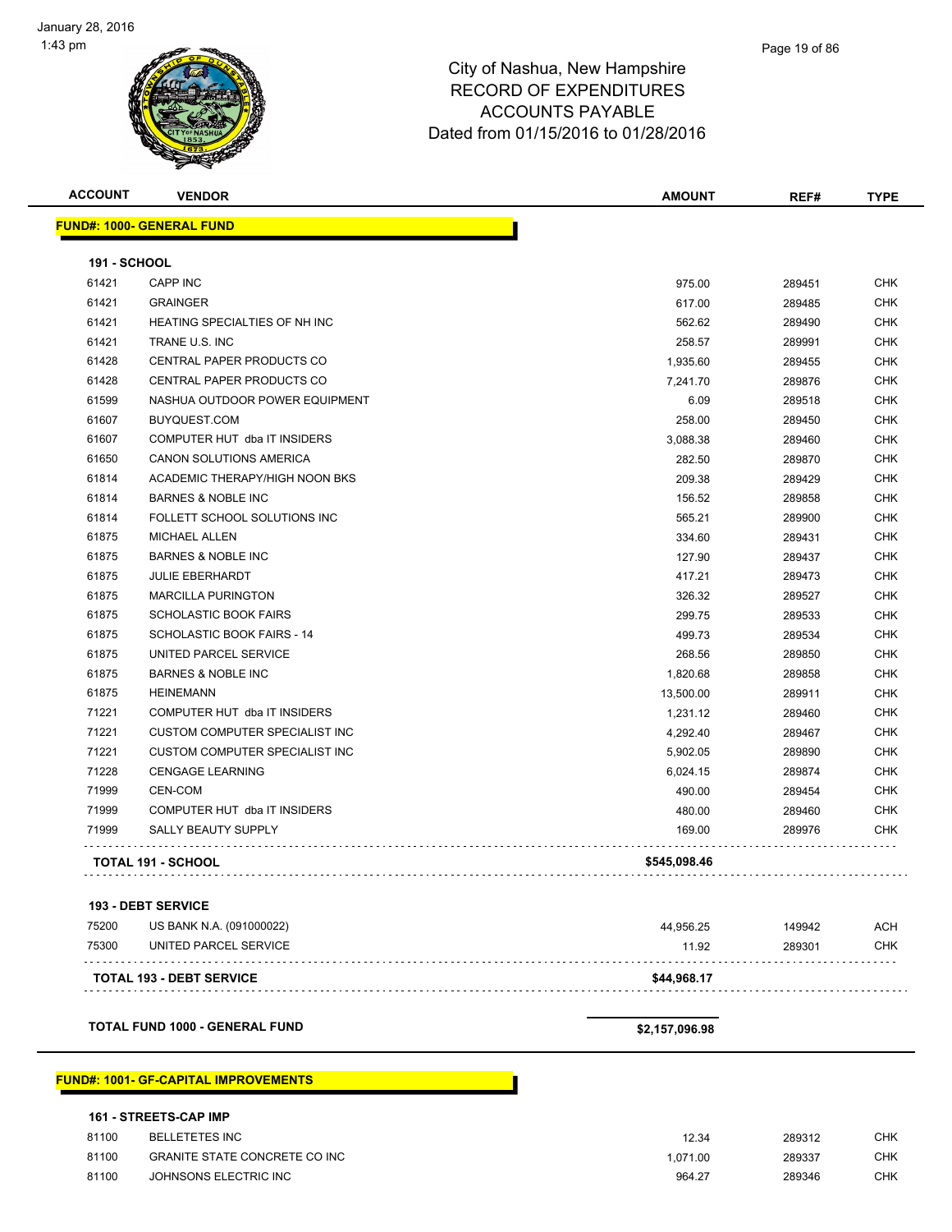| <b>ACCOUNT</b>               | <b>VENDOR</b>                               | AMOUNT         | REF#   | <b>TYPE</b> |
|------------------------------|---------------------------------------------|----------------|--------|-------------|
|                              | <b>FUND#: 1000- GENERAL FUND</b>            |                |        |             |
|                              |                                             |                |        |             |
| <b>191 - SCHOOL</b><br>61421 | <b>CAPP INC</b>                             | 975.00         | 289451 | <b>CHK</b>  |
| 61421                        | <b>GRAINGER</b>                             | 617.00         | 289485 | <b>CHK</b>  |
| 61421                        | HEATING SPECIALTIES OF NH INC               | 562.62         | 289490 | <b>CHK</b>  |
| 61421                        | TRANE U.S. INC                              | 258.57         | 289991 | <b>CHK</b>  |
| 61428                        | CENTRAL PAPER PRODUCTS CO                   | 1,935.60       | 289455 | <b>CHK</b>  |
| 61428                        | CENTRAL PAPER PRODUCTS CO                   | 7,241.70       | 289876 | <b>CHK</b>  |
| 61599                        | NASHUA OUTDOOR POWER EQUIPMENT              | 6.09           | 289518 | <b>CHK</b>  |
| 61607                        | BUYQUEST.COM                                | 258.00         | 289450 | <b>CHK</b>  |
| 61607                        | COMPUTER HUT dba IT INSIDERS                | 3,088.38       | 289460 | <b>CHK</b>  |
| 61650                        | CANON SOLUTIONS AMERICA                     | 282.50         | 289870 | <b>CHK</b>  |
| 61814                        | ACADEMIC THERAPY/HIGH NOON BKS              | 209.38         | 289429 | <b>CHK</b>  |
| 61814                        | <b>BARNES &amp; NOBLE INC</b>               | 156.52         | 289858 | <b>CHK</b>  |
| 61814                        | FOLLETT SCHOOL SOLUTIONS INC                | 565.21         | 289900 | <b>CHK</b>  |
| 61875                        | <b>MICHAEL ALLEN</b>                        | 334.60         | 289431 | <b>CHK</b>  |
| 61875                        | <b>BARNES &amp; NOBLE INC</b>               | 127.90         | 289437 | <b>CHK</b>  |
| 61875                        | <b>JULIE EBERHARDT</b>                      | 417.21         | 289473 | <b>CHK</b>  |
| 61875                        | <b>MARCILLA PURINGTON</b>                   | 326.32         | 289527 | <b>CHK</b>  |
| 61875                        | <b>SCHOLASTIC BOOK FAIRS</b>                | 299.75         | 289533 | <b>CHK</b>  |
| 61875                        | SCHOLASTIC BOOK FAIRS - 14                  | 499.73         | 289534 | <b>CHK</b>  |
| 61875                        | UNITED PARCEL SERVICE                       | 268.56         | 289850 | <b>CHK</b>  |
| 61875                        | <b>BARNES &amp; NOBLE INC</b>               | 1,820.68       | 289858 | <b>CHK</b>  |
| 61875                        | <b>HEINEMANN</b>                            | 13,500.00      | 289911 | <b>CHK</b>  |
| 71221                        | COMPUTER HUT dba IT INSIDERS                | 1,231.12       | 289460 | <b>CHK</b>  |
| 71221                        | CUSTOM COMPUTER SPECIALIST INC              | 4,292.40       | 289467 | <b>CHK</b>  |
| 71221                        | CUSTOM COMPUTER SPECIALIST INC              | 5,902.05       | 289890 | <b>CHK</b>  |
| 71228                        | <b>CENGAGE LEARNING</b>                     | 6,024.15       | 289874 | <b>CHK</b>  |
| 71999                        | <b>CEN-COM</b>                              | 490.00         | 289454 | <b>CHK</b>  |
| 71999                        | COMPUTER HUT dba IT INSIDERS                | 480.00         | 289460 | <b>CHK</b>  |
| 71999                        | SALLY BEAUTY SUPPLY                         | 169.00         | 289976 | <b>CHK</b>  |
|                              | <b>TOTAL 191 - SCHOOL</b>                   | \$545,098.46   |        |             |
|                              |                                             |                |        |             |
|                              | <b>193 - DEBT SERVICE</b>                   |                |        |             |
| 75200                        | US BANK N.A. (091000022)                    | 44,956.25      | 149942 | ACH         |
| 75300                        | UNITED PARCEL SERVICE                       | 11.92          | 289301 | <b>CHK</b>  |
|                              | <b>TOTAL 193 - DEBT SERVICE</b>             | \$44,968.17    |        |             |
|                              | <b>TOTAL FUND 1000 - GENERAL FUND</b>       | \$2,157,096.98 |        |             |
|                              |                                             |                |        |             |
|                              | <b>FUND#: 1001- GF-CAPITAL IMPROVEMENTS</b> |                |        |             |

|  |  | <b>161 - STREETS-CAP IMP</b> |  |  |
|--|--|------------------------------|--|--|
|--|--|------------------------------|--|--|

| 81100 | BELLETETES INC                       | 12.34   | 289312 | СНК |
|-------|--------------------------------------|---------|--------|-----|
| 81100 | <b>GRANITE STATE CONCRETE CO INC</b> | .071.00 | 289337 | CHK |
| 81100 | JOHNSONS ELECTRIC INC                | 964.27  | 289346 | CHK |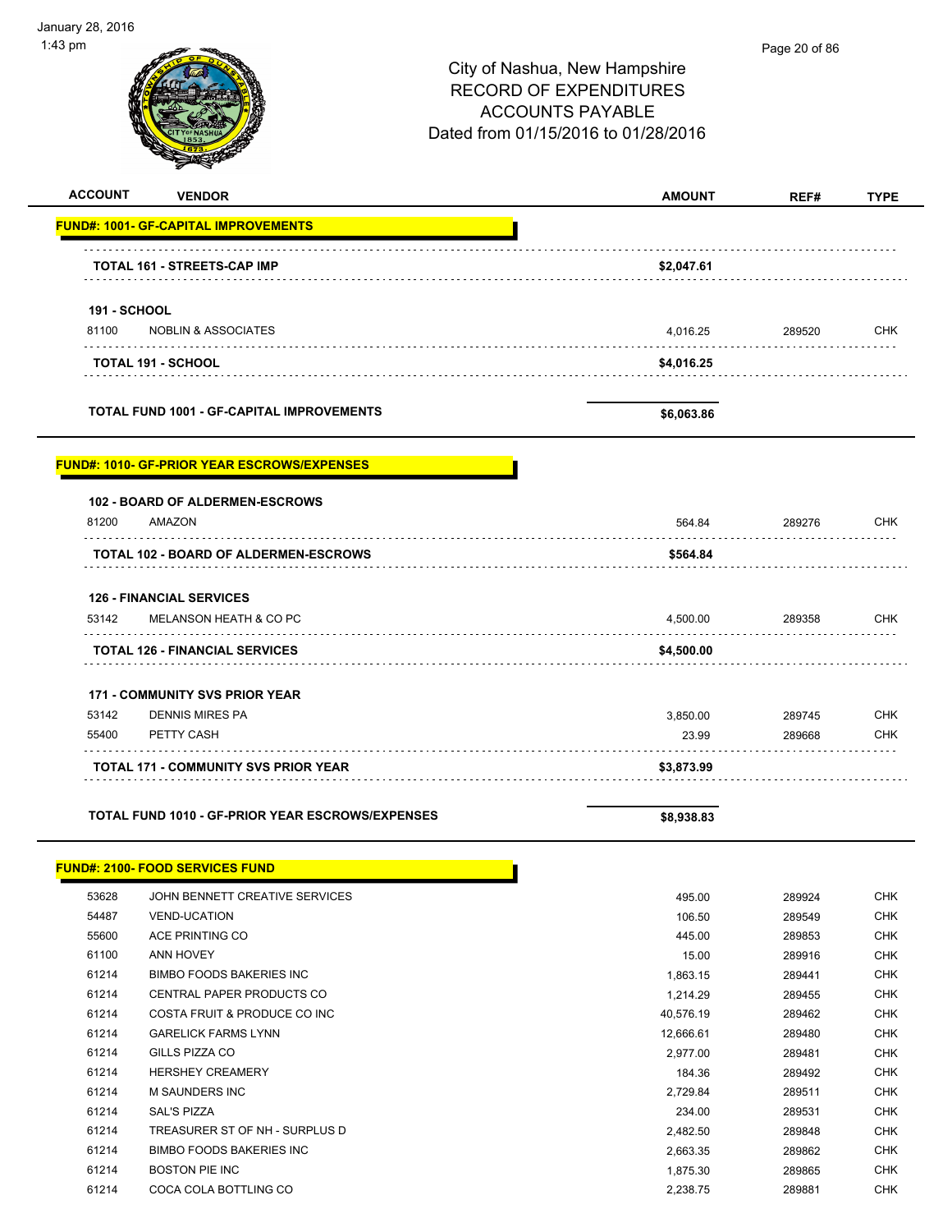January 28, 2016 1:43 pm Page 20 of 86City of Nashua, New Hampshire RECORD OF EXPENDITURES ACCOUNTS PAYABLE Dated from 01/15/2016 to 01/28/2016 **ACCOUNT VENDOR AMOUNT REF# TYPE FUND#: 1001- GF-CAPITAL IMPROVEMENTS TOTAL 161 - STREETS-CAP IMP \$2,047.61 191 - SCHOOL** 81100 NOBLIN & ASSOCIATES 4,016.25 289520 CHK . . . . . . . . . . **TOTAL 191 - SCHOOL \$4,016.25 TOTAL FUND 1001 - GF-CAPITAL IMPROVEMENTS \$6,063.86 FUND#: 1010- GF-PRIOR YEAR ESCROWS/EXPENSES 102 - BOARD OF ALDERMEN-ESCROWS** 81200 AMAZON 564.84 289276 CHK . . . . . . . . . TOTAL 102 - BOARD OF ALDERMEN-ESCROWS **\$564.84** \$564.84 **126 - FINANCIAL SERVICES** 53142 MELANSON HEATH & CO PC 4,500.00 289358 CHK . . . . . . . . . . . . . . . . . . . . . . . . . . . . **TOTAL 126 - FINANCIAL SERVICES \$4,500.00** . . . . . . . . . . . . . **171 - COMMUNITY SVS PRIOR YEAR** 53142 DENNIS MIRES PA 3,850.00 289745 CHK 55400 PETTY CASH 23.99 289668 CHK . . . . . . . **TOTAL 171 - COMMUNITY SVS PRIOR YEAR \$3,873.99 TOTAL FUND 1010 - GF-PRIOR YEAR ESCROWS/EXPENSES \$8,938.83 FUND#: 2100- FOOD SERVICES FUND** 53628 JOHN BENNETT CREATIVE SERVICES 495.00 289924 CHK 54487 VEND-UCATION 106.50 289549 CHK 55600 ACE PRINTING CO 445.00 289853 CHK 61100 ANN HOVEY 15.00 289916 CHK 61214 BIMBO FOODS BAKERIES INC 1,863.15 289441 CHK 61214 CENTRAL PAPER PRODUCTS CO 1,214.29 289455 CHK 61214 COSTA FRUIT & PRODUCE CO INC 40,576.19 289462 CHK 61214 GARELICK FARMS LYNN 12,666.61 289480 CHK 61214 GILLS PIZZA CO 2,977.00 289481 CHK 61214 HERSHEY CREAMERY 184.36 289492 CHK 61214 M SAUNDERS INC 2,729.84 289511 CHK 61214 SAL'S PIZZA 234.00 289531 CHK 61214 TREASURER ST OF NH - SURPLUS D 2,482.50 289848 CHK 61214 BIMBO FOODS BAKERIES INC 2,663.35 289862 CHK 61214 BOSTON PIE INC 1,875.30 289865 CHK

61214 COCA COLA BOTTLING CO 2,238.75 289881 CHK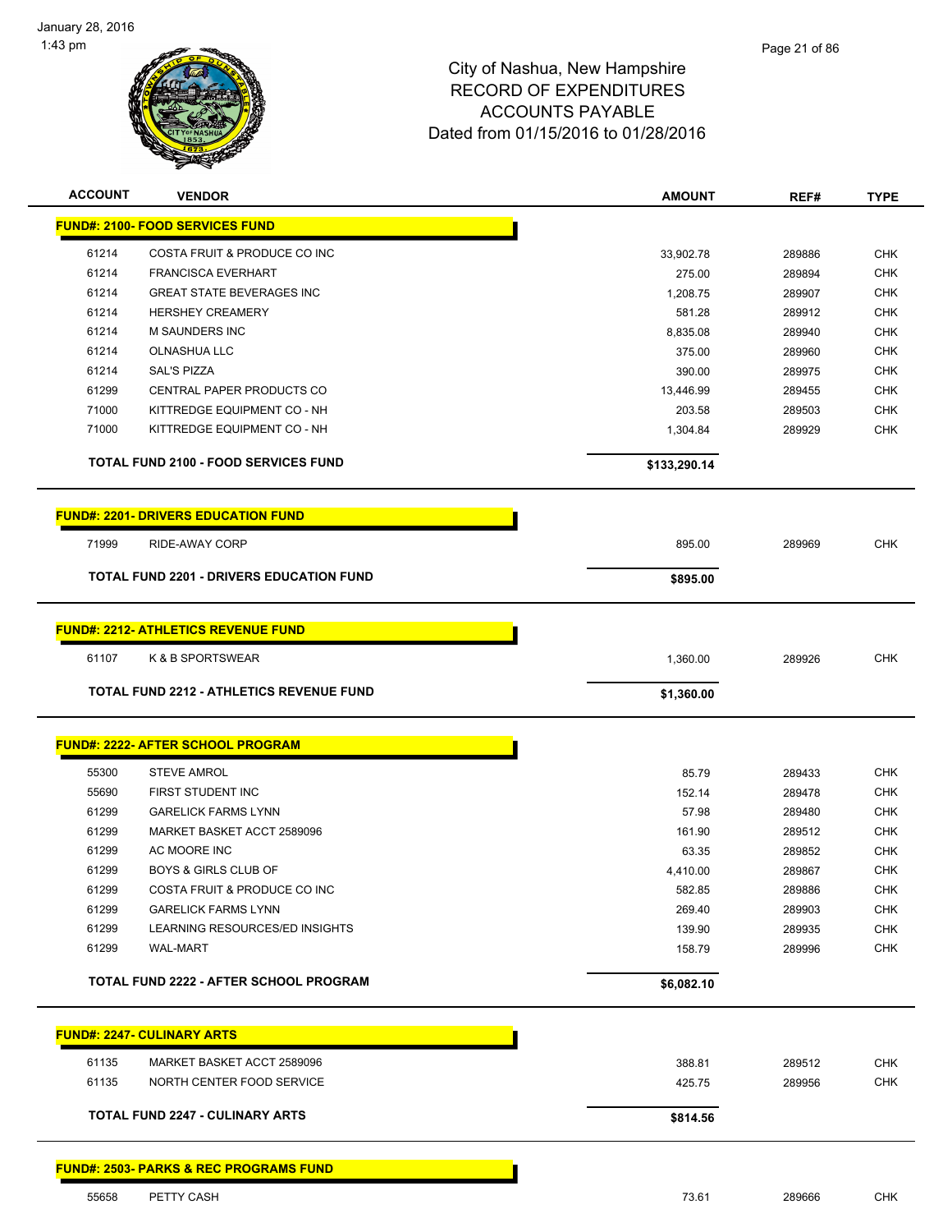

| <b>ACCOUNT</b> | <b>VENDOR</b>                                     | <b>AMOUNT</b> | REF#   | <b>TYPE</b> |
|----------------|---------------------------------------------------|---------------|--------|-------------|
|                | <b>FUND#: 2100- FOOD SERVICES FUND</b>            |               |        |             |
| 61214          | COSTA FRUIT & PRODUCE CO INC                      | 33,902.78     | 289886 | <b>CHK</b>  |
| 61214          | <b>FRANCISCA EVERHART</b>                         | 275.00        | 289894 | <b>CHK</b>  |
| 61214          | <b>GREAT STATE BEVERAGES INC</b>                  | 1.208.75      | 289907 | <b>CHK</b>  |
| 61214          | <b>HERSHEY CREAMERY</b>                           | 581.28        | 289912 | <b>CHK</b>  |
| 61214          | M SAUNDERS INC                                    | 8,835.08      | 289940 | <b>CHK</b>  |
| 61214          | <b>OLNASHUA LLC</b>                               | 375.00        | 289960 | <b>CHK</b>  |
| 61214          | <b>SAL'S PIZZA</b>                                | 390.00        | 289975 | <b>CHK</b>  |
| 61299          | CENTRAL PAPER PRODUCTS CO                         | 13,446.99     | 289455 | <b>CHK</b>  |
| 71000          | KITTREDGE EQUIPMENT CO - NH                       | 203.58        | 289503 | <b>CHK</b>  |
| 71000          | KITTREDGE EQUIPMENT CO - NH                       | 1,304.84      | 289929 | <b>CHK</b>  |
|                | <b>TOTAL FUND 2100 - FOOD SERVICES FUND</b>       | \$133,290.14  |        |             |
|                | <b>FUND#: 2201- DRIVERS EDUCATION FUND</b>        |               |        |             |
| 71999          | RIDE-AWAY CORP                                    | 895.00        | 289969 | <b>CHK</b>  |
|                | <b>TOTAL FUND 2201 - DRIVERS EDUCATION FUND</b>   | \$895.00      |        |             |
|                |                                                   |               |        |             |
|                | <b>FUND#: 2212- ATHLETICS REVENUE FUND</b>        |               |        |             |
| 61107          | K & B SPORTSWEAR                                  | 1,360.00      | 289926 | CHK         |
|                | <b>TOTAL FUND 2212 - ATHLETICS REVENUE FUND</b>   | \$1,360.00    |        |             |
|                | <b>FUND#: 2222- AFTER SCHOOL PROGRAM</b>          |               |        |             |
| 55300          | <b>STEVE AMROL</b>                                | 85.79         | 289433 | CHK         |
| 55690          | FIRST STUDENT INC                                 | 152.14        | 289478 | <b>CHK</b>  |
| 61299          | <b>GARELICK FARMS LYNN</b>                        | 57.98         | 289480 | <b>CHK</b>  |
| 61299          | MARKET BASKET ACCT 2589096                        | 161.90        | 289512 | <b>CHK</b>  |
| 61299          | AC MOORE INC                                      | 63.35         | 289852 | <b>CHK</b>  |
| 61299          | <b>BOYS &amp; GIRLS CLUB OF</b>                   | 4,410.00      | 289867 | <b>CHK</b>  |
| 61299          | COSTA FRUIT & PRODUCE CO INC                      | 582.85        | 289886 | CHK         |
| 61299          | <b>GARELICK FARMS LYNN</b>                        | 269.40        | 289903 | <b>CHK</b>  |
| 61299          | LEARNING RESOURCES/ED INSIGHTS                    | 139.90        | 289935 | CHK         |
| 61299          | <b>WAL-MART</b>                                   | 158.79        | 289996 | <b>CHK</b>  |
|                | <b>TOTAL FUND 2222 - AFTER SCHOOL PROGRAM</b>     | \$6,082.10    |        |             |
|                |                                                   |               |        |             |
|                | <b>FUND#: 2247- CULINARY ARTS</b>                 |               |        |             |
| 61135          | MARKET BASKET ACCT 2589096                        | 388.81        | 289512 | <b>CHK</b>  |
| 61135          | NORTH CENTER FOOD SERVICE                         | 425.75        | 289956 | <b>CHK</b>  |
|                | <b>TOTAL FUND 2247 - CULINARY ARTS</b>            | \$814.56      |        |             |
|                |                                                   |               |        |             |
|                | <b>FUND#: 2503- PARKS &amp; REC PROGRAMS FUND</b> |               |        |             |

55658 PETTY CASH 73.61 289666 CHK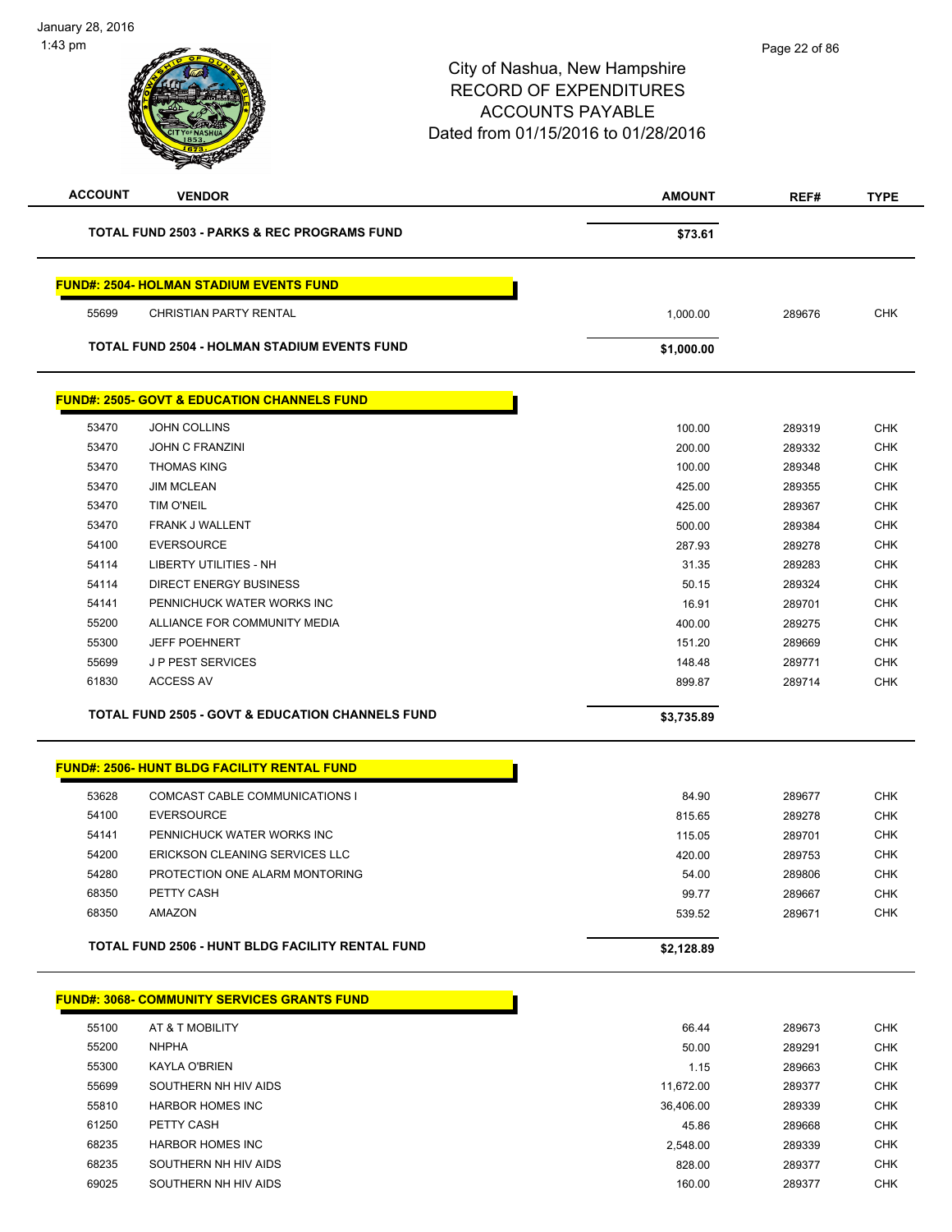| <b>ACCOUNT</b> | <b>VENDOR</b>                                               | <b>AMOUNT</b> | REF#   | <b>TYPE</b> |
|----------------|-------------------------------------------------------------|---------------|--------|-------------|
|                | <b>TOTAL FUND 2503 - PARKS &amp; REC PROGRAMS FUND</b>      | \$73.61       |        |             |
|                | <b>FUND#: 2504- HOLMAN STADIUM EVENTS FUND</b>              |               |        |             |
|                |                                                             |               |        |             |
| 55699          | CHRISTIAN PARTY RENTAL                                      | 1,000.00      | 289676 | <b>CHK</b>  |
|                | <b>TOTAL FUND 2504 - HOLMAN STADIUM EVENTS FUND</b>         | \$1,000.00    |        |             |
|                | <b>FUND#: 2505- GOVT &amp; EDUCATION CHANNELS FUND</b>      |               |        |             |
| 53470          | <b>JOHN COLLINS</b>                                         | 100.00        | 289319 | <b>CHK</b>  |
| 53470          | <b>JOHN C FRANZINI</b>                                      | 200.00        | 289332 | <b>CHK</b>  |
| 53470          | <b>THOMAS KING</b>                                          | 100.00        | 289348 | <b>CHK</b>  |
| 53470          | <b>JIM MCLEAN</b>                                           | 425.00        | 289355 | <b>CHK</b>  |
| 53470          | <b>TIM O'NEIL</b>                                           | 425.00        | 289367 | <b>CHK</b>  |
| 53470          | FRANK J WALLENT                                             | 500.00        | 289384 | <b>CHK</b>  |
| 54100          | <b>EVERSOURCE</b>                                           | 287.93        | 289278 | <b>CHK</b>  |
| 54114          | <b>LIBERTY UTILITIES - NH</b>                               | 31.35         | 289283 | <b>CHK</b>  |
| 54114          | DIRECT ENERGY BUSINESS                                      | 50.15         | 289324 | <b>CHK</b>  |
| 54141          | PENNICHUCK WATER WORKS INC                                  | 16.91         | 289701 | <b>CHK</b>  |
| 55200          | ALLIANCE FOR COMMUNITY MEDIA                                | 400.00        | 289275 | <b>CHK</b>  |
| 55300          | <b>JEFF POEHNERT</b>                                        | 151.20        | 289669 | <b>CHK</b>  |
| 55699          | <b>JP PEST SERVICES</b>                                     | 148.48        | 289771 | <b>CHK</b>  |
| 61830          | <b>ACCESS AV</b>                                            | 899.87        | 289714 | <b>CHK</b>  |
|                |                                                             |               |        |             |
|                | <b>TOTAL FUND 2505 - GOVT &amp; EDUCATION CHANNELS FUND</b> | \$3,735.89    |        |             |
|                | <b>FUND#: 2506- HUNT BLDG FACILITY RENTAL FUND</b>          |               |        |             |
| 53628          | COMCAST CABLE COMMUNICATIONS I                              | 84.90         | 289677 | <b>CHK</b>  |
|                |                                                             |               |        |             |
| 54100          | <b>EVERSOURCE</b>                                           | 815.65        | 289278 | <b>CHK</b>  |
| 54141          | PENNICHUCK WATER WORKS INC                                  | 115.05        | 289701 | <b>CHK</b>  |
| 54200          | ERICKSON CLEANING SERVICES LLC                              | 420.00        | 289753 | <b>CHK</b>  |
| 54280          | PROTECTION ONE ALARM MONTORING                              | 54.00         | 289806 | <b>CHK</b>  |
| 68350          | PETTY CASH                                                  | 99.77         | 289667 | <b>CHK</b>  |
| 68350          | AMAZON                                                      | 539.52        | 289671 | <b>CHK</b>  |
|                | TOTAL FUND 2506 - HUNT BLDG FACILITY RENTAL FUND            | \$2,128.89    |        |             |
|                | <b>FUND#: 3068- COMMUNITY SERVICES GRANTS FUND</b>          |               |        |             |
| 55100          | AT & T MOBILITY                                             | 66.44         | 289673 | <b>CHK</b>  |
| 55200          | <b>NHPHA</b>                                                | 50.00         | 289291 | <b>CHK</b>  |
| 55300          | KAYLA O'BRIEN                                               | 1.15          | 289663 | <b>CHK</b>  |
| 55699          | SOUTHERN NH HIV AIDS                                        | 11,672.00     | 289377 | <b>CHK</b>  |
| 55810          | <b>HARBOR HOMES INC</b>                                     | 36,406.00     | 289339 | <b>CHK</b>  |
| 61250          | PETTY CASH                                                  | 45.86         | 289668 | <b>CHK</b>  |
| 68235          | <b>HARBOR HOMES INC</b>                                     | 2,548.00      | 289339 | <b>CHK</b>  |
| 68235          | SOUTHERN NH HIV AIDS                                        | 828.00        |        | <b>CHK</b>  |
| 69025          | SOUTHERN NH HIV AIDS                                        |               | 289377 | <b>CHK</b>  |
|                |                                                             | 160.00        | 289377 |             |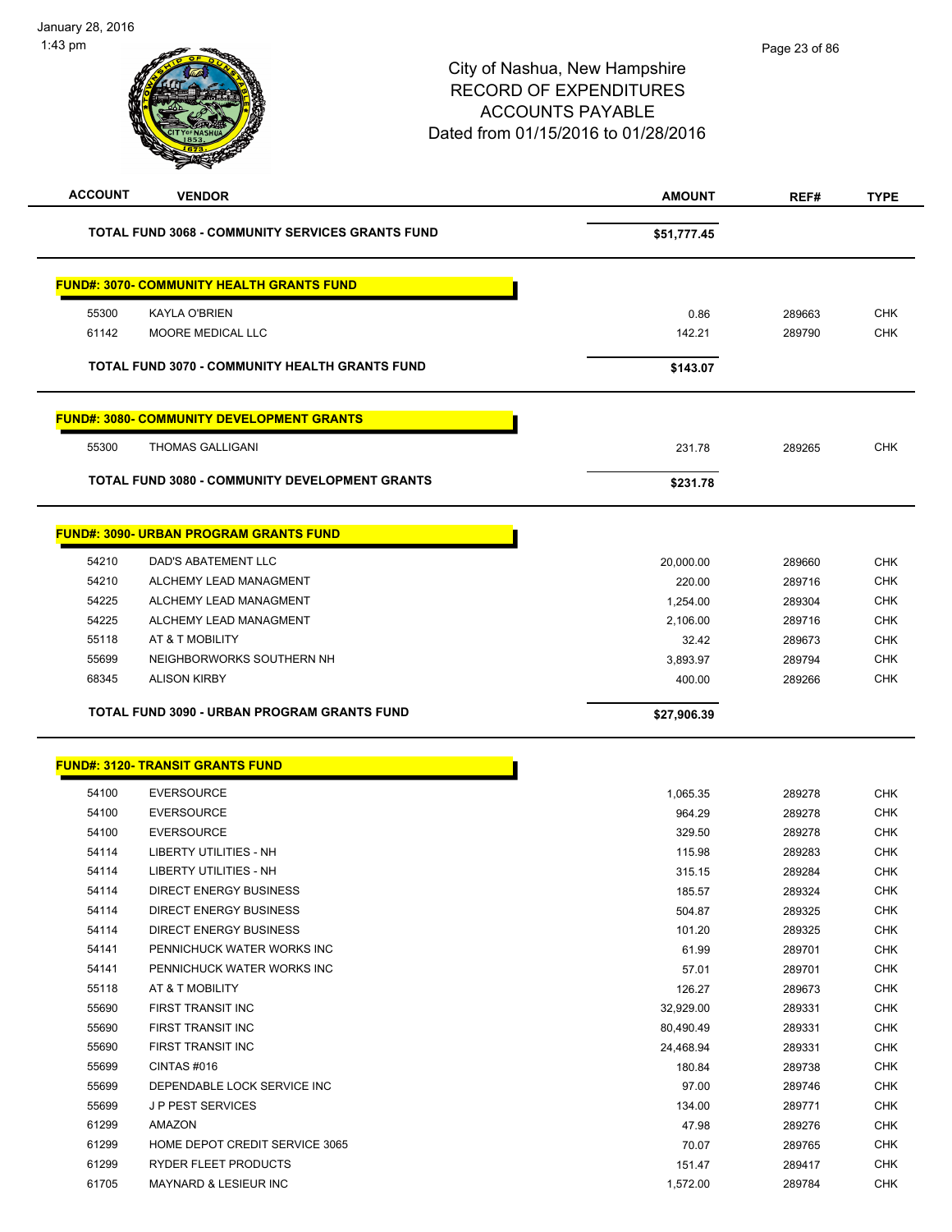| <b>ACCOUNT</b> | <b>VENDOR</b>                                           | <b>AMOUNT</b>       | REF#             | <b>TYPE</b> |
|----------------|---------------------------------------------------------|---------------------|------------------|-------------|
|                | <b>TOTAL FUND 3068 - COMMUNITY SERVICES GRANTS FUND</b> | \$51,777.45         |                  |             |
|                | <b>FUND#: 3070- COMMUNITY HEALTH GRANTS FUND</b>        |                     |                  |             |
| 55300          | <b>KAYLA O'BRIEN</b>                                    | 0.86                | 289663           | <b>CHK</b>  |
| 61142          | MOORE MEDICAL LLC                                       | 142.21              | 289790           | <b>CHK</b>  |
|                |                                                         |                     |                  |             |
|                | <b>TOTAL FUND 3070 - COMMUNITY HEALTH GRANTS FUND</b>   | \$143.07            |                  |             |
|                | <b>FUND#: 3080- COMMUNITY DEVELOPMENT GRANTS</b>        |                     |                  |             |
| 55300          | <b>THOMAS GALLIGANI</b>                                 | 231.78              | 289265           | <b>CHK</b>  |
|                | <b>TOTAL FUND 3080 - COMMUNITY DEVELOPMENT GRANTS</b>   | \$231.78            |                  |             |
|                | <b>FUND#: 3090- URBAN PROGRAM GRANTS FUND</b>           |                     |                  |             |
| 54210          | <b>DAD'S ABATEMENT LLC</b>                              |                     |                  | <b>CHK</b>  |
| 54210          | ALCHEMY LEAD MANAGMENT                                  | 20,000.00<br>220.00 | 289660           | <b>CHK</b>  |
| 54225          | ALCHEMY LEAD MANAGMENT                                  | 1,254.00            | 289716<br>289304 | <b>CHK</b>  |
| 54225          | ALCHEMY LEAD MANAGMENT                                  | 2,106.00            | 289716           | <b>CHK</b>  |
| 55118          | AT & T MOBILITY                                         | 32.42               | 289673           | <b>CHK</b>  |
| 55699          | NEIGHBORWORKS SOUTHERN NH                               | 3,893.97            | 289794           | <b>CHK</b>  |
| 68345          | <b>ALISON KIRBY</b>                                     | 400.00              | 289266           | <b>CHK</b>  |
|                |                                                         |                     |                  |             |
|                | TOTAL FUND 3090 - URBAN PROGRAM GRANTS FUND             | \$27,906.39         |                  |             |
|                | <b>FUND#: 3120- TRANSIT GRANTS FUND</b>                 |                     |                  |             |
| 54100          | <b>EVERSOURCE</b>                                       |                     |                  | <b>CHK</b>  |
| 54100          | <b>EVERSOURCE</b>                                       | 1,065.35<br>964.29  | 289278<br>289278 | <b>CHK</b>  |
| 54100          | <b>EVERSOURCE</b>                                       | 329.50              | 289278           | <b>CHK</b>  |
| 54114          | <b>LIBERTY UTILITIES - NH</b>                           | 115.98              | 289283           | <b>CHK</b>  |
| 54114          | LIBERTY UTILITIES - NH                                  | 315.15              | 289284           | <b>CHK</b>  |
| 54114          | <b>DIRECT ENERGY BUSINESS</b>                           | 185.57              | 289324           | <b>CHK</b>  |
| 54114          | DIRECT ENERGY BUSINESS                                  | 504.87              | 289325           | CHK         |
| 54114          | <b>DIRECT ENERGY BUSINESS</b>                           | 101.20              | 289325           | <b>CHK</b>  |
| 54141          | PENNICHUCK WATER WORKS INC                              | 61.99               | 289701           | <b>CHK</b>  |
| 54141          | PENNICHUCK WATER WORKS INC                              | 57.01               | 289701           | <b>CHK</b>  |
| 55118          | AT & T MOBILITY                                         | 126.27              | 289673           | <b>CHK</b>  |
| 55690          | FIRST TRANSIT INC                                       | 32,929.00           | 289331           | <b>CHK</b>  |
| 55690          | FIRST TRANSIT INC                                       | 80,490.49           | 289331           | <b>CHK</b>  |
| 55690          | FIRST TRANSIT INC                                       | 24,468.94           | 289331           | <b>CHK</b>  |
| 55699          | CINTAS #016                                             | 180.84              | 289738           | <b>CHK</b>  |
| 55699          | DEPENDABLE LOCK SERVICE INC                             | 97.00               | 289746           | <b>CHK</b>  |
| 55699          | <b>JP PEST SERVICES</b>                                 | 134.00              | 289771           | <b>CHK</b>  |
| 61299          | AMAZON                                                  | 47.98               | 289276           | <b>CHK</b>  |
| 61299          | HOME DEPOT CREDIT SERVICE 3065                          | 70.07               | 289765           | <b>CHK</b>  |
| 61299          | RYDER FLEET PRODUCTS                                    | 151.47              | 289417           | <b>CHK</b>  |
| 61705          | MAYNARD & LESIEUR INC                                   | 1,572.00            | 289784           | <b>CHK</b>  |
|                |                                                         |                     |                  |             |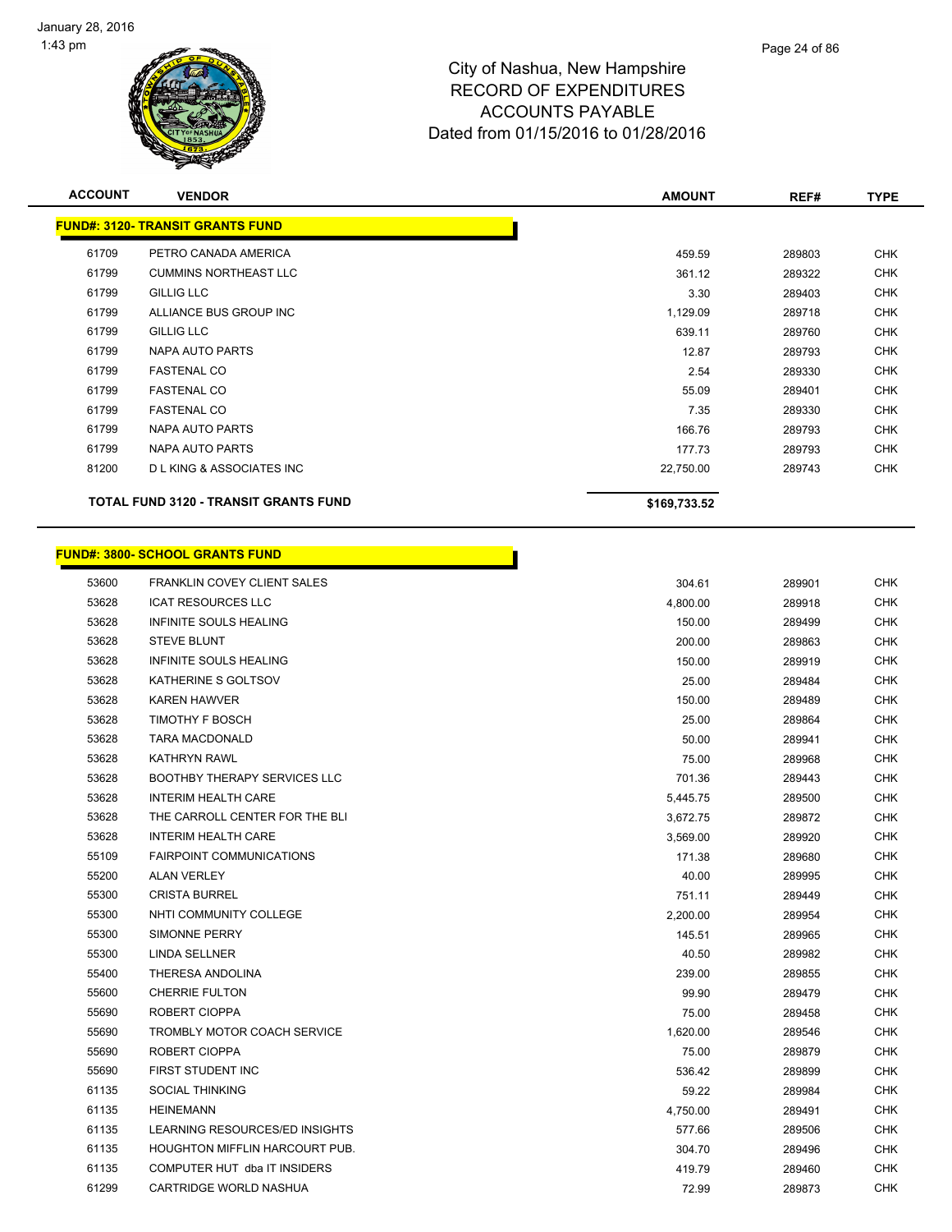

| <b>ACCOUNT</b> | <b>VENDOR</b>                                | <b>AMOUNT</b> | REF#   | <b>TYPE</b> |
|----------------|----------------------------------------------|---------------|--------|-------------|
|                | <b>FUND#: 3120- TRANSIT GRANTS FUND</b>      |               |        |             |
| 61709          | PETRO CANADA AMERICA                         | 459.59        | 289803 | <b>CHK</b>  |
| 61799          | <b>CUMMINS NORTHEAST LLC</b>                 | 361.12        | 289322 | <b>CHK</b>  |
| 61799          | <b>GILLIG LLC</b>                            | 3.30          | 289403 | <b>CHK</b>  |
| 61799          | ALLIANCE BUS GROUP INC                       | 1,129.09      | 289718 | <b>CHK</b>  |
| 61799          | <b>GILLIG LLC</b>                            | 639.11        | 289760 | <b>CHK</b>  |
| 61799          | NAPA AUTO PARTS                              | 12.87         | 289793 | <b>CHK</b>  |
| 61799          | <b>FASTENAL CO</b>                           | 2.54          | 289330 | <b>CHK</b>  |
| 61799          | <b>FASTENAL CO</b>                           | 55.09         | 289401 | <b>CHK</b>  |
| 61799          | <b>FASTENAL CO</b>                           | 7.35          | 289330 | <b>CHK</b>  |
| 61799          | NAPA AUTO PARTS                              | 166.76        | 289793 | <b>CHK</b>  |
| 61799          | NAPA AUTO PARTS                              | 177.73        | 289793 | <b>CHK</b>  |
| 81200          | <b>DL KING &amp; ASSOCIATES INC</b>          | 22,750.00     | 289743 | <b>CHK</b>  |
|                | <b>TOTAL FUND 3120 - TRANSIT GRANTS FUND</b> | \$169,733.52  |        |             |

|       | <u> FUND#: 3800- SCHOOL GRANTS FUND</u> |          |        |            |
|-------|-----------------------------------------|----------|--------|------------|
| 53600 | <b>FRANKLIN COVEY CLIENT SALES</b>      | 304.61   | 289901 | <b>CHK</b> |
| 53628 | <b>ICAT RESOURCES LLC</b>               | 4,800.00 | 289918 | <b>CHK</b> |
| 53628 | INFINITE SOULS HEALING                  | 150.00   | 289499 | CHK        |
| 53628 | <b>STEVE BLUNT</b>                      | 200.00   | 289863 | <b>CHK</b> |
| 53628 | <b>INFINITE SOULS HEALING</b>           | 150.00   | 289919 | <b>CHK</b> |
| 53628 | KATHERINE S GOLTSOV                     | 25.00    | 289484 | CHK        |
| 53628 | <b>KAREN HAWVER</b>                     | 150.00   | 289489 | <b>CHK</b> |
| 53628 | <b>TIMOTHY F BOSCH</b>                  | 25.00    | 289864 | <b>CHK</b> |
| 53628 | <b>TARA MACDONALD</b>                   | 50.00    | 289941 | <b>CHK</b> |
| 53628 | <b>KATHRYN RAWL</b>                     | 75.00    | 289968 | CHK        |
| 53628 | <b>BOOTHBY THERAPY SERVICES LLC</b>     | 701.36   | 289443 | CHK        |
| 53628 | <b>INTERIM HEALTH CARE</b>              | 5,445.75 | 289500 | <b>CHK</b> |
| 53628 | THE CARROLL CENTER FOR THE BLI          | 3,672.75 | 289872 | CHK        |
| 53628 | <b>INTERIM HEALTH CARE</b>              | 3,569.00 | 289920 | <b>CHK</b> |
| 55109 | <b>FAIRPOINT COMMUNICATIONS</b>         | 171.38   | 289680 | <b>CHK</b> |
| 55200 | <b>ALAN VERLEY</b>                      | 40.00    | 289995 | <b>CHK</b> |
| 55300 | <b>CRISTA BURREL</b>                    | 751.11   | 289449 | CHK        |
| 55300 | NHTI COMMUNITY COLLEGE                  | 2,200.00 | 289954 | CHK        |
| 55300 | SIMONNE PERRY                           | 145.51   | 289965 | <b>CHK</b> |
| 55300 | LINDA SELLNER                           | 40.50    | 289982 | CHK        |
| 55400 | THERESA ANDOLINA                        | 239.00   | 289855 | <b>CHK</b> |
| 55600 | <b>CHERRIE FULTON</b>                   | 99.90    | 289479 | <b>CHK</b> |
| 55690 | ROBERT CIOPPA                           | 75.00    | 289458 | <b>CHK</b> |
| 55690 | TROMBLY MOTOR COACH SERVICE             | 1,620.00 | 289546 | CHK        |
| 55690 | ROBERT CIOPPA                           | 75.00    | 289879 | <b>CHK</b> |
| 55690 | FIRST STUDENT INC                       | 536.42   | 289899 | <b>CHK</b> |
| 61135 | <b>SOCIAL THINKING</b>                  | 59.22    | 289984 | CHK        |
| 61135 | <b>HEINEMANN</b>                        | 4,750.00 | 289491 | CHK        |
| 61135 | LEARNING RESOURCES/ED INSIGHTS          | 577.66   | 289506 | CHK        |
| 61135 | HOUGHTON MIFFLIN HARCOURT PUB.          | 304.70   | 289496 | <b>CHK</b> |
| 61135 | COMPUTER HUT dba IT INSIDERS            | 419.79   | 289460 | CHK        |

CARTRIDGE WORLD NASHUA 72.99 289873 CHK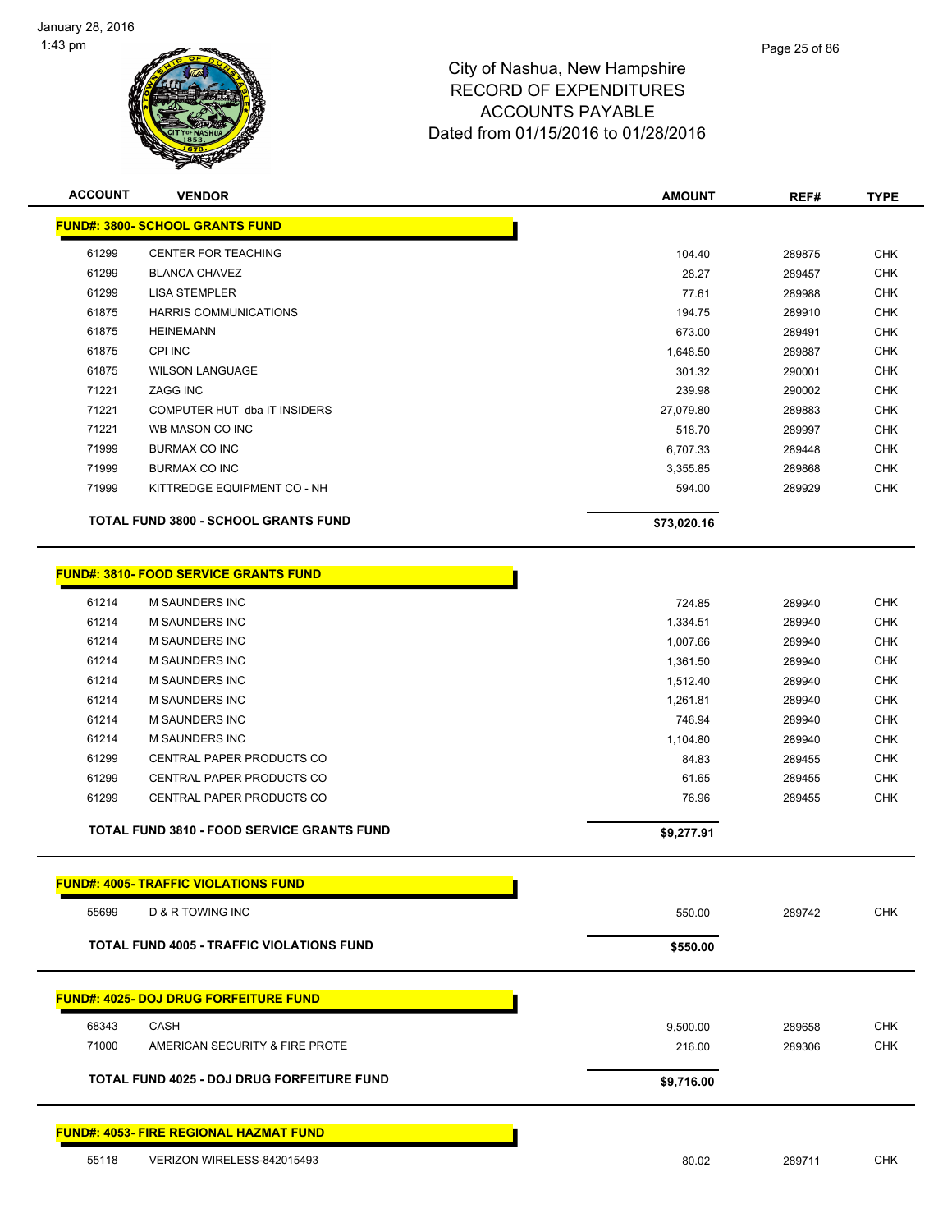

| <b>ACCOUNT</b> | <b>VENDOR</b>                                     | <b>AMOUNT</b> | REF#   | <b>TYPE</b> |
|----------------|---------------------------------------------------|---------------|--------|-------------|
|                | <b>FUND#: 3800- SCHOOL GRANTS FUND</b>            |               |        |             |
| 61299          | CENTER FOR TEACHING                               | 104.40        | 289875 | <b>CHK</b>  |
| 61299          | <b>BLANCA CHAVEZ</b>                              | 28.27         | 289457 | <b>CHK</b>  |
| 61299          | <b>LISA STEMPLER</b>                              | 77.61         | 289988 | <b>CHK</b>  |
| 61875          | <b>HARRIS COMMUNICATIONS</b>                      | 194.75        | 289910 | <b>CHK</b>  |
| 61875          | <b>HEINEMANN</b>                                  | 673.00        | 289491 | <b>CHK</b>  |
| 61875          | CPI INC                                           | 1,648.50      | 289887 | <b>CHK</b>  |
| 61875          | <b>WILSON LANGUAGE</b>                            | 301.32        | 290001 | <b>CHK</b>  |
| 71221          | <b>ZAGG INC</b>                                   | 239.98        | 290002 | <b>CHK</b>  |
| 71221          | COMPUTER HUT dba IT INSIDERS                      | 27,079.80     | 289883 | <b>CHK</b>  |
| 71221          | WB MASON CO INC                                   | 518.70        | 289997 | <b>CHK</b>  |
| 71999          | BURMAX CO INC                                     | 6,707.33      | 289448 | <b>CHK</b>  |
| 71999          | BURMAX CO INC                                     | 3,355.85      | 289868 | <b>CHK</b>  |
| 71999          | KITTREDGE EQUIPMENT CO - NH                       | 594.00        | 289929 | <b>CHK</b>  |
|                | <b>TOTAL FUND 3800 - SCHOOL GRANTS FUND</b>       | \$73,020.16   |        |             |
|                |                                                   |               |        |             |
|                | <b>FUND#: 3810- FOOD SERVICE GRANTS FUND</b>      |               |        |             |
| 61214          | <b>M SAUNDERS INC</b>                             | 724.85        | 289940 | <b>CHK</b>  |
| 61214          | <b>M SAUNDERS INC</b>                             | 1,334.51      | 289940 | <b>CHK</b>  |
| 61214          | <b>M SAUNDERS INC</b>                             | 1,007.66      | 289940 | <b>CHK</b>  |
| 61214          | <b>M SAUNDERS INC</b>                             | 1,361.50      | 289940 | <b>CHK</b>  |
| 61214          | <b>M SAUNDERS INC</b>                             | 1,512.40      | 289940 | <b>CHK</b>  |
| 61214          | <b>M SAUNDERS INC</b>                             | 1,261.81      | 289940 | <b>CHK</b>  |
| 61214          | <b>M SAUNDERS INC</b>                             | 746.94        | 289940 | <b>CHK</b>  |
| 61214          | <b>M SAUNDERS INC</b>                             | 1,104.80      | 289940 | <b>CHK</b>  |
| 61299          | CENTRAL PAPER PRODUCTS CO                         | 84.83         | 289455 | <b>CHK</b>  |
| 61299          | CENTRAL PAPER PRODUCTS CO                         | 61.65         | 289455 | <b>CHK</b>  |
| 61299          | CENTRAL PAPER PRODUCTS CO                         | 76.96         | 289455 | <b>CHK</b>  |
|                | <b>TOTAL FUND 3810 - FOOD SERVICE GRANTS FUND</b> | \$9,277.91    |        |             |
|                | <b>FUND#: 4005- TRAFFIC VIOLATIONS FUND</b>       |               |        |             |
| 55699          | D & R TOWING INC                                  | 550.00        | 289742 | <b>CHK</b>  |
|                |                                                   |               |        |             |
|                | <b>TOTAL FUND 4005 - TRAFFIC VIOLATIONS FUND</b>  | \$550.00      |        |             |
|                | <b>FUND#: 4025- DOJ DRUG FORFEITURE FUND</b>      |               |        |             |
| 68343          | CASH                                              | 9,500.00      | 289658 | <b>CHK</b>  |
| 71000          | AMERICAN SECURITY & FIRE PROTE                    | 216.00        | 289306 | <b>CHK</b>  |
|                |                                                   |               |        |             |
|                | TOTAL FUND 4025 - DOJ DRUG FORFEITURE FUND        | \$9,716.00    |        |             |
|                | <b>FUND#: 4053- FIRE REGIONAL HAZMAT FUND</b>     |               |        |             |
| 55118          | VERIZON WIRELESS-842015493                        | 80.02         | 289711 | <b>CHK</b>  |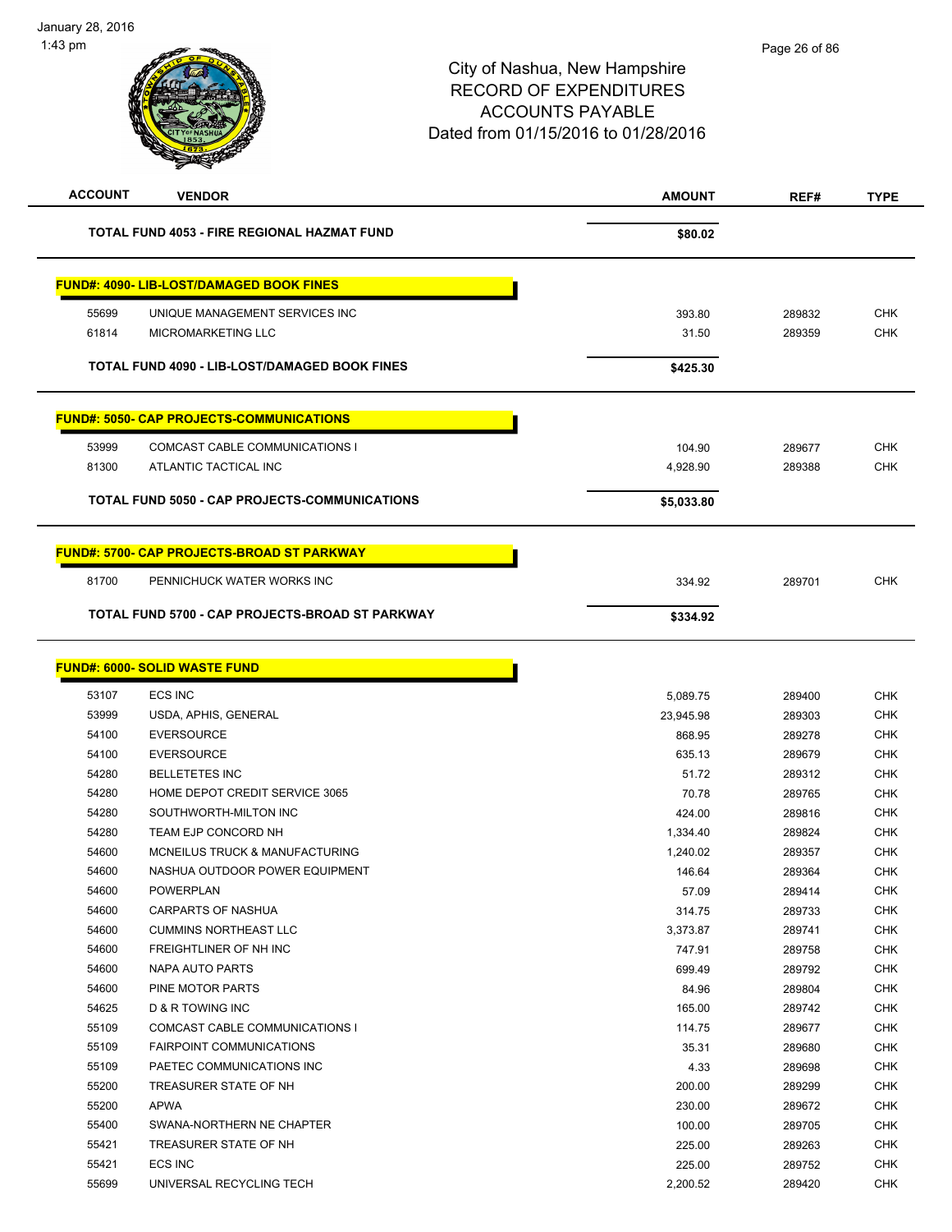| <b>ACCOUNT</b><br><b>VENDOR</b>                      |                                                   | <b>AMOUNT</b> | REF#   | <b>TYPE</b> |
|------------------------------------------------------|---------------------------------------------------|---------------|--------|-------------|
| TOTAL FUND 4053 - FIRE REGIONAL HAZMAT FUND          |                                                   | \$80.02       |        |             |
|                                                      | <b>FUND#: 4090- LIB-LOST/DAMAGED BOOK FINES</b>   |               |        |             |
| 55699                                                | UNIQUE MANAGEMENT SERVICES INC                    | 393.80        | 289832 | <b>CHK</b>  |
| 61814                                                | <b>MICROMARKETING LLC</b>                         | 31.50         | 289359 | <b>CHK</b>  |
| TOTAL FUND 4090 - LIB-LOST/DAMAGED BOOK FINES        |                                                   | \$425.30      |        |             |
|                                                      | <b>FUND#: 5050- CAP PROJECTS-COMMUNICATIONS</b>   |               |        |             |
| 53999                                                | COMCAST CABLE COMMUNICATIONS I                    | 104.90        | 289677 | <b>CHK</b>  |
| 81300                                                | ATLANTIC TACTICAL INC                             | 4,928.90      | 289388 | <b>CHK</b>  |
| <b>TOTAL FUND 5050 - CAP PROJECTS-COMMUNICATIONS</b> |                                                   | \$5,033.80    |        |             |
|                                                      | <b>FUND#: 5700- CAP PROJECTS-BROAD ST PARKWAY</b> |               |        |             |
| 81700                                                | PENNICHUCK WATER WORKS INC                        | 334.92        | 289701 | <b>CHK</b>  |
|                                                      | TOTAL FUND 5700 - CAP PROJECTS-BROAD ST PARKWAY   | \$334.92      |        |             |

| <b>FUND#: 6000- SOLID WASTE FUND</b> |  |
|--------------------------------------|--|
|                                      |  |

| 53107 | <b>ECS INC</b>                        | 5,089.75  | 289400 | <b>CHK</b> |
|-------|---------------------------------------|-----------|--------|------------|
| 53999 | USDA, APHIS, GENERAL                  | 23,945.98 | 289303 | <b>CHK</b> |
| 54100 | <b>EVERSOURCE</b>                     | 868.95    | 289278 | <b>CHK</b> |
| 54100 | <b>EVERSOURCE</b>                     | 635.13    | 289679 | <b>CHK</b> |
| 54280 | <b>BELLETETES INC</b>                 | 51.72     | 289312 | <b>CHK</b> |
| 54280 | HOME DEPOT CREDIT SERVICE 3065        | 70.78     | 289765 | <b>CHK</b> |
| 54280 | SOUTHWORTH-MILTON INC                 | 424.00    | 289816 | <b>CHK</b> |
| 54280 | TEAM EJP CONCORD NH                   | 1,334.40  | 289824 | <b>CHK</b> |
| 54600 | MCNEILUS TRUCK & MANUFACTURING        | 1,240.02  | 289357 | <b>CHK</b> |
| 54600 | NASHUA OUTDOOR POWER EQUIPMENT        | 146.64    | 289364 | <b>CHK</b> |
| 54600 | <b>POWERPLAN</b>                      | 57.09     | 289414 | <b>CHK</b> |
| 54600 | <b>CARPARTS OF NASHUA</b>             | 314.75    | 289733 | <b>CHK</b> |
| 54600 | <b>CUMMINS NORTHEAST LLC</b>          | 3,373.87  | 289741 | <b>CHK</b> |
| 54600 | FREIGHTLINER OF NH INC                | 747.91    | 289758 | <b>CHK</b> |
| 54600 | <b>NAPA AUTO PARTS</b>                | 699.49    | 289792 | <b>CHK</b> |
| 54600 | PINE MOTOR PARTS                      | 84.96     | 289804 | <b>CHK</b> |
| 54625 | <b>D &amp; R TOWING INC</b>           | 165.00    | 289742 | <b>CHK</b> |
| 55109 | <b>COMCAST CABLE COMMUNICATIONS I</b> | 114.75    | 289677 | <b>CHK</b> |
| 55109 | <b>FAIRPOINT COMMUNICATIONS</b>       | 35.31     | 289680 | <b>CHK</b> |
| 55109 | PAETEC COMMUNICATIONS INC             | 4.33      | 289698 | <b>CHK</b> |
| 55200 | TREASURER STATE OF NH                 | 200.00    | 289299 | <b>CHK</b> |
| 55200 | <b>APWA</b>                           | 230.00    | 289672 | <b>CHK</b> |
| 55400 | SWANA-NORTHERN NE CHAPTER             | 100.00    | 289705 | <b>CHK</b> |
| 55421 | TREASURER STATE OF NH                 | 225.00    | 289263 | <b>CHK</b> |
| 55421 | <b>ECS INC</b>                        | 225.00    | 289752 | <b>CHK</b> |
| 55699 | UNIVERSAL RECYCLING TECH              | 2,200.52  | 289420 | <b>CHK</b> |
|       |                                       |           |        |            |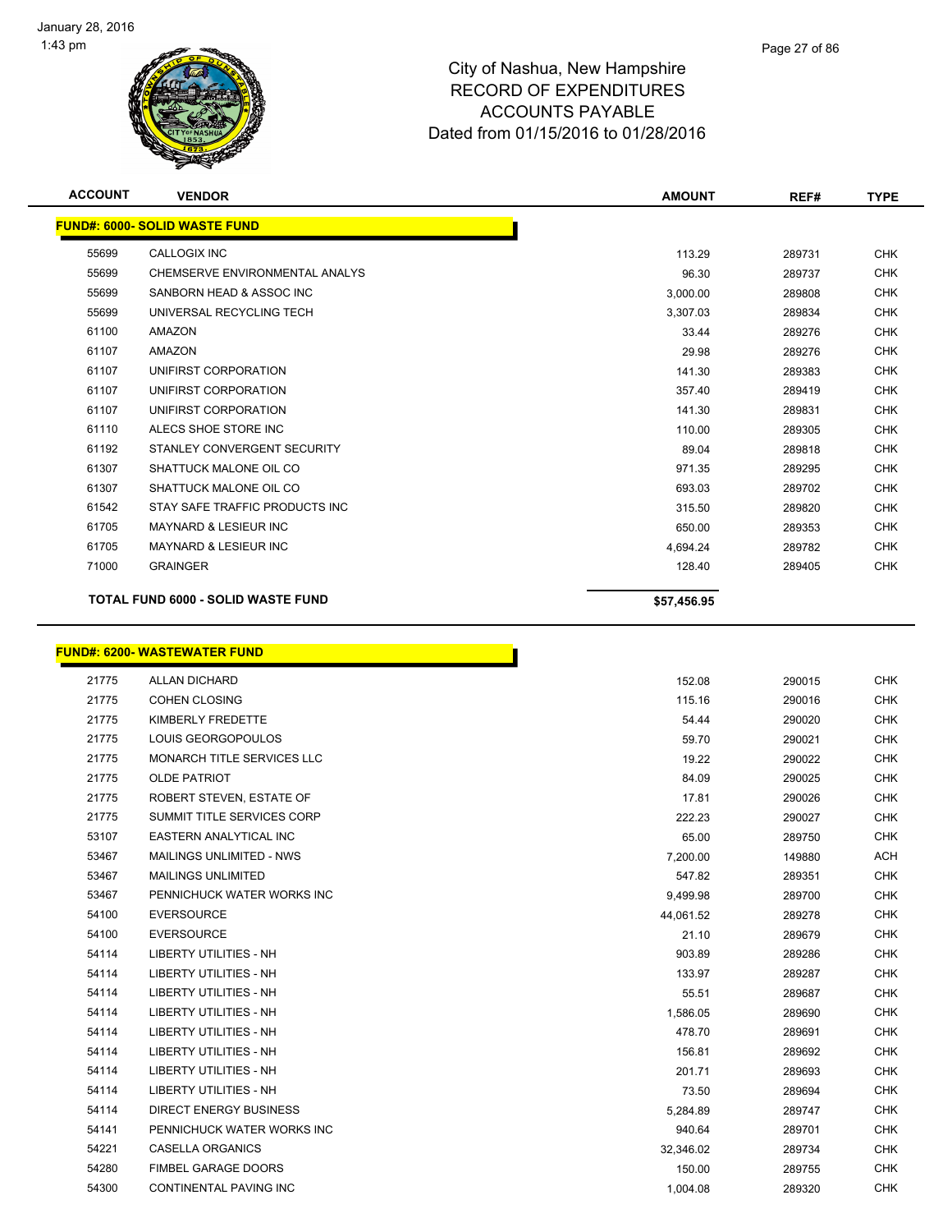

| <b>ACCOUNT</b> | <b>VENDOR</b>                        | <b>AMOUNT</b> | REF#   | <b>TYPE</b> |
|----------------|--------------------------------------|---------------|--------|-------------|
|                | <b>FUND#: 6000- SOLID WASTE FUND</b> |               |        |             |
| 55699          | <b>CALLOGIX INC</b>                  | 113.29        | 289731 | <b>CHK</b>  |
| 55699          | CHEMSERVE ENVIRONMENTAL ANALYS       | 96.30         | 289737 | <b>CHK</b>  |
| 55699          | SANBORN HEAD & ASSOC INC             | 3,000.00      | 289808 | <b>CHK</b>  |
| 55699          | UNIVERSAL RECYCLING TECH             | 3,307.03      | 289834 | <b>CHK</b>  |
| 61100          | <b>AMAZON</b>                        | 33.44         | 289276 | <b>CHK</b>  |
| 61107          | <b>AMAZON</b>                        | 29.98         | 289276 | <b>CHK</b>  |
| 61107          | UNIFIRST CORPORATION                 | 141.30        | 289383 | <b>CHK</b>  |
| 61107          | UNIFIRST CORPORATION                 | 357.40        | 289419 | <b>CHK</b>  |
| 61107          | UNIFIRST CORPORATION                 | 141.30        | 289831 | <b>CHK</b>  |
| 61110          | ALECS SHOE STORE INC                 | 110.00        | 289305 | <b>CHK</b>  |
| 61192          | STANLEY CONVERGENT SECURITY          | 89.04         | 289818 | <b>CHK</b>  |
| 61307          | SHATTUCK MALONE OIL CO               | 971.35        | 289295 | <b>CHK</b>  |
| 61307          | SHATTUCK MALONE OIL CO               | 693.03        | 289702 | <b>CHK</b>  |
| 61542          | STAY SAFE TRAFFIC PRODUCTS INC       | 315.50        | 289820 | <b>CHK</b>  |
| 61705          | <b>MAYNARD &amp; LESIEUR INC</b>     | 650.00        | 289353 | <b>CHK</b>  |
| 61705          | <b>MAYNARD &amp; LESIEUR INC</b>     | 4,694.24      | 289782 | <b>CHK</b>  |
| 71000          | <b>GRAINGER</b>                      | 128.40        | 289405 | <b>CHK</b>  |
|                | TOTAL FUND 6000 - SOLID WASTE FUND   | \$57,456.95   |        |             |

# **FUND#: 6200- WASTEWATER FUND**

| 21775 | <b>ALLAN DICHARD</b>              | 152.08    | 290015 | <b>CHK</b> |
|-------|-----------------------------------|-----------|--------|------------|
| 21775 | <b>COHEN CLOSING</b>              | 115.16    | 290016 | <b>CHK</b> |
| 21775 | KIMBERLY FREDETTE                 | 54.44     | 290020 | <b>CHK</b> |
| 21775 | LOUIS GEORGOPOULOS                | 59.70     | 290021 | <b>CHK</b> |
| 21775 | MONARCH TITLE SERVICES LLC        | 19.22     | 290022 | <b>CHK</b> |
| 21775 | <b>OLDE PATRIOT</b>               | 84.09     | 290025 | <b>CHK</b> |
| 21775 | ROBERT STEVEN, ESTATE OF          | 17.81     | 290026 | <b>CHK</b> |
| 21775 | <b>SUMMIT TITLE SERVICES CORP</b> | 222.23    | 290027 | <b>CHK</b> |
| 53107 | <b>EASTERN ANALYTICAL INC</b>     | 65.00     | 289750 | <b>CHK</b> |
| 53467 | <b>MAILINGS UNLIMITED - NWS</b>   | 7,200.00  | 149880 | <b>ACH</b> |
| 53467 | <b>MAILINGS UNLIMITED</b>         | 547.82    | 289351 | <b>CHK</b> |
| 53467 | PENNICHUCK WATER WORKS INC        | 9,499.98  | 289700 | <b>CHK</b> |
| 54100 | <b>EVERSOURCE</b>                 | 44,061.52 | 289278 | <b>CHK</b> |
| 54100 | <b>EVERSOURCE</b>                 | 21.10     | 289679 | <b>CHK</b> |
| 54114 | <b>LIBERTY UTILITIES - NH</b>     | 903.89    | 289286 | <b>CHK</b> |
| 54114 | <b>LIBERTY UTILITIES - NH</b>     | 133.97    | 289287 | <b>CHK</b> |
| 54114 | <b>LIBERTY UTILITIES - NH</b>     | 55.51     | 289687 | <b>CHK</b> |
| 54114 | <b>LIBERTY UTILITIES - NH</b>     | 1,586.05  | 289690 | <b>CHK</b> |
| 54114 | <b>LIBERTY UTILITIES - NH</b>     | 478.70    | 289691 | <b>CHK</b> |
| 54114 | <b>LIBERTY UTILITIES - NH</b>     | 156.81    | 289692 | <b>CHK</b> |
| 54114 | <b>LIBERTY UTILITIES - NH</b>     | 201.71    | 289693 | <b>CHK</b> |
| 54114 | <b>LIBERTY UTILITIES - NH</b>     | 73.50     | 289694 | <b>CHK</b> |
| 54114 | <b>DIRECT ENERGY BUSINESS</b>     | 5,284.89  | 289747 | <b>CHK</b> |
| 54141 | PENNICHUCK WATER WORKS INC        | 940.64    | 289701 | <b>CHK</b> |
| 54221 | <b>CASELLA ORGANICS</b>           | 32,346.02 | 289734 | <b>CHK</b> |
| 54280 | FIMBEL GARAGE DOORS               | 150.00    | 289755 | <b>CHK</b> |
| 54300 | <b>CONTINENTAL PAVING INC</b>     | 1,004.08  | 289320 | <b>CHK</b> |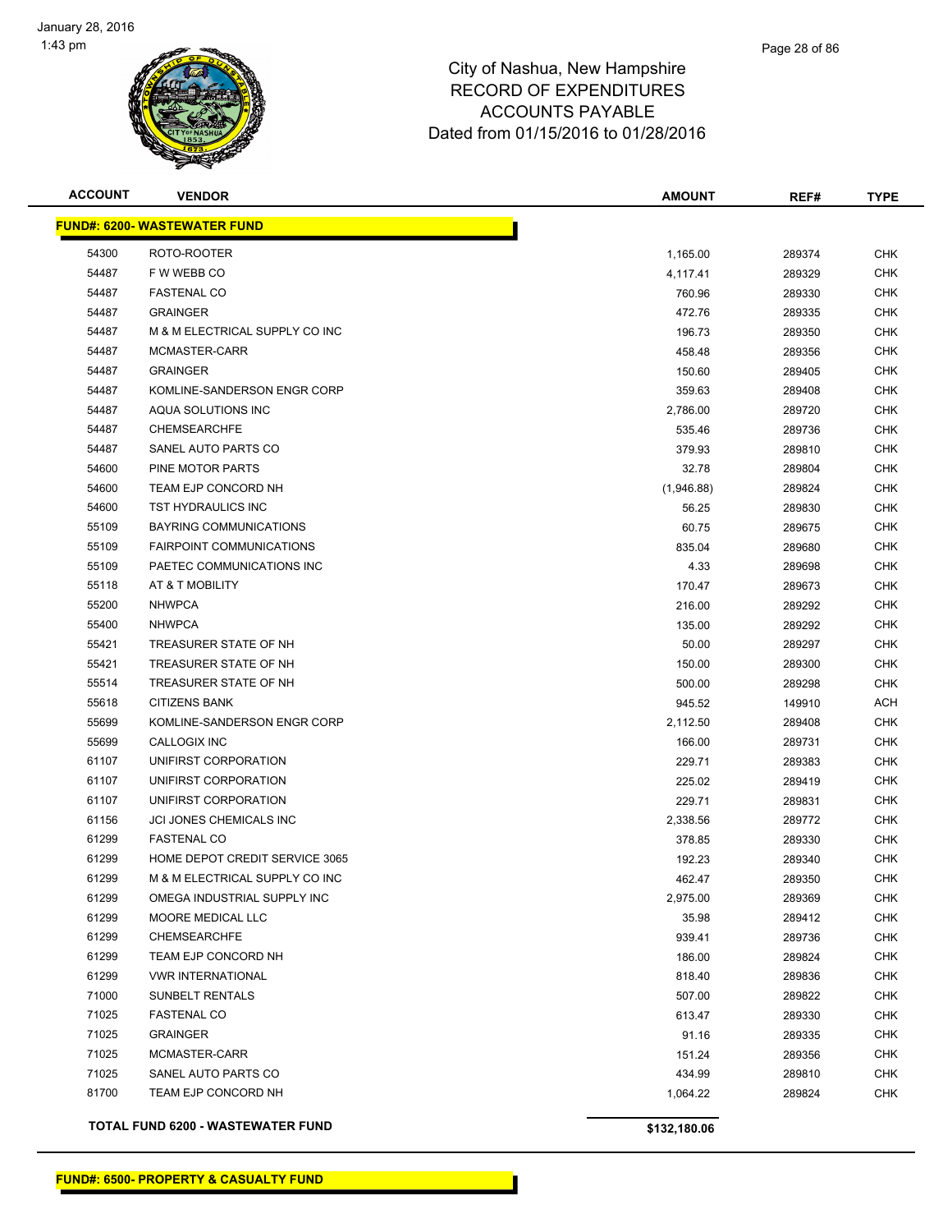

| <b>ACCOUNT</b> | <b>VENDOR</b>                       | <b>AMOUNT</b> | REF#   | <b>TYPE</b> |
|----------------|-------------------------------------|---------------|--------|-------------|
|                | <b>FUND#: 6200- WASTEWATER FUND</b> |               |        |             |
| 54300          | ROTO-ROOTER                         | 1,165.00      | 289374 | <b>CHK</b>  |
| 54487          | F W WEBB CO                         | 4,117.41      | 289329 | CHK         |
| 54487          | <b>FASTENAL CO</b>                  | 760.96        | 289330 | CHK         |
| 54487          | <b>GRAINGER</b>                     | 472.76        | 289335 | CHK         |
| 54487          | M & M ELECTRICAL SUPPLY CO INC      | 196.73        | 289350 | <b>CHK</b>  |
| 54487          | MCMASTER-CARR                       | 458.48        | 289356 | <b>CHK</b>  |
| 54487          | <b>GRAINGER</b>                     | 150.60        | 289405 | <b>CHK</b>  |
| 54487          | KOMLINE-SANDERSON ENGR CORP         | 359.63        | 289408 | <b>CHK</b>  |
| 54487          | AQUA SOLUTIONS INC                  | 2,786.00      | 289720 | CHK         |
| 54487          | <b>CHEMSEARCHFE</b>                 | 535.46        | 289736 | CHK         |
| 54487          | SANEL AUTO PARTS CO                 | 379.93        | 289810 | <b>CHK</b>  |
| 54600          | PINE MOTOR PARTS                    | 32.78         | 289804 | CHK         |
| 54600          | TEAM EJP CONCORD NH                 | (1,946.88)    | 289824 | CHK         |
| 54600          | TST HYDRAULICS INC                  | 56.25         | 289830 | CHK         |
| 55109          | <b>BAYRING COMMUNICATIONS</b>       | 60.75         | 289675 | <b>CHK</b>  |
| 55109          | <b>FAIRPOINT COMMUNICATIONS</b>     | 835.04        | 289680 | CHK         |
| 55109          | PAETEC COMMUNICATIONS INC           | 4.33          | 289698 | <b>CHK</b>  |
| 55118          | AT & T MOBILITY                     | 170.47        | 289673 | <b>CHK</b>  |
| 55200          | <b>NHWPCA</b>                       | 216.00        | 289292 | <b>CHK</b>  |
| 55400          | <b>NHWPCA</b>                       | 135.00        | 289292 | <b>CHK</b>  |
| 55421          | TREASURER STATE OF NH               | 50.00         | 289297 | CHK         |
| 55421          | TREASURER STATE OF NH               | 150.00        | 289300 | <b>CHK</b>  |
| 55514          | TREASURER STATE OF NH               | 500.00        | 289298 | CHK         |
| 55618          | <b>CITIZENS BANK</b>                | 945.52        | 149910 | <b>ACH</b>  |
| 55699          | KOMLINE-SANDERSON ENGR CORP         | 2,112.50      | 289408 | <b>CHK</b>  |
| 55699          | CALLOGIX INC                        | 166.00        | 289731 | CHK         |
| 61107          | UNIFIRST CORPORATION                | 229.71        | 289383 | <b>CHK</b>  |
| 61107          | UNIFIRST CORPORATION                | 225.02        | 289419 | <b>CHK</b>  |
| 61107          | UNIFIRST CORPORATION                | 229.71        | 289831 | <b>CHK</b>  |
| 61156          | JCI JONES CHEMICALS INC             | 2,338.56      | 289772 | <b>CHK</b>  |
| 61299          | <b>FASTENAL CO</b>                  | 378.85        | 289330 | CHK         |
| 61299          | HOME DEPOT CREDIT SERVICE 3065      | 192.23        | 289340 | CHK         |
| 61299          | M & M ELECTRICAL SUPPLY CO INC      | 462.47        | 289350 | <b>CHK</b>  |
| 61299          | OMEGA INDUSTRIAL SUPPLY INC         | 2,975.00      | 289369 | CHK         |
| 61299          | MOORE MEDICAL LLC                   | 35.98         | 289412 | CHK         |
| 61299          | CHEMSEARCHFE                        | 939.41        | 289736 | <b>CHK</b>  |
| 61299          | TEAM EJP CONCORD NH                 | 186.00        | 289824 | <b>CHK</b>  |
| 61299          | <b>VWR INTERNATIONAL</b>            | 818.40        | 289836 | <b>CHK</b>  |
| 71000          | SUNBELT RENTALS                     | 507.00        | 289822 | <b>CHK</b>  |
| 71025          | <b>FASTENAL CO</b>                  | 613.47        | 289330 | CHK         |
| 71025          | <b>GRAINGER</b>                     | 91.16         | 289335 | <b>CHK</b>  |
| 71025          | MCMASTER-CARR                       | 151.24        | 289356 | <b>CHK</b>  |
| 71025          | SANEL AUTO PARTS CO                 | 434.99        | 289810 | <b>CHK</b>  |
| 81700          | TEAM EJP CONCORD NH                 | 1,064.22      | 289824 | CHK         |
|                |                                     |               |        |             |

**TOTAL FUND 6200 - WASTEWATER FUND \$132,180.06**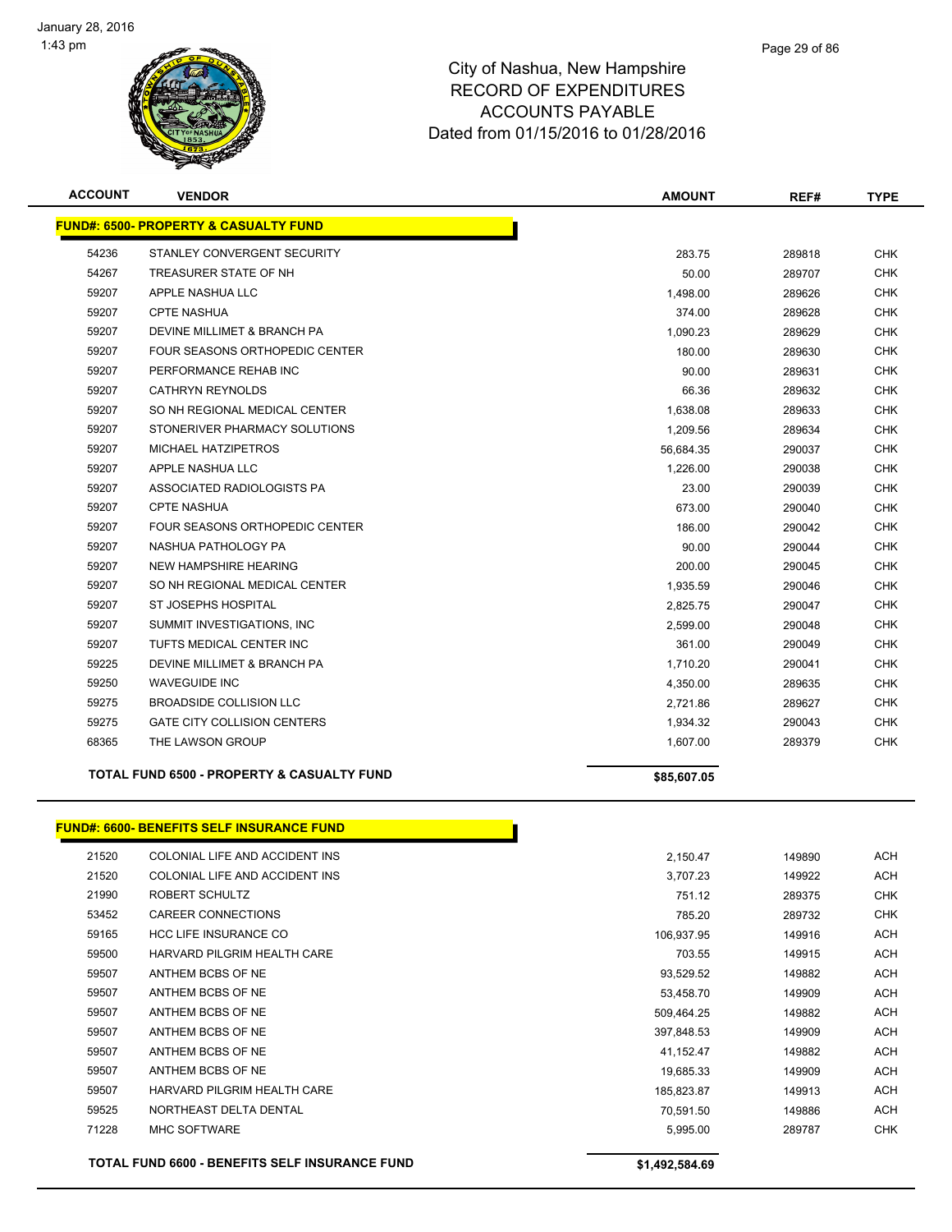

| <b>ACCOUNT</b> | <b>VENDOR</b>                                         | <b>AMOUNT</b> | REF#   | <b>TYPE</b> |
|----------------|-------------------------------------------------------|---------------|--------|-------------|
|                | <b>FUND#: 6500- PROPERTY &amp; CASUALTY FUND</b>      |               |        |             |
| 54236          | STANLEY CONVERGENT SECURITY                           | 283.75        | 289818 | <b>CHK</b>  |
| 54267          | TREASURER STATE OF NH                                 | 50.00         | 289707 | <b>CHK</b>  |
| 59207          | APPLE NASHUA LLC                                      | 1,498.00      | 289626 | <b>CHK</b>  |
| 59207          | <b>CPTE NASHUA</b>                                    | 374.00        | 289628 | <b>CHK</b>  |
| 59207          | DEVINE MILLIMET & BRANCH PA                           | 1,090.23      | 289629 | <b>CHK</b>  |
| 59207          | <b>FOUR SEASONS ORTHOPEDIC CENTER</b>                 | 180.00        | 289630 | <b>CHK</b>  |
| 59207          | PERFORMANCE REHAB INC                                 | 90.00         | 289631 | <b>CHK</b>  |
| 59207          | <b>CATHRYN REYNOLDS</b>                               | 66.36         | 289632 | <b>CHK</b>  |
| 59207          | SO NH REGIONAL MEDICAL CENTER                         | 1,638.08      | 289633 | CHK.        |
| 59207          | STONERIVER PHARMACY SOLUTIONS                         | 1,209.56      | 289634 | <b>CHK</b>  |
| 59207          | <b>MICHAEL HATZIPETROS</b>                            | 56,684.35     | 290037 | <b>CHK</b>  |
| 59207          | APPLE NASHUA LLC                                      | 1,226.00      | 290038 | <b>CHK</b>  |
| 59207          | ASSOCIATED RADIOLOGISTS PA                            | 23.00         | 290039 | CHK.        |
| 59207          | <b>CPTE NASHUA</b>                                    | 673.00        | 290040 | <b>CHK</b>  |
| 59207          | <b>FOUR SEASONS ORTHOPEDIC CENTER</b>                 | 186.00        | 290042 | <b>CHK</b>  |
| 59207          | NASHUA PATHOLOGY PA                                   | 90.00         | 290044 | <b>CHK</b>  |
| 59207          | <b>NEW HAMPSHIRE HEARING</b>                          | 200.00        | 290045 | <b>CHK</b>  |
| 59207          | SO NH REGIONAL MEDICAL CENTER                         | 1,935.59      | 290046 | CHK         |
| 59207          | ST JOSEPHS HOSPITAL                                   | 2,825.75      | 290047 | <b>CHK</b>  |
| 59207          | SUMMIT INVESTIGATIONS, INC                            | 2,599.00      | 290048 | <b>CHK</b>  |
| 59207          | TUFTS MEDICAL CENTER INC                              | 361.00        | 290049 | <b>CHK</b>  |
| 59225          | DEVINE MILLIMET & BRANCH PA                           | 1,710.20      | 290041 | <b>CHK</b>  |
| 59250          | <b>WAVEGUIDE INC</b>                                  | 4,350.00      | 289635 | <b>CHK</b>  |
| 59275          | <b>BROADSIDE COLLISION LLC</b>                        | 2,721.86      | 289627 | <b>CHK</b>  |
| 59275          | <b>GATE CITY COLLISION CENTERS</b>                    | 1,934.32      | 290043 | <b>CHK</b>  |
| 68365          | THE LAWSON GROUP                                      | 1,607.00      | 289379 | <b>CHK</b>  |
|                | <b>TOTAL FUND 6500 - PROPERTY &amp; CASUALTY FUND</b> | \$85,607.05   |        |             |

#### **FUND#: 6600- BENEFITS SELF INSURANCE FUND**

|       | TOTAL FUND 6600 - BENEFITS SELF INSURANCE FUND | \$1,492,584.69 |        |            |
|-------|------------------------------------------------|----------------|--------|------------|
| 71228 | <b>MHC SOFTWARE</b>                            | 5,995.00       | 289787 | <b>CHK</b> |
| 59525 | NORTHEAST DELTA DENTAL                         | 70,591.50      | 149886 | <b>ACH</b> |
| 59507 | HARVARD PILGRIM HEALTH CARE                    | 185,823.87     | 149913 | <b>ACH</b> |
| 59507 | ANTHEM BCBS OF NE                              | 19,685.33      | 149909 | <b>ACH</b> |
| 59507 | ANTHEM BCBS OF NE                              | 41,152.47      | 149882 | <b>ACH</b> |
| 59507 | ANTHEM BCBS OF NE                              | 397,848.53     | 149909 | <b>ACH</b> |
| 59507 | ANTHEM BCBS OF NE                              | 509,464.25     | 149882 | <b>ACH</b> |
| 59507 | ANTHEM BCBS OF NE                              | 53,458.70      | 149909 | <b>ACH</b> |
| 59507 | ANTHEM BCBS OF NE                              | 93,529.52      | 149882 | <b>ACH</b> |
| 59500 | HARVARD PILGRIM HEALTH CARE                    | 703.55         | 149915 | <b>ACH</b> |
| 59165 | <b>HCC LIFE INSURANCE CO</b>                   | 106,937.95     | 149916 | <b>ACH</b> |
| 53452 | <b>CAREER CONNECTIONS</b>                      | 785.20         | 289732 | <b>CHK</b> |
| 21990 | ROBERT SCHULTZ                                 | 751.12         | 289375 | <b>CHK</b> |
| 21520 | COLONIAL LIFE AND ACCIDENT INS                 | 3,707.23       | 149922 | <b>ACH</b> |
| 21520 | COLONIAL LIFE AND ACCIDENT INS                 | 2,150.47       | 149890 | <b>ACH</b> |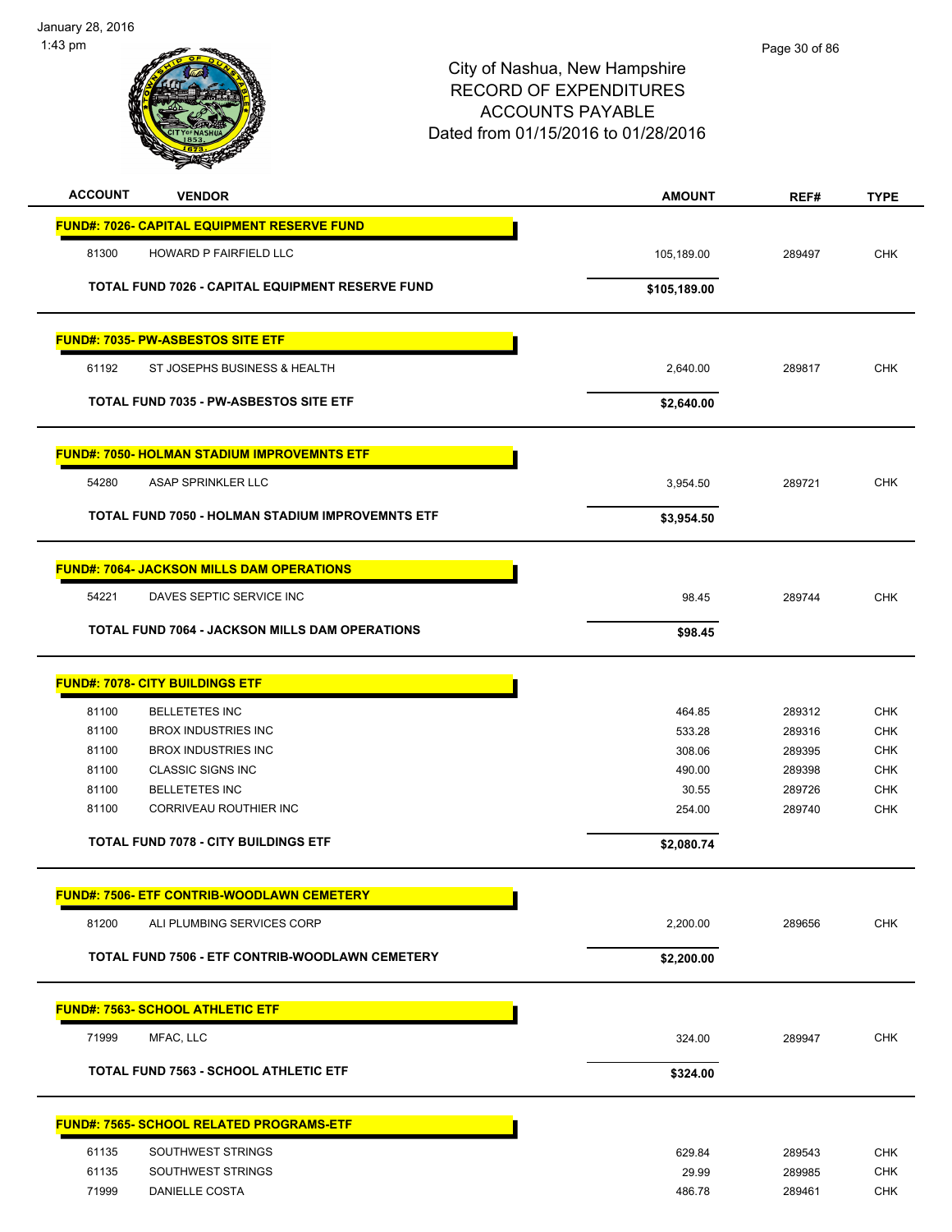

| <b>ACCOUNT</b> | <b>VENDOR</b>                                           | <b>AMOUNT</b> | REF#   | <b>TYPE</b> |
|----------------|---------------------------------------------------------|---------------|--------|-------------|
|                | FUND#: 7026- CAPITAL EQUIPMENT RESERVE FUND             |               |        |             |
| 81300          | HOWARD P FAIRFIELD LLC                                  | 105,189.00    | 289497 | <b>CHK</b>  |
|                |                                                         |               |        |             |
|                | TOTAL FUND 7026 - CAPITAL EQUIPMENT RESERVE FUND        | \$105,189.00  |        |             |
|                | <b>FUND#: 7035- PW-ASBESTOS SITE ETF</b>                |               |        |             |
| 61192          | ST JOSEPHS BUSINESS & HEALTH                            | 2,640.00      | 289817 | <b>CHK</b>  |
|                | <b>TOTAL FUND 7035 - PW-ASBESTOS SITE ETF</b>           | \$2,640.00    |        |             |
|                | <b>FUND#: 7050- HOLMAN STADIUM IMPROVEMNTS ETF</b>      |               |        |             |
| 54280          | ASAP SPRINKLER LLC                                      | 3,954.50      | 289721 | <b>CHK</b>  |
|                | <b>TOTAL FUND 7050 - HOLMAN STADIUM IMPROVEMNTS ETF</b> | \$3,954.50    |        |             |
|                | <u> FUND#: 7064- JACKSON MILLS DAM OPERATIONS</u>       |               |        |             |
| 54221          | DAVES SEPTIC SERVICE INC                                | 98.45         | 289744 | <b>CHK</b>  |
|                | <b>TOTAL FUND 7064 - JACKSON MILLS DAM OPERATIONS</b>   | \$98.45       |        |             |
|                |                                                         |               |        |             |
|                | <b>FUND#: 7078- CITY BUILDINGS ETF</b>                  |               |        |             |
| 81100          | <b>BELLETETES INC</b>                                   | 464.85        | 289312 | <b>CHK</b>  |
| 81100          | <b>BROX INDUSTRIES INC</b>                              | 533.28        | 289316 | <b>CHK</b>  |
| 81100          | <b>BROX INDUSTRIES INC</b>                              | 308.06        | 289395 | <b>CHK</b>  |
| 81100          | <b>CLASSIC SIGNS INC</b>                                | 490.00        | 289398 | <b>CHK</b>  |
| 81100          | <b>BELLETETES INC</b>                                   | 30.55         | 289726 | <b>CHK</b>  |
| 81100          | CORRIVEAU ROUTHIER INC                                  | 254.00        | 289740 | CHK         |
|                | <b>TOTAL FUND 7078 - CITY BUILDINGS ETF</b>             | \$2,080.74    |        |             |
|                | <u> FUND#: 7506- ETF CONTRIB-WOODLAWN CEMETERY</u>      |               |        |             |
| 81200          | ALI PLUMBING SERVICES CORP                              | 2,200.00      | 289656 | <b>CHK</b>  |
|                | TOTAL FUND 7506 - ETF CONTRIB-WOODLAWN CEMETERY         | \$2,200.00    |        |             |
|                | <b>FUND#: 7563- SCHOOL ATHLETIC ETF</b>                 |               |        |             |
| 71999          | MFAC, LLC                                               | 324.00        | 289947 | <b>CHK</b>  |
|                | <b>TOTAL FUND 7563 - SCHOOL ATHLETIC ETF</b>            | \$324.00      |        |             |
|                | <u> FUND#: 7565- SCHOOL RELATED PROGRAMS-ETF</u>        |               |        |             |
| 61135          | SOUTHWEST STRINGS                                       | 629.84        | 289543 | <b>CHK</b>  |
| 61135          | SOUTHWEST STRINGS                                       | 29.99         | 289985 | <b>CHK</b>  |
| 71999          | DANIELLE COSTA                                          | 486.78        | 289461 | <b>CHK</b>  |
|                |                                                         |               |        |             |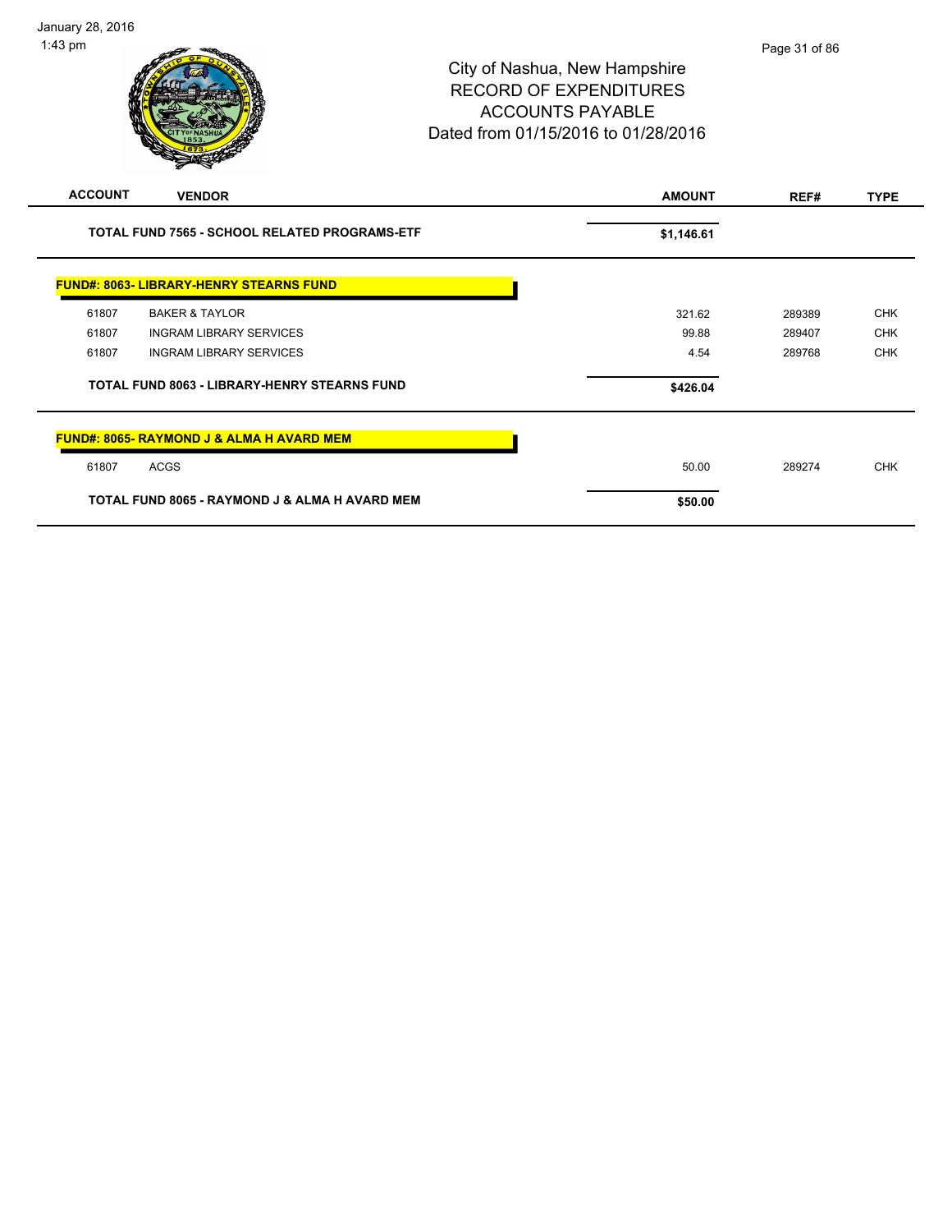| <b>ACCOUNT</b>                                       | <b>VENDOR</b>                                        | <b>AMOUNT</b> | REF#   | <b>TYPE</b> |
|------------------------------------------------------|------------------------------------------------------|---------------|--------|-------------|
| <b>TOTAL FUND 7565 - SCHOOL RELATED PROGRAMS-ETF</b> |                                                      | \$1,146.61    |        |             |
|                                                      | <b>FUND#: 8063- LIBRARY-HENRY STEARNS FUND</b>       |               |        |             |
| 61807                                                | <b>BAKER &amp; TAYLOR</b>                            | 321.62        | 289389 | <b>CHK</b>  |
| 61807                                                | <b>INGRAM LIBRARY SERVICES</b>                       | 99.88         | 289407 | <b>CHK</b>  |
| 61807                                                | <b>INGRAM LIBRARY SERVICES</b>                       | 4.54          | 289768 | <b>CHK</b>  |
| <b>TOTAL FUND 8063 - LIBRARY-HENRY STEARNS FUND</b>  |                                                      | \$426.04      |        |             |
|                                                      | <b>FUND#: 8065- RAYMOND J &amp; ALMA H AVARD MEM</b> |               |        |             |
| 61807                                                | <b>ACGS</b>                                          | 50.00         | 289274 | <b>CHK</b>  |
|                                                      | TOTAL FUND 8065 - RAYMOND J & ALMA H AVARD MEM       | \$50.00       |        |             |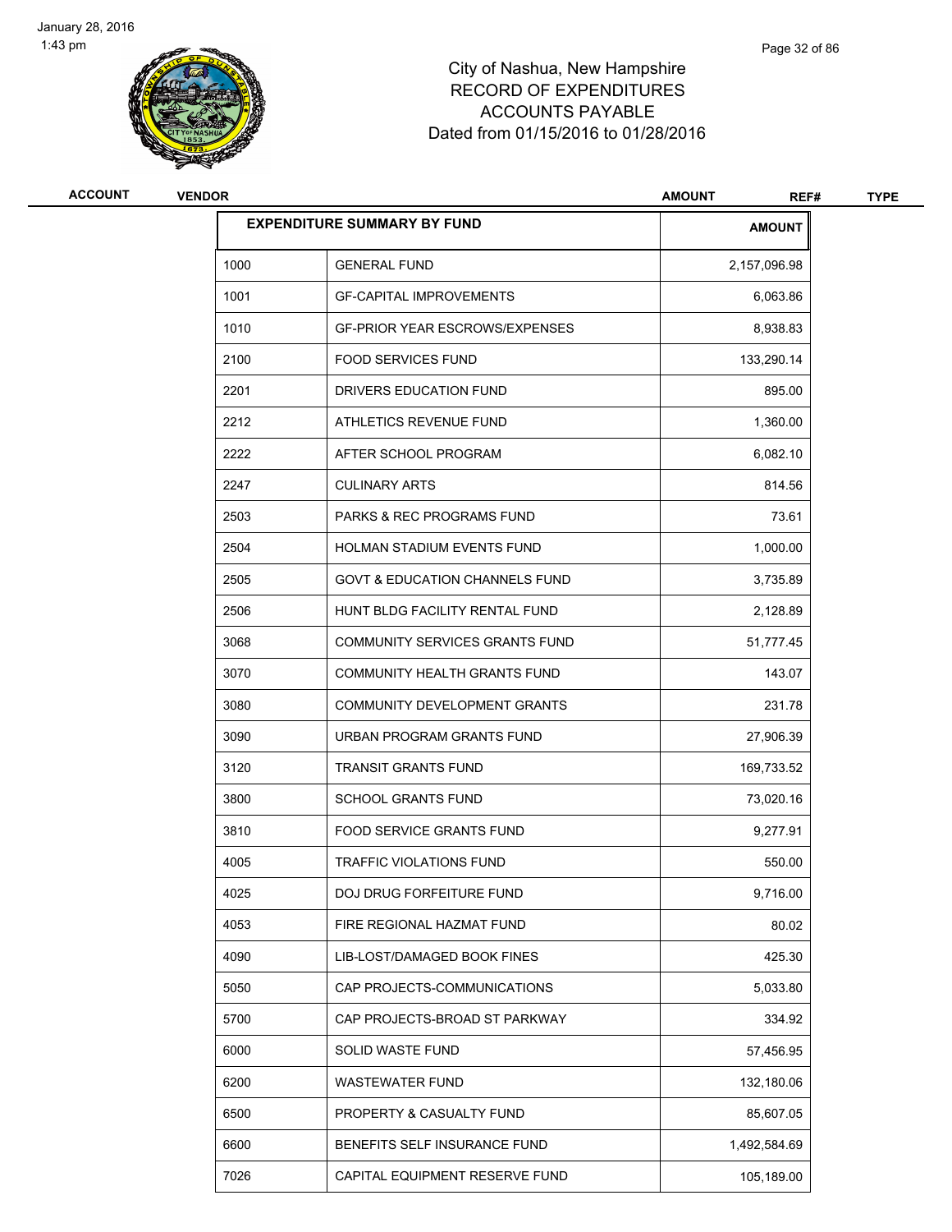

| <b>ACCOUNT</b> | <b>VENDOR</b> |                                           | <b>AMOUNT</b><br>REF# | <b>TYPE</b> |
|----------------|---------------|-------------------------------------------|-----------------------|-------------|
|                |               | <b>EXPENDITURE SUMMARY BY FUND</b>        | <b>AMOUNT</b>         |             |
|                | 1000          | <b>GENERAL FUND</b>                       | 2,157,096.98          |             |
|                | 1001          | <b>GF-CAPITAL IMPROVEMENTS</b>            | 6,063.86              |             |
|                | 1010          | <b>GF-PRIOR YEAR ESCROWS/EXPENSES</b>     | 8,938.83              |             |
|                | 2100          | <b>FOOD SERVICES FUND</b>                 | 133,290.14            |             |
|                | 2201          | DRIVERS EDUCATION FUND                    | 895.00                |             |
|                | 2212          | ATHLETICS REVENUE FUND                    | 1,360.00              |             |
|                | 2222          | AFTER SCHOOL PROGRAM                      | 6,082.10              |             |
|                | 2247          | <b>CULINARY ARTS</b>                      | 814.56                |             |
|                | 2503          | <b>PARKS &amp; REC PROGRAMS FUND</b>      | 73.61                 |             |
|                | 2504          | HOLMAN STADIUM EVENTS FUND                | 1,000.00              |             |
|                | 2505          | <b>GOVT &amp; EDUCATION CHANNELS FUND</b> | 3,735.89              |             |
|                | 2506          | HUNT BLDG FACILITY RENTAL FUND            | 2,128.89              |             |
|                | 3068          | COMMUNITY SERVICES GRANTS FUND            | 51,777.45             |             |
|                | 3070          | COMMUNITY HEALTH GRANTS FUND              | 143.07                |             |
|                | 3080          | COMMUNITY DEVELOPMENT GRANTS              | 231.78                |             |
|                | 3090          | URBAN PROGRAM GRANTS FUND                 | 27,906.39             |             |
|                | 3120          | <b>TRANSIT GRANTS FUND</b>                | 169,733.52            |             |
|                | 3800          | <b>SCHOOL GRANTS FUND</b>                 | 73,020.16             |             |
|                | 3810          | FOOD SERVICE GRANTS FUND                  | 9,277.91              |             |
|                | 4005          | <b>TRAFFIC VIOLATIONS FUND</b>            | 550.00                |             |
|                | 4025          | DOJ DRUG FORFEITURE FUND                  | 9,716.00              |             |
|                | 4053          | FIRE REGIONAL HAZMAT FUND                 | 80.02                 |             |
|                | 4090          | LIB-LOST/DAMAGED BOOK FINES               | 425.30                |             |
|                | 5050          | CAP PROJECTS-COMMUNICATIONS               | 5,033.80              |             |
|                | 5700          | CAP PROJECTS-BROAD ST PARKWAY             | 334.92                |             |
|                | 6000          | SOLID WASTE FUND                          | 57,456.95             |             |
|                | 6200          | <b>WASTEWATER FUND</b>                    | 132,180.06            |             |
|                | 6500          | PROPERTY & CASUALTY FUND                  | 85,607.05             |             |
|                | 6600          | BENEFITS SELF INSURANCE FUND              | 1,492,584.69          |             |
|                | 7026          | CAPITAL EQUIPMENT RESERVE FUND            | 105,189.00            |             |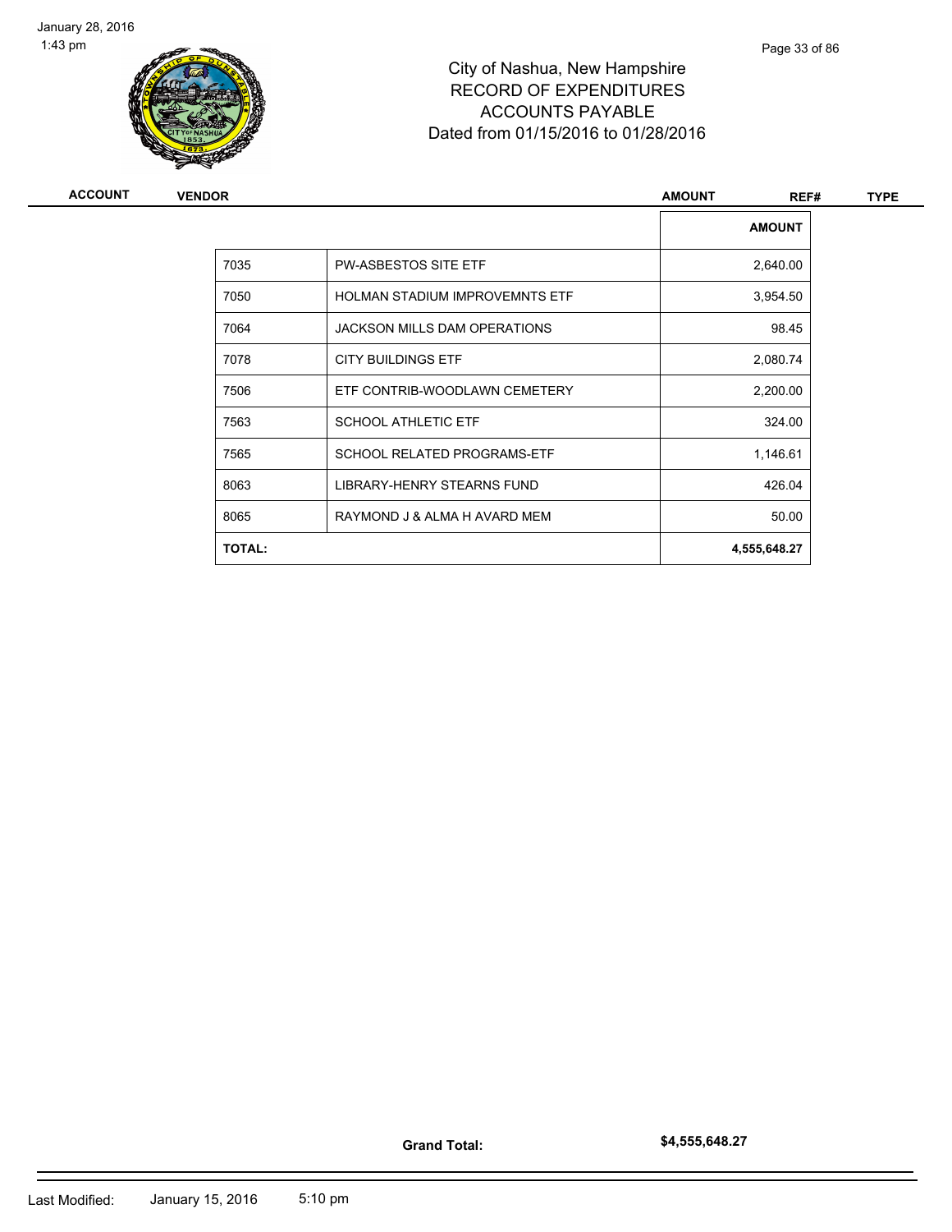

| <b>ACCOUNT</b> | <b>VENDOR</b> | <b>AMOUNT</b>                         | REF# | <b>TYPE</b>   |  |
|----------------|---------------|---------------------------------------|------|---------------|--|
|                |               |                                       |      | <b>AMOUNT</b> |  |
|                | 7035          | <b>PW-ASBESTOS SITE ETF</b>           |      | 2,640.00      |  |
|                | 7050          | <b>HOLMAN STADIUM IMPROVEMNTS ETF</b> |      | 3,954.50      |  |
|                | 7064          | <b>JACKSON MILLS DAM OPERATIONS</b>   |      | 98.45         |  |
|                | 7078          | <b>CITY BUILDINGS ETF</b>             |      | 2,080.74      |  |
|                | 7506          | ETF CONTRIB-WOODLAWN CEMETERY         |      | 2,200.00      |  |
|                | 7563          | <b>SCHOOL ATHLETIC ETF</b>            |      | 324.00        |  |
|                | 7565          | SCHOOL RELATED PROGRAMS-ETF           |      | 1,146.61      |  |
|                | 8063          | LIBRARY-HENRY STEARNS FUND            |      | 426.04        |  |
|                | 8065          | RAYMOND J & ALMA H AVARD MEM          |      | 50.00         |  |
|                | <b>TOTAL:</b> |                                       |      | 4,555,648.27  |  |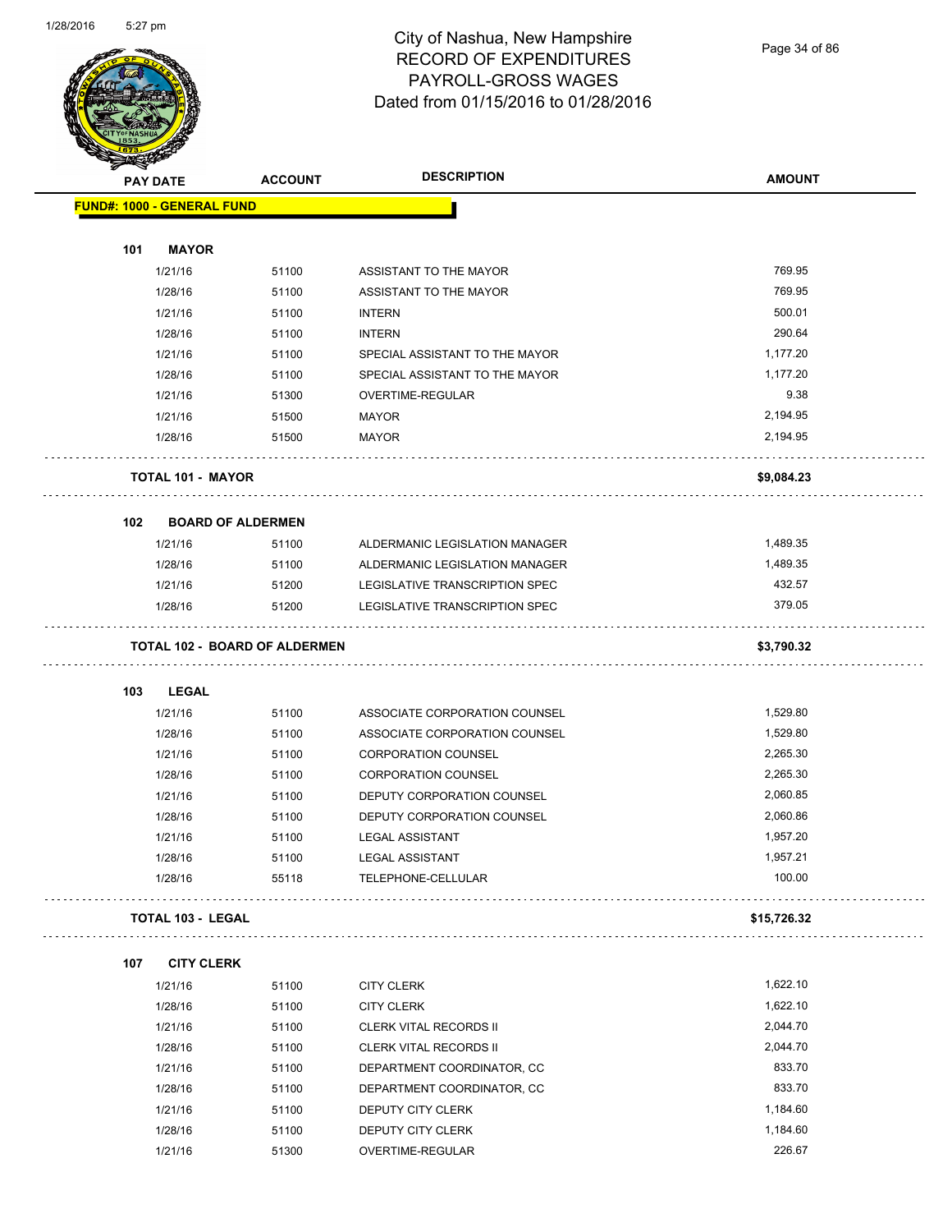

# City of Nashua, New Hampshire RECORD OF EXPENDITURES PAYROLL-GROSS WAGES Dated from 01/15/2016 to 01/28/2016

Page 34 of 86

|                                   | <b>PAY DATE</b>          | <b>ACCOUNT</b>                       | <b>DESCRIPTION</b>             | <b>AMOUNT</b> |
|-----------------------------------|--------------------------|--------------------------------------|--------------------------------|---------------|
| <b>FUND#: 1000 - GENERAL FUND</b> |                          |                                      |                                |               |
| 101                               | <b>MAYOR</b>             |                                      |                                |               |
|                                   | 1/21/16                  | 51100                                | ASSISTANT TO THE MAYOR         | 769.95        |
|                                   | 1/28/16                  | 51100                                | ASSISTANT TO THE MAYOR         | 769.95        |
|                                   | 1/21/16                  | 51100                                | <b>INTERN</b>                  | 500.01        |
|                                   | 1/28/16                  | 51100                                | <b>INTERN</b>                  | 290.64        |
|                                   | 1/21/16                  | 51100                                | SPECIAL ASSISTANT TO THE MAYOR | 1,177.20      |
|                                   | 1/28/16                  | 51100                                | SPECIAL ASSISTANT TO THE MAYOR | 1,177.20      |
|                                   | 1/21/16                  | 51300                                | OVERTIME-REGULAR               | 9.38          |
|                                   | 1/21/16                  | 51500                                | <b>MAYOR</b>                   | 2,194.95      |
|                                   | 1/28/16                  | 51500                                | <b>MAYOR</b>                   | 2,194.95      |
|                                   |                          | <b>TOTAL 101 - MAYOR</b>             |                                | \$9,084.23    |
| 102                               |                          | <b>BOARD OF ALDERMEN</b>             |                                |               |
|                                   | 1/21/16                  | 51100                                | ALDERMANIC LEGISLATION MANAGER | 1,489.35      |
|                                   | 1/28/16                  | 51100                                | ALDERMANIC LEGISLATION MANAGER | 1,489.35      |
|                                   | 1/21/16                  | 51200                                | LEGISLATIVE TRANSCRIPTION SPEC | 432.57        |
|                                   | 1/28/16                  | 51200                                | LEGISLATIVE TRANSCRIPTION SPEC | 379.05        |
|                                   |                          | <b>TOTAL 102 - BOARD OF ALDERMEN</b> |                                | \$3,790.32    |
| 103                               | <b>LEGAL</b>             |                                      |                                |               |
|                                   | 1/21/16                  | 51100                                | ASSOCIATE CORPORATION COUNSEL  | 1,529.80      |
|                                   | 1/28/16                  | 51100                                | ASSOCIATE CORPORATION COUNSEL  | 1,529.80      |
|                                   | 1/21/16                  | 51100                                | <b>CORPORATION COUNSEL</b>     | 2,265.30      |
|                                   | 1/28/16                  | 51100                                | <b>CORPORATION COUNSEL</b>     | 2,265.30      |
|                                   | 1/21/16                  | 51100                                | DEPUTY CORPORATION COUNSEL     | 2,060.85      |
|                                   | 1/28/16                  | 51100                                | DEPUTY CORPORATION COUNSEL     | 2,060.86      |
|                                   | 1/21/16                  | 51100                                | <b>LEGAL ASSISTANT</b>         | 1,957.20      |
|                                   | 1/28/16                  | 51100                                | <b>LEGAL ASSISTANT</b>         | 1,957.21      |
|                                   | 1/28/16                  | 55118                                | TELEPHONE-CELLULAR             | 100.00        |
|                                   | <b>TOTAL 103 - LEGAL</b> |                                      |                                | \$15,726.32   |
| 107                               |                          | <b>CITY CLERK</b>                    |                                |               |
|                                   | 1/21/16                  | 51100                                | <b>CITY CLERK</b>              | 1,622.10      |
|                                   | 1/28/16                  | 51100                                | <b>CITY CLERK</b>              | 1,622.10      |
|                                   | 1/21/16                  | 51100                                | <b>CLERK VITAL RECORDS II</b>  | 2,044.70      |
|                                   | 1/28/16                  | 51100                                | CLERK VITAL RECORDS II         | 2,044.70      |
|                                   | 1/21/16                  | 51100                                | DEPARTMENT COORDINATOR, CC     | 833.70        |
|                                   | 1/28/16                  | 51100                                | DEPARTMENT COORDINATOR, CC     | 833.70        |
|                                   | 1/21/16                  | 51100                                | DEPUTY CITY CLERK              | 1,184.60      |
|                                   | 1/28/16                  | 51100                                | DEPUTY CITY CLERK              | 1,184.60      |
|                                   | 1/21/16                  | 51300                                | OVERTIME-REGULAR               | 226.67        |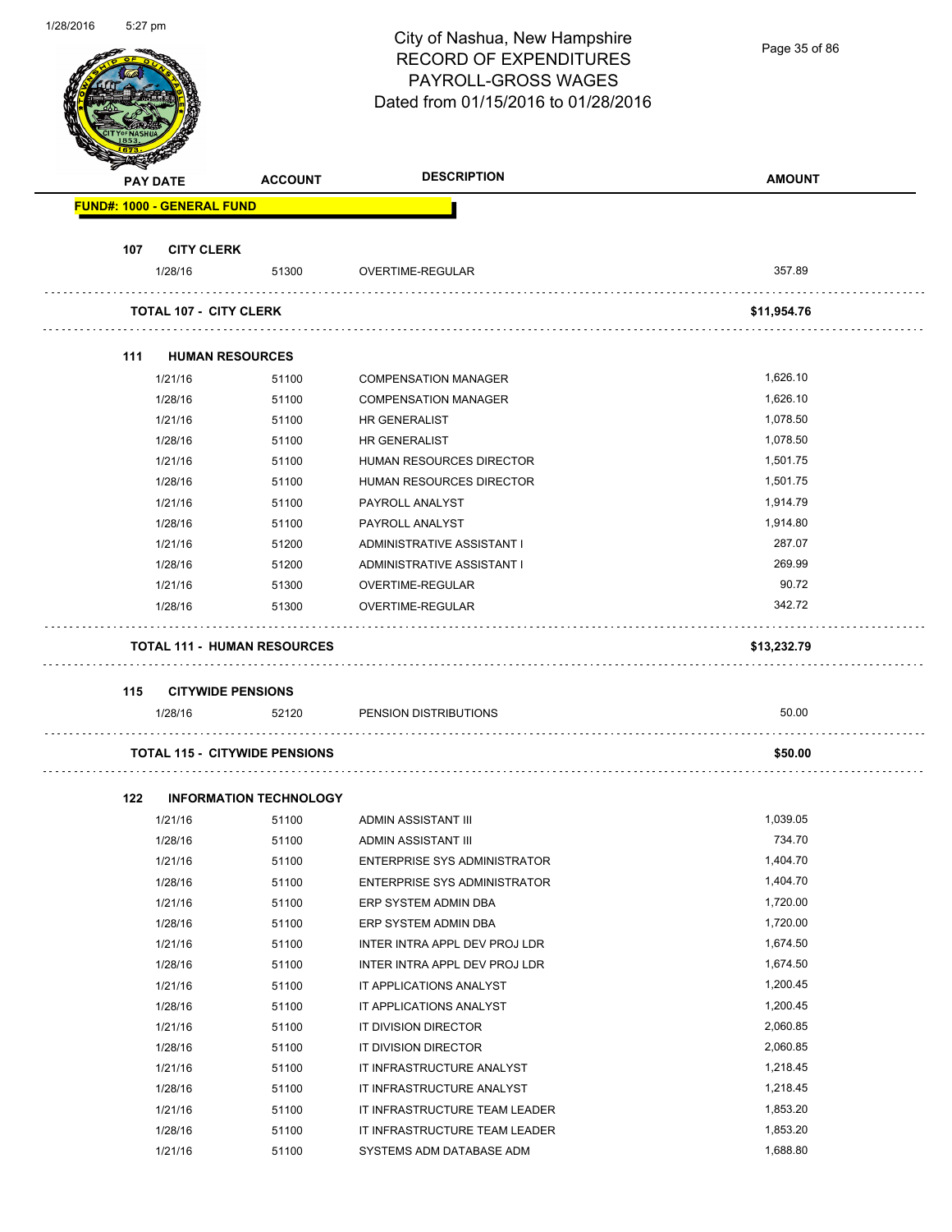| 1/28/2016 | 5:27 pm |                                      |                               | City of Nashua, New Hampshire<br><b>RECORD OF EXPENDITURES</b><br>PAYROLL-GROSS WAGES<br>Dated from 01/15/2016 to 01/28/2016 | Page 35 of 86 |
|-----------|---------|--------------------------------------|-------------------------------|------------------------------------------------------------------------------------------------------------------------------|---------------|
|           |         | PAY DATE                             | <b>ACCOUNT</b>                | <b>DESCRIPTION</b>                                                                                                           | <b>AMOUNT</b> |
|           |         | <b>FUND#: 1000 - GENERAL FUND</b>    |                               |                                                                                                                              |               |
|           |         |                                      |                               |                                                                                                                              |               |
|           | 107     | <b>CITY CLERK</b>                    |                               |                                                                                                                              |               |
|           |         | 1/28/16                              | 51300                         | OVERTIME-REGULAR                                                                                                             | 357.89        |
|           |         | <b>TOTAL 107 - CITY CLERK</b>        |                               |                                                                                                                              | \$11,954.76   |
|           |         |                                      |                               |                                                                                                                              |               |
|           | 111     | <b>HUMAN RESOURCES</b><br>1/21/16    | 51100                         |                                                                                                                              | 1,626.10      |
|           |         |                                      |                               | <b>COMPENSATION MANAGER</b>                                                                                                  | 1,626.10      |
|           |         | 1/28/16                              | 51100                         | <b>COMPENSATION MANAGER</b>                                                                                                  | 1,078.50      |
|           |         | 1/21/16                              | 51100                         | <b>HR GENERALIST</b>                                                                                                         |               |
|           |         | 1/28/16                              | 51100                         | HR GENERALIST                                                                                                                | 1,078.50      |
|           |         | 1/21/16                              | 51100                         | HUMAN RESOURCES DIRECTOR                                                                                                     | 1,501.75      |
|           |         | 1/28/16                              | 51100                         | HUMAN RESOURCES DIRECTOR                                                                                                     | 1,501.75      |
|           |         | 1/21/16                              | 51100                         | PAYROLL ANALYST                                                                                                              | 1,914.79      |
|           |         | 1/28/16                              | 51100                         | PAYROLL ANALYST                                                                                                              | 1,914.80      |
|           |         | 1/21/16                              | 51200                         | ADMINISTRATIVE ASSISTANT I                                                                                                   | 287.07        |
|           |         | 1/28/16                              | 51200                         | ADMINISTRATIVE ASSISTANT I                                                                                                   | 269.99        |
|           |         | 1/21/16                              | 51300                         | OVERTIME-REGULAR                                                                                                             | 90.72         |
|           |         | 1/28/16                              | 51300                         | OVERTIME-REGULAR                                                                                                             | 342.72        |
|           |         | <b>TOTAL 111 - HUMAN RESOURCES</b>   |                               |                                                                                                                              | \$13,232.79   |
|           | 115     | <b>CITYWIDE PENSIONS</b>             |                               |                                                                                                                              |               |
|           |         | 1/28/16                              | 52120                         | PENSION DISTRIBUTIONS                                                                                                        | 50.00         |
|           |         |                                      |                               |                                                                                                                              |               |
|           |         | <b>TOTAL 115 - CITYWIDE PENSIONS</b> |                               |                                                                                                                              | \$50.00       |
|           | 122     |                                      | <b>INFORMATION TECHNOLOGY</b> |                                                                                                                              |               |
|           |         | 1/21/16                              | 51100                         | ADMIN ASSISTANT III                                                                                                          | 1,039.05      |
|           |         | 1/28/16                              | 51100                         | ADMIN ASSISTANT III                                                                                                          | 734.70        |
|           |         | 1/21/16                              | 51100                         | <b>ENTERPRISE SYS ADMINISTRATOR</b>                                                                                          | 1,404.70      |
|           |         | 1/28/16                              | 51100                         | <b>ENTERPRISE SYS ADMINISTRATOR</b>                                                                                          | 1,404.70      |
|           |         | 1/21/16                              | 51100                         | ERP SYSTEM ADMIN DBA                                                                                                         | 1,720.00      |
|           |         | 1/28/16                              | 51100                         | ERP SYSTEM ADMIN DBA                                                                                                         | 1,720.00      |
|           |         | 1/21/16                              | 51100                         | INTER INTRA APPL DEV PROJ LDR                                                                                                | 1,674.50      |
|           |         | 1/28/16                              | 51100                         | INTER INTRA APPL DEV PROJ LDR                                                                                                | 1,674.50      |
|           |         | 1/21/16                              | 51100                         | IT APPLICATIONS ANALYST                                                                                                      | 1,200.45      |
|           |         | 1/28/16                              | 51100                         | IT APPLICATIONS ANALYST                                                                                                      | 1,200.45      |
|           |         | 1/21/16                              | 51100                         | IT DIVISION DIRECTOR                                                                                                         | 2,060.85      |
|           |         | 1/28/16                              | 51100                         | IT DIVISION DIRECTOR                                                                                                         | 2,060.85      |
|           |         | 1/21/16                              | 51100                         | IT INFRASTRUCTURE ANALYST                                                                                                    | 1,218.45      |
|           |         | 1/28/16                              | 51100                         | IT INFRASTRUCTURE ANALYST                                                                                                    | 1,218.45      |
|           |         | 1/21/16                              | 51100                         | IT INFRASTRUCTURE TEAM LEADER                                                                                                | 1,853.20      |
|           |         | 1/28/16                              | 51100                         | IT INFRASTRUCTURE TEAM LEADER                                                                                                | 1,853.20      |

1/21/16 51100 SYSTEMS ADM DATABASE ADM 17688.80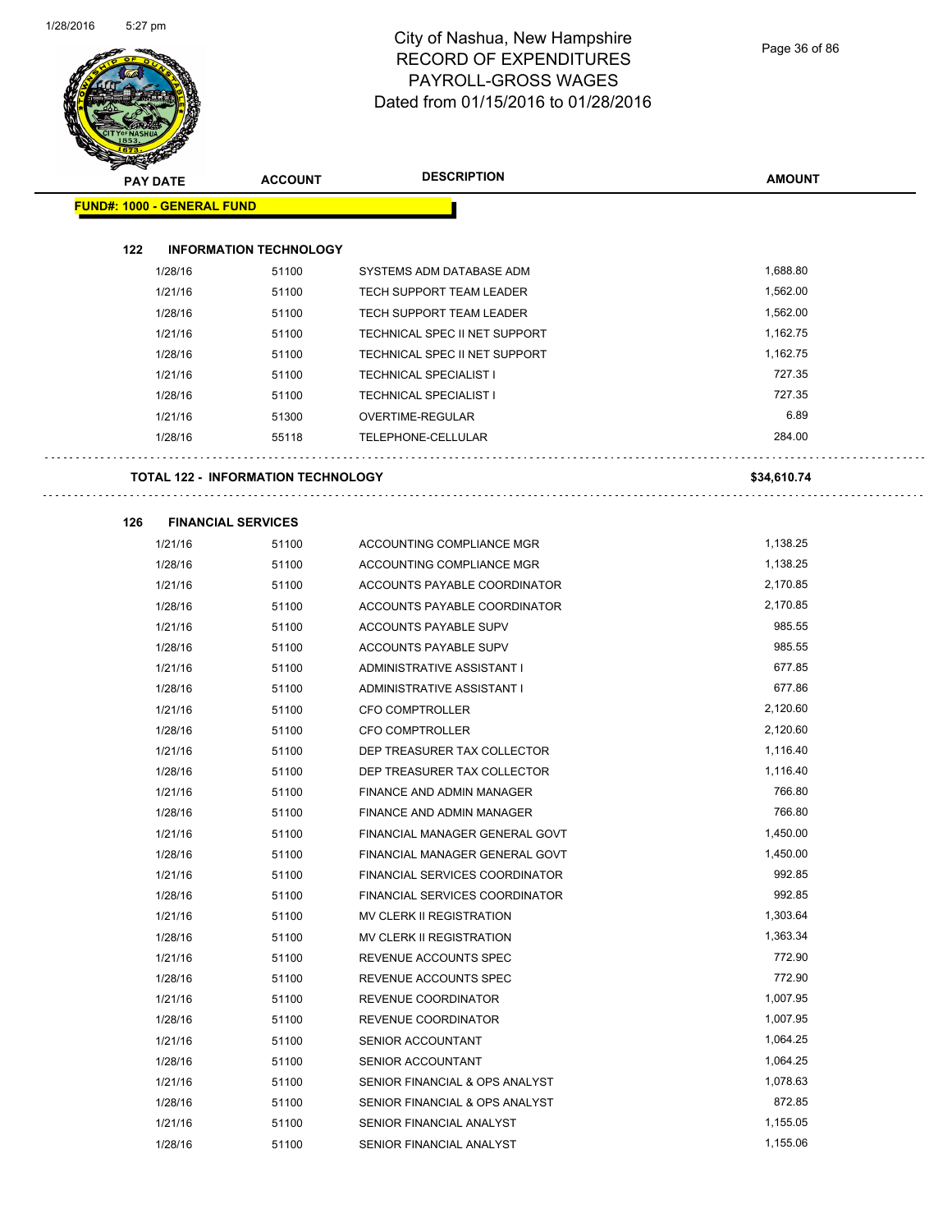

#### City of Nashua, New Hampshire RECORD OF EXPENDITURES PAYROLL-GROSS WAGES Dated from 01/15/2016 to 01/28/2016

Page 36 of 86

| $\blacktriangle$ .<br><b>PAY DATE</b> | <b>ACCOUNT</b>                            | <b>DESCRIPTION</b>               | <b>AMOUNT</b> |
|---------------------------------------|-------------------------------------------|----------------------------------|---------------|
| <b>FUND#: 1000 - GENERAL FUND</b>     |                                           |                                  |               |
|                                       |                                           |                                  |               |
| 122                                   | <b>INFORMATION TECHNOLOGY</b>             |                                  |               |
| 1/28/16                               | 51100                                     | SYSTEMS ADM DATABASE ADM         | 1,688.80      |
| 1/21/16                               | 51100                                     | TECH SUPPORT TEAM LEADER         | 1,562.00      |
| 1/28/16                               | 51100                                     | <b>TECH SUPPORT TEAM LEADER</b>  | 1,562.00      |
| 1/21/16                               | 51100                                     | TECHNICAL SPEC II NET SUPPORT    | 1,162.75      |
| 1/28/16                               | 51100                                     | TECHNICAL SPEC II NET SUPPORT    | 1,162.75      |
| 1/21/16                               | 51100                                     | <b>TECHNICAL SPECIALIST I</b>    | 727.35        |
| 1/28/16                               | 51100                                     | <b>TECHNICAL SPECIALIST I</b>    | 727.35        |
| 1/21/16                               | 51300                                     | OVERTIME-REGULAR                 | 6.89          |
| 1/28/16                               | 55118                                     | TELEPHONE-CELLULAR               | 284.00        |
|                                       | <b>TOTAL 122 - INFORMATION TECHNOLOGY</b> |                                  | \$34,610.74   |
| 126                                   | <b>FINANCIAL SERVICES</b>                 |                                  |               |
| 1/21/16                               | 51100                                     | ACCOUNTING COMPLIANCE MGR        | 1,138.25      |
| 1/28/16                               | 51100                                     | ACCOUNTING COMPLIANCE MGR        | 1,138.25      |
| 1/21/16                               | 51100                                     | ACCOUNTS PAYABLE COORDINATOR     | 2,170.85      |
| 1/28/16                               | 51100                                     | ACCOUNTS PAYABLE COORDINATOR     | 2,170.85      |
| 1/21/16                               | 51100                                     | ACCOUNTS PAYABLE SUPV            | 985.55        |
| 1/28/16                               | 51100                                     | ACCOUNTS PAYABLE SUPV            | 985.55        |
| 1/21/16                               | 51100                                     | ADMINISTRATIVE ASSISTANT I       | 677.85        |
| 1/28/16                               | 51100                                     | ADMINISTRATIVE ASSISTANT I       | 677.86        |
| 1/21/16                               | 51100                                     | <b>CFO COMPTROLLER</b>           | 2,120.60      |
| 1/28/16                               | 51100                                     | <b>CFO COMPTROLLER</b>           | 2,120.60      |
| 1/21/16                               | 51100                                     | DEP TREASURER TAX COLLECTOR      | 1,116.40      |
| 1/28/16                               | 51100                                     | DEP TREASURER TAX COLLECTOR      | 1,116.40      |
| 1/21/16                               | 51100                                     | FINANCE AND ADMIN MANAGER        | 766.80        |
| 1/28/16                               | 51100                                     | <b>FINANCE AND ADMIN MANAGER</b> | 766.80        |
| 1/21/16                               | 51100                                     | FINANCIAL MANAGER GENERAL GOVT   | 1,450.00      |
| 1/28/16                               | 51100                                     | FINANCIAL MANAGER GENERAL GOVT   | 1,450.00      |
| 1/21/16                               | 51100                                     | FINANCIAL SERVICES COORDINATOR   | 992.85        |
| 1/28/16                               | 51100                                     | FINANCIAL SERVICES COORDINATOR   | 992.85        |
| 1/21/16                               | 51100                                     | MV CLERK II REGISTRATION         | 1,303.64      |
| 1/28/16                               | 51100                                     | MV CLERK II REGISTRATION         | 1,363.34      |
| 1/21/16                               | 51100                                     | REVENUE ACCOUNTS SPEC            | 772.90        |
| 1/28/16                               | 51100                                     | REVENUE ACCOUNTS SPEC            | 772.90        |
| 1/21/16                               | 51100                                     | REVENUE COORDINATOR              | 1,007.95      |
| 1/28/16                               | 51100                                     | REVENUE COORDINATOR              | 1,007.95      |
| 1/21/16                               | 51100                                     | SENIOR ACCOUNTANT                | 1,064.25      |
| 1/28/16                               | 51100                                     | SENIOR ACCOUNTANT                | 1,064.25      |
| 1/21/16                               | 51100                                     | SENIOR FINANCIAL & OPS ANALYST   | 1,078.63      |
| 1/28/16                               | 51100                                     | SENIOR FINANCIAL & OPS ANALYST   | 872.85        |
| 1/21/16                               | 51100                                     | SENIOR FINANCIAL ANALYST         | 1,155.05      |
| 1/28/16                               | 51100                                     | SENIOR FINANCIAL ANALYST         | 1,155.06      |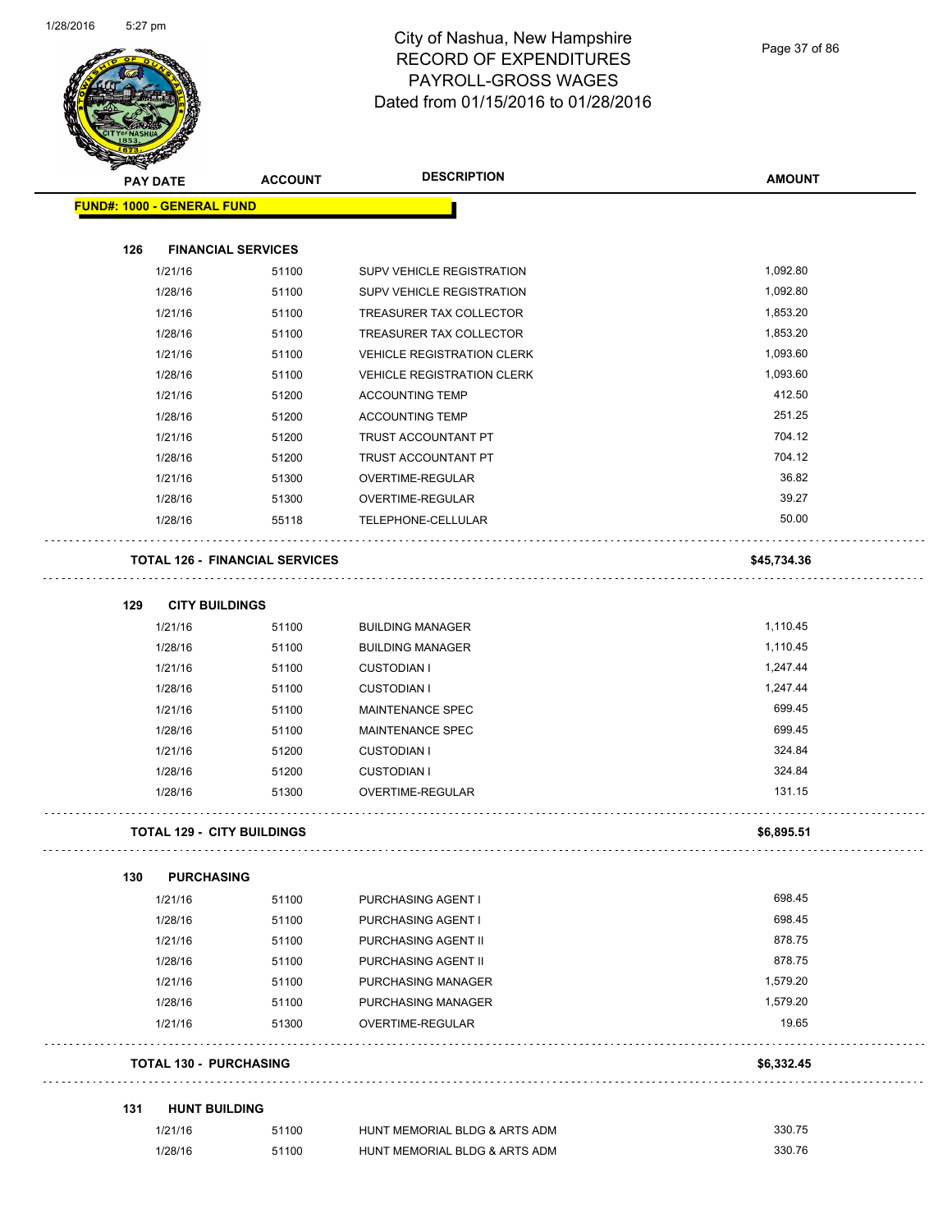

Page 37 of 86

|                                   | <b>PAY DATE</b> | <b>ACCOUNT</b>                        | <b>DESCRIPTION</b>                | <b>AMOUNT</b> |
|-----------------------------------|-----------------|---------------------------------------|-----------------------------------|---------------|
| <b>FUND#: 1000 - GENERAL FUND</b> |                 |                                       |                                   |               |
|                                   |                 |                                       |                                   |               |
| 126                               |                 | <b>FINANCIAL SERVICES</b>             |                                   |               |
|                                   | 1/21/16         | 51100                                 | SUPV VEHICLE REGISTRATION         | 1,092.80      |
|                                   | 1/28/16         | 51100                                 | SUPV VEHICLE REGISTRATION         | 1,092.80      |
|                                   | 1/21/16         | 51100                                 | TREASURER TAX COLLECTOR           | 1,853.20      |
|                                   | 1/28/16         | 51100                                 | TREASURER TAX COLLECTOR           | 1,853.20      |
|                                   | 1/21/16         | 51100                                 | <b>VEHICLE REGISTRATION CLERK</b> | 1,093.60      |
|                                   | 1/28/16         | 51100                                 | <b>VEHICLE REGISTRATION CLERK</b> | 1,093.60      |
|                                   | 1/21/16         | 51200                                 | <b>ACCOUNTING TEMP</b>            | 412.50        |
|                                   | 1/28/16         | 51200                                 | <b>ACCOUNTING TEMP</b>            | 251.25        |
|                                   | 1/21/16         | 51200                                 | TRUST ACCOUNTANT PT               | 704.12        |
|                                   | 1/28/16         | 51200                                 | TRUST ACCOUNTANT PT               | 704.12        |
|                                   | 1/21/16         | 51300                                 | OVERTIME-REGULAR                  | 36.82         |
|                                   | 1/28/16         | 51300                                 | OVERTIME-REGULAR                  | 39.27         |
|                                   | 1/28/16         | 55118                                 | TELEPHONE-CELLULAR                | 50.00         |
|                                   |                 | <b>TOTAL 126 - FINANCIAL SERVICES</b> |                                   | \$45,734.36   |
| 129                               |                 | <b>CITY BUILDINGS</b>                 |                                   |               |
|                                   | 1/21/16         | 51100                                 | <b>BUILDING MANAGER</b>           | 1,110.45      |
|                                   | 1/28/16         | 51100                                 | <b>BUILDING MANAGER</b>           | 1,110.45      |
|                                   | 1/21/16         | 51100                                 | <b>CUSTODIAN I</b>                | 1,247.44      |
|                                   | 1/28/16         | 51100                                 | <b>CUSTODIAN I</b>                | 1,247.44      |
|                                   | 1/21/16         | 51100                                 | MAINTENANCE SPEC                  | 699.45        |
|                                   | 1/28/16         | 51100                                 | MAINTENANCE SPEC                  | 699.45        |
|                                   | 1/21/16         | 51200                                 | <b>CUSTODIAN I</b>                | 324.84        |
|                                   | 1/28/16         | 51200                                 | <b>CUSTODIAN I</b>                | 324.84        |
|                                   | 1/28/16         | 51300                                 | <b>OVERTIME-REGULAR</b>           | 131.15        |
|                                   |                 | <b>TOTAL 129 - CITY BUILDINGS</b>     |                                   | \$6,895.51    |
| 130                               |                 | <b>PURCHASING</b>                     |                                   |               |
|                                   | 1/21/16         | 51100                                 | PURCHASING AGENT I                | 698.45        |
|                                   | 1/28/16         | 51100                                 | PURCHASING AGENT I                | 698.45        |
|                                   | 1/21/16         | 51100                                 | PURCHASING AGENT II               | 878.75        |
|                                   | 1/28/16         | 51100                                 | PURCHASING AGENT II               | 878.75        |
|                                   | 1/21/16         | 51100                                 | PURCHASING MANAGER                | 1,579.20      |
|                                   | 1/28/16         | 51100                                 | PURCHASING MANAGER                | 1,579.20      |
|                                   | 1/21/16         | 51300                                 | OVERTIME-REGULAR                  | 19.65         |
|                                   |                 | <b>TOTAL 130 - PURCHASING</b>         |                                   | \$6,332.45    |
| 131                               |                 | <b>HUNT BUILDING</b>                  |                                   |               |
|                                   | 1/21/16         | 51100                                 | HUNT MEMORIAL BLDG & ARTS ADM     | 330.75        |
|                                   | 1/28/16         | 51100                                 | HUNT MEMORIAL BLDG & ARTS ADM     | 330.76        |
|                                   |                 |                                       |                                   |               |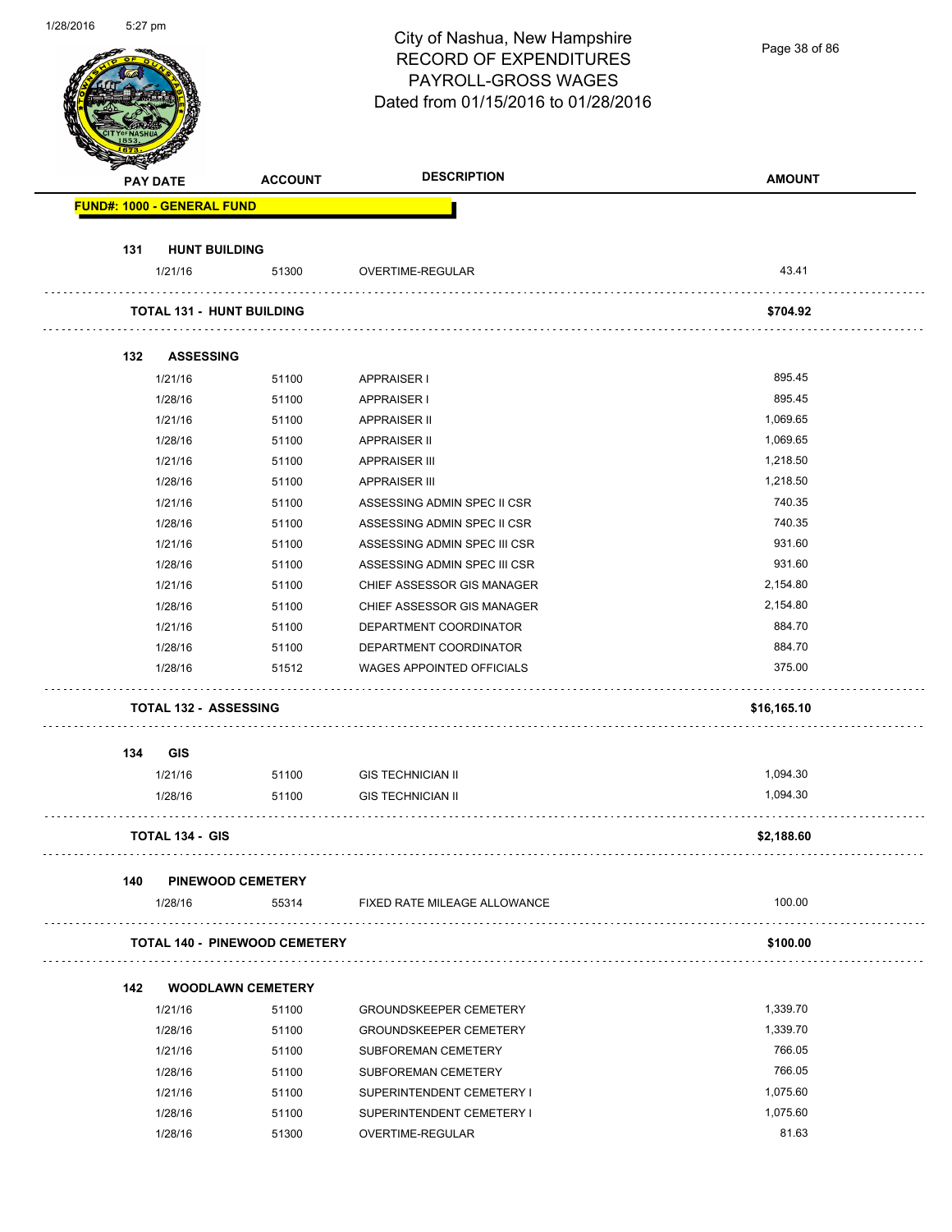| 1/28/2016 | 5:27 pm         |                                   |                                      | City of Nashua, New Hampshire<br><b>RECORD OF EXPENDITURES</b><br>PAYROLL-GROSS WAGES<br>Dated from 01/15/2016 to 01/28/2016 | Page 38 of 86 |
|-----------|-----------------|-----------------------------------|--------------------------------------|------------------------------------------------------------------------------------------------------------------------------|---------------|
|           | <b>PAY DATE</b> |                                   | <b>ACCOUNT</b>                       | <b>DESCRIPTION</b>                                                                                                           | <b>AMOUNT</b> |
|           |                 | <b>FUND#: 1000 - GENERAL FUND</b> |                                      |                                                                                                                              |               |
|           |                 |                                   |                                      |                                                                                                                              |               |
|           | 131             | <b>HUNT BUILDING</b>              |                                      |                                                                                                                              |               |
|           |                 | 1/21/16                           | 51300                                | OVERTIME-REGULAR                                                                                                             | 43.41         |
|           |                 |                                   | <b>TOTAL 131 - HUNT BUILDING</b>     |                                                                                                                              | \$704.92      |
|           | 132             | <b>ASSESSING</b>                  |                                      |                                                                                                                              |               |
|           |                 | 1/21/16                           | 51100                                | <b>APPRAISER I</b>                                                                                                           | 895.45        |
|           |                 | 1/28/16                           | 51100                                | <b>APPRAISER I</b>                                                                                                           | 895.45        |
|           |                 | 1/21/16                           | 51100                                | <b>APPRAISER II</b>                                                                                                          | 1,069.65      |
|           |                 | 1/28/16                           | 51100                                | <b>APPRAISER II</b>                                                                                                          | 1,069.65      |
|           |                 | 1/21/16                           | 51100                                | <b>APPRAISER III</b>                                                                                                         | 1,218.50      |
|           |                 | 1/28/16                           | 51100                                | <b>APPRAISER III</b>                                                                                                         | 1,218.50      |
|           |                 | 1/21/16                           | 51100                                | ASSESSING ADMIN SPEC II CSR                                                                                                  | 740.35        |
|           |                 | 1/28/16                           | 51100                                | ASSESSING ADMIN SPEC II CSR                                                                                                  | 740.35        |
|           |                 | 1/21/16                           | 51100                                | ASSESSING ADMIN SPEC III CSR                                                                                                 | 931.60        |
|           |                 | 1/28/16                           | 51100                                | ASSESSING ADMIN SPEC III CSR                                                                                                 | 931.60        |
|           |                 | 1/21/16                           | 51100                                | CHIEF ASSESSOR GIS MANAGER                                                                                                   | 2,154.80      |
|           |                 | 1/28/16                           | 51100                                | CHIEF ASSESSOR GIS MANAGER                                                                                                   | 2,154.80      |
|           |                 | 1/21/16                           | 51100                                | DEPARTMENT COORDINATOR                                                                                                       | 884.70        |
|           |                 | 1/28/16                           | 51100                                | DEPARTMENT COORDINATOR                                                                                                       | 884.70        |
|           |                 | 1/28/16                           | 51512                                | WAGES APPOINTED OFFICIALS                                                                                                    | 375.00        |
|           |                 |                                   | <b>TOTAL 132 - ASSESSING</b>         |                                                                                                                              | \$16,165.10   |
|           |                 |                                   |                                      |                                                                                                                              |               |
|           | 134             | <b>GIS</b><br>1/21/16             | 51100                                | <b>GIS TECHNICIAN II</b>                                                                                                     | 1,094.30      |
|           |                 | 1/28/16                           | 51100                                | <b>GIS TECHNICIAN II</b>                                                                                                     | 1,094.30      |
|           |                 | <b>TOTAL 134 - GIS</b>            |                                      |                                                                                                                              | \$2,188.60    |
|           |                 |                                   |                                      |                                                                                                                              |               |
|           | 140             |                                   | <b>PINEWOOD CEMETERY</b>             |                                                                                                                              |               |
|           |                 | 1/28/16                           | 55314                                | FIXED RATE MILEAGE ALLOWANCE                                                                                                 | 100.00        |
|           |                 |                                   | <b>TOTAL 140 - PINEWOOD CEMETERY</b> |                                                                                                                              | \$100.00      |
|           | 142             |                                   | <b>WOODLAWN CEMETERY</b>             |                                                                                                                              |               |
|           |                 | 1/21/16                           | 51100                                | <b>GROUNDSKEEPER CEMETERY</b>                                                                                                | 1,339.70      |
|           |                 | 1/28/16                           | 51100                                | <b>GROUNDSKEEPER CEMETERY</b>                                                                                                | 1,339.70      |
|           |                 | 1/21/16                           | 51100                                | SUBFOREMAN CEMETERY                                                                                                          | 766.05        |
|           |                 | 1/28/16                           | 51100                                | SUBFOREMAN CEMETERY                                                                                                          | 766.05        |
|           |                 | 1/21/16                           | 51100                                | SUPERINTENDENT CEMETERY I                                                                                                    | 1,075.60      |
|           |                 | 1/28/16                           | 51100                                | SUPERINTENDENT CEMETERY I                                                                                                    | 1,075.60      |
|           |                 | 1/28/16                           | 51300                                | OVERTIME-REGULAR                                                                                                             | 81.63         |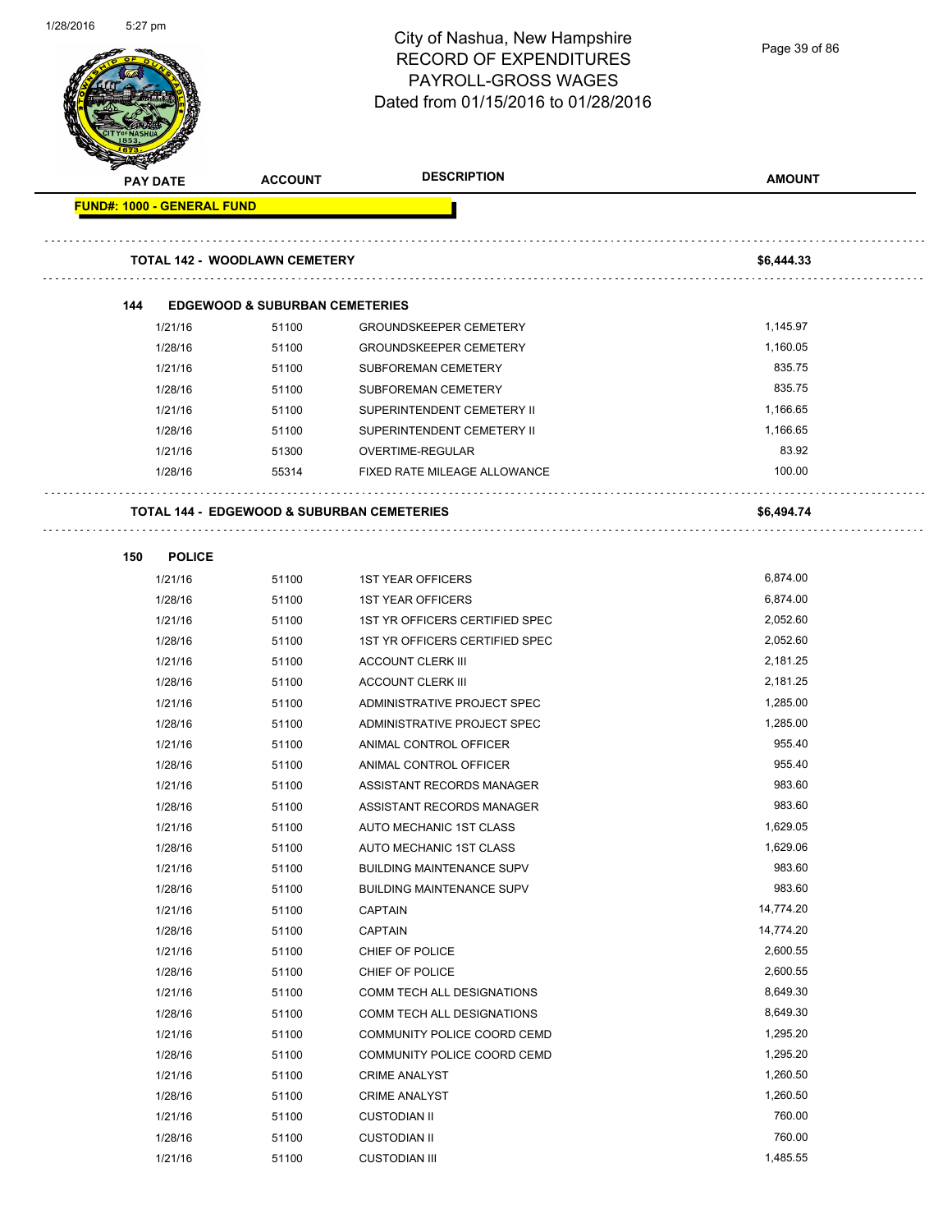| 1/28/2016 | 5:27 pm |                            |                                                       | City of Nashua, New Hampshire<br><b>RECORD OF EXPENDITURES</b><br>PAYROLL-GROSS WAGES<br>Dated from 01/15/2016 to 01/28/2016 | Page 39 of 86    |
|-----------|---------|----------------------------|-------------------------------------------------------|------------------------------------------------------------------------------------------------------------------------------|------------------|
|           |         | <b>PAY DATE</b>            | <b>ACCOUNT</b>                                        | <b>DESCRIPTION</b>                                                                                                           | <b>AMOUNT</b>    |
|           |         | FUND#: 1000 - GENERAL FUND |                                                       |                                                                                                                              |                  |
|           |         |                            |                                                       |                                                                                                                              |                  |
|           |         |                            | <b>TOTAL 142 - WOODLAWN CEMETERY</b>                  |                                                                                                                              | \$6,444.33       |
|           | 144     |                            | <b>EDGEWOOD &amp; SUBURBAN CEMETERIES</b>             |                                                                                                                              |                  |
|           |         | 1/21/16                    | 51100                                                 | <b>GROUNDSKEEPER CEMETERY</b>                                                                                                | 1,145.97         |
|           |         | 1/28/16                    | 51100                                                 | <b>GROUNDSKEEPER CEMETERY</b>                                                                                                | 1,160.05         |
|           |         | 1/21/16                    | 51100                                                 | <b>SUBFOREMAN CEMETERY</b>                                                                                                   | 835.75           |
|           |         | 1/28/16                    | 51100                                                 | SUBFOREMAN CEMETERY                                                                                                          | 835.75           |
|           |         | 1/21/16                    | 51100                                                 | SUPERINTENDENT CEMETERY II                                                                                                   | 1,166.65         |
|           |         | 1/28/16                    | 51100                                                 | SUPERINTENDENT CEMETERY II                                                                                                   | 1,166.65         |
|           |         | 1/21/16                    | 51300                                                 | OVERTIME-REGULAR                                                                                                             | 83.92            |
|           |         | 1/28/16                    | 55314                                                 | FIXED RATE MILEAGE ALLOWANCE                                                                                                 | 100.00           |
|           |         |                            | <b>TOTAL 144 - EDGEWOOD &amp; SUBURBAN CEMETERIES</b> |                                                                                                                              | \$6,494.74       |
|           |         |                            |                                                       |                                                                                                                              |                  |
|           | 150     | <b>POLICE</b>              |                                                       |                                                                                                                              |                  |
|           |         | 1/21/16                    | 51100                                                 | <b>1ST YEAR OFFICERS</b>                                                                                                     | 6,874.00         |
|           |         | 1/28/16                    | 51100                                                 | <b>1ST YEAR OFFICERS</b>                                                                                                     | 6,874.00         |
|           |         | 1/21/16                    | 51100                                                 | 1ST YR OFFICERS CERTIFIED SPEC                                                                                               | 2,052.60         |
|           |         | 1/28/16                    | 51100                                                 | 1ST YR OFFICERS CERTIFIED SPEC                                                                                               | 2,052.60         |
|           |         | 1/21/16                    | 51100                                                 | <b>ACCOUNT CLERK III</b>                                                                                                     | 2,181.25         |
|           |         | 1/28/16                    | 51100                                                 | <b>ACCOUNT CLERK III</b>                                                                                                     | 2,181.25         |
|           |         | 1/21/16                    | 51100                                                 | ADMINISTRATIVE PROJECT SPEC                                                                                                  | 1,285.00         |
|           |         | 1/28/16                    | 51100                                                 | ADMINISTRATIVE PROJECT SPEC                                                                                                  | 1,285.00         |
|           |         | 1/21/16                    | 51100                                                 | ANIMAL CONTROL OFFICER                                                                                                       | 955.40           |
|           |         | 1/28/16                    | 51100                                                 | ANIMAL CONTROL OFFICER                                                                                                       | 955.40           |
|           |         | 1/21/16                    | 51100                                                 | ASSISTANT RECORDS MANAGER                                                                                                    | 983.60           |
|           |         | 1/28/16                    | 51100                                                 | ASSISTANT RECORDS MANAGER                                                                                                    | 983.60           |
|           |         | 1/21/16                    | 51100                                                 | AUTO MECHANIC 1ST CLASS                                                                                                      | 1,629.05         |
|           |         | 1/28/16                    | 51100                                                 | AUTO MECHANIC 1ST CLASS                                                                                                      | 1,629.06         |
|           |         | 1/21/16                    | 51100                                                 | <b>BUILDING MAINTENANCE SUPV</b>                                                                                             | 983.60<br>983.60 |
|           |         | 1/28/16                    | 51100                                                 | <b>BUILDING MAINTENANCE SUPV</b><br><b>CAPTAIN</b>                                                                           | 14,774.20        |
|           |         | 1/21/16                    | 51100                                                 | <b>CAPTAIN</b>                                                                                                               | 14,774.20        |
|           |         | 1/28/16<br>1/21/16         | 51100                                                 | CHIEF OF POLICE                                                                                                              | 2,600.55         |
|           |         | 1/28/16                    | 51100<br>51100                                        | CHIEF OF POLICE                                                                                                              | 2,600.55         |
|           |         | 1/21/16                    | 51100                                                 | COMM TECH ALL DESIGNATIONS                                                                                                   | 8,649.30         |
|           |         | 1/28/16                    | 51100                                                 | COMM TECH ALL DESIGNATIONS                                                                                                   | 8,649.30         |
|           |         | 1/21/16                    | 51100                                                 | COMMUNITY POLICE COORD CEMD                                                                                                  | 1,295.20         |
|           |         | 1/28/16                    | 51100                                                 | COMMUNITY POLICE COORD CEMD                                                                                                  | 1,295.20         |
|           |         | 1/21/16                    | 51100                                                 | <b>CRIME ANALYST</b>                                                                                                         | 1,260.50         |
|           |         | 1/28/16                    | 51100                                                 | <b>CRIME ANALYST</b>                                                                                                         | 1,260.50         |
|           |         | 1/21/16                    | 51100                                                 | <b>CUSTODIAN II</b>                                                                                                          | 760.00           |
|           |         | 1/28/16                    | 51100                                                 | <b>CUSTODIAN II</b>                                                                                                          | 760.00           |
|           |         | 1/21/16                    | 51100                                                 | <b>CUSTODIAN III</b>                                                                                                         | 1,485.55         |
|           |         |                            |                                                       |                                                                                                                              |                  |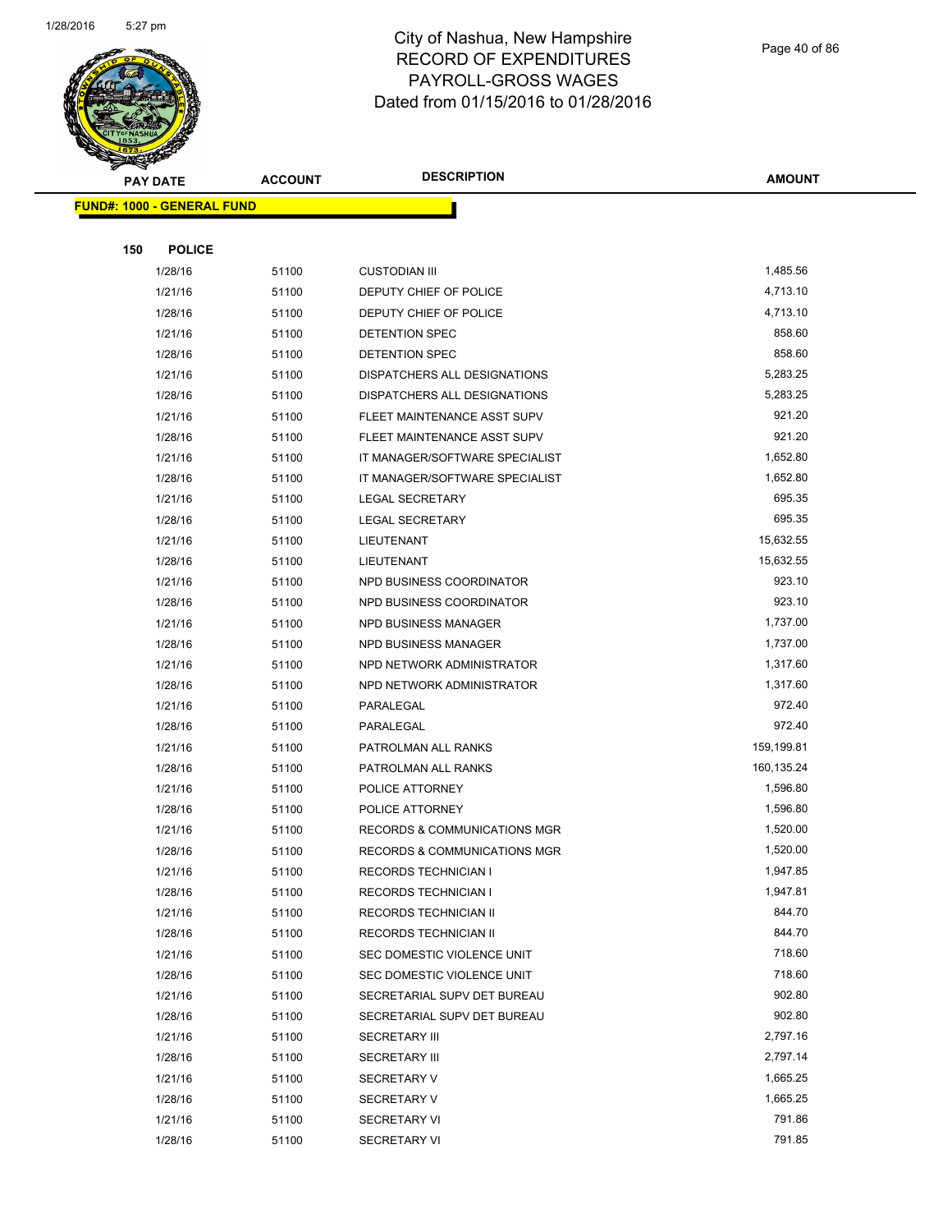

Page 40 of 86

| <b>PAY DATE</b>                   | <b>ACCOUNT</b> | <b>DESCRIPTION</b>                           | <b>AMOUNT</b>    |
|-----------------------------------|----------------|----------------------------------------------|------------------|
| <b>FUND#: 1000 - GENERAL FUND</b> |                |                                              |                  |
|                                   |                |                                              |                  |
| <b>POLICE</b><br>150              |                |                                              |                  |
| 1/28/16                           | 51100          | <b>CUSTODIAN III</b>                         | 1,485.56         |
| 1/21/16                           | 51100          | DEPUTY CHIEF OF POLICE                       | 4,713.10         |
| 1/28/16                           | 51100          | DEPUTY CHIEF OF POLICE                       | 4,713.10         |
| 1/21/16                           | 51100          | DETENTION SPEC                               | 858.60           |
| 1/28/16                           | 51100          | DETENTION SPEC                               | 858.60           |
| 1/21/16                           | 51100          | DISPATCHERS ALL DESIGNATIONS                 | 5,283.25         |
| 1/28/16                           | 51100          | DISPATCHERS ALL DESIGNATIONS                 | 5,283.25         |
| 1/21/16                           | 51100          | FLEET MAINTENANCE ASST SUPV                  | 921.20           |
| 1/28/16                           | 51100          | FLEET MAINTENANCE ASST SUPV                  | 921.20           |
| 1/21/16                           | 51100          | IT MANAGER/SOFTWARE SPECIALIST               | 1,652.80         |
| 1/28/16                           | 51100          | IT MANAGER/SOFTWARE SPECIALIST               | 1,652.80         |
| 1/21/16                           | 51100          | LEGAL SECRETARY                              | 695.35           |
| 1/28/16                           | 51100          | <b>LEGAL SECRETARY</b>                       | 695.35           |
| 1/21/16                           | 51100          | LIEUTENANT                                   | 15,632.55        |
| 1/28/16                           | 51100          | LIEUTENANT                                   | 15,632.55        |
| 1/21/16                           | 51100          | NPD BUSINESS COORDINATOR                     | 923.10           |
| 1/28/16                           | 51100          | NPD BUSINESS COORDINATOR                     | 923.10           |
| 1/21/16                           | 51100          | NPD BUSINESS MANAGER                         | 1,737.00         |
| 1/28/16                           | 51100          | NPD BUSINESS MANAGER                         | 1,737.00         |
| 1/21/16                           | 51100          | NPD NETWORK ADMINISTRATOR                    | 1,317.60         |
| 1/28/16                           | 51100          | NPD NETWORK ADMINISTRATOR                    | 1,317.60         |
| 1/21/16                           | 51100          | PARALEGAL                                    | 972.40           |
| 1/28/16                           | 51100          | PARALEGAL                                    | 972.40           |
| 1/21/16                           | 51100          | PATROLMAN ALL RANKS                          | 159,199.81       |
| 1/28/16                           | 51100          | PATROLMAN ALL RANKS                          | 160,135.24       |
| 1/21/16                           | 51100          | POLICE ATTORNEY                              | 1,596.80         |
| 1/28/16                           | 51100          | POLICE ATTORNEY                              | 1,596.80         |
| 1/21/16                           | 51100          | RECORDS & COMMUNICATIONS MGR                 | 1,520.00         |
| 1/28/16                           | 51100          | RECORDS & COMMUNICATIONS MGR                 | 1,520.00         |
| 1/21/16                           | 51100          | RECORDS TECHNICIAN I                         | 1,947.85         |
| 1/28/16                           | 51100          | <b>RECORDS TECHNICIAN I</b>                  | 1,947.81         |
| 1/21/16                           | 51100          | RECORDS TECHNICIAN II                        | 844.70           |
| 1/28/16                           | 51100          | RECORDS TECHNICIAN II                        | 844.70           |
| 1/21/16                           | 51100          | SEC DOMESTIC VIOLENCE UNIT                   | 718.60           |
| 1/28/16                           | 51100          | SEC DOMESTIC VIOLENCE UNIT                   | 718.60           |
| 1/21/16                           | 51100          | SECRETARIAL SUPV DET BUREAU                  | 902.80<br>902.80 |
| 1/28/16<br>1/21/16                | 51100<br>51100 | SECRETARIAL SUPV DET BUREAU                  | 2,797.16         |
| 1/28/16                           | 51100          | <b>SECRETARY III</b><br><b>SECRETARY III</b> | 2,797.14         |
| 1/21/16                           | 51100          | <b>SECRETARY V</b>                           | 1,665.25         |
| 1/28/16                           | 51100          | <b>SECRETARY V</b>                           | 1,665.25         |
| 1/21/16                           | 51100          | <b>SECRETARY VI</b>                          | 791.86           |
| 1/28/16                           | 51100          | <b>SECRETARY VI</b>                          | 791.85           |
|                                   |                |                                              |                  |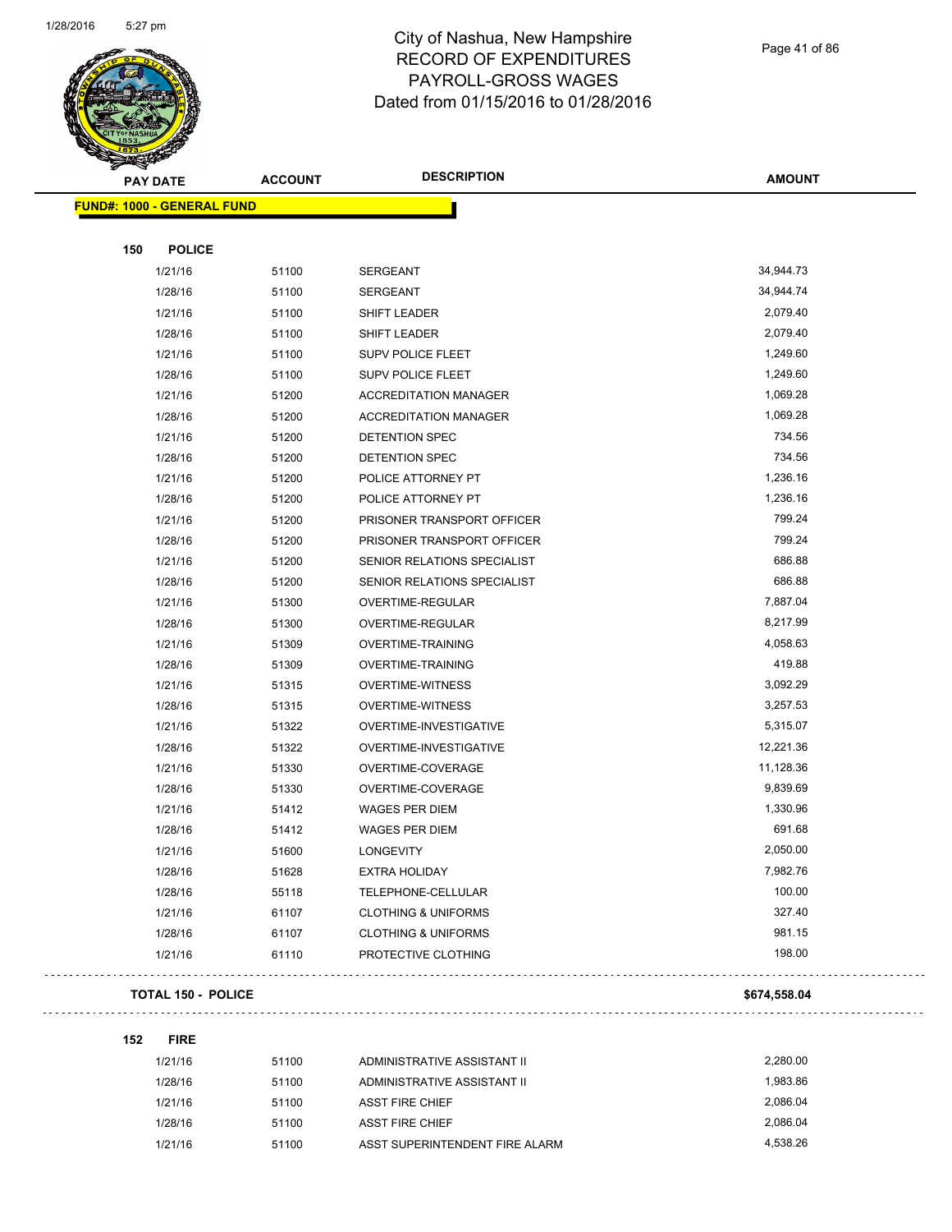

Page 41 of 86

| ॼ<br><b>PAY DATE</b>              | <b>ACCOUNT</b> | <b>DESCRIPTION</b>             | <b>AMOUNT</b> |
|-----------------------------------|----------------|--------------------------------|---------------|
| <b>FUND#: 1000 - GENERAL FUND</b> |                |                                |               |
|                                   |                |                                |               |
| 150<br><b>POLICE</b>              |                |                                |               |
| 1/21/16                           | 51100          | SERGEANT                       | 34,944.73     |
| 1/28/16                           | 51100          | <b>SERGEANT</b>                | 34,944.74     |
| 1/21/16                           | 51100          | SHIFT LEADER                   | 2,079.40      |
| 1/28/16                           | 51100          | SHIFT LEADER                   | 2,079.40      |
| 1/21/16                           | 51100          | <b>SUPV POLICE FLEET</b>       | 1,249.60      |
| 1/28/16                           | 51100          | SUPV POLICE FLEET              | 1,249.60      |
| 1/21/16                           | 51200          | <b>ACCREDITATION MANAGER</b>   | 1,069.28      |
| 1/28/16                           | 51200          | <b>ACCREDITATION MANAGER</b>   | 1,069.28      |
| 1/21/16                           | 51200          | DETENTION SPEC                 | 734.56        |
| 1/28/16                           | 51200          | DETENTION SPEC                 | 734.56        |
| 1/21/16                           | 51200          | POLICE ATTORNEY PT             | 1,236.16      |
| 1/28/16                           | 51200          | POLICE ATTORNEY PT             | 1,236.16      |
| 1/21/16                           | 51200          | PRISONER TRANSPORT OFFICER     | 799.24        |
| 1/28/16                           | 51200          | PRISONER TRANSPORT OFFICER     | 799.24        |
| 1/21/16                           | 51200          | SENIOR RELATIONS SPECIALIST    | 686.88        |
| 1/28/16                           | 51200          | SENIOR RELATIONS SPECIALIST    | 686.88        |
| 1/21/16                           | 51300          | OVERTIME-REGULAR               | 7,887.04      |
| 1/28/16                           | 51300          | OVERTIME-REGULAR               | 8,217.99      |
| 1/21/16                           | 51309          | <b>OVERTIME-TRAINING</b>       | 4,058.63      |
| 1/28/16                           | 51309          | <b>OVERTIME-TRAINING</b>       | 419.88        |
| 1/21/16                           | 51315          | <b>OVERTIME-WITNESS</b>        | 3,092.29      |
| 1/28/16                           | 51315          | <b>OVERTIME-WITNESS</b>        | 3,257.53      |
| 1/21/16                           | 51322          | OVERTIME-INVESTIGATIVE         | 5,315.07      |
| 1/28/16                           | 51322          | OVERTIME-INVESTIGATIVE         | 12,221.36     |
| 1/21/16                           | 51330          | OVERTIME-COVERAGE              | 11,128.36     |
| 1/28/16                           | 51330          | OVERTIME-COVERAGE              | 9,839.69      |
| 1/21/16                           | 51412          | <b>WAGES PER DIEM</b>          | 1,330.96      |
| 1/28/16                           | 51412          | WAGES PER DIEM                 | 691.68        |
| 1/21/16                           | 51600          | LONGEVITY                      | 2,050.00      |
| 1/28/16                           | 51628          | EXTRA HOLIDAY                  | 7,982.76      |
| 1/28/16                           | 55118          | TELEPHONE-CELLULAR             | 100.00        |
| 1/21/16                           | 61107          | <b>CLOTHING &amp; UNIFORMS</b> | 327.40        |
| 1/28/16                           | 61107          | <b>CLOTHING &amp; UNIFORMS</b> | 981.15        |
| 1/21/16                           | 61110          | PROTECTIVE CLOTHING            | 198.00        |
|                                   |                |                                |               |

#### **TOTAL 150 - POLICE** \$674,558.04

. . . . . . . . . . . . . . . . . . .

 $\mathbb{R}^2$ 

| 152 | <b>FIRE</b> |       |                                |          |
|-----|-------------|-------|--------------------------------|----------|
|     | 1/21/16     | 51100 | ADMINISTRATIVE ASSISTANT II    | 2.280.00 |
|     | 1/28/16     | 51100 | ADMINISTRATIVE ASSISTANT II    | 1.983.86 |
|     | 1/21/16     | 51100 | <b>ASST FIRE CHIEF</b>         | 2.086.04 |
|     | 1/28/16     | 51100 | <b>ASST FIRE CHIEF</b>         | 2.086.04 |
|     | 1/21/16     | 51100 | ASST SUPERINTENDENT FIRE ALARM | 4.538.26 |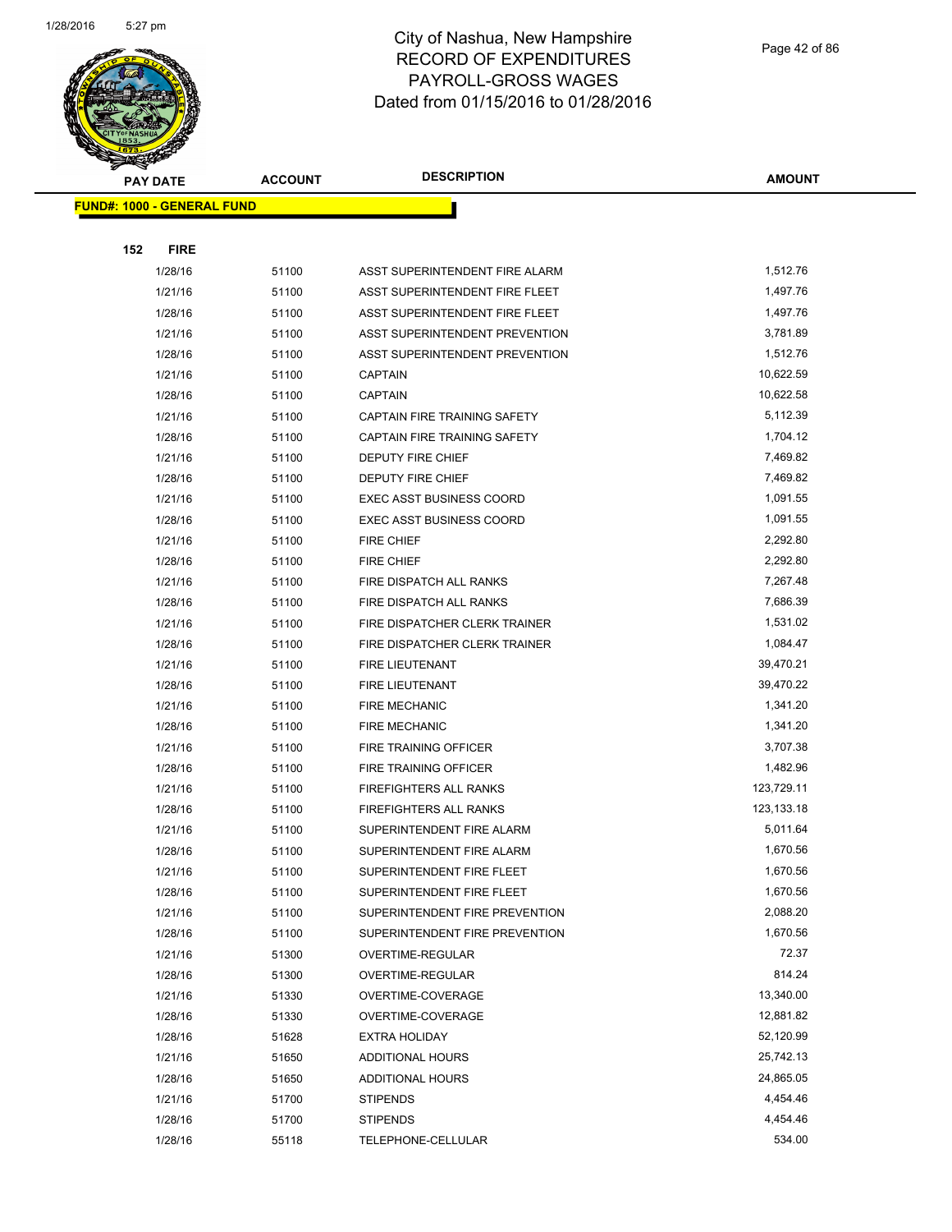

|     | <b>PAY DATE</b>                   | <b>ACCOUNT</b> | <b>DESCRIPTION</b>                        | <b>AMOUNT</b>          |
|-----|-----------------------------------|----------------|-------------------------------------------|------------------------|
|     | <b>FUND#: 1000 - GENERAL FUND</b> |                |                                           |                        |
|     |                                   |                |                                           |                        |
| 152 | <b>FIRE</b>                       |                |                                           |                        |
|     | 1/28/16                           | 51100          | ASST SUPERINTENDENT FIRE ALARM            | 1,512.76               |
|     | 1/21/16                           | 51100          | ASST SUPERINTENDENT FIRE FLEET            | 1,497.76               |
|     | 1/28/16                           | 51100          | ASST SUPERINTENDENT FIRE FLEET            | 1,497.76               |
|     | 1/21/16                           | 51100          | ASST SUPERINTENDENT PREVENTION            | 3,781.89               |
|     | 1/28/16                           | 51100          | ASST SUPERINTENDENT PREVENTION            | 1,512.76               |
|     | 1/21/16                           | 51100          | <b>CAPTAIN</b>                            | 10,622.59              |
|     | 1/28/16                           | 51100          | <b>CAPTAIN</b>                            | 10,622.58              |
|     | 1/21/16                           | 51100          | CAPTAIN FIRE TRAINING SAFETY              | 5,112.39               |
|     | 1/28/16                           | 51100          | CAPTAIN FIRE TRAINING SAFETY              | 1,704.12               |
|     | 1/21/16                           | 51100          | <b>DEPUTY FIRE CHIEF</b>                  | 7,469.82               |
|     | 1/28/16                           | 51100          | DEPUTY FIRE CHIEF                         | 7,469.82               |
|     | 1/21/16                           | 51100          | EXEC ASST BUSINESS COORD                  | 1,091.55               |
|     | 1/28/16                           | 51100          | <b>EXEC ASST BUSINESS COORD</b>           | 1,091.55               |
|     | 1/21/16                           | 51100          | FIRE CHIEF                                | 2,292.80               |
|     | 1/28/16                           | 51100          | <b>FIRE CHIEF</b>                         | 2,292.80               |
|     | 1/21/16                           | 51100          | FIRE DISPATCH ALL RANKS                   | 7,267.48               |
|     | 1/28/16                           | 51100          | FIRE DISPATCH ALL RANKS                   | 7,686.39               |
|     | 1/21/16                           | 51100          | FIRE DISPATCHER CLERK TRAINER             | 1,531.02               |
|     | 1/28/16                           | 51100          | FIRE DISPATCHER CLERK TRAINER             | 1,084.47               |
|     | 1/21/16                           | 51100          | FIRE LIEUTENANT                           | 39,470.21              |
|     | 1/28/16                           | 51100          | <b>FIRE LIEUTENANT</b>                    | 39,470.22              |
|     | 1/21/16                           | 51100          | <b>FIRE MECHANIC</b>                      | 1,341.20               |
|     | 1/28/16                           | 51100          | <b>FIRE MECHANIC</b>                      | 1,341.20               |
|     | 1/21/16                           | 51100          | FIRE TRAINING OFFICER                     | 3,707.38               |
|     | 1/28/16                           | 51100          | FIRE TRAINING OFFICER                     | 1,482.96               |
|     | 1/21/16                           | 51100          | FIREFIGHTERS ALL RANKS                    | 123,729.11             |
|     | 1/28/16                           | 51100          | FIREFIGHTERS ALL RANKS                    | 123,133.18             |
|     | 1/21/16                           | 51100          | SUPERINTENDENT FIRE ALARM                 | 5,011.64               |
|     | 1/28/16                           | 51100          | SUPERINTENDENT FIRE ALARM                 | 1,670.56               |
|     | 1/21/16                           | 51100          | SUPERINTENDENT FIRE FLEET                 | 1,670.56               |
|     | 1/28/16                           | 51100          | SUPERINTENDENT FIRE FLEET                 | 1,670.56               |
|     | 1/21/16                           | 51100          | SUPERINTENDENT FIRE PREVENTION            | 2,088.20               |
|     | 1/28/16                           | 51100          | SUPERINTENDENT FIRE PREVENTION            | 1,670.56               |
|     | 1/21/16                           | 51300          | OVERTIME-REGULAR                          | 72.37                  |
|     | 1/28/16                           | 51300          | OVERTIME-REGULAR                          | 814.24                 |
|     | 1/21/16                           | 51330          | OVERTIME-COVERAGE                         | 13,340.00              |
|     | 1/28/16                           | 51330          | OVERTIME-COVERAGE<br><b>EXTRA HOLIDAY</b> | 12,881.82<br>52,120.99 |
|     | 1/28/16                           | 51628          |                                           | 25,742.13              |
|     | 1/21/16                           | 51650          | ADDITIONAL HOURS                          | 24,865.05              |
|     | 1/28/16<br>1/21/16                | 51650<br>51700 | ADDITIONAL HOURS<br><b>STIPENDS</b>       | 4,454.46               |
|     | 1/28/16                           | 51700          | <b>STIPENDS</b>                           | 4,454.46               |
|     | 1/28/16                           | 55118          | TELEPHONE-CELLULAR                        | 534.00                 |
|     |                                   |                |                                           |                        |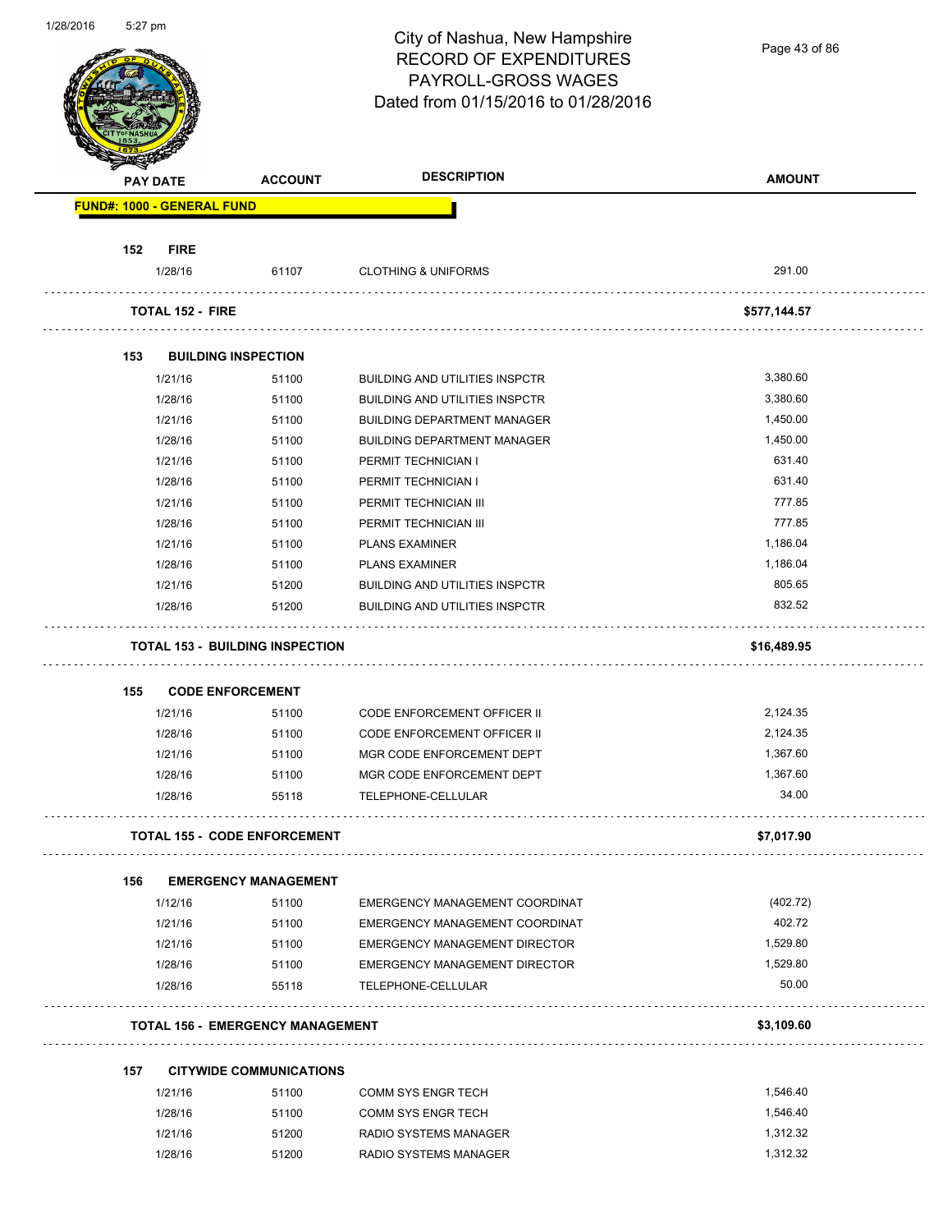| 1/28/2016 | 5:27 pm |                                   |                                         | City of Nashua, New Hampshire<br><b>RECORD OF EXPENDITURES</b><br>PAYROLL-GROSS WAGES<br>Dated from 01/15/2016 to 01/28/2016 | Page 43 of 86 |
|-----------|---------|-----------------------------------|-----------------------------------------|------------------------------------------------------------------------------------------------------------------------------|---------------|
|           |         | <b>PAY DATE</b>                   | <b>ACCOUNT</b>                          | <b>DESCRIPTION</b>                                                                                                           | <b>AMOUNT</b> |
|           |         | <b>FUND#: 1000 - GENERAL FUND</b> |                                         |                                                                                                                              |               |
|           | 152     | <b>FIRE</b>                       |                                         |                                                                                                                              |               |
|           |         | 1/28/16                           | 61107                                   | <b>CLOTHING &amp; UNIFORMS</b>                                                                                               | 291.00        |
|           |         | <b>TOTAL 152 - FIRE</b>           |                                         |                                                                                                                              | \$577,144.57  |
|           | 153     |                                   | <b>BUILDING INSPECTION</b>              |                                                                                                                              |               |
|           |         | 1/21/16                           | 51100                                   | <b>BUILDING AND UTILITIES INSPCTR</b>                                                                                        | 3,380.60      |
|           |         | 1/28/16                           | 51100                                   | <b>BUILDING AND UTILITIES INSPCTR</b>                                                                                        | 3,380.60      |
|           |         | 1/21/16                           | 51100                                   | <b>BUILDING DEPARTMENT MANAGER</b>                                                                                           | 1,450.00      |
|           |         | 1/28/16                           | 51100                                   | <b>BUILDING DEPARTMENT MANAGER</b>                                                                                           | 1,450.00      |
|           |         | 1/21/16                           | 51100                                   | PERMIT TECHNICIAN I                                                                                                          | 631.40        |
|           |         | 1/28/16                           | 51100                                   | PERMIT TECHNICIAN I                                                                                                          | 631.40        |
|           |         | 1/21/16                           | 51100                                   | PERMIT TECHNICIAN III                                                                                                        | 777.85        |
|           |         | 1/28/16                           | 51100                                   | PERMIT TECHNICIAN III                                                                                                        | 777.85        |
|           |         | 1/21/16                           | 51100                                   | <b>PLANS EXAMINER</b>                                                                                                        | 1,186.04      |
|           |         | 1/28/16                           | 51100                                   | <b>PLANS EXAMINER</b>                                                                                                        | 1,186.04      |
|           |         | 1/21/16                           | 51200                                   | <b>BUILDING AND UTILITIES INSPCTR</b>                                                                                        | 805.65        |
|           |         | 1/28/16                           | 51200                                   | <b>BUILDING AND UTILITIES INSPCTR</b>                                                                                        | 832.52        |
|           |         |                                   | <b>TOTAL 153 - BUILDING INSPECTION</b>  |                                                                                                                              | \$16,489.95   |
|           | 155     |                                   | <b>CODE ENFORCEMENT</b>                 |                                                                                                                              |               |
|           |         | 1/21/16                           | 51100                                   | CODE ENFORCEMENT OFFICER II                                                                                                  | 2,124.35      |
|           |         | 1/28/16                           | 51100                                   | CODE ENFORCEMENT OFFICER II                                                                                                  | 2,124.35      |
|           |         | 1/21/16                           | 51100                                   | MGR CODE ENFORCEMENT DEPT                                                                                                    | 1,367.60      |
|           |         | 1/28/16                           | 51100                                   | MGR CODE ENFORCEMENT DEPT                                                                                                    | 1,367.60      |
|           |         | 1/28/16                           | 55118                                   | TELEPHONE-CELLULAR                                                                                                           | 34.00         |
|           |         |                                   |                                         |                                                                                                                              |               |
|           |         |                                   | <b>TOTAL 155 - CODE ENFORCEMENT</b>     |                                                                                                                              | \$7,017.90    |
|           | 156     |                                   | <b>EMERGENCY MANAGEMENT</b>             |                                                                                                                              |               |
|           |         | 1/12/16                           | 51100                                   | EMERGENCY MANAGEMENT COORDINAT                                                                                               | (402.72)      |
|           |         | 1/21/16                           | 51100                                   | EMERGENCY MANAGEMENT COORDINAT                                                                                               | 402.72        |
|           |         | 1/21/16                           | 51100                                   | EMERGENCY MANAGEMENT DIRECTOR                                                                                                | 1,529.80      |
|           |         | 1/28/16                           | 51100                                   | EMERGENCY MANAGEMENT DIRECTOR                                                                                                | 1,529.80      |
|           |         | 1/28/16                           | 55118                                   | TELEPHONE-CELLULAR                                                                                                           | 50.00         |
|           |         |                                   | <b>TOTAL 156 - EMERGENCY MANAGEMENT</b> |                                                                                                                              | \$3,109.60    |
|           |         |                                   |                                         |                                                                                                                              |               |
|           | 157     |                                   | <b>CITYWIDE COMMUNICATIONS</b>          |                                                                                                                              |               |
|           |         | 1/21/16                           | 51100                                   | COMM SYS ENGR TECH                                                                                                           | 1,546.40      |
|           |         | 1/28/16                           | 51100                                   | COMM SYS ENGR TECH                                                                                                           | 1,546.40      |
|           |         | 1/21/16                           | 51200                                   | RADIO SYSTEMS MANAGER                                                                                                        | 1,312.32      |
|           |         | 1/28/16                           | 51200                                   | RADIO SYSTEMS MANAGER                                                                                                        | 1,312.32      |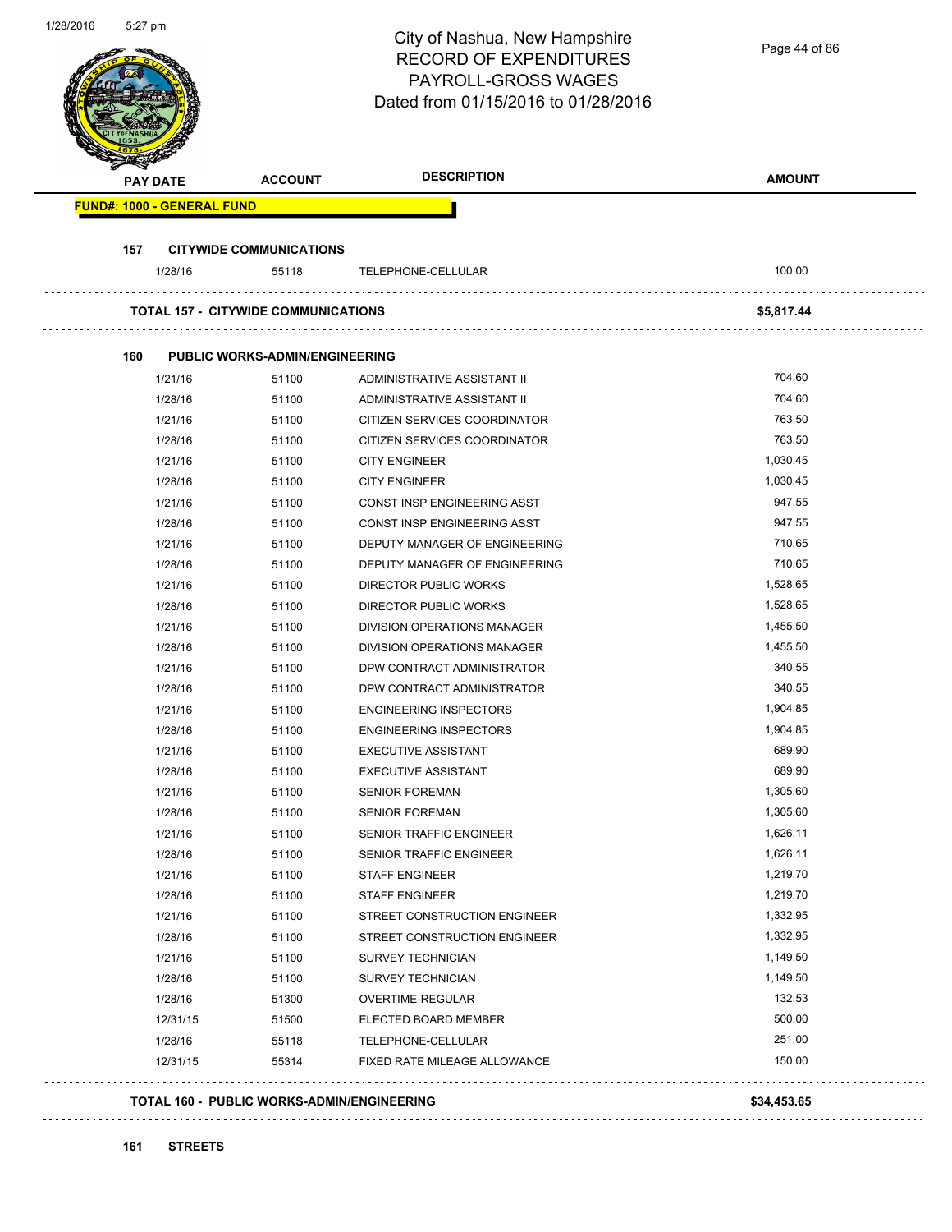| 1/28/2016 | 5:27 pm                           |                                                   | City of Nashua, New Hampshire<br><b>RECORD OF EXPENDITURES</b><br>PAYROLL-GROSS WAGES<br>Dated from 01/15/2016 to 01/28/2016 | Page 44 of 86 |
|-----------|-----------------------------------|---------------------------------------------------|------------------------------------------------------------------------------------------------------------------------------|---------------|
|           | <b>PAY DATE</b>                   | <b>ACCOUNT</b>                                    | <b>DESCRIPTION</b>                                                                                                           | <b>AMOUNT</b> |
|           | <b>FUND#: 1000 - GENERAL FUND</b> |                                                   |                                                                                                                              |               |
|           |                                   |                                                   |                                                                                                                              |               |
|           | 157                               | <b>CITYWIDE COMMUNICATIONS</b>                    |                                                                                                                              |               |
|           | 1/28/16                           | 55118                                             | TELEPHONE-CELLULAR                                                                                                           | 100.00        |
|           |                                   | <b>TOTAL 157 - CITYWIDE COMMUNICATIONS</b>        |                                                                                                                              | \$5,817.44    |
|           |                                   |                                                   |                                                                                                                              |               |
|           | 160                               | <b>PUBLIC WORKS-ADMIN/ENGINEERING</b>             |                                                                                                                              |               |
|           | 1/21/16                           | 51100                                             | ADMINISTRATIVE ASSISTANT II                                                                                                  | 704.60        |
|           | 1/28/16                           | 51100                                             | ADMINISTRATIVE ASSISTANT II                                                                                                  | 704.60        |
|           | 1/21/16                           | 51100                                             | CITIZEN SERVICES COORDINATOR                                                                                                 | 763.50        |
|           | 1/28/16                           | 51100                                             | CITIZEN SERVICES COORDINATOR                                                                                                 | 763.50        |
|           | 1/21/16                           | 51100                                             | <b>CITY ENGINEER</b>                                                                                                         | 1,030.45      |
|           | 1/28/16                           | 51100                                             | <b>CITY ENGINEER</b>                                                                                                         | 1,030.45      |
|           | 1/21/16                           | 51100                                             | CONST INSP ENGINEERING ASST                                                                                                  | 947.55        |
|           | 1/28/16                           | 51100                                             | CONST INSP ENGINEERING ASST                                                                                                  | 947.55        |
|           | 1/21/16                           | 51100                                             | DEPUTY MANAGER OF ENGINEERING                                                                                                | 710.65        |
|           | 1/28/16                           | 51100                                             | DEPUTY MANAGER OF ENGINEERING                                                                                                | 710.65        |
|           | 1/21/16                           | 51100                                             | DIRECTOR PUBLIC WORKS                                                                                                        | 1,528.65      |
|           | 1/28/16                           | 51100                                             | DIRECTOR PUBLIC WORKS                                                                                                        | 1,528.65      |
|           | 1/21/16                           | 51100                                             | DIVISION OPERATIONS MANAGER                                                                                                  | 1,455.50      |
|           | 1/28/16                           | 51100                                             | <b>DIVISION OPERATIONS MANAGER</b>                                                                                           | 1,455.50      |
|           | 1/21/16                           | 51100                                             | DPW CONTRACT ADMINISTRATOR                                                                                                   | 340.55        |
|           | 1/28/16                           | 51100                                             | DPW CONTRACT ADMINISTRATOR                                                                                                   | 340.55        |
|           | 1/21/16                           | 51100                                             | <b>ENGINEERING INSPECTORS</b>                                                                                                | 1,904.85      |
|           | 1/28/16                           | 51100                                             | <b>ENGINEERING INSPECTORS</b>                                                                                                | 1,904.85      |
|           | 1/21/16                           | 51100                                             | <b>EXECUTIVE ASSISTANT</b>                                                                                                   | 689.90        |
|           | 1/28/16                           | 51100                                             | <b>EXECUTIVE ASSISTANT</b>                                                                                                   | 689.90        |
|           | 1/21/16                           | 51100                                             | <b>SENIOR FOREMAN</b>                                                                                                        | 1,305.60      |
|           | 1/28/16                           | 51100                                             | <b>SENIOR FOREMAN</b>                                                                                                        | 1,305.60      |
|           | 1/21/16                           | 51100                                             | SENIOR TRAFFIC ENGINEER                                                                                                      | 1,626.11      |
|           | 1/28/16                           | 51100                                             | <b>SENIOR TRAFFIC ENGINEER</b>                                                                                               | 1,626.11      |
|           | 1/21/16                           | 51100                                             | <b>STAFF ENGINEER</b>                                                                                                        | 1,219.70      |
|           | 1/28/16                           | 51100                                             | STAFF ENGINEER                                                                                                               | 1,219.70      |
|           | 1/21/16                           | 51100                                             | STREET CONSTRUCTION ENGINEER                                                                                                 | 1,332.95      |
|           | 1/28/16                           | 51100                                             | STREET CONSTRUCTION ENGINEER                                                                                                 | 1,332.95      |
|           | 1/21/16                           | 51100                                             | SURVEY TECHNICIAN                                                                                                            | 1,149.50      |
|           | 1/28/16                           | 51100                                             | <b>SURVEY TECHNICIAN</b>                                                                                                     | 1,149.50      |
|           | 1/28/16                           | 51300                                             | OVERTIME-REGULAR                                                                                                             | 132.53        |
|           | 12/31/15                          | 51500                                             | ELECTED BOARD MEMBER                                                                                                         | 500.00        |
|           | 1/28/16                           | 55118                                             | TELEPHONE-CELLULAR                                                                                                           | 251.00        |
|           | 12/31/15                          | 55314                                             | FIXED RATE MILEAGE ALLOWANCE                                                                                                 | 150.00        |
|           |                                   | <b>TOTAL 160 - PUBLIC WORKS-ADMIN/ENGINEERING</b> |                                                                                                                              | \$34,453.65   |
|           |                                   |                                                   |                                                                                                                              |               |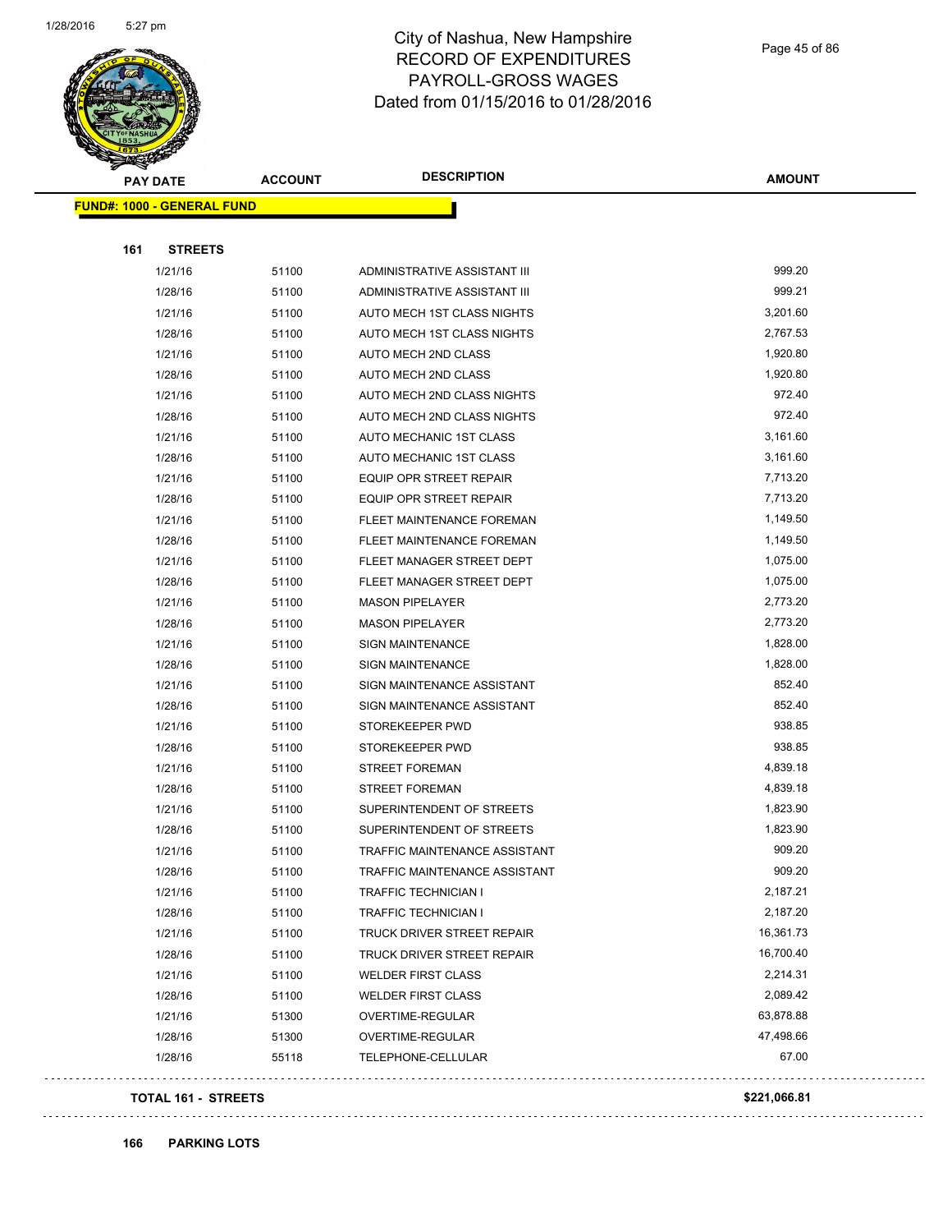

Page 45 of 86

| <b>FUND#: 1000 - GENERAL FUND</b><br><b>STREETS</b><br>1/21/16<br>51100 |                                  |           |
|-------------------------------------------------------------------------|----------------------------------|-----------|
|                                                                         |                                  |           |
|                                                                         |                                  |           |
|                                                                         |                                  |           |
|                                                                         | ADMINISTRATIVE ASSISTANT III     | 999.20    |
| 1/28/16<br>51100                                                        | ADMINISTRATIVE ASSISTANT III     | 999.21    |
| 1/21/16<br>51100                                                        | AUTO MECH 1ST CLASS NIGHTS       | 3,201.60  |
| 1/28/16<br>51100                                                        | AUTO MECH 1ST CLASS NIGHTS       | 2,767.53  |
| 1/21/16<br>51100                                                        | AUTO MECH 2ND CLASS              | 1,920.80  |
| 1/28/16<br>51100                                                        | AUTO MECH 2ND CLASS              | 1,920.80  |
| 1/21/16<br>51100                                                        | AUTO MECH 2ND CLASS NIGHTS       | 972.40    |
| 1/28/16<br>51100                                                        | AUTO MECH 2ND CLASS NIGHTS       | 972.40    |
| 1/21/16<br>51100                                                        | AUTO MECHANIC 1ST CLASS          | 3,161.60  |
| 1/28/16<br>51100                                                        | AUTO MECHANIC 1ST CLASS          | 3,161.60  |
| 1/21/16<br>51100                                                        | EQUIP OPR STREET REPAIR          | 7,713.20  |
| 1/28/16<br>51100                                                        | EQUIP OPR STREET REPAIR          | 7,713.20  |
| 1/21/16<br>51100                                                        | FLEET MAINTENANCE FOREMAN        | 1,149.50  |
| 1/28/16<br>51100                                                        | <b>FLEET MAINTENANCE FOREMAN</b> | 1,149.50  |
| 1/21/16<br>51100                                                        | FLEET MANAGER STREET DEPT        | 1,075.00  |
| 1/28/16<br>51100                                                        | FLEET MANAGER STREET DEPT        | 1,075.00  |
| 1/21/16<br>51100                                                        | <b>MASON PIPELAYER</b>           | 2,773.20  |
| 1/28/16<br>51100                                                        | <b>MASON PIPELAYER</b>           | 2,773.20  |
| 1/21/16<br>51100                                                        | SIGN MAINTENANCE                 | 1,828.00  |
| 1/28/16<br>51100                                                        | <b>SIGN MAINTENANCE</b>          | 1,828.00  |
| 1/21/16<br>51100                                                        | SIGN MAINTENANCE ASSISTANT       | 852.40    |
| 1/28/16<br>51100                                                        | SIGN MAINTENANCE ASSISTANT       | 852.40    |
| 1/21/16<br>51100                                                        | STOREKEEPER PWD                  | 938.85    |
| 1/28/16<br>51100                                                        | STOREKEEPER PWD                  | 938.85    |
| 1/21/16<br>51100                                                        | <b>STREET FOREMAN</b>            | 4,839.18  |
| 1/28/16<br>51100                                                        | <b>STREET FOREMAN</b>            | 4,839.18  |
| 1/21/16<br>51100                                                        | SUPERINTENDENT OF STREETS        | 1,823.90  |
| 1/28/16<br>51100                                                        | SUPERINTENDENT OF STREETS        | 1,823.90  |
| 1/21/16<br>51100                                                        | TRAFFIC MAINTENANCE ASSISTANT    | 909.20    |
| 1/28/16<br>51100                                                        | TRAFFIC MAINTENANCE ASSISTANT    | 909.20    |
| 1/21/16<br>51100                                                        | <b>TRAFFIC TECHNICIAN I</b>      | 2,187.21  |
| 1/28/16<br>51100                                                        | TRAFFIC TECHNICIAN I             | 2,187.20  |
| 1/21/16<br>51100                                                        | TRUCK DRIVER STREET REPAIR       | 16,361.73 |
| 1/28/16<br>51100                                                        | TRUCK DRIVER STREET REPAIR       | 16,700.40 |
| 1/21/16<br>51100                                                        | <b>WELDER FIRST CLASS</b>        | 2,214.31  |
| 1/28/16<br>51100                                                        | <b>WELDER FIRST CLASS</b>        | 2,089.42  |
| 1/21/16<br>51300                                                        | OVERTIME-REGULAR                 | 63,878.88 |
| 1/28/16<br>51300                                                        | OVERTIME-REGULAR                 | 47,498.66 |
| 1/28/16<br>55118                                                        | TELEPHONE-CELLULAR               | 67.00     |
|                                                                         |                                  |           |

### **TOTAL 161 - STREETS \$221,066.81**

**166 PARKING LOTS**

 $\omega$  is  $\omega$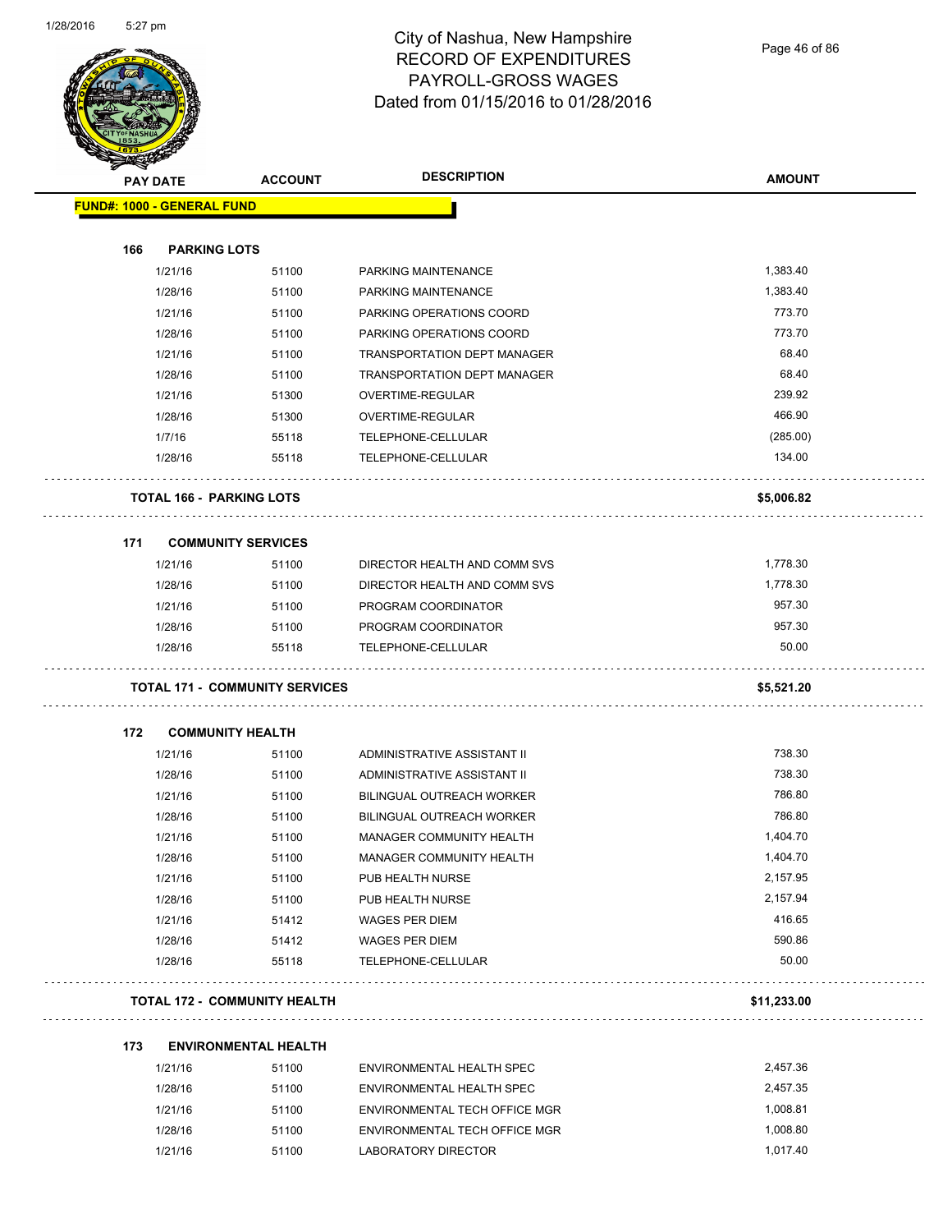

Page 46 of 86

| <b>AMOUNT</b><br><b>ACCOUNT</b><br><b>PAY DATE</b><br><b>PARKING LOTS</b><br>166<br>1,383.40<br>1/21/16<br>PARKING MAINTENANCE<br>51100<br>1,383.40<br>1/28/16<br>51100<br>PARKING MAINTENANCE<br>773.70<br>PARKING OPERATIONS COORD<br>1/21/16<br>51100<br>773.70<br>1/28/16<br>51100<br>PARKING OPERATIONS COORD<br>68.40<br>1/21/16<br>51100<br><b>TRANSPORTATION DEPT MANAGER</b><br>68.40<br>1/28/16<br>51100<br>TRANSPORTATION DEPT MANAGER<br>239.92<br>1/21/16<br>OVERTIME-REGULAR<br>51300<br>466.90<br>1/28/16<br>51300<br>OVERTIME-REGULAR<br>(285.00)<br>1/7/16<br>55118<br>TELEPHONE-CELLULAR<br>134.00<br>1/28/16<br>55118<br>TELEPHONE-CELLULAR<br><b>TOTAL 166 - PARKING LOTS</b><br>\$5,006.82<br>171<br><b>COMMUNITY SERVICES</b><br>1,778.30<br>1/21/16<br>DIRECTOR HEALTH AND COMM SVS<br>51100<br>1,778.30<br>1/28/16<br>51100<br>DIRECTOR HEALTH AND COMM SVS<br>957.30<br>1/21/16<br>51100<br>PROGRAM COORDINATOR<br>957.30<br>1/28/16<br>PROGRAM COORDINATOR<br>51100<br>1/28/16<br>50.00<br>55118<br>TELEPHONE-CELLULAR<br><b>TOTAL 171 - COMMUNITY SERVICES</b><br>\$5,521.20<br><b>COMMUNITY HEALTH</b><br>172<br>738.30<br>1/21/16<br>ADMINISTRATIVE ASSISTANT II<br>51100<br>738.30<br>1/28/16<br>51100<br>ADMINISTRATIVE ASSISTANT II<br>786.80<br>1/21/16<br>51100<br>BILINGUAL OUTREACH WORKER<br>786.80<br>BILINGUAL OUTREACH WORKER<br>1/28/16<br>51100<br>1/21/16<br>51100<br>1,404.70<br>MANAGER COMMUNITY HEALTH<br>1,404.70<br>1/28/16<br>51100<br>MANAGER COMMUNITY HEALTH<br>2,157.95<br>1/21/16<br>51100<br>PUB HEALTH NURSE<br>2,157.94<br>1/28/16<br>51100<br>PUB HEALTH NURSE<br>416.65<br>1/21/16<br>51412<br><b>WAGES PER DIEM</b><br>590.86<br>1/28/16<br>51412<br><b>WAGES PER DIEM</b><br>50.00<br>1/28/16<br>55118<br>TELEPHONE-CELLULAR<br><b>TOTAL 172 - COMMUNITY HEALTH</b><br>\$11,233.00<br>173<br><b>ENVIRONMENTAL HEALTH</b><br>2,457.36 | <b>MERRE</b> |         |       |                           |  |
|----------------------------------------------------------------------------------------------------------------------------------------------------------------------------------------------------------------------------------------------------------------------------------------------------------------------------------------------------------------------------------------------------------------------------------------------------------------------------------------------------------------------------------------------------------------------------------------------------------------------------------------------------------------------------------------------------------------------------------------------------------------------------------------------------------------------------------------------------------------------------------------------------------------------------------------------------------------------------------------------------------------------------------------------------------------------------------------------------------------------------------------------------------------------------------------------------------------------------------------------------------------------------------------------------------------------------------------------------------------------------------------------------------------------------------------------------------------------------------------------------------------------------------------------------------------------------------------------------------------------------------------------------------------------------------------------------------------------------------------------------------------------------------------------------------------------------------------------------------------------------------------------------|--------------|---------|-------|---------------------------|--|
| <b>FUND#: 1000 - GENERAL FUND</b>                                                                                                                                                                                                                                                                                                                                                                                                                                                                                                                                                                                                                                                                                                                                                                                                                                                                                                                                                                                                                                                                                                                                                                                                                                                                                                                                                                                                                                                                                                                                                                                                                                                                                                                                                                                                                                                                  |              |         |       | <b>DESCRIPTION</b>        |  |
|                                                                                                                                                                                                                                                                                                                                                                                                                                                                                                                                                                                                                                                                                                                                                                                                                                                                                                                                                                                                                                                                                                                                                                                                                                                                                                                                                                                                                                                                                                                                                                                                                                                                                                                                                                                                                                                                                                    |              |         |       |                           |  |
|                                                                                                                                                                                                                                                                                                                                                                                                                                                                                                                                                                                                                                                                                                                                                                                                                                                                                                                                                                                                                                                                                                                                                                                                                                                                                                                                                                                                                                                                                                                                                                                                                                                                                                                                                                                                                                                                                                    |              |         |       |                           |  |
|                                                                                                                                                                                                                                                                                                                                                                                                                                                                                                                                                                                                                                                                                                                                                                                                                                                                                                                                                                                                                                                                                                                                                                                                                                                                                                                                                                                                                                                                                                                                                                                                                                                                                                                                                                                                                                                                                                    |              |         |       |                           |  |
|                                                                                                                                                                                                                                                                                                                                                                                                                                                                                                                                                                                                                                                                                                                                                                                                                                                                                                                                                                                                                                                                                                                                                                                                                                                                                                                                                                                                                                                                                                                                                                                                                                                                                                                                                                                                                                                                                                    |              |         |       |                           |  |
|                                                                                                                                                                                                                                                                                                                                                                                                                                                                                                                                                                                                                                                                                                                                                                                                                                                                                                                                                                                                                                                                                                                                                                                                                                                                                                                                                                                                                                                                                                                                                                                                                                                                                                                                                                                                                                                                                                    |              |         |       |                           |  |
|                                                                                                                                                                                                                                                                                                                                                                                                                                                                                                                                                                                                                                                                                                                                                                                                                                                                                                                                                                                                                                                                                                                                                                                                                                                                                                                                                                                                                                                                                                                                                                                                                                                                                                                                                                                                                                                                                                    |              |         |       |                           |  |
|                                                                                                                                                                                                                                                                                                                                                                                                                                                                                                                                                                                                                                                                                                                                                                                                                                                                                                                                                                                                                                                                                                                                                                                                                                                                                                                                                                                                                                                                                                                                                                                                                                                                                                                                                                                                                                                                                                    |              |         |       |                           |  |
|                                                                                                                                                                                                                                                                                                                                                                                                                                                                                                                                                                                                                                                                                                                                                                                                                                                                                                                                                                                                                                                                                                                                                                                                                                                                                                                                                                                                                                                                                                                                                                                                                                                                                                                                                                                                                                                                                                    |              |         |       |                           |  |
|                                                                                                                                                                                                                                                                                                                                                                                                                                                                                                                                                                                                                                                                                                                                                                                                                                                                                                                                                                                                                                                                                                                                                                                                                                                                                                                                                                                                                                                                                                                                                                                                                                                                                                                                                                                                                                                                                                    |              |         |       |                           |  |
|                                                                                                                                                                                                                                                                                                                                                                                                                                                                                                                                                                                                                                                                                                                                                                                                                                                                                                                                                                                                                                                                                                                                                                                                                                                                                                                                                                                                                                                                                                                                                                                                                                                                                                                                                                                                                                                                                                    |              |         |       |                           |  |
|                                                                                                                                                                                                                                                                                                                                                                                                                                                                                                                                                                                                                                                                                                                                                                                                                                                                                                                                                                                                                                                                                                                                                                                                                                                                                                                                                                                                                                                                                                                                                                                                                                                                                                                                                                                                                                                                                                    |              |         |       |                           |  |
|                                                                                                                                                                                                                                                                                                                                                                                                                                                                                                                                                                                                                                                                                                                                                                                                                                                                                                                                                                                                                                                                                                                                                                                                                                                                                                                                                                                                                                                                                                                                                                                                                                                                                                                                                                                                                                                                                                    |              |         |       |                           |  |
|                                                                                                                                                                                                                                                                                                                                                                                                                                                                                                                                                                                                                                                                                                                                                                                                                                                                                                                                                                                                                                                                                                                                                                                                                                                                                                                                                                                                                                                                                                                                                                                                                                                                                                                                                                                                                                                                                                    |              |         |       |                           |  |
|                                                                                                                                                                                                                                                                                                                                                                                                                                                                                                                                                                                                                                                                                                                                                                                                                                                                                                                                                                                                                                                                                                                                                                                                                                                                                                                                                                                                                                                                                                                                                                                                                                                                                                                                                                                                                                                                                                    |              |         |       |                           |  |
|                                                                                                                                                                                                                                                                                                                                                                                                                                                                                                                                                                                                                                                                                                                                                                                                                                                                                                                                                                                                                                                                                                                                                                                                                                                                                                                                                                                                                                                                                                                                                                                                                                                                                                                                                                                                                                                                                                    |              |         |       |                           |  |
|                                                                                                                                                                                                                                                                                                                                                                                                                                                                                                                                                                                                                                                                                                                                                                                                                                                                                                                                                                                                                                                                                                                                                                                                                                                                                                                                                                                                                                                                                                                                                                                                                                                                                                                                                                                                                                                                                                    |              |         |       |                           |  |
|                                                                                                                                                                                                                                                                                                                                                                                                                                                                                                                                                                                                                                                                                                                                                                                                                                                                                                                                                                                                                                                                                                                                                                                                                                                                                                                                                                                                                                                                                                                                                                                                                                                                                                                                                                                                                                                                                                    |              |         |       |                           |  |
|                                                                                                                                                                                                                                                                                                                                                                                                                                                                                                                                                                                                                                                                                                                                                                                                                                                                                                                                                                                                                                                                                                                                                                                                                                                                                                                                                                                                                                                                                                                                                                                                                                                                                                                                                                                                                                                                                                    |              |         |       |                           |  |
|                                                                                                                                                                                                                                                                                                                                                                                                                                                                                                                                                                                                                                                                                                                                                                                                                                                                                                                                                                                                                                                                                                                                                                                                                                                                                                                                                                                                                                                                                                                                                                                                                                                                                                                                                                                                                                                                                                    |              |         |       |                           |  |
|                                                                                                                                                                                                                                                                                                                                                                                                                                                                                                                                                                                                                                                                                                                                                                                                                                                                                                                                                                                                                                                                                                                                                                                                                                                                                                                                                                                                                                                                                                                                                                                                                                                                                                                                                                                                                                                                                                    |              |         |       |                           |  |
|                                                                                                                                                                                                                                                                                                                                                                                                                                                                                                                                                                                                                                                                                                                                                                                                                                                                                                                                                                                                                                                                                                                                                                                                                                                                                                                                                                                                                                                                                                                                                                                                                                                                                                                                                                                                                                                                                                    |              |         |       |                           |  |
|                                                                                                                                                                                                                                                                                                                                                                                                                                                                                                                                                                                                                                                                                                                                                                                                                                                                                                                                                                                                                                                                                                                                                                                                                                                                                                                                                                                                                                                                                                                                                                                                                                                                                                                                                                                                                                                                                                    |              |         |       |                           |  |
|                                                                                                                                                                                                                                                                                                                                                                                                                                                                                                                                                                                                                                                                                                                                                                                                                                                                                                                                                                                                                                                                                                                                                                                                                                                                                                                                                                                                                                                                                                                                                                                                                                                                                                                                                                                                                                                                                                    |              |         |       |                           |  |
|                                                                                                                                                                                                                                                                                                                                                                                                                                                                                                                                                                                                                                                                                                                                                                                                                                                                                                                                                                                                                                                                                                                                                                                                                                                                                                                                                                                                                                                                                                                                                                                                                                                                                                                                                                                                                                                                                                    |              |         |       |                           |  |
|                                                                                                                                                                                                                                                                                                                                                                                                                                                                                                                                                                                                                                                                                                                                                                                                                                                                                                                                                                                                                                                                                                                                                                                                                                                                                                                                                                                                                                                                                                                                                                                                                                                                                                                                                                                                                                                                                                    |              |         |       |                           |  |
|                                                                                                                                                                                                                                                                                                                                                                                                                                                                                                                                                                                                                                                                                                                                                                                                                                                                                                                                                                                                                                                                                                                                                                                                                                                                                                                                                                                                                                                                                                                                                                                                                                                                                                                                                                                                                                                                                                    |              |         |       |                           |  |
|                                                                                                                                                                                                                                                                                                                                                                                                                                                                                                                                                                                                                                                                                                                                                                                                                                                                                                                                                                                                                                                                                                                                                                                                                                                                                                                                                                                                                                                                                                                                                                                                                                                                                                                                                                                                                                                                                                    |              |         |       |                           |  |
|                                                                                                                                                                                                                                                                                                                                                                                                                                                                                                                                                                                                                                                                                                                                                                                                                                                                                                                                                                                                                                                                                                                                                                                                                                                                                                                                                                                                                                                                                                                                                                                                                                                                                                                                                                                                                                                                                                    |              |         |       |                           |  |
|                                                                                                                                                                                                                                                                                                                                                                                                                                                                                                                                                                                                                                                                                                                                                                                                                                                                                                                                                                                                                                                                                                                                                                                                                                                                                                                                                                                                                                                                                                                                                                                                                                                                                                                                                                                                                                                                                                    |              |         |       |                           |  |
|                                                                                                                                                                                                                                                                                                                                                                                                                                                                                                                                                                                                                                                                                                                                                                                                                                                                                                                                                                                                                                                                                                                                                                                                                                                                                                                                                                                                                                                                                                                                                                                                                                                                                                                                                                                                                                                                                                    |              |         |       |                           |  |
|                                                                                                                                                                                                                                                                                                                                                                                                                                                                                                                                                                                                                                                                                                                                                                                                                                                                                                                                                                                                                                                                                                                                                                                                                                                                                                                                                                                                                                                                                                                                                                                                                                                                                                                                                                                                                                                                                                    |              |         |       |                           |  |
|                                                                                                                                                                                                                                                                                                                                                                                                                                                                                                                                                                                                                                                                                                                                                                                                                                                                                                                                                                                                                                                                                                                                                                                                                                                                                                                                                                                                                                                                                                                                                                                                                                                                                                                                                                                                                                                                                                    |              |         |       |                           |  |
|                                                                                                                                                                                                                                                                                                                                                                                                                                                                                                                                                                                                                                                                                                                                                                                                                                                                                                                                                                                                                                                                                                                                                                                                                                                                                                                                                                                                                                                                                                                                                                                                                                                                                                                                                                                                                                                                                                    |              |         |       |                           |  |
|                                                                                                                                                                                                                                                                                                                                                                                                                                                                                                                                                                                                                                                                                                                                                                                                                                                                                                                                                                                                                                                                                                                                                                                                                                                                                                                                                                                                                                                                                                                                                                                                                                                                                                                                                                                                                                                                                                    |              |         |       |                           |  |
|                                                                                                                                                                                                                                                                                                                                                                                                                                                                                                                                                                                                                                                                                                                                                                                                                                                                                                                                                                                                                                                                                                                                                                                                                                                                                                                                                                                                                                                                                                                                                                                                                                                                                                                                                                                                                                                                                                    |              |         |       |                           |  |
|                                                                                                                                                                                                                                                                                                                                                                                                                                                                                                                                                                                                                                                                                                                                                                                                                                                                                                                                                                                                                                                                                                                                                                                                                                                                                                                                                                                                                                                                                                                                                                                                                                                                                                                                                                                                                                                                                                    |              | 1/21/16 | 51100 | ENVIRONMENTAL HEALTH SPEC |  |

| 1/28/16 | 51100 | ENVIRONMENTAL HEALTH SPEC     | 2.457.35 |
|---------|-------|-------------------------------|----------|
| 1/21/16 | 51100 | ENVIRONMENTAL TECH OFFICE MGR | 1.008.81 |
| 1/28/16 | 51100 | ENVIRONMENTAL TECH OFFICE MGR | 1.008.80 |
| 1/21/16 | 51100 | LABORATORY DIRECTOR           | 1.017.40 |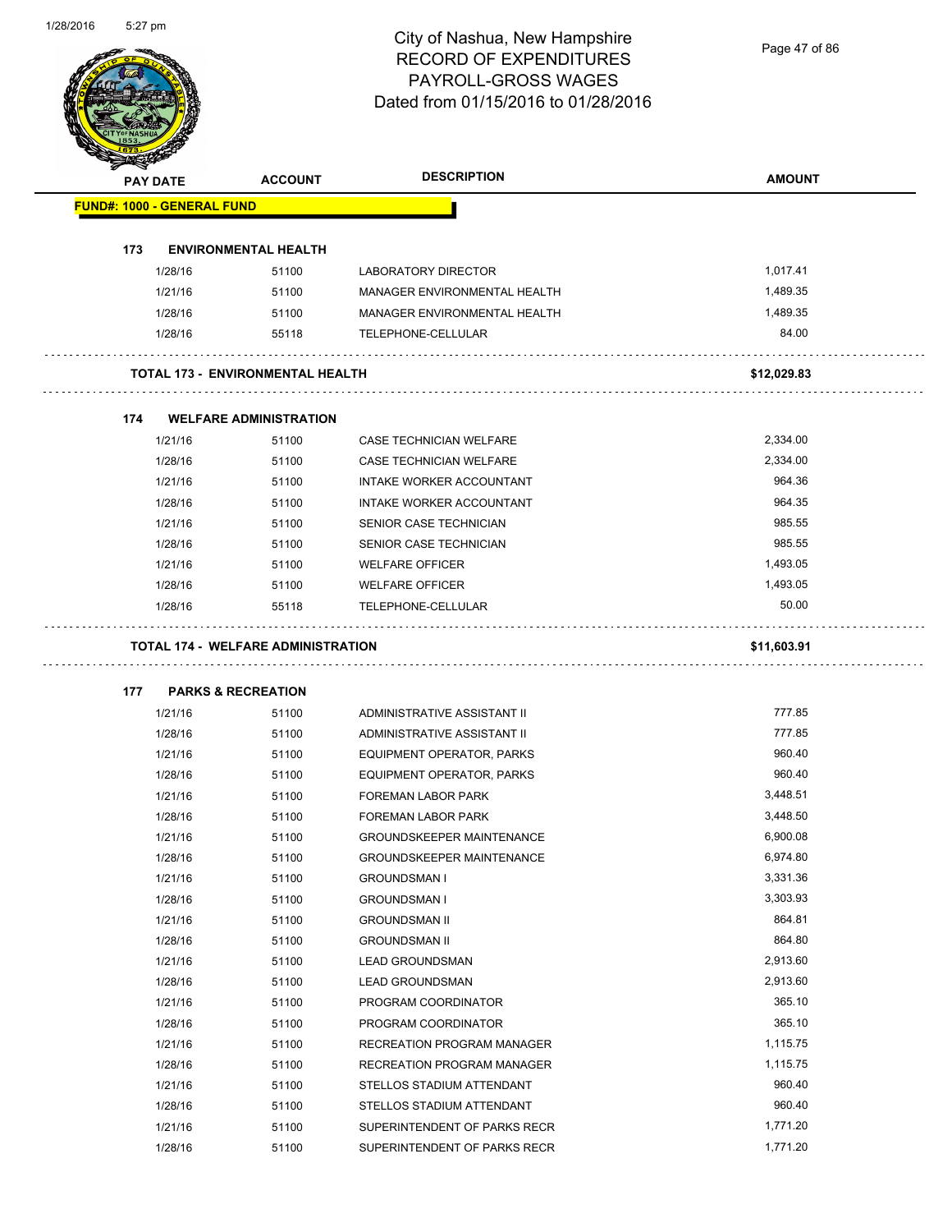Page 47 of 86

| <b>PAY DATE</b>                   | <b>ACCOUNT</b>                            | <b>DESCRIPTION</b>               | <b>AMOUNT</b> |
|-----------------------------------|-------------------------------------------|----------------------------------|---------------|
| <b>FUND#: 1000 - GENERAL FUND</b> |                                           |                                  |               |
| 173                               | <b>ENVIRONMENTAL HEALTH</b>               |                                  |               |
| 1/28/16                           | 51100                                     | LABORATORY DIRECTOR              | 1,017.41      |
| 1/21/16                           | 51100                                     | MANAGER ENVIRONMENTAL HEALTH     | 1,489.35      |
| 1/28/16                           | 51100                                     | MANAGER ENVIRONMENTAL HEALTH     | 1,489.35      |
| 1/28/16                           | 55118                                     | TELEPHONE-CELLULAR               | 84.00         |
|                                   | <b>TOTAL 173 - ENVIRONMENTAL HEALTH</b>   |                                  | \$12,029.83   |
| 174                               | <b>WELFARE ADMINISTRATION</b>             |                                  |               |
| 1/21/16                           | 51100                                     | <b>CASE TECHNICIAN WELFARE</b>   | 2,334.00      |
| 1/28/16                           | 51100                                     | CASE TECHNICIAN WELFARE          | 2,334.00      |
| 1/21/16                           | 51100                                     | INTAKE WORKER ACCOUNTANT         | 964.36        |
| 1/28/16                           | 51100                                     | INTAKE WORKER ACCOUNTANT         | 964.35        |
| 1/21/16                           | 51100                                     | SENIOR CASE TECHNICIAN           | 985.55        |
| 1/28/16                           | 51100                                     | SENIOR CASE TECHNICIAN           | 985.55        |
| 1/21/16                           | 51100                                     | <b>WELFARE OFFICER</b>           | 1,493.05      |
| 1/28/16                           | 51100                                     | <b>WELFARE OFFICER</b>           | 1,493.05      |
| 1/28/16                           | 55118                                     | TELEPHONE-CELLULAR               | 50.00         |
|                                   | <b>TOTAL 174 - WELFARE ADMINISTRATION</b> |                                  | \$11,603.91   |
| 177                               | <b>PARKS &amp; RECREATION</b>             |                                  |               |
| 1/21/16                           | 51100                                     | ADMINISTRATIVE ASSISTANT II      | 777.85        |
| 1/28/16                           | 51100                                     | ADMINISTRATIVE ASSISTANT II      | 777.85        |
| 1/21/16                           | 51100                                     | EQUIPMENT OPERATOR, PARKS        | 960.40        |
| 1/28/16                           | 51100                                     | EQUIPMENT OPERATOR, PARKS        | 960.40        |
| 1/21/16                           | 51100                                     | <b>FOREMAN LABOR PARK</b>        | 3,448.51      |
| 1/28/16                           | 51100                                     | FOREMAN LABOR PARK               | 3,448.50      |
| 1/21/16                           | 51100                                     | GROUNDSKEEPER MAINTENANCE        | 6,900.08      |
| 1/28/16                           | 51100                                     | <b>GROUNDSKEEPER MAINTENANCE</b> | 6,974.80      |
| 1/21/16                           | 51100                                     | <b>GROUNDSMAN I</b>              | 3,331.36      |
| 1/28/16                           | 51100                                     | <b>GROUNDSMAN I</b>              | 3,303.93      |
| 1/21/16                           | 51100                                     | <b>GROUNDSMAN II</b>             | 864.81        |
| 1/28/16                           | 51100                                     | <b>GROUNDSMAN II</b>             | 864.80        |
| 1/21/16                           | 51100                                     | <b>LEAD GROUNDSMAN</b>           | 2,913.60      |
| 1/28/16                           | 51100                                     | LEAD GROUNDSMAN                  | 2,913.60      |
| 1/21/16                           | 51100                                     | PROGRAM COORDINATOR              | 365.10        |
| 1/28/16                           | 51100                                     | PROGRAM COORDINATOR              | 365.10        |
| 1/21/16                           | 51100                                     | RECREATION PROGRAM MANAGER       | 1,115.75      |
| 1/28/16                           | 51100                                     | RECREATION PROGRAM MANAGER       | 1,115.75      |
| 1/21/16                           | 51100                                     | STELLOS STADIUM ATTENDANT        | 960.40        |
|                                   |                                           |                                  |               |
| 1/28/16                           | 51100                                     | STELLOS STADIUM ATTENDANT        | 960.40        |
| 1/21/16                           | 51100                                     | SUPERINTENDENT OF PARKS RECR     | 1,771.20      |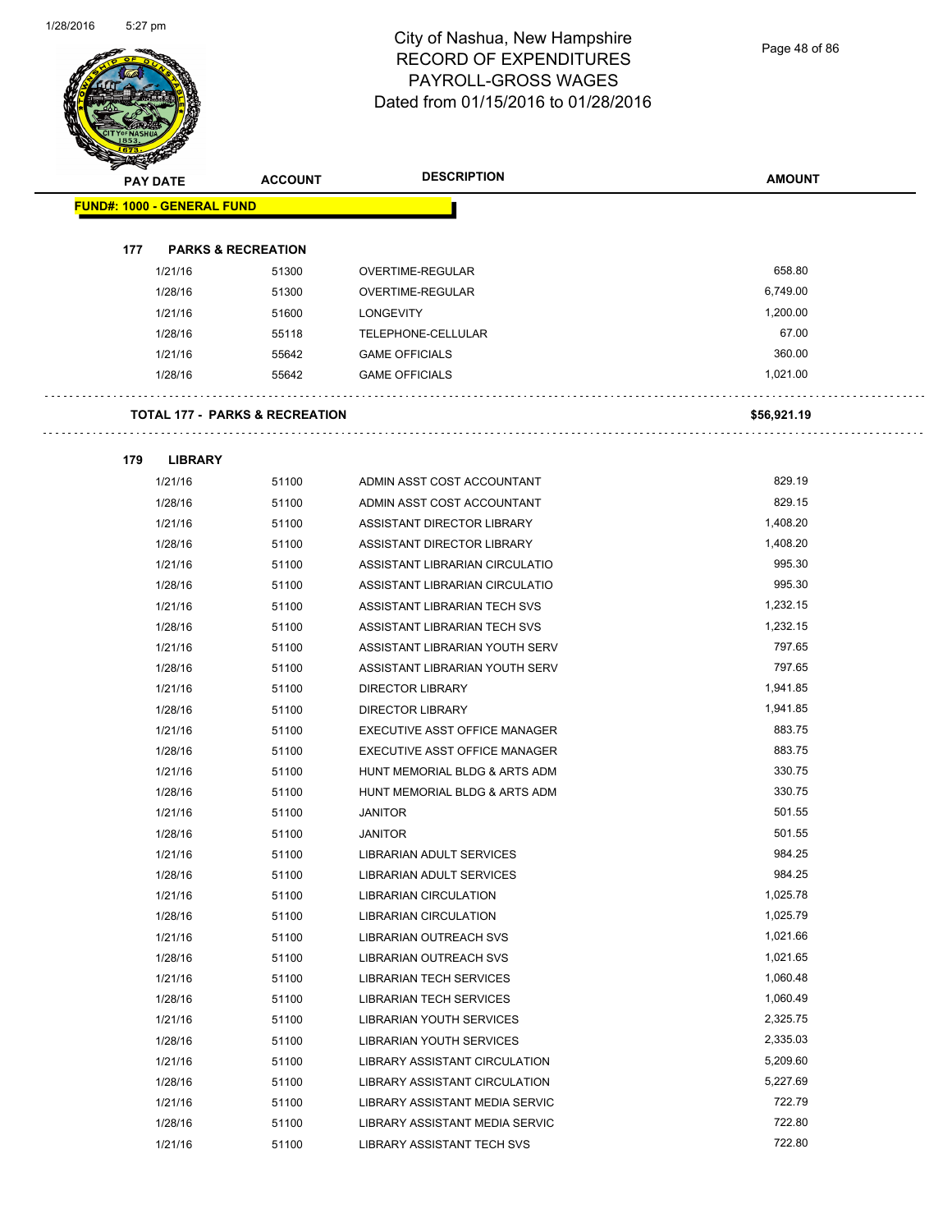

Page 48 of 86

| <b>PAY DATE</b> |                                   | <b>ACCOUNT</b>                            | <b>DESCRIPTION</b>              | <b>AMOUNT</b> |
|-----------------|-----------------------------------|-------------------------------------------|---------------------------------|---------------|
|                 | <b>FUND#: 1000 - GENERAL FUND</b> |                                           |                                 |               |
|                 |                                   |                                           |                                 |               |
| 177             | <b>PARKS &amp; RECREATION</b>     |                                           |                                 |               |
|                 | 1/21/16                           | 51300                                     | OVERTIME-REGULAR                | 658.80        |
|                 | 1/28/16                           | 51300                                     | OVERTIME-REGULAR                | 6,749.00      |
|                 | 1/21/16                           | 51600                                     | <b>LONGEVITY</b>                | 1,200.00      |
|                 | 1/28/16                           | 55118                                     | TELEPHONE-CELLULAR              | 67.00         |
|                 | 1/21/16                           | 55642                                     | <b>GAME OFFICIALS</b>           | 360.00        |
|                 | 1/28/16                           | 55642                                     | <b>GAME OFFICIALS</b>           | 1,021.00      |
|                 |                                   | <b>TOTAL 177 - PARKS &amp; RECREATION</b> |                                 | \$56,921.19   |
| 179             | <b>LIBRARY</b>                    |                                           |                                 |               |
|                 | 1/21/16                           | 51100                                     | ADMIN ASST COST ACCOUNTANT      | 829.19        |
|                 | 1/28/16                           | 51100                                     | ADMIN ASST COST ACCOUNTANT      | 829.15        |
|                 | 1/21/16                           | 51100                                     | ASSISTANT DIRECTOR LIBRARY      | 1,408.20      |
|                 | 1/28/16                           | 51100                                     | ASSISTANT DIRECTOR LIBRARY      | 1,408.20      |
|                 | 1/21/16                           | 51100                                     | ASSISTANT LIBRARIAN CIRCULATIO  | 995.30        |
|                 | 1/28/16                           | 51100                                     | ASSISTANT LIBRARIAN CIRCULATIO  | 995.30        |
|                 | 1/21/16                           | 51100                                     | ASSISTANT LIBRARIAN TECH SVS    | 1,232.15      |
|                 | 1/28/16                           | 51100                                     | ASSISTANT LIBRARIAN TECH SVS    | 1,232.15      |
|                 | 1/21/16                           | 51100                                     | ASSISTANT LIBRARIAN YOUTH SERV  | 797.65        |
|                 | 1/28/16                           | 51100                                     | ASSISTANT LIBRARIAN YOUTH SERV  | 797.65        |
|                 | 1/21/16                           | 51100                                     | <b>DIRECTOR LIBRARY</b>         | 1,941.85      |
|                 | 1/28/16                           | 51100                                     | <b>DIRECTOR LIBRARY</b>         | 1,941.85      |
|                 | 1/21/16                           | 51100                                     | EXECUTIVE ASST OFFICE MANAGER   | 883.75        |
|                 | 1/28/16                           | 51100                                     | EXECUTIVE ASST OFFICE MANAGER   | 883.75        |
|                 | 1/21/16                           | 51100                                     | HUNT MEMORIAL BLDG & ARTS ADM   | 330.75        |
|                 | 1/28/16                           | 51100                                     | HUNT MEMORIAL BLDG & ARTS ADM   | 330.75        |
|                 | 1/21/16                           | 51100                                     | <b>JANITOR</b>                  | 501.55        |
|                 | 1/28/16                           | 51100                                     | <b>JANITOR</b>                  | 501.55        |
|                 | 1/21/16                           | 51100                                     | <b>LIBRARIAN ADULT SERVICES</b> | 984.25        |
|                 | 1/28/16                           | 51100                                     | LIBRARIAN ADULT SERVICES        | 984.25        |
|                 | 1/21/16                           | 51100                                     | LIBRARIAN CIRCULATION           | 1,025.78      |
|                 | 1/28/16                           | 51100                                     | <b>LIBRARIAN CIRCULATION</b>    | 1,025.79      |
|                 | 1/21/16                           | 51100                                     | LIBRARIAN OUTREACH SVS          | 1,021.66      |
|                 | 1/28/16                           | 51100                                     | <b>LIBRARIAN OUTREACH SVS</b>   | 1,021.65      |
|                 | 1/21/16                           | 51100                                     | <b>LIBRARIAN TECH SERVICES</b>  | 1,060.48      |
|                 | 1/28/16                           | 51100                                     | LIBRARIAN TECH SERVICES         | 1,060.49      |
|                 | 1/21/16                           | 51100                                     | <b>LIBRARIAN YOUTH SERVICES</b> | 2,325.75      |
|                 | 1/28/16                           | 51100                                     | LIBRARIAN YOUTH SERVICES        | 2,335.03      |
|                 | 1/21/16                           | 51100                                     | LIBRARY ASSISTANT CIRCULATION   | 5,209.60      |
|                 | 1/28/16                           | 51100                                     | LIBRARY ASSISTANT CIRCULATION   | 5,227.69      |
|                 | 1/21/16                           | 51100                                     | LIBRARY ASSISTANT MEDIA SERVIC  | 722.79        |
|                 | 1/28/16                           | 51100                                     | LIBRARY ASSISTANT MEDIA SERVIC  | 722.80        |

1/21/16 51100 LIBRARY ASSISTANT TECH SVS 6722.80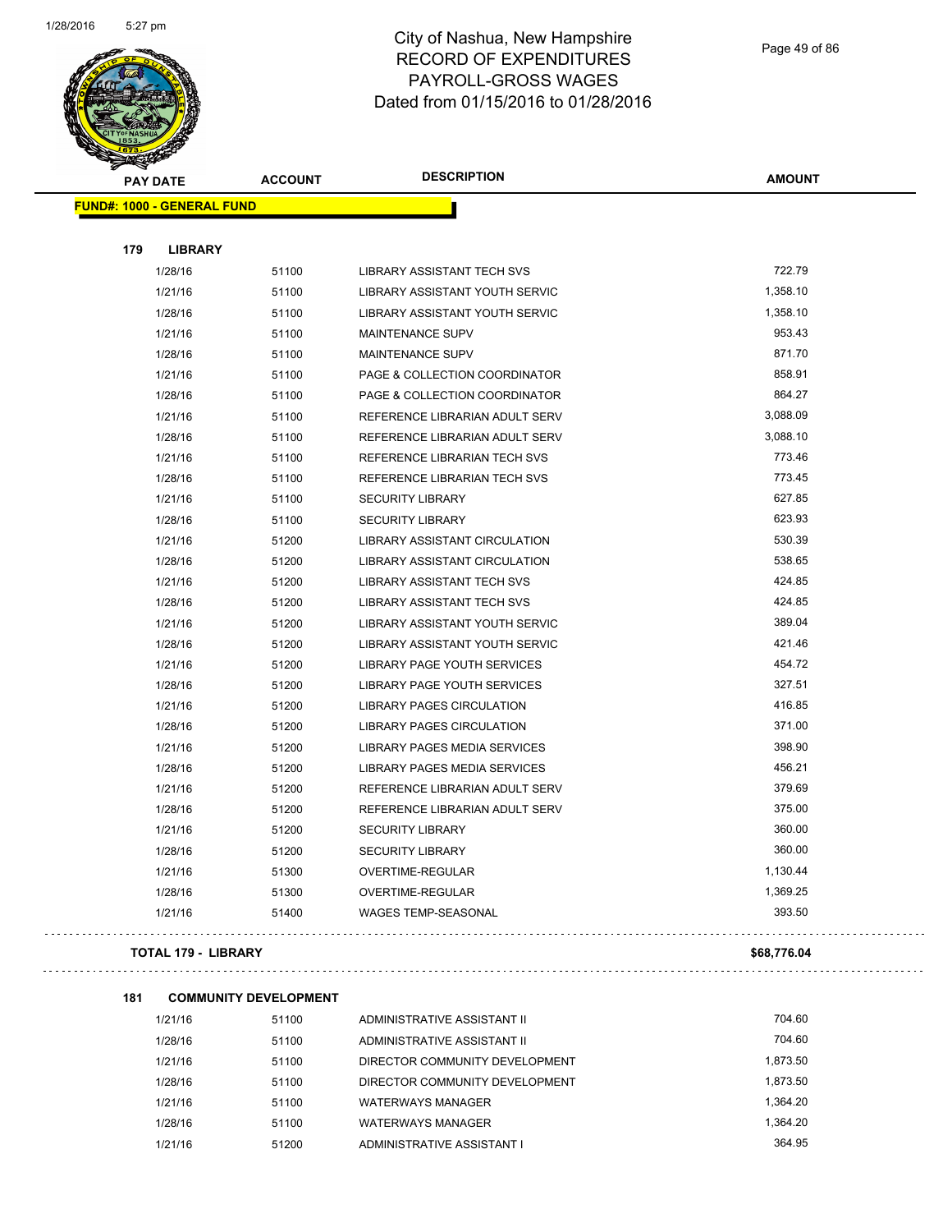

Page 49 of 86

 $\sim$   $\sim$ 

 $\bar{\mathbb{Z}}$  .

| Ð<br>A. | <b>PAY DATE</b>                   | <b>ACCOUNT</b> | <b>DESCRIPTION</b>                  | <b>AMOUNT</b> |
|---------|-----------------------------------|----------------|-------------------------------------|---------------|
|         | <b>FUND#: 1000 - GENERAL FUND</b> |                |                                     |               |
|         |                                   |                |                                     |               |
| 179     | <b>LIBRARY</b>                    |                |                                     |               |
|         | 1/28/16                           | 51100          | <b>LIBRARY ASSISTANT TECH SVS</b>   | 722.79        |
|         | 1/21/16                           | 51100          | LIBRARY ASSISTANT YOUTH SERVIC      | 1,358.10      |
|         | 1/28/16                           | 51100          | LIBRARY ASSISTANT YOUTH SERVIC      | 1,358.10      |
|         | 1/21/16                           | 51100          | <b>MAINTENANCE SUPV</b>             | 953.43        |
|         | 1/28/16                           | 51100          | <b>MAINTENANCE SUPV</b>             | 871.70        |
|         | 1/21/16                           | 51100          | PAGE & COLLECTION COORDINATOR       | 858.91        |
|         | 1/28/16                           | 51100          | PAGE & COLLECTION COORDINATOR       | 864.27        |
|         | 1/21/16                           | 51100          | REFERENCE LIBRARIAN ADULT SERV      | 3,088.09      |
|         | 1/28/16                           | 51100          | REFERENCE LIBRARIAN ADULT SERV      | 3,088.10      |
|         | 1/21/16                           | 51100          | <b>REFERENCE LIBRARIAN TECH SVS</b> | 773.46        |
|         | 1/28/16                           | 51100          | REFERENCE LIBRARIAN TECH SVS        | 773.45        |
|         | 1/21/16                           | 51100          | <b>SECURITY LIBRARY</b>             | 627.85        |
|         | 1/28/16                           | 51100          | <b>SECURITY LIBRARY</b>             | 623.93        |
|         | 1/21/16                           | 51200          | LIBRARY ASSISTANT CIRCULATION       | 530.39        |
|         | 1/28/16                           | 51200          | LIBRARY ASSISTANT CIRCULATION       | 538.65        |
|         | 1/21/16                           | 51200          | <b>LIBRARY ASSISTANT TECH SVS</b>   | 424.85        |
|         | 1/28/16                           | 51200          | <b>LIBRARY ASSISTANT TECH SVS</b>   | 424.85        |
|         | 1/21/16                           | 51200          | LIBRARY ASSISTANT YOUTH SERVIC      | 389.04        |
|         | 1/28/16                           | 51200          | LIBRARY ASSISTANT YOUTH SERVIC      | 421.46        |
|         | 1/21/16                           | 51200          | LIBRARY PAGE YOUTH SERVICES         | 454.72        |
|         | 1/28/16                           | 51200          | LIBRARY PAGE YOUTH SERVICES         | 327.51        |
|         | 1/21/16                           | 51200          | <b>LIBRARY PAGES CIRCULATION</b>    | 416.85        |
|         | 1/28/16                           | 51200          | <b>LIBRARY PAGES CIRCULATION</b>    | 371.00        |
|         | 1/21/16                           | 51200          | LIBRARY PAGES MEDIA SERVICES        | 398.90        |
|         | 1/28/16                           | 51200          | LIBRARY PAGES MEDIA SERVICES        | 456.21        |
|         | 1/21/16                           | 51200          | REFERENCE LIBRARIAN ADULT SERV      | 379.69        |
|         | 1/28/16                           | 51200          | REFERENCE LIBRARIAN ADULT SERV      | 375.00        |
|         | 1/21/16                           | 51200          | <b>SECURITY LIBRARY</b>             | 360.00        |
|         | 1/28/16                           | 51200          | <b>SECURITY LIBRARY</b>             | 360.00        |
|         | 1/21/16                           | 51300          | OVERTIME-REGULAR                    | 1,130.44      |
|         | 1/28/16                           | 51300          | OVERTIME-REGULAR                    | 1,369.25      |
|         | 1/21/16                           | 51400          | <b>WAGES TEMP-SEASONAL</b>          | 393.50        |
|         | <b>TOTAL 179 - LIBRARY</b>        |                |                                     | \$68,776.04   |

#### **181 COMMUNITY DEVELOPMENT**

| 1/21/16 | 51100 | ADMINISTRATIVE ASSISTANT II    | 704.60   |
|---------|-------|--------------------------------|----------|
| 1/28/16 | 51100 | ADMINISTRATIVE ASSISTANT II    | 704.60   |
| 1/21/16 | 51100 | DIRECTOR COMMUNITY DEVELOPMENT | 1.873.50 |
| 1/28/16 | 51100 | DIRECTOR COMMUNITY DEVELOPMENT | 1,873.50 |
| 1/21/16 | 51100 | <b>WATERWAYS MANAGER</b>       | 1.364.20 |
| 1/28/16 | 51100 | <b>WATERWAYS MANAGER</b>       | 1.364.20 |
| 1/21/16 | 51200 | ADMINISTRATIVE ASSISTANT I     | 364.95   |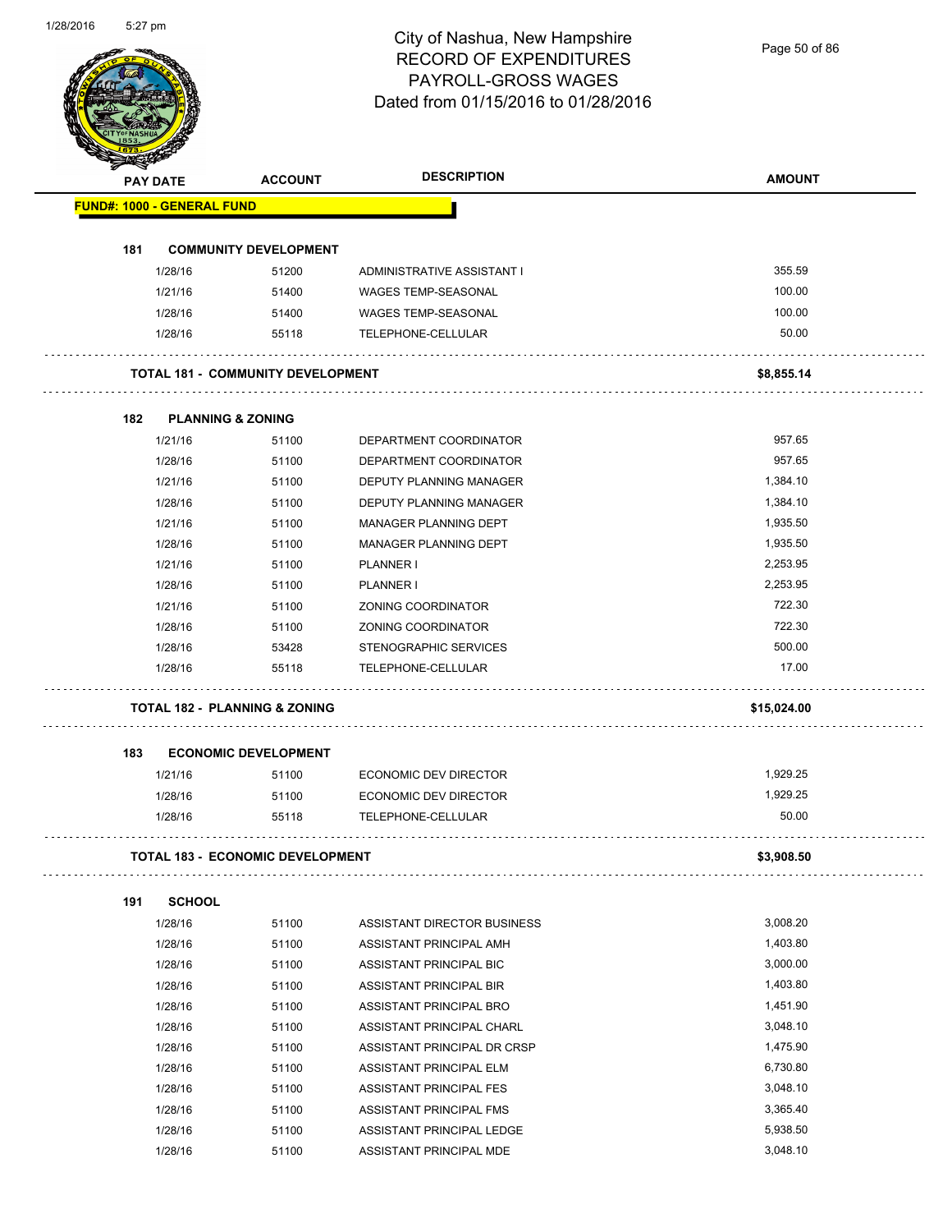Page 50 of 86

|     | <b>PAY DATE</b>                   | <b>ACCOUNT</b>                           | <b>DESCRIPTION</b>             | <b>AMOUNT</b>     |
|-----|-----------------------------------|------------------------------------------|--------------------------------|-------------------|
|     | <b>FUND#: 1000 - GENERAL FUND</b> |                                          |                                |                   |
|     |                                   |                                          |                                |                   |
| 181 |                                   | <b>COMMUNITY DEVELOPMENT</b>             |                                | 355.59            |
|     | 1/28/16                           | 51200                                    | ADMINISTRATIVE ASSISTANT I     |                   |
|     | 1/21/16                           | 51400                                    | <b>WAGES TEMP-SEASONAL</b>     | 100.00            |
|     | 1/28/16                           | 51400                                    | <b>WAGES TEMP-SEASONAL</b>     | 100.00            |
|     | 1/28/16                           | 55118                                    | TELEPHONE-CELLULAR             | 50.00             |
|     |                                   | <b>TOTAL 181 - COMMUNITY DEVELOPMENT</b> |                                | \$8,855.14        |
| 182 | <b>PLANNING &amp; ZONING</b>      |                                          |                                |                   |
|     | 1/21/16                           | 51100                                    | DEPARTMENT COORDINATOR         | 957.65            |
|     | 1/28/16                           | 51100                                    | DEPARTMENT COORDINATOR         | 957.65            |
|     | 1/21/16                           | 51100                                    | <b>DEPUTY PLANNING MANAGER</b> | 1,384.10          |
|     | 1/28/16                           | 51100                                    | DEPUTY PLANNING MANAGER        | 1,384.10          |
|     | 1/21/16                           | 51100                                    | MANAGER PLANNING DEPT          | 1,935.50          |
|     | 1/28/16                           | 51100                                    | MANAGER PLANNING DEPT          | 1,935.50          |
|     | 1/21/16                           | 51100                                    | PLANNER I                      | 2,253.95          |
|     | 1/28/16                           | 51100                                    | PLANNER I                      | 2,253.95          |
|     | 1/21/16                           | 51100                                    | ZONING COORDINATOR             | 722.30            |
|     | 1/28/16                           | 51100                                    | ZONING COORDINATOR             | 722.30            |
|     | 1/28/16                           | 53428                                    | STENOGRAPHIC SERVICES          | 500.00            |
|     | 1/28/16                           | 55118                                    | TELEPHONE-CELLULAR             | 17.00             |
|     |                                   | <b>TOTAL 182 - PLANNING &amp; ZONING</b> |                                | \$15,024.00       |
|     |                                   |                                          |                                |                   |
| 183 |                                   | <b>ECONOMIC DEVELOPMENT</b>              |                                |                   |
|     | 1/21/16                           | 51100                                    | <b>ECONOMIC DEV DIRECTOR</b>   | 1,929.25          |
|     | 1/28/16                           | 51100                                    | ECONOMIC DEV DIRECTOR          | 1,929.25<br>50.00 |
|     | 1/28/16                           | 55118                                    | TELEPHONE-CELLULAR             |                   |
|     |                                   | <b>TOTAL 183 - ECONOMIC DEVELOPMENT</b>  |                                | \$3,908.50        |
| 191 | <b>SCHOOL</b>                     |                                          |                                |                   |
|     | 1/28/16                           | 51100                                    | ASSISTANT DIRECTOR BUSINESS    | 3,008.20          |
|     | 1/28/16                           | 51100                                    | ASSISTANT PRINCIPAL AMH        | 1,403.80          |
|     | 1/28/16                           | 51100                                    | ASSISTANT PRINCIPAL BIC        | 3,000.00          |
|     | 1/28/16                           | 51100                                    | ASSISTANT PRINCIPAL BIR        | 1,403.80          |
|     | 1/28/16                           | 51100                                    | ASSISTANT PRINCIPAL BRO        | 1,451.90          |
|     | 1/28/16                           | 51100                                    | ASSISTANT PRINCIPAL CHARL      | 3,048.10          |
|     | 1/28/16                           | 51100                                    | ASSISTANT PRINCIPAL DR CRSP    | 1,475.90          |
|     | 1/28/16                           | 51100                                    | ASSISTANT PRINCIPAL ELM        | 6,730.80          |
|     | 1/28/16                           | 51100                                    | ASSISTANT PRINCIPAL FES        | 3,048.10          |
|     | 1/28/16                           | 51100                                    | ASSISTANT PRINCIPAL FMS        | 3,365.40          |
|     |                                   |                                          |                                |                   |
|     | 1/28/16                           | 51100                                    | ASSISTANT PRINCIPAL LEDGE      | 5,938.50          |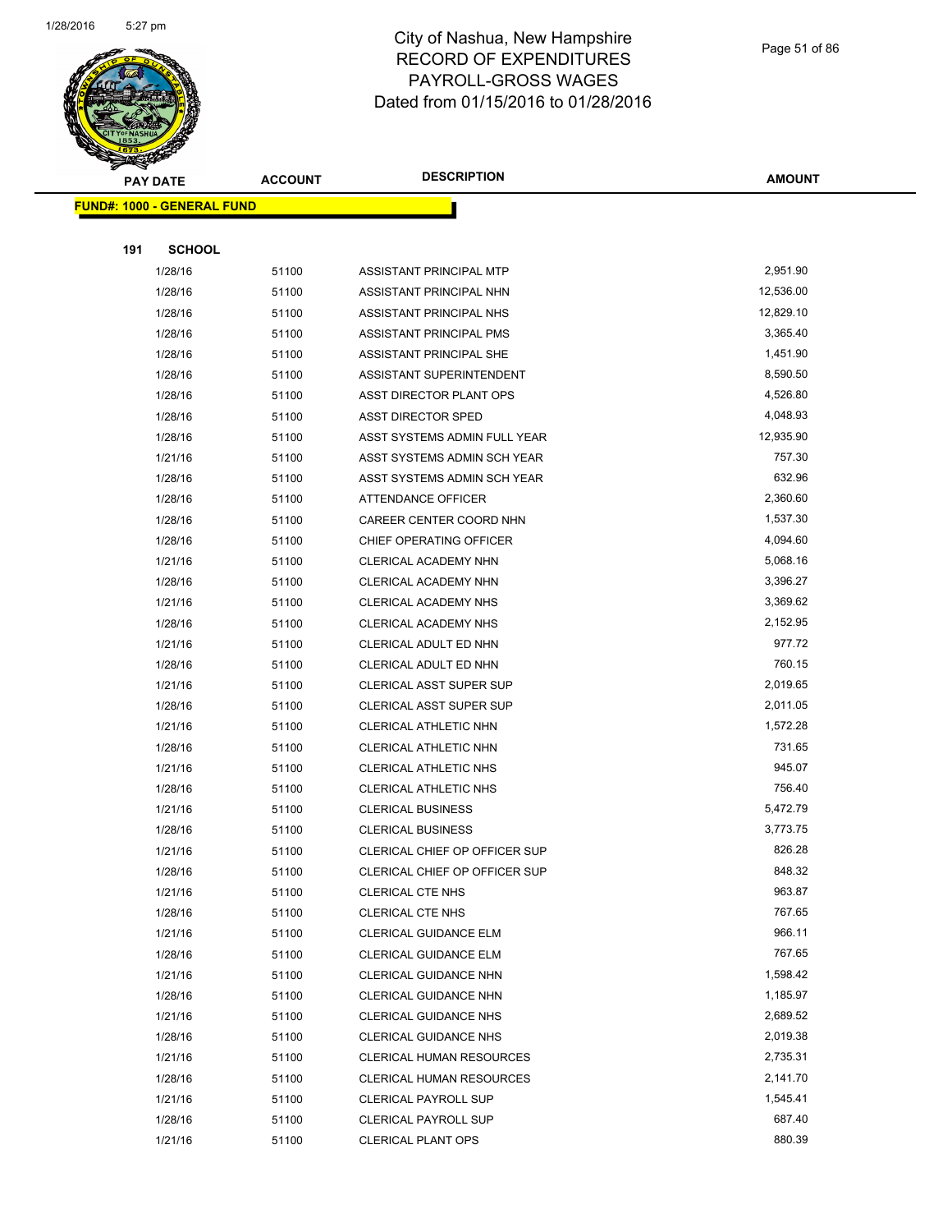

#### Page 51 of 86

|     | <b>PAY DATE</b>                   | <b>ACCOUNT</b> | <b>DESCRIPTION</b>              | <b>AMOUNT</b> |
|-----|-----------------------------------|----------------|---------------------------------|---------------|
|     | <b>FUND#: 1000 - GENERAL FUND</b> |                |                                 |               |
|     |                                   |                |                                 |               |
| 191 | <b>SCHOOL</b>                     |                |                                 |               |
|     | 1/28/16                           | 51100          | ASSISTANT PRINCIPAL MTP         | 2,951.90      |
|     | 1/28/16                           | 51100          | ASSISTANT PRINCIPAL NHN         | 12,536.00     |
|     | 1/28/16                           | 51100          | ASSISTANT PRINCIPAL NHS         | 12,829.10     |
|     | 1/28/16                           | 51100          | ASSISTANT PRINCIPAL PMS         | 3,365.40      |
|     | 1/28/16                           | 51100          | ASSISTANT PRINCIPAL SHE         | 1,451.90      |
|     | 1/28/16                           | 51100          | ASSISTANT SUPERINTENDENT        | 8,590.50      |
|     | 1/28/16                           | 51100          | ASST DIRECTOR PLANT OPS         | 4,526.80      |
|     | 1/28/16                           | 51100          | <b>ASST DIRECTOR SPED</b>       | 4,048.93      |
|     | 1/28/16                           | 51100          | ASST SYSTEMS ADMIN FULL YEAR    | 12,935.90     |
|     | 1/21/16                           | 51100          | ASST SYSTEMS ADMIN SCH YEAR     | 757.30        |
|     | 1/28/16                           | 51100          | ASST SYSTEMS ADMIN SCH YEAR     | 632.96        |
|     | 1/28/16                           | 51100          | <b>ATTENDANCE OFFICER</b>       | 2,360.60      |
|     | 1/28/16                           | 51100          | CAREER CENTER COORD NHN         | 1,537.30      |
|     | 1/28/16                           | 51100          | CHIEF OPERATING OFFICER         | 4,094.60      |
|     | 1/21/16                           | 51100          | CLERICAL ACADEMY NHN            | 5,068.16      |
|     | 1/28/16                           | 51100          | CLERICAL ACADEMY NHN            | 3,396.27      |
|     | 1/21/16                           | 51100          | CLERICAL ACADEMY NHS            | 3,369.62      |
|     | 1/28/16                           | 51100          | CLERICAL ACADEMY NHS            | 2,152.95      |
|     | 1/21/16                           | 51100          | CLERICAL ADULT ED NHN           | 977.72        |
|     | 1/28/16                           | 51100          | CLERICAL ADULT ED NHN           | 760.15        |
|     | 1/21/16                           | 51100          | <b>CLERICAL ASST SUPER SUP</b>  | 2,019.65      |
|     | 1/28/16                           | 51100          | <b>CLERICAL ASST SUPER SUP</b>  | 2,011.05      |
|     | 1/21/16                           | 51100          | CLERICAL ATHLETIC NHN           | 1,572.28      |
|     | 1/28/16                           | 51100          | CLERICAL ATHLETIC NHN           | 731.65        |
|     | 1/21/16                           | 51100          | <b>CLERICAL ATHLETIC NHS</b>    | 945.07        |
|     | 1/28/16                           | 51100          | <b>CLERICAL ATHLETIC NHS</b>    | 756.40        |
|     | 1/21/16                           | 51100          | <b>CLERICAL BUSINESS</b>        | 5,472.79      |
|     | 1/28/16                           | 51100          | <b>CLERICAL BUSINESS</b>        | 3,773.75      |
|     | 1/21/16                           | 51100          | CLERICAL CHIEF OP OFFICER SUP   | 826.28        |
|     | 1/28/16                           | 51100          | CLERICAL CHIEF OP OFFICER SUP   | 848.32        |
|     | 1/21/16                           | 51100          | <b>CLERICAL CTE NHS</b>         | 963.87        |
|     | 1/28/16                           | 51100          | <b>CLERICAL CTE NHS</b>         | 767.65        |
|     | 1/21/16                           | 51100          | <b>CLERICAL GUIDANCE ELM</b>    | 966.11        |
|     | 1/28/16                           | 51100          | <b>CLERICAL GUIDANCE ELM</b>    | 767.65        |
|     | 1/21/16                           | 51100          | CLERICAL GUIDANCE NHN           | 1,598.42      |
|     | 1/28/16                           | 51100          | CLERICAL GUIDANCE NHN           | 1,185.97      |
|     | 1/21/16                           | 51100          | <b>CLERICAL GUIDANCE NHS</b>    | 2,689.52      |
|     | 1/28/16                           | 51100          | <b>CLERICAL GUIDANCE NHS</b>    | 2,019.38      |
|     | 1/21/16                           | 51100          | <b>CLERICAL HUMAN RESOURCES</b> | 2,735.31      |
|     | 1/28/16                           | 51100          | <b>CLERICAL HUMAN RESOURCES</b> | 2,141.70      |
|     | 1/21/16                           | 51100          | <b>CLERICAL PAYROLL SUP</b>     | 1,545.41      |
|     | 1/28/16                           | 51100          | <b>CLERICAL PAYROLL SUP</b>     | 687.40        |
|     | 1/21/16                           | 51100          | <b>CLERICAL PLANT OPS</b>       | 880.39        |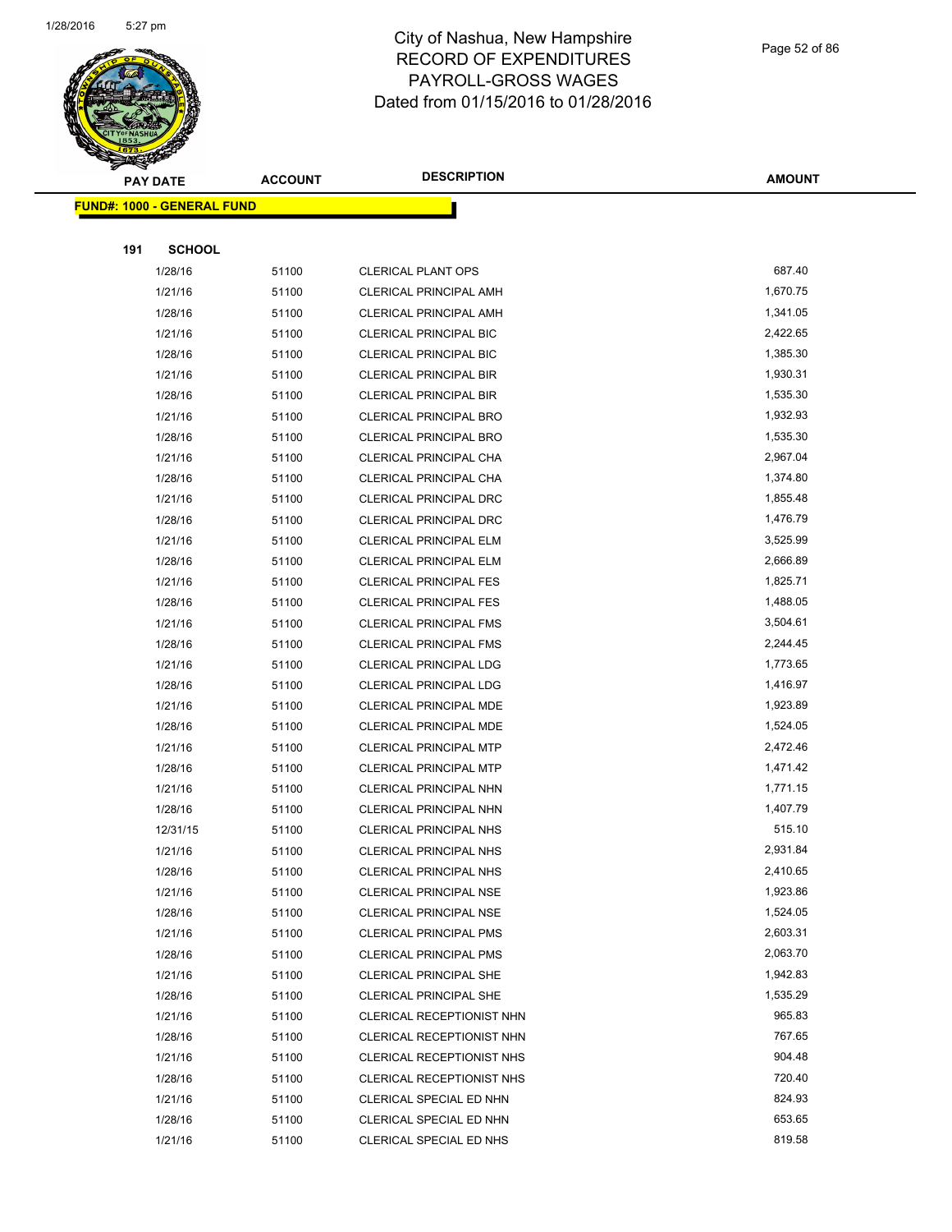

#### Page 52 of 86

|     | <b>PAY DATE</b>                    | <b>ACCOUNT</b> | <b>DESCRIPTION</b>               | AMOUNT   |
|-----|------------------------------------|----------------|----------------------------------|----------|
|     | <u> FUND#: 1000 - GENERAL FUND</u> |                |                                  |          |
|     |                                    |                |                                  |          |
| 191 | <b>SCHOOL</b>                      |                |                                  |          |
|     | 1/28/16                            | 51100          | <b>CLERICAL PLANT OPS</b>        | 687.40   |
|     | 1/21/16                            | 51100          | <b>CLERICAL PRINCIPAL AMH</b>    | 1,670.75 |
|     | 1/28/16                            | 51100          | <b>CLERICAL PRINCIPAL AMH</b>    | 1,341.05 |
|     | 1/21/16                            | 51100          | <b>CLERICAL PRINCIPAL BIC</b>    | 2,422.65 |
|     | 1/28/16                            | 51100          | <b>CLERICAL PRINCIPAL BIC</b>    | 1,385.30 |
|     | 1/21/16                            | 51100          | <b>CLERICAL PRINCIPAL BIR</b>    | 1,930.31 |
|     | 1/28/16                            | 51100          | <b>CLERICAL PRINCIPAL BIR</b>    | 1,535.30 |
|     | 1/21/16                            | 51100          | CLERICAL PRINCIPAL BRO           | 1,932.93 |
|     | 1/28/16                            | 51100          | CLERICAL PRINCIPAL BRO           | 1,535.30 |
|     | 1/21/16                            | 51100          | CLERICAL PRINCIPAL CHA           | 2,967.04 |
|     | 1/28/16                            | 51100          | CLERICAL PRINCIPAL CHA           | 1,374.80 |
|     | 1/21/16                            | 51100          | CLERICAL PRINCIPAL DRC           | 1,855.48 |
|     | 1/28/16                            | 51100          | <b>CLERICAL PRINCIPAL DRC</b>    | 1,476.79 |
|     | 1/21/16                            | 51100          | CLERICAL PRINCIPAL ELM           | 3,525.99 |
|     | 1/28/16                            | 51100          | CLERICAL PRINCIPAL ELM           | 2,666.89 |
|     | 1/21/16                            | 51100          | <b>CLERICAL PRINCIPAL FES</b>    | 1,825.71 |
|     | 1/28/16                            | 51100          | <b>CLERICAL PRINCIPAL FES</b>    | 1,488.05 |
|     | 1/21/16                            | 51100          | <b>CLERICAL PRINCIPAL FMS</b>    | 3,504.61 |
|     | 1/28/16                            | 51100          | <b>CLERICAL PRINCIPAL FMS</b>    | 2,244.45 |
|     | 1/21/16                            | 51100          | <b>CLERICAL PRINCIPAL LDG</b>    | 1,773.65 |
|     | 1/28/16                            | 51100          | CLERICAL PRINCIPAL LDG           | 1,416.97 |
|     | 1/21/16                            | 51100          | CLERICAL PRINCIPAL MDE           | 1,923.89 |
|     | 1/28/16                            | 51100          | CLERICAL PRINCIPAL MDE           | 1,524.05 |
|     | 1/21/16                            | 51100          | CLERICAL PRINCIPAL MTP           | 2,472.46 |
|     | 1/28/16                            | 51100          | <b>CLERICAL PRINCIPAL MTP</b>    | 1,471.42 |
|     | 1/21/16                            | 51100          | CLERICAL PRINCIPAL NHN           | 1,771.15 |
|     | 1/28/16                            | 51100          | <b>CLERICAL PRINCIPAL NHN</b>    | 1,407.79 |
|     | 12/31/15                           | 51100          | <b>CLERICAL PRINCIPAL NHS</b>    | 515.10   |
|     | 1/21/16                            | 51100          | <b>CLERICAL PRINCIPAL NHS</b>    | 2,931.84 |
|     | 1/28/16                            | 51100          | <b>CLERICAL PRINCIPAL NHS</b>    | 2,410.65 |
|     | 1/21/16                            | 51100          | <b>CLERICAL PRINCIPAL NSE</b>    | 1,923.86 |
|     | 1/28/16                            | 51100          | <b>CLERICAL PRINCIPAL NSE</b>    | 1,524.05 |
|     | 1/21/16                            | 51100          | <b>CLERICAL PRINCIPAL PMS</b>    | 2,603.31 |
|     | 1/28/16                            | 51100          | <b>CLERICAL PRINCIPAL PMS</b>    | 2,063.70 |
|     | 1/21/16                            | 51100          | <b>CLERICAL PRINCIPAL SHE</b>    | 1,942.83 |
|     | 1/28/16                            | 51100          | <b>CLERICAL PRINCIPAL SHE</b>    | 1,535.29 |
|     | 1/21/16                            | 51100          | CLERICAL RECEPTIONIST NHN        | 965.83   |
|     | 1/28/16                            | 51100          | CLERICAL RECEPTIONIST NHN        | 767.65   |
|     | 1/21/16                            | 51100          | <b>CLERICAL RECEPTIONIST NHS</b> | 904.48   |
|     | 1/28/16                            | 51100          | CLERICAL RECEPTIONIST NHS        | 720.40   |
|     | 1/21/16                            | 51100          | CLERICAL SPECIAL ED NHN          | 824.93   |
|     | 1/28/16                            | 51100          | CLERICAL SPECIAL ED NHN          | 653.65   |
|     | 1/21/16                            | 51100          | CLERICAL SPECIAL ED NHS          | 819.58   |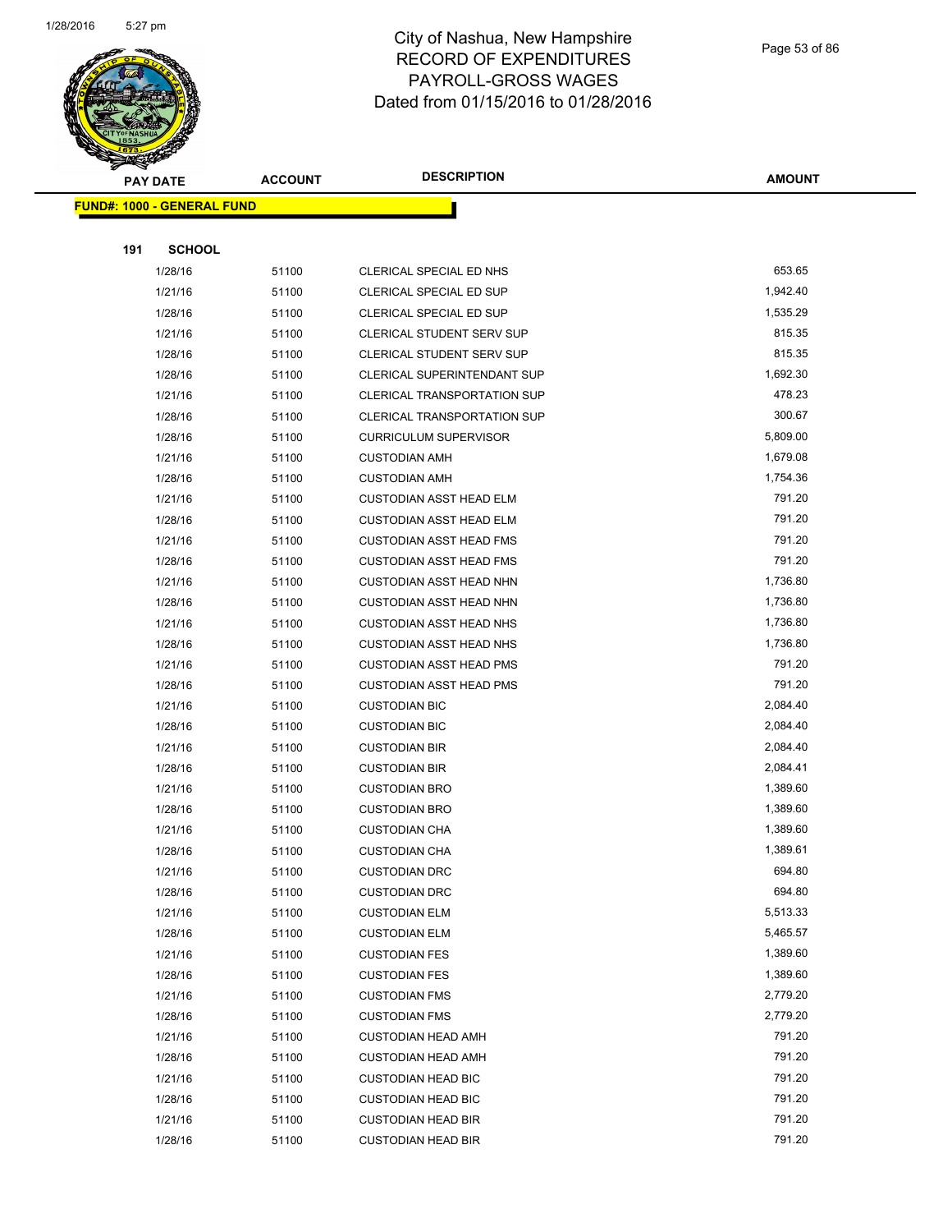

Page 53 of 86

| <b>PAY DATE</b>                   | <b>ACCOUNT</b> | <b>DESCRIPTION</b>                                     | <b>AMOUNT</b>      |
|-----------------------------------|----------------|--------------------------------------------------------|--------------------|
| <b>FUND#: 1000 - GENERAL FUND</b> |                |                                                        |                    |
|                                   |                |                                                        |                    |
| 191<br><b>SCHOOL</b>              |                |                                                        |                    |
| 1/28/16                           | 51100          | CLERICAL SPECIAL ED NHS                                | 653.65             |
| 1/21/16                           | 51100          | CLERICAL SPECIAL ED SUP                                | 1,942.40           |
| 1/28/16                           | 51100          | CLERICAL SPECIAL ED SUP                                | 1,535.29           |
| 1/21/16                           | 51100          | CLERICAL STUDENT SERV SUP                              | 815.35             |
| 1/28/16                           | 51100          | CLERICAL STUDENT SERV SUP                              | 815.35             |
| 1/28/16                           | 51100          | <b>CLERICAL SUPERINTENDANT SUP</b>                     | 1,692.30           |
| 1/21/16                           | 51100          | <b>CLERICAL TRANSPORTATION SUP</b>                     | 478.23             |
| 1/28/16                           | 51100          | <b>CLERICAL TRANSPORTATION SUP</b>                     | 300.67             |
| 1/28/16                           | 51100          | <b>CURRICULUM SUPERVISOR</b>                           | 5,809.00           |
| 1/21/16                           | 51100          | <b>CUSTODIAN AMH</b>                                   | 1,679.08           |
| 1/28/16                           | 51100          | <b>CUSTODIAN AMH</b>                                   | 1,754.36           |
| 1/21/16                           | 51100          | <b>CUSTODIAN ASST HEAD ELM</b>                         | 791.20             |
| 1/28/16                           | 51100          | <b>CUSTODIAN ASST HEAD ELM</b>                         | 791.20             |
| 1/21/16                           | 51100          | <b>CUSTODIAN ASST HEAD FMS</b>                         | 791.20             |
| 1/28/16                           | 51100          | <b>CUSTODIAN ASST HEAD FMS</b>                         | 791.20             |
| 1/21/16                           | 51100          | <b>CUSTODIAN ASST HEAD NHN</b>                         | 1,736.80           |
| 1/28/16                           | 51100          | <b>CUSTODIAN ASST HEAD NHN</b>                         | 1,736.80           |
| 1/21/16                           | 51100          | <b>CUSTODIAN ASST HEAD NHS</b>                         | 1,736.80           |
| 1/28/16                           | 51100          | <b>CUSTODIAN ASST HEAD NHS</b>                         | 1,736.80           |
| 1/21/16                           | 51100          | <b>CUSTODIAN ASST HEAD PMS</b>                         | 791.20             |
| 1/28/16                           | 51100          | <b>CUSTODIAN ASST HEAD PMS</b>                         | 791.20             |
| 1/21/16                           | 51100          | <b>CUSTODIAN BIC</b>                                   | 2,084.40           |
| 1/28/16                           | 51100          | <b>CUSTODIAN BIC</b>                                   | 2,084.40           |
| 1/21/16                           | 51100          | <b>CUSTODIAN BIR</b>                                   | 2,084.40           |
| 1/28/16                           | 51100          | <b>CUSTODIAN BIR</b>                                   | 2,084.41           |
| 1/21/16                           | 51100          | <b>CUSTODIAN BRO</b>                                   | 1,389.60           |
| 1/28/16                           | 51100          | <b>CUSTODIAN BRO</b>                                   | 1,389.60           |
| 1/21/16                           | 51100          | <b>CUSTODIAN CHA</b>                                   | 1,389.60           |
| 1/28/16                           | 51100          | <b>CUSTODIAN CHA</b>                                   | 1,389.61           |
| 1/21/16                           | 51100          | <b>CUSTODIAN DRC</b>                                   | 694.80             |
| 1/28/16                           | 51100          | <b>CUSTODIAN DRC</b>                                   | 694.80             |
| 1/21/16                           | 51100          | <b>CUSTODIAN ELM</b>                                   | 5,513.33           |
| 1/28/16                           | 51100          | <b>CUSTODIAN ELM</b>                                   | 5,465.57           |
| 1/21/16                           | 51100          | <b>CUSTODIAN FES</b>                                   | 1,389.60           |
| 1/28/16                           | 51100          | <b>CUSTODIAN FES</b>                                   | 1,389.60           |
| 1/21/16                           | 51100          | <b>CUSTODIAN FMS</b>                                   | 2,779.20           |
| 1/28/16                           | 51100          | <b>CUSTODIAN FMS</b>                                   | 2,779.20<br>791.20 |
| 1/21/16                           | 51100          | <b>CUSTODIAN HEAD AMH</b>                              |                    |
| 1/28/16                           | 51100          | <b>CUSTODIAN HEAD AMH</b>                              | 791.20<br>791.20   |
| 1/21/16                           | 51100          | <b>CUSTODIAN HEAD BIC</b>                              | 791.20             |
| 1/28/16<br>1/21/16                | 51100<br>51100 | <b>CUSTODIAN HEAD BIC</b><br><b>CUSTODIAN HEAD BIR</b> | 791.20             |
| 1/28/16                           | 51100          | <b>CUSTODIAN HEAD BIR</b>                              | 791.20             |
|                                   |                |                                                        |                    |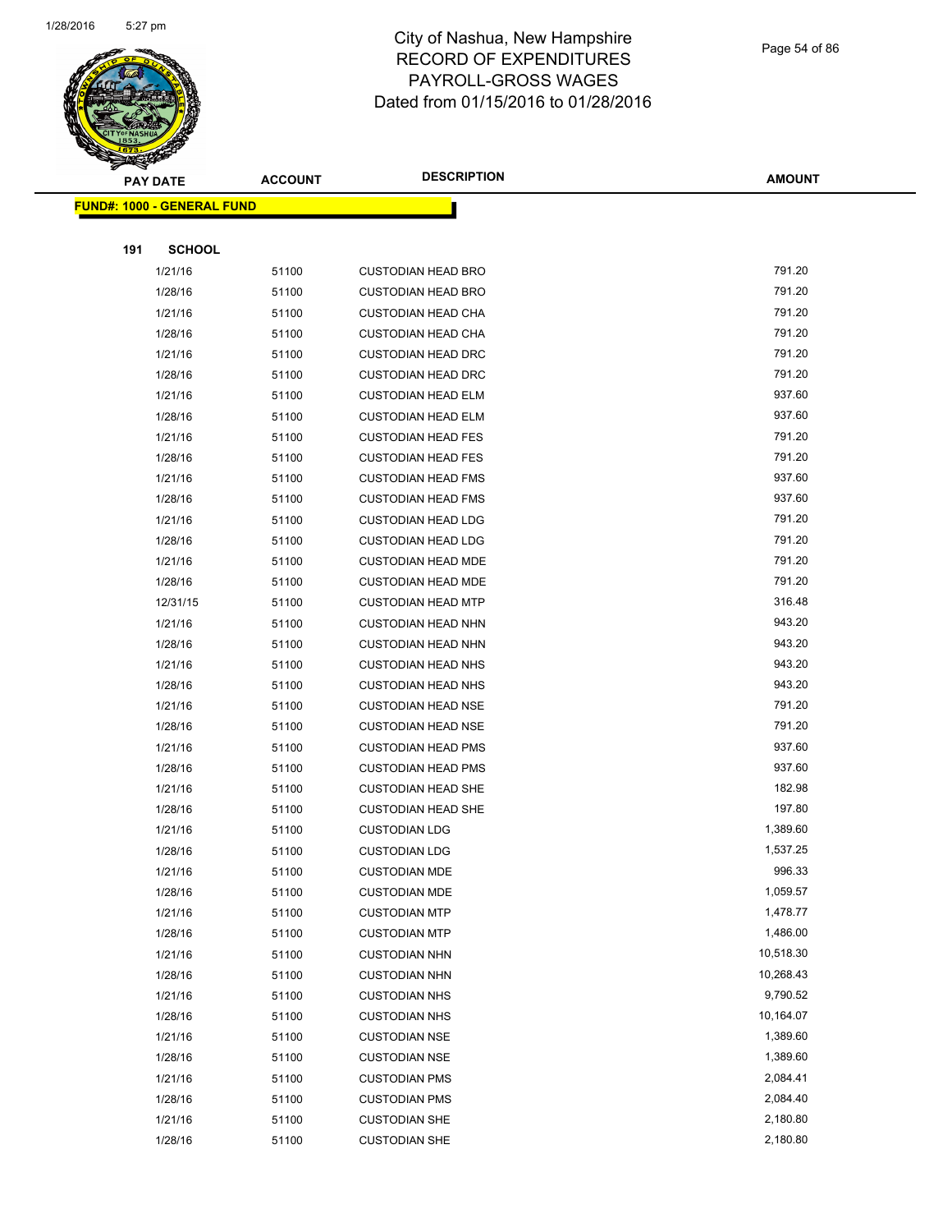

Page 54 of 86

|     | <b>PAY DATE</b>                   | <b>ACCOUNT</b> | <b>DESCRIPTION</b>        | <b>AMOUNT</b> |
|-----|-----------------------------------|----------------|---------------------------|---------------|
|     | <b>FUND#: 1000 - GENERAL FUND</b> |                |                           |               |
|     |                                   |                |                           |               |
| 191 | <b>SCHOOL</b>                     |                |                           |               |
|     | 1/21/16                           | 51100          | <b>CUSTODIAN HEAD BRO</b> | 791.20        |
|     | 1/28/16                           | 51100          | <b>CUSTODIAN HEAD BRO</b> | 791.20        |
|     | 1/21/16                           | 51100          | <b>CUSTODIAN HEAD CHA</b> | 791.20        |
|     | 1/28/16                           | 51100          | <b>CUSTODIAN HEAD CHA</b> | 791.20        |
|     | 1/21/16                           | 51100          | <b>CUSTODIAN HEAD DRC</b> | 791.20        |
|     | 1/28/16                           | 51100          | <b>CUSTODIAN HEAD DRC</b> | 791.20        |
|     | 1/21/16                           | 51100          | <b>CUSTODIAN HEAD ELM</b> | 937.60        |
|     | 1/28/16                           | 51100          | <b>CUSTODIAN HEAD ELM</b> | 937.60        |
|     | 1/21/16                           | 51100          | <b>CUSTODIAN HEAD FES</b> | 791.20        |
|     | 1/28/16                           | 51100          | <b>CUSTODIAN HEAD FES</b> | 791.20        |
|     | 1/21/16                           | 51100          | <b>CUSTODIAN HEAD FMS</b> | 937.60        |
|     | 1/28/16                           | 51100          | <b>CUSTODIAN HEAD FMS</b> | 937.60        |
|     | 1/21/16                           | 51100          | <b>CUSTODIAN HEAD LDG</b> | 791.20        |
|     | 1/28/16                           | 51100          | <b>CUSTODIAN HEAD LDG</b> | 791.20        |
|     | 1/21/16                           | 51100          | <b>CUSTODIAN HEAD MDE</b> | 791.20        |
|     | 1/28/16                           | 51100          | <b>CUSTODIAN HEAD MDE</b> | 791.20        |
|     | 12/31/15                          | 51100          | <b>CUSTODIAN HEAD MTP</b> | 316.48        |
|     | 1/21/16                           | 51100          | <b>CUSTODIAN HEAD NHN</b> | 943.20        |
|     | 1/28/16                           | 51100          | <b>CUSTODIAN HEAD NHN</b> | 943.20        |
|     | 1/21/16                           | 51100          | <b>CUSTODIAN HEAD NHS</b> | 943.20        |
|     | 1/28/16                           | 51100          | <b>CUSTODIAN HEAD NHS</b> | 943.20        |
|     | 1/21/16                           | 51100          | <b>CUSTODIAN HEAD NSE</b> | 791.20        |
|     | 1/28/16                           | 51100          | <b>CUSTODIAN HEAD NSE</b> | 791.20        |
|     | 1/21/16                           | 51100          | <b>CUSTODIAN HEAD PMS</b> | 937.60        |
|     | 1/28/16                           | 51100          | <b>CUSTODIAN HEAD PMS</b> | 937.60        |
|     | 1/21/16                           | 51100          | <b>CUSTODIAN HEAD SHE</b> | 182.98        |
|     | 1/28/16                           | 51100          | <b>CUSTODIAN HEAD SHE</b> | 197.80        |
|     | 1/21/16                           | 51100          | <b>CUSTODIAN LDG</b>      | 1,389.60      |
|     | 1/28/16                           | 51100          | <b>CUSTODIAN LDG</b>      | 1,537.25      |
|     | 1/21/16                           | 51100          | <b>CUSTODIAN MDE</b>      | 996.33        |
|     | 1/28/16                           | 51100          | <b>CUSTODIAN MDE</b>      | 1,059.57      |
|     | 1/21/16                           | 51100          | <b>CUSTODIAN MTP</b>      | 1,478.77      |
|     | 1/28/16                           | 51100          | <b>CUSTODIAN MTP</b>      | 1,486.00      |
|     | 1/21/16                           | 51100          | <b>CUSTODIAN NHN</b>      | 10,518.30     |
|     | 1/28/16                           | 51100          | <b>CUSTODIAN NHN</b>      | 10,268.43     |
|     | 1/21/16                           | 51100          | <b>CUSTODIAN NHS</b>      | 9,790.52      |
|     | 1/28/16                           | 51100          | <b>CUSTODIAN NHS</b>      | 10,164.07     |
|     | 1/21/16                           | 51100          | <b>CUSTODIAN NSE</b>      | 1,389.60      |
|     | 1/28/16                           | 51100          | <b>CUSTODIAN NSE</b>      | 1,389.60      |
|     | 1/21/16                           | 51100          | <b>CUSTODIAN PMS</b>      | 2,084.41      |
|     | 1/28/16                           | 51100          | <b>CUSTODIAN PMS</b>      | 2,084.40      |
|     | 1/21/16                           | 51100          | <b>CUSTODIAN SHE</b>      | 2,180.80      |
|     | 1/28/16                           | 51100          | <b>CUSTODIAN SHE</b>      | 2,180.80      |
|     |                                   |                |                           |               |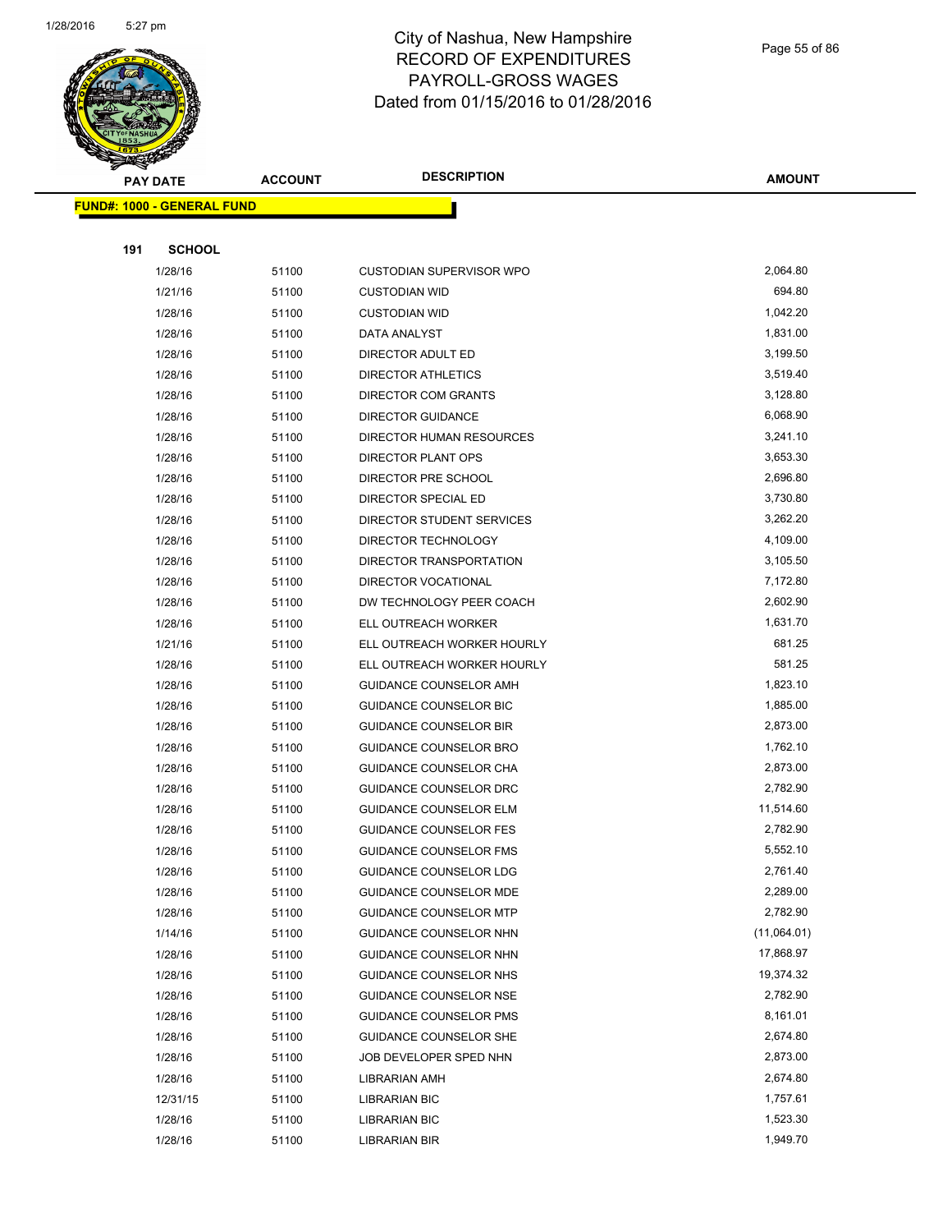

Page 55 of 86

|     | <b>PAY DATE</b>                   | <b>ACCOUNT</b> | <b>DESCRIPTION</b>                    | <b>AMOUNT</b>        |
|-----|-----------------------------------|----------------|---------------------------------------|----------------------|
|     | <b>FUND#: 1000 - GENERAL FUND</b> |                |                                       |                      |
|     |                                   |                |                                       |                      |
| 191 | <b>SCHOOL</b>                     |                |                                       |                      |
|     | 1/28/16                           | 51100          | CUSTODIAN SUPERVISOR WPO              | 2,064.80             |
|     | 1/21/16                           | 51100          | <b>CUSTODIAN WID</b>                  | 694.80               |
|     | 1/28/16                           | 51100          | <b>CUSTODIAN WID</b>                  | 1,042.20             |
|     | 1/28/16                           | 51100          | DATA ANALYST                          | 1,831.00             |
|     | 1/28/16                           | 51100          | DIRECTOR ADULT ED                     | 3,199.50             |
|     | 1/28/16                           | 51100          | DIRECTOR ATHLETICS                    | 3,519.40             |
|     | 1/28/16                           | 51100          | DIRECTOR COM GRANTS                   | 3,128.80             |
|     | 1/28/16                           | 51100          | <b>DIRECTOR GUIDANCE</b>              | 6,068.90             |
|     | 1/28/16                           | 51100          | DIRECTOR HUMAN RESOURCES              | 3,241.10             |
|     | 1/28/16                           | 51100          | DIRECTOR PLANT OPS                    | 3,653.30             |
|     | 1/28/16                           | 51100          | DIRECTOR PRE SCHOOL                   | 2,696.80             |
|     | 1/28/16                           | 51100          | DIRECTOR SPECIAL ED                   | 3,730.80             |
|     | 1/28/16                           | 51100          | DIRECTOR STUDENT SERVICES             | 3,262.20             |
|     | 1/28/16                           | 51100          | DIRECTOR TECHNOLOGY                   | 4,109.00             |
|     | 1/28/16                           | 51100          | DIRECTOR TRANSPORTATION               | 3,105.50             |
|     | 1/28/16                           | 51100          | <b>DIRECTOR VOCATIONAL</b>            | 7,172.80             |
|     | 1/28/16                           | 51100          | DW TECHNOLOGY PEER COACH              | 2,602.90             |
|     | 1/28/16                           | 51100          | ELL OUTREACH WORKER                   | 1,631.70             |
|     | 1/21/16                           | 51100          | ELL OUTREACH WORKER HOURLY            | 681.25               |
|     | 1/28/16                           | 51100          | ELL OUTREACH WORKER HOURLY            | 581.25               |
|     | 1/28/16                           | 51100          | <b>GUIDANCE COUNSELOR AMH</b>         | 1,823.10             |
|     | 1/28/16                           | 51100          | <b>GUIDANCE COUNSELOR BIC</b>         | 1,885.00             |
|     | 1/28/16                           | 51100          | <b>GUIDANCE COUNSELOR BIR</b>         | 2,873.00             |
|     | 1/28/16                           | 51100          | <b>GUIDANCE COUNSELOR BRO</b>         | 1,762.10             |
|     | 1/28/16                           | 51100          | GUIDANCE COUNSELOR CHA                | 2,873.00             |
|     | 1/28/16                           | 51100          | GUIDANCE COUNSELOR DRC                | 2,782.90             |
|     | 1/28/16                           | 51100          | <b>GUIDANCE COUNSELOR ELM</b>         | 11,514.60            |
|     | 1/28/16                           | 51100          | <b>GUIDANCE COUNSELOR FES</b>         | 2,782.90             |
|     | 1/28/16                           | 51100          | <b>GUIDANCE COUNSELOR FMS</b>         | 5,552.10             |
|     | 1/28/16                           | 51100          | GUIDANCE COUNSELOR LDG                | 2,761.40             |
|     | 1/28/16                           | 51100          | <b>GUIDANCE COUNSELOR MDE</b>         | 2,289.00             |
|     | 1/28/16                           | 51100          | <b>GUIDANCE COUNSELOR MTP</b>         | 2,782.90             |
|     | 1/14/16                           | 51100          | GUIDANCE COUNSELOR NHN                | (11,064.01)          |
|     | 1/28/16                           | 51100          | GUIDANCE COUNSELOR NHN                | 17,868.97            |
|     | 1/28/16                           | 51100          | GUIDANCE COUNSELOR NHS                | 19,374.32            |
|     | 1/28/16                           | 51100          | <b>GUIDANCE COUNSELOR NSE</b>         | 2,782.90             |
|     | 1/28/16                           | 51100          | <b>GUIDANCE COUNSELOR PMS</b>         | 8,161.01             |
|     | 1/28/16                           | 51100          | GUIDANCE COUNSELOR SHE                | 2,674.80             |
|     | 1/28/16                           | 51100          | JOB DEVELOPER SPED NHN                | 2,873.00<br>2,674.80 |
|     | 1/28/16                           | 51100          | LIBRARIAN AMH                         | 1,757.61             |
|     | 12/31/15                          | 51100          | LIBRARIAN BIC                         | 1,523.30             |
|     | 1/28/16<br>1/28/16                | 51100<br>51100 | <b>LIBRARIAN BIC</b><br>LIBRARIAN BIR | 1,949.70             |
|     |                                   |                |                                       |                      |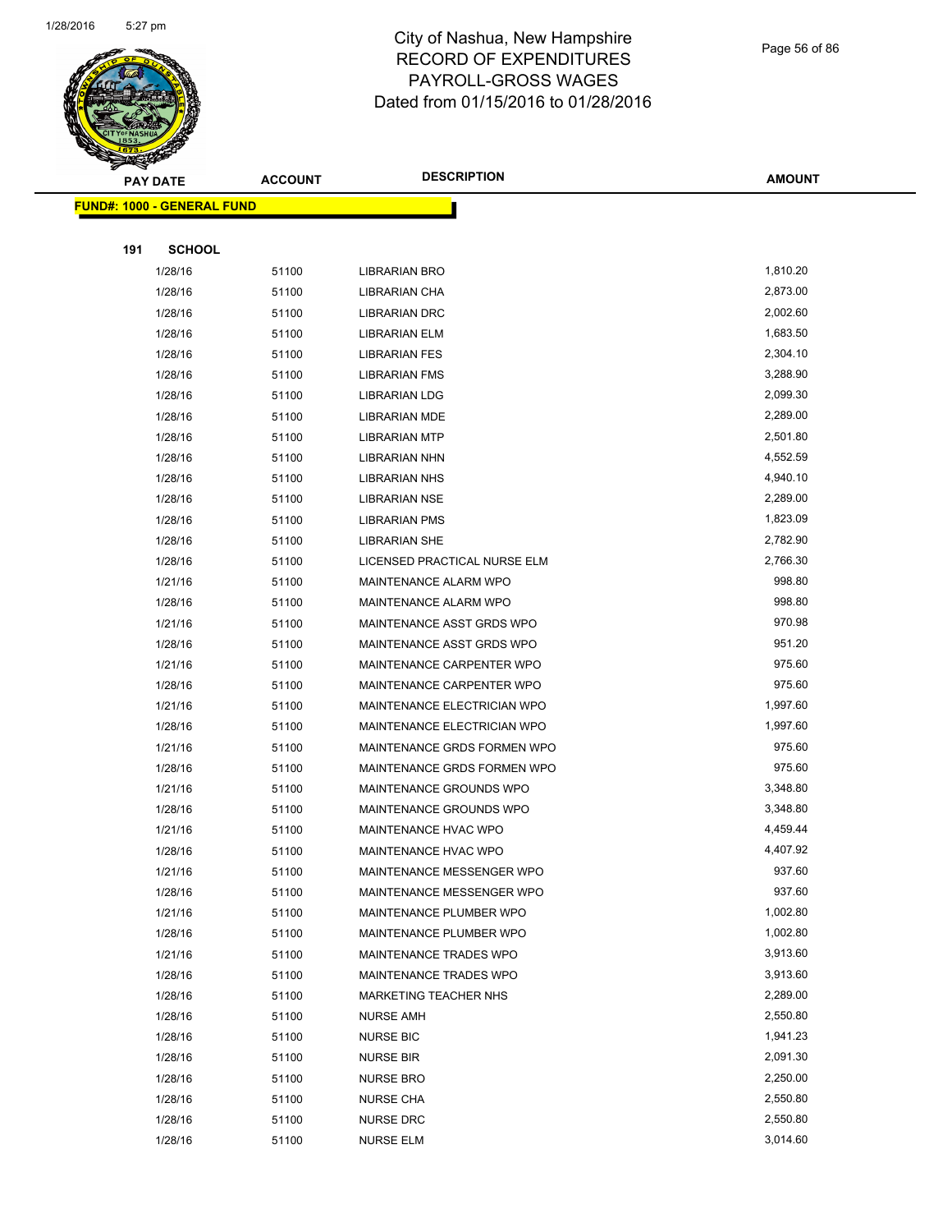

Page 56 of 86

|     | <b>PAY DATE</b>                   | <b>ACCOUNT</b> | <b>DESCRIPTION</b>                                | <b>AMOUNT</b>        |
|-----|-----------------------------------|----------------|---------------------------------------------------|----------------------|
|     | <b>FUND#: 1000 - GENERAL FUND</b> |                |                                                   |                      |
|     |                                   |                |                                                   |                      |
| 191 | <b>SCHOOL</b>                     |                |                                                   |                      |
|     | 1/28/16                           | 51100          | <b>LIBRARIAN BRO</b>                              | 1,810.20             |
|     | 1/28/16                           | 51100          | LIBRARIAN CHA                                     | 2,873.00             |
|     | 1/28/16                           | 51100          | <b>LIBRARIAN DRC</b>                              | 2,002.60             |
|     | 1/28/16                           | 51100          | <b>LIBRARIAN ELM</b>                              | 1,683.50             |
|     | 1/28/16                           | 51100          | LIBRARIAN FES                                     | 2,304.10             |
|     | 1/28/16                           | 51100          | <b>LIBRARIAN FMS</b>                              | 3,288.90             |
|     | 1/28/16                           | 51100          | <b>LIBRARIAN LDG</b>                              | 2,099.30             |
|     | 1/28/16                           | 51100          | LIBRARIAN MDE                                     | 2,289.00             |
|     | 1/28/16                           | 51100          | <b>LIBRARIAN MTP</b>                              | 2,501.80             |
|     | 1/28/16                           | 51100          | LIBRARIAN NHN                                     | 4,552.59             |
|     | 1/28/16                           | 51100          | <b>LIBRARIAN NHS</b>                              | 4,940.10<br>2,289.00 |
|     | 1/28/16<br>1/28/16                | 51100<br>51100 | <b>LIBRARIAN NSE</b><br><b>LIBRARIAN PMS</b>      | 1,823.09             |
|     | 1/28/16                           | 51100          | <b>LIBRARIAN SHE</b>                              | 2,782.90             |
|     | 1/28/16                           | 51100          | LICENSED PRACTICAL NURSE ELM                      | 2,766.30             |
|     | 1/21/16                           | 51100          | MAINTENANCE ALARM WPO                             | 998.80               |
|     | 1/28/16                           | 51100          | MAINTENANCE ALARM WPO                             | 998.80               |
|     | 1/21/16                           | 51100          | MAINTENANCE ASST GRDS WPO                         | 970.98               |
|     | 1/28/16                           | 51100          | MAINTENANCE ASST GRDS WPO                         | 951.20               |
|     | 1/21/16                           | 51100          | MAINTENANCE CARPENTER WPO                         | 975.60               |
|     | 1/28/16                           | 51100          | MAINTENANCE CARPENTER WPO                         | 975.60               |
|     | 1/21/16                           | 51100          | MAINTENANCE ELECTRICIAN WPO                       | 1,997.60             |
|     | 1/28/16                           | 51100          | MAINTENANCE ELECTRICIAN WPO                       | 1,997.60             |
|     | 1/21/16                           | 51100          | MAINTENANCE GRDS FORMEN WPO                       | 975.60               |
|     | 1/28/16                           | 51100          | MAINTENANCE GRDS FORMEN WPO                       | 975.60               |
|     | 1/21/16                           | 51100          | MAINTENANCE GROUNDS WPO                           | 3,348.80             |
|     | 1/28/16                           | 51100          | MAINTENANCE GROUNDS WPO                           | 3,348.80             |
|     | 1/21/16                           | 51100          | MAINTENANCE HVAC WPO                              | 4,459.44             |
|     | 1/28/16                           | 51100          | MAINTENANCE HVAC WPO                              | 4,407.92             |
|     | 1/21/16                           | 51100          | MAINTENANCE MESSENGER WPO                         | 937.60               |
|     | 1/28/16                           | 51100          | MAINTENANCE MESSENGER WPO                         | 937.60               |
|     | 1/21/16                           | 51100          | MAINTENANCE PLUMBER WPO                           | 1,002.80<br>1,002.80 |
|     | 1/28/16<br>1/21/16                | 51100<br>51100 | MAINTENANCE PLUMBER WPO<br>MAINTENANCE TRADES WPO | 3,913.60             |
|     | 1/28/16                           | 51100          | MAINTENANCE TRADES WPO                            | 3,913.60             |
|     | 1/28/16                           | 51100          | <b>MARKETING TEACHER NHS</b>                      | 2,289.00             |
|     | 1/28/16                           | 51100          | <b>NURSE AMH</b>                                  | 2,550.80             |
|     | 1/28/16                           | 51100          | <b>NURSE BIC</b>                                  | 1,941.23             |
|     | 1/28/16                           | 51100          | <b>NURSE BIR</b>                                  | 2,091.30             |
|     | 1/28/16                           | 51100          | <b>NURSE BRO</b>                                  | 2,250.00             |
|     | 1/28/16                           | 51100          | <b>NURSE CHA</b>                                  | 2,550.80             |
|     | 1/28/16                           | 51100          | NURSE DRC                                         | 2,550.80             |
|     | 1/28/16                           | 51100          | <b>NURSE ELM</b>                                  | 3,014.60             |
|     |                                   |                |                                                   |                      |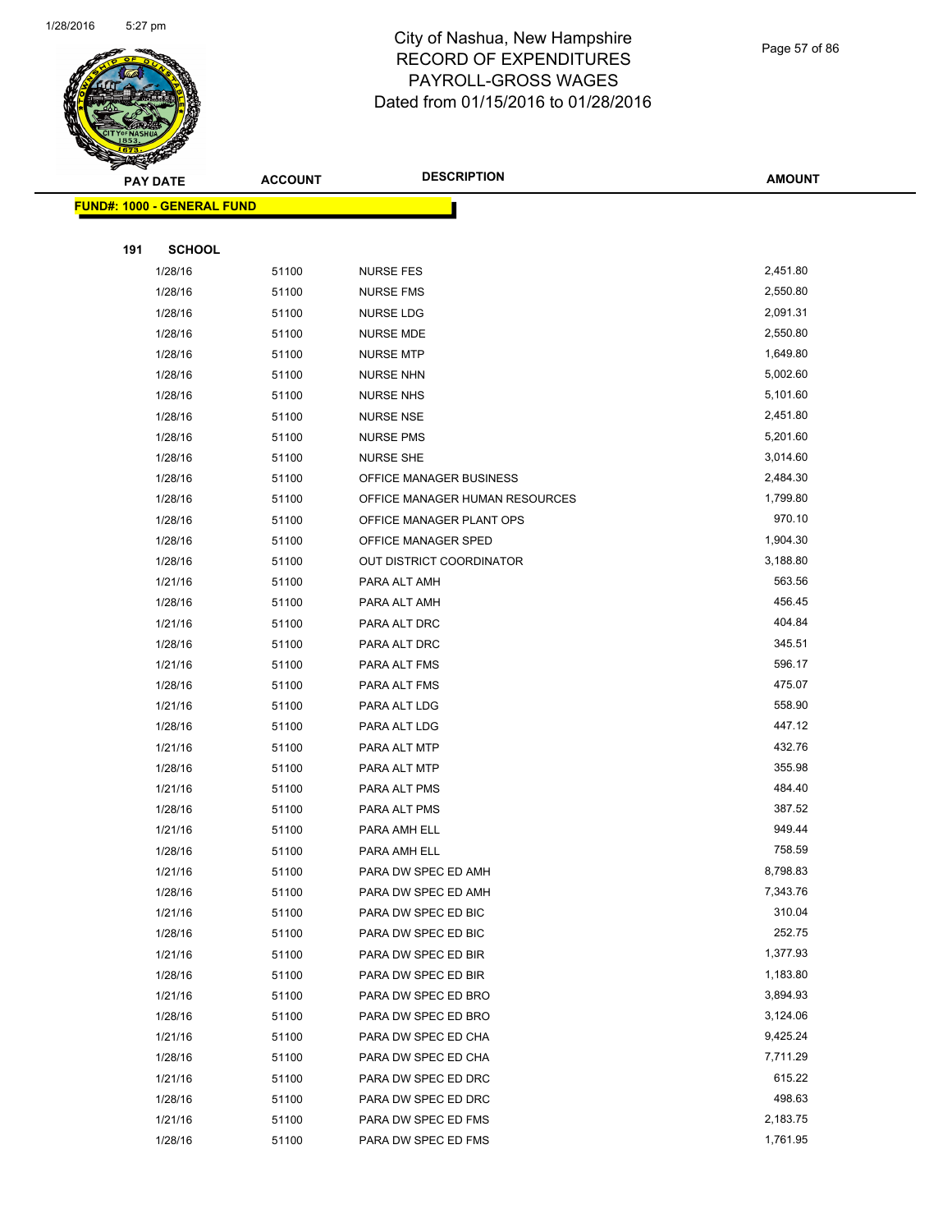

Page 57 of 86

|     | <b>PAY DATE</b>                    | <b>ACCOUNT</b> | <b>DESCRIPTION</b>                         | <b>AMOUNT</b>        |
|-----|------------------------------------|----------------|--------------------------------------------|----------------------|
|     | <u> FUND#: 1000 - GENERAL FUND</u> |                |                                            |                      |
|     |                                    |                |                                            |                      |
| 191 | <b>SCHOOL</b>                      |                |                                            |                      |
|     | 1/28/16                            | 51100          | <b>NURSE FES</b>                           | 2,451.80             |
|     | 1/28/16                            | 51100          | <b>NURSE FMS</b>                           | 2,550.80             |
|     | 1/28/16                            | 51100          | <b>NURSE LDG</b>                           | 2,091.31             |
|     | 1/28/16                            | 51100          | NURSE MDE                                  | 2,550.80<br>1,649.80 |
|     | 1/28/16<br>1/28/16                 | 51100<br>51100 | <b>NURSE MTP</b><br><b>NURSE NHN</b>       | 5,002.60             |
|     | 1/28/16                            | 51100          | <b>NURSE NHS</b>                           | 5,101.60             |
|     | 1/28/16                            | 51100          | <b>NURSE NSE</b>                           | 2,451.80             |
|     | 1/28/16                            | 51100          | <b>NURSE PMS</b>                           | 5,201.60             |
|     | 1/28/16                            | 51100          | <b>NURSE SHE</b>                           | 3,014.60             |
|     | 1/28/16                            | 51100          | OFFICE MANAGER BUSINESS                    | 2,484.30             |
|     | 1/28/16                            | 51100          | OFFICE MANAGER HUMAN RESOURCES             | 1,799.80             |
|     | 1/28/16                            | 51100          | OFFICE MANAGER PLANT OPS                   | 970.10               |
|     | 1/28/16                            | 51100          | OFFICE MANAGER SPED                        | 1,904.30             |
|     | 1/28/16                            | 51100          | OUT DISTRICT COORDINATOR                   | 3,188.80             |
|     | 1/21/16                            | 51100          | PARA ALT AMH                               | 563.56               |
|     | 1/28/16                            | 51100          | PARA ALT AMH                               | 456.45               |
|     | 1/21/16                            | 51100          | PARA ALT DRC                               | 404.84               |
|     | 1/28/16                            | 51100          | PARA ALT DRC                               | 345.51               |
|     | 1/21/16                            | 51100          | PARA ALT FMS                               | 596.17               |
|     | 1/28/16                            | 51100          | PARA ALT FMS                               | 475.07               |
|     | 1/21/16<br>1/28/16                 | 51100          | PARA ALT LDG<br>PARA ALT LDG               | 558.90<br>447.12     |
|     | 1/21/16                            | 51100<br>51100 | PARA ALT MTP                               | 432.76               |
|     | 1/28/16                            | 51100          | PARA ALT MTP                               | 355.98               |
|     | 1/21/16                            | 51100          | PARA ALT PMS                               | 484.40               |
|     | 1/28/16                            | 51100          | PARA ALT PMS                               | 387.52               |
|     | 1/21/16                            | 51100          | PARA AMH ELL                               | 949.44               |
|     | 1/28/16                            | 51100          | PARA AMH ELL                               | 758.59               |
|     | 1/21/16                            | 51100          | PARA DW SPEC ED AMH                        | 8,798.83             |
|     | 1/28/16                            | 51100          | PARA DW SPEC ED AMH                        | 7,343.76             |
|     | 1/21/16                            | 51100          | PARA DW SPEC ED BIC                        | 310.04               |
|     | 1/28/16                            | 51100          | PARA DW SPEC ED BIC                        | 252.75               |
|     | 1/21/16                            | 51100          | PARA DW SPEC ED BIR                        | 1,377.93             |
|     | 1/28/16                            | 51100          | PARA DW SPEC ED BIR                        | 1,183.80             |
|     | 1/21/16                            | 51100          | PARA DW SPEC ED BRO                        | 3,894.93             |
|     | 1/28/16                            | 51100          | PARA DW SPEC ED BRO                        | 3,124.06             |
|     | 1/21/16                            | 51100          | PARA DW SPEC ED CHA                        | 9,425.24             |
|     | 1/28/16                            | 51100          | PARA DW SPEC ED CHA                        | 7,711.29<br>615.22   |
|     | 1/21/16<br>1/28/16                 | 51100<br>51100 | PARA DW SPEC ED DRC<br>PARA DW SPEC ED DRC | 498.63               |
|     | 1/21/16                            | 51100          | PARA DW SPEC ED FMS                        | 2,183.75             |
|     | 1/28/16                            | 51100          | PARA DW SPEC ED FMS                        | 1,761.95             |
|     |                                    |                |                                            |                      |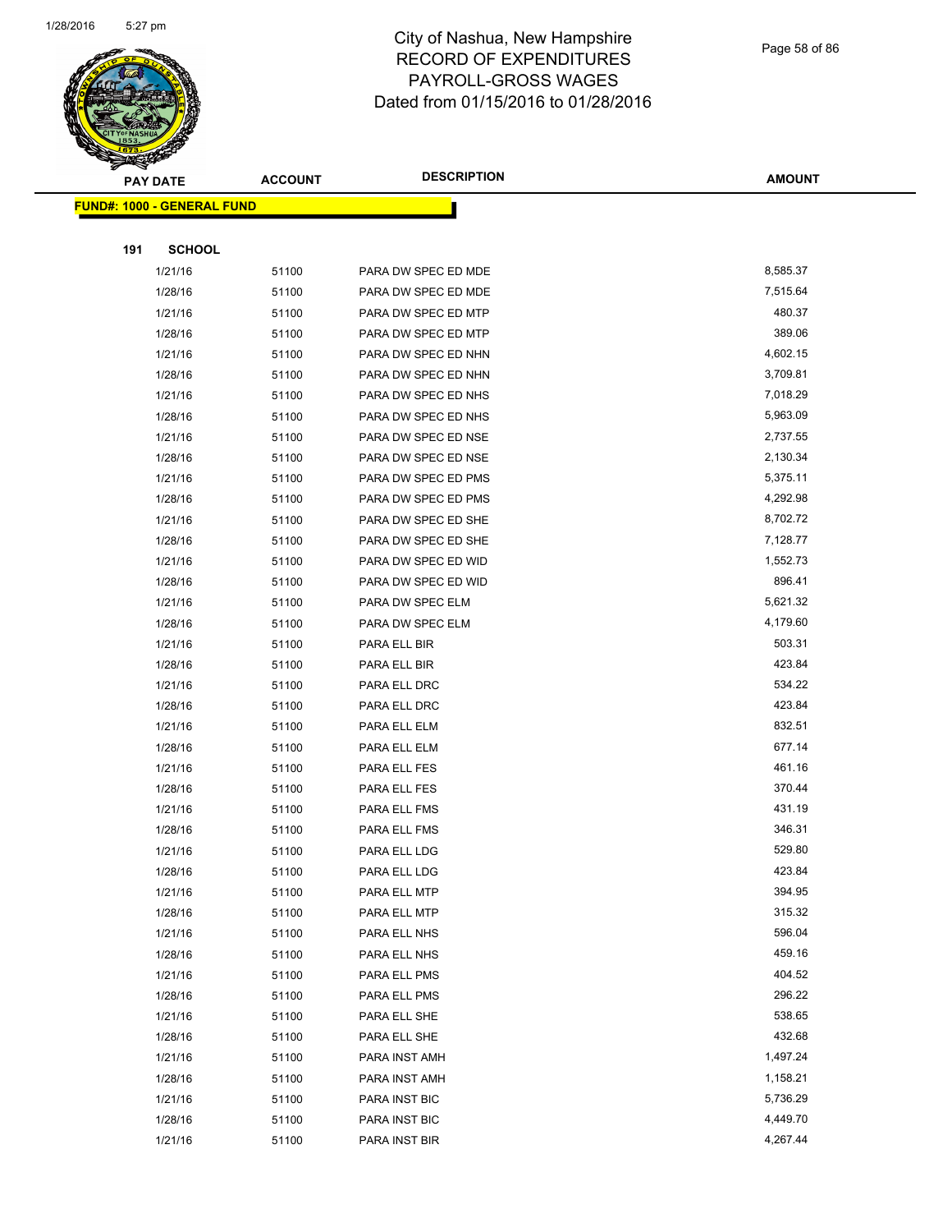

#### Page 58 of 86

|     | <b>PAY DATE</b>                    | <b>ACCOUNT</b> | <b>DESCRIPTION</b>  | <b>AMOUNT</b> |
|-----|------------------------------------|----------------|---------------------|---------------|
|     | <u> FUND#: 1000 - GENERAL FUND</u> |                |                     |               |
|     |                                    |                |                     |               |
| 191 | <b>SCHOOL</b>                      |                |                     |               |
|     | 1/21/16                            | 51100          | PARA DW SPEC ED MDE | 8,585.37      |
|     | 1/28/16                            | 51100          | PARA DW SPEC ED MDE | 7,515.64      |
|     | 1/21/16                            | 51100          | PARA DW SPEC ED MTP | 480.37        |
|     | 1/28/16                            | 51100          | PARA DW SPEC ED MTP | 389.06        |
|     | 1/21/16                            | 51100          | PARA DW SPEC ED NHN | 4,602.15      |
|     | 1/28/16                            | 51100          | PARA DW SPEC ED NHN | 3,709.81      |
|     | 1/21/16                            | 51100          | PARA DW SPEC ED NHS | 7,018.29      |
|     | 1/28/16                            | 51100          | PARA DW SPEC ED NHS | 5,963.09      |
|     | 1/21/16                            | 51100          | PARA DW SPEC ED NSE | 2,737.55      |
|     | 1/28/16                            | 51100          | PARA DW SPEC ED NSE | 2,130.34      |
|     | 1/21/16                            | 51100          | PARA DW SPEC ED PMS | 5,375.11      |
|     | 1/28/16                            | 51100          | PARA DW SPEC ED PMS | 4,292.98      |
|     | 1/21/16                            | 51100          | PARA DW SPEC ED SHE | 8,702.72      |
|     | 1/28/16                            | 51100          | PARA DW SPEC ED SHE | 7,128.77      |
|     | 1/21/16                            | 51100          | PARA DW SPEC ED WID | 1,552.73      |
|     | 1/28/16                            | 51100          | PARA DW SPEC ED WID | 896.41        |
|     | 1/21/16                            | 51100          | PARA DW SPEC ELM    | 5,621.32      |
|     | 1/28/16                            | 51100          | PARA DW SPEC ELM    | 4,179.60      |
|     | 1/21/16                            | 51100          | PARA ELL BIR        | 503.31        |
|     | 1/28/16                            | 51100          | PARA ELL BIR        | 423.84        |
|     | 1/21/16                            | 51100          | PARA ELL DRC        | 534.22        |
|     | 1/28/16                            | 51100          | PARA ELL DRC        | 423.84        |
|     | 1/21/16                            | 51100          | PARA ELL ELM        | 832.51        |
|     | 1/28/16                            | 51100          | PARA ELL ELM        | 677.14        |
|     | 1/21/16                            | 51100          | PARA ELL FES        | 461.16        |
|     | 1/28/16                            | 51100          | PARA ELL FES        | 370.44        |
|     | 1/21/16                            | 51100          | PARA ELL FMS        | 431.19        |
|     | 1/28/16                            | 51100          | PARA ELL FMS        | 346.31        |
|     | 1/21/16                            | 51100          | PARA ELL LDG        | 529.80        |
|     | 1/28/16                            | 51100          | PARA ELL LDG        | 423.84        |
|     | 1/21/16                            | 51100          | PARA ELL MTP        | 394.95        |
|     | 1/28/16                            | 51100          | PARA ELL MTP        | 315.32        |
|     | 1/21/16                            | 51100          | PARA ELL NHS        | 596.04        |
|     | 1/28/16                            | 51100          | PARA ELL NHS        | 459.16        |
|     | 1/21/16                            | 51100          | PARA ELL PMS        | 404.52        |
|     | 1/28/16                            | 51100          | PARA ELL PMS        | 296.22        |
|     | 1/21/16                            | 51100          | PARA ELL SHE        | 538.65        |
|     | 1/28/16                            | 51100          | PARA ELL SHE        | 432.68        |
|     | 1/21/16                            | 51100          | PARA INST AMH       | 1,497.24      |
|     | 1/28/16                            | 51100          | PARA INST AMH       | 1,158.21      |
|     | 1/21/16                            | 51100          | PARA INST BIC       | 5,736.29      |
|     | 1/28/16                            | 51100          | PARA INST BIC       | 4,449.70      |
|     | 1/21/16                            | 51100          | PARA INST BIR       | 4,267.44      |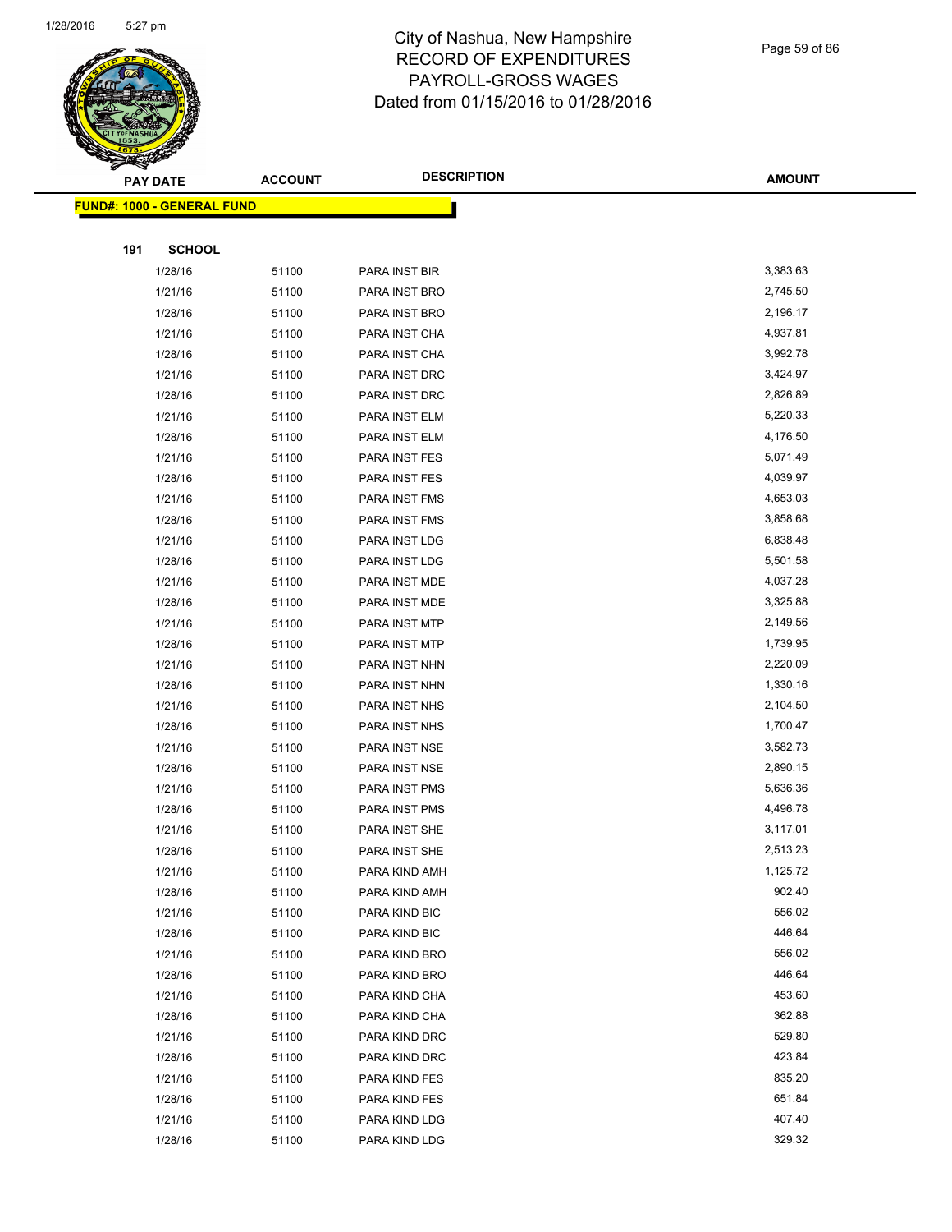

Page 59 of 86

|     | <b>PAY DATE</b>                   | <b>ACCOUNT</b> | <b>DESCRIPTION</b>             | <b>AMOUNT</b>        |
|-----|-----------------------------------|----------------|--------------------------------|----------------------|
|     | <b>FUND#: 1000 - GENERAL FUND</b> |                |                                |                      |
|     |                                   |                |                                |                      |
| 191 | <b>SCHOOL</b>                     |                |                                |                      |
|     | 1/28/16                           | 51100          | PARA INST BIR                  | 3,383.63             |
|     | 1/21/16                           | 51100          | PARA INST BRO                  | 2,745.50             |
|     | 1/28/16                           | 51100          | PARA INST BRO                  | 2,196.17             |
|     | 1/21/16                           | 51100          | PARA INST CHA                  | 4,937.81             |
|     | 1/28/16                           | 51100          | PARA INST CHA                  | 3,992.78             |
|     | 1/21/16                           | 51100          | PARA INST DRC                  | 3,424.97             |
|     | 1/28/16                           | 51100          | PARA INST DRC                  | 2,826.89             |
|     | 1/21/16                           | 51100          | PARA INST ELM                  | 5,220.33             |
|     | 1/28/16                           | 51100          | PARA INST ELM                  | 4,176.50             |
|     | 1/21/16                           | 51100          | PARA INST FES                  | 5,071.49             |
|     | 1/28/16                           | 51100          | PARA INST FES                  | 4,039.97             |
|     | 1/21/16                           | 51100          | PARA INST FMS                  | 4,653.03             |
|     | 1/28/16                           | 51100          | PARA INST FMS                  | 3,858.68             |
|     | 1/21/16                           | 51100          | PARA INST LDG                  | 6,838.48             |
|     | 1/28/16                           | 51100          | PARA INST LDG                  | 5,501.58             |
|     | 1/21/16                           | 51100          | PARA INST MDE                  | 4,037.28             |
|     | 1/28/16                           | 51100          | PARA INST MDE                  | 3,325.88             |
|     | 1/21/16                           | 51100          | PARA INST MTP                  | 2,149.56             |
|     | 1/28/16                           | 51100          | PARA INST MTP                  | 1,739.95             |
|     | 1/21/16                           | 51100          | PARA INST NHN                  | 2,220.09             |
|     | 1/28/16                           | 51100          | PARA INST NHN                  | 1,330.16             |
|     | 1/21/16                           | 51100          | PARA INST NHS                  | 2,104.50             |
|     | 1/28/16                           | 51100          | PARA INST NHS                  | 1,700.47             |
|     | 1/21/16                           | 51100          | PARA INST NSE                  | 3,582.73             |
|     | 1/28/16                           | 51100          | PARA INST NSE                  | 2,890.15             |
|     | 1/21/16                           | 51100          | PARA INST PMS                  | 5,636.36             |
|     | 1/28/16                           | 51100          | PARA INST PMS                  | 4,496.78             |
|     | 1/21/16                           | 51100          | PARA INST SHE                  | 3,117.01<br>2,513.23 |
|     | 1/28/16                           | 51100          | PARA INST SHE                  | 1,125.72             |
|     | 1/21/16                           | 51100          | PARA KIND AMH                  | 902.40               |
|     | 1/28/16<br>1/21/16                | 51100<br>51100 | PARA KIND AMH<br>PARA KIND BIC | 556.02               |
|     | 1/28/16                           | 51100          | PARA KIND BIC                  | 446.64               |
|     | 1/21/16                           | 51100          | PARA KIND BRO                  | 556.02               |
|     | 1/28/16                           | 51100          | PARA KIND BRO                  | 446.64               |
|     | 1/21/16                           | 51100          | PARA KIND CHA                  | 453.60               |
|     | 1/28/16                           | 51100          | PARA KIND CHA                  | 362.88               |
|     | 1/21/16                           | 51100          | PARA KIND DRC                  | 529.80               |
|     | 1/28/16                           | 51100          | PARA KIND DRC                  | 423.84               |
|     | 1/21/16                           | 51100          | PARA KIND FES                  | 835.20               |
|     | 1/28/16                           | 51100          | PARA KIND FES                  | 651.84               |
|     | 1/21/16                           | 51100          | PARA KIND LDG                  | 407.40               |
|     | 1/28/16                           | 51100          | PARA KIND LDG                  | 329.32               |
|     |                                   |                |                                |                      |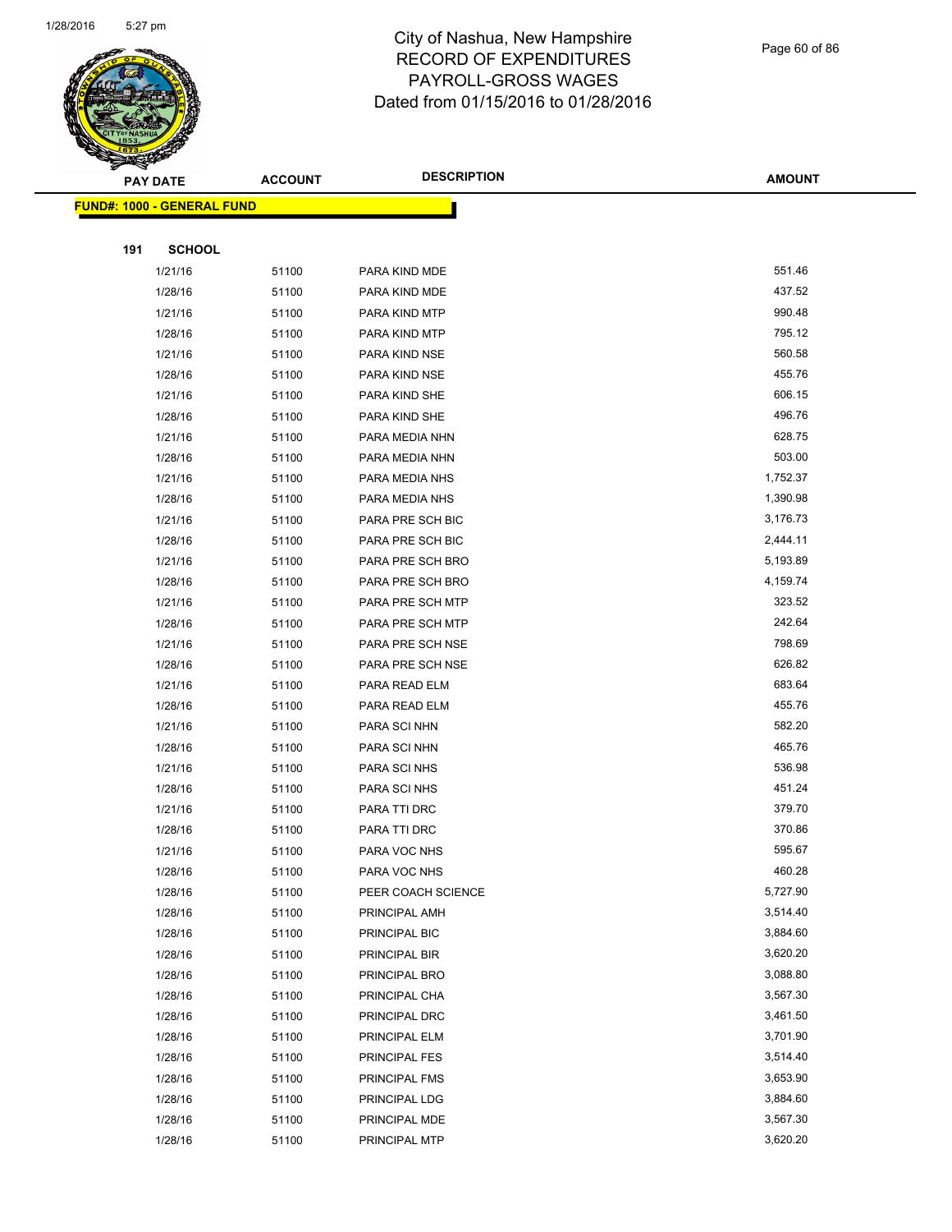

|     | <b>PAY DATE</b>                    | <b>ACCOUNT</b> | <b>DESCRIPTION</b>                  | <b>AMOUNT</b>    |
|-----|------------------------------------|----------------|-------------------------------------|------------------|
|     | <u> FUND#: 1000 - GENERAL FUND</u> |                |                                     |                  |
|     |                                    |                |                                     |                  |
| 191 | <b>SCHOOL</b>                      |                |                                     |                  |
|     | 1/21/16                            | 51100          | PARA KIND MDE                       | 551.46           |
|     | 1/28/16                            | 51100          | PARA KIND MDE                       | 437.52           |
|     | 1/21/16                            | 51100          | PARA KIND MTP                       | 990.48           |
|     | 1/28/16                            | 51100          | PARA KIND MTP                       | 795.12           |
|     | 1/21/16                            | 51100          | PARA KIND NSE                       | 560.58           |
|     | 1/28/16                            | 51100          | PARA KIND NSE                       | 455.76           |
|     | 1/21/16                            | 51100          | PARA KIND SHE                       | 606.15           |
|     | 1/28/16                            | 51100          | PARA KIND SHE                       | 496.76           |
|     | 1/21/16                            | 51100          | PARA MEDIA NHN                      | 628.75           |
|     | 1/28/16                            | 51100          | PARA MEDIA NHN                      | 503.00           |
|     | 1/21/16                            | 51100          | PARA MEDIA NHS                      | 1,752.37         |
|     | 1/28/16                            | 51100          | PARA MEDIA NHS                      | 1,390.98         |
|     | 1/21/16                            | 51100          | PARA PRE SCH BIC                    | 3,176.73         |
|     | 1/28/16                            | 51100          | PARA PRE SCH BIC                    | 2,444.11         |
|     | 1/21/16                            | 51100          | PARA PRE SCH BRO                    | 5,193.89         |
|     | 1/28/16                            | 51100          | PARA PRE SCH BRO                    | 4,159.74         |
|     | 1/21/16                            | 51100          | PARA PRE SCH MTP                    | 323.52           |
|     | 1/28/16                            | 51100          | PARA PRE SCH MTP                    | 242.64           |
|     | 1/21/16                            | 51100          | PARA PRE SCH NSE                    | 798.69           |
|     | 1/28/16                            | 51100          | PARA PRE SCH NSE                    | 626.82           |
|     | 1/21/16                            | 51100          | PARA READ ELM                       | 683.64           |
|     | 1/28/16                            | 51100          | PARA READ ELM                       | 455.76           |
|     | 1/21/16                            | 51100          | PARA SCI NHN                        | 582.20           |
|     | 1/28/16                            | 51100          | PARA SCI NHN                        | 465.76           |
|     | 1/21/16                            | 51100          | PARA SCI NHS                        | 536.98           |
|     | 1/28/16                            | 51100          | PARA SCI NHS                        | 451.24           |
|     | 1/21/16                            | 51100          | PARA TTI DRC                        | 379.70           |
|     | 1/28/16                            | 51100          | PARA TTI DRC                        | 370.86           |
|     | 1/21/16                            | 51100          | PARA VOC NHS                        | 595.67<br>460.28 |
|     | 1/28/16                            | 51100          | PARA VOC NHS                        | 5,727.90         |
|     | 1/28/16<br>1/28/16                 | 51100<br>51100 | PEER COACH SCIENCE<br>PRINCIPAL AMH | 3,514.40         |
|     | 1/28/16                            | 51100          | PRINCIPAL BIC                       | 3,884.60         |
|     | 1/28/16                            | 51100          | PRINCIPAL BIR                       | 3,620.20         |
|     | 1/28/16                            | 51100          | PRINCIPAL BRO                       | 3,088.80         |
|     | 1/28/16                            | 51100          | PRINCIPAL CHA                       | 3,567.30         |
|     | 1/28/16                            | 51100          | PRINCIPAL DRC                       | 3,461.50         |
|     | 1/28/16                            | 51100          | PRINCIPAL ELM                       | 3,701.90         |
|     | 1/28/16                            | 51100          | PRINCIPAL FES                       | 3,514.40         |
|     | 1/28/16                            | 51100          | PRINCIPAL FMS                       | 3,653.90         |
|     | 1/28/16                            | 51100          | PRINCIPAL LDG                       | 3,884.60         |
|     | 1/28/16                            | 51100          | PRINCIPAL MDE                       | 3,567.30         |
|     | 1/28/16                            | 51100          | PRINCIPAL MTP                       | 3,620.20         |
|     |                                    |                |                                     |                  |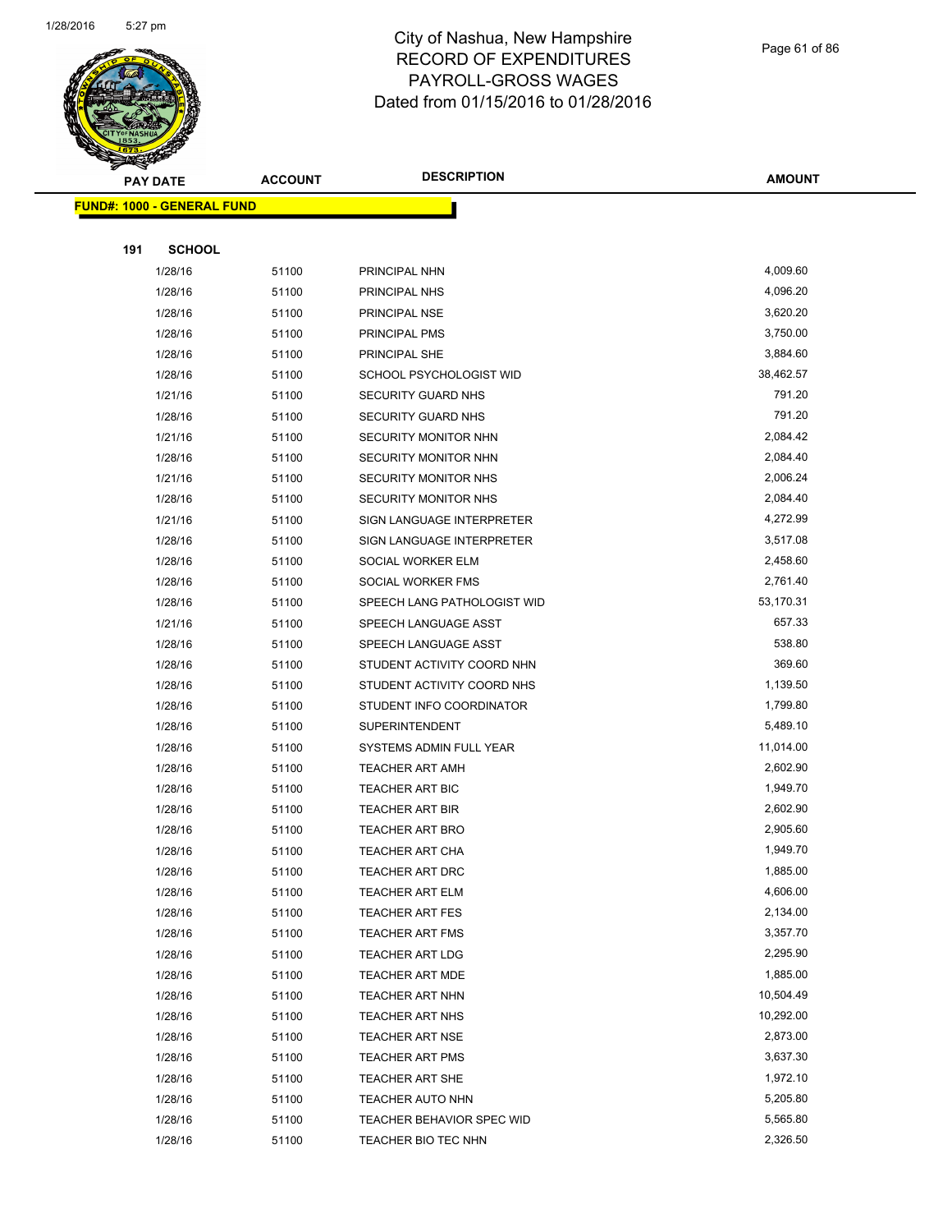

#### Page 61 of 86

|     | <b>PAY DATE</b>                   | <b>ACCOUNT</b> | <b>DESCRIPTION</b>                               | <b>AMOUNT</b>        |
|-----|-----------------------------------|----------------|--------------------------------------------------|----------------------|
|     | <b>FUND#: 1000 - GENERAL FUND</b> |                |                                                  |                      |
|     |                                   |                |                                                  |                      |
| 191 | <b>SCHOOL</b>                     |                |                                                  |                      |
|     | 1/28/16                           | 51100          | PRINCIPAL NHN                                    | 4,009.60             |
|     | 1/28/16                           | 51100          | PRINCIPAL NHS                                    | 4,096.20             |
|     | 1/28/16                           | 51100          | PRINCIPAL NSE                                    | 3,620.20             |
|     | 1/28/16                           | 51100          | PRINCIPAL PMS                                    | 3,750.00             |
|     | 1/28/16                           | 51100          | PRINCIPAL SHE                                    | 3,884.60             |
|     | 1/28/16                           | 51100          | SCHOOL PSYCHOLOGIST WID                          | 38,462.57            |
|     | 1/21/16                           | 51100          | SECURITY GUARD NHS                               | 791.20               |
|     | 1/28/16                           | 51100          | SECURITY GUARD NHS                               | 791.20               |
|     | 1/21/16                           | 51100          | SECURITY MONITOR NHN                             | 2,084.42             |
|     | 1/28/16                           | 51100          | SECURITY MONITOR NHN                             | 2,084.40             |
|     | 1/21/16                           | 51100          | <b>SECURITY MONITOR NHS</b>                      | 2,006.24             |
|     | 1/28/16                           | 51100          | <b>SECURITY MONITOR NHS</b>                      | 2,084.40             |
|     | 1/21/16                           | 51100          | SIGN LANGUAGE INTERPRETER                        | 4,272.99             |
|     | 1/28/16                           | 51100          | SIGN LANGUAGE INTERPRETER                        | 3,517.08             |
|     | 1/28/16                           | 51100          | SOCIAL WORKER ELM                                | 2,458.60             |
|     | 1/28/16                           | 51100          | SOCIAL WORKER FMS                                | 2,761.40             |
|     | 1/28/16                           | 51100          | SPEECH LANG PATHOLOGIST WID                      | 53,170.31            |
|     | 1/21/16                           | 51100          | SPEECH LANGUAGE ASST                             | 657.33               |
|     | 1/28/16                           | 51100          | SPEECH LANGUAGE ASST                             | 538.80               |
|     | 1/28/16                           | 51100          | STUDENT ACTIVITY COORD NHN                       | 369.60               |
|     | 1/28/16                           | 51100          | STUDENT ACTIVITY COORD NHS                       | 1,139.50             |
|     | 1/28/16                           | 51100          | STUDENT INFO COORDINATOR                         | 1,799.80             |
|     | 1/28/16                           | 51100          | <b>SUPERINTENDENT</b>                            | 5,489.10             |
|     | 1/28/16                           | 51100          | SYSTEMS ADMIN FULL YEAR                          | 11,014.00            |
|     | 1/28/16                           | 51100          | <b>TEACHER ART AMH</b>                           | 2,602.90             |
|     | 1/28/16                           | 51100          | <b>TEACHER ART BIC</b>                           | 1,949.70             |
|     | 1/28/16                           | 51100          | <b>TEACHER ART BIR</b>                           | 2,602.90             |
|     | 1/28/16                           | 51100          | <b>TEACHER ART BRO</b>                           | 2,905.60             |
|     | 1/28/16                           | 51100          | <b>TEACHER ART CHA</b>                           | 1,949.70             |
|     | 1/28/16                           | 51100          | TEACHER ART DRC                                  | 1,885.00<br>4,606.00 |
|     | 1/28/16                           | 51100          | <b>TEACHER ART ELM</b>                           | 2,134.00             |
|     | 1/28/16                           | 51100          | <b>TEACHER ART FES</b>                           | 3,357.70             |
|     | 1/28/16<br>1/28/16                | 51100<br>51100 | <b>TEACHER ART FMS</b><br><b>TEACHER ART LDG</b> | 2,295.90             |
|     | 1/28/16                           | 51100          | <b>TEACHER ART MDE</b>                           | 1,885.00             |
|     | 1/28/16                           | 51100          | <b>TEACHER ART NHN</b>                           | 10,504.49            |
|     | 1/28/16                           | 51100          | <b>TEACHER ART NHS</b>                           | 10,292.00            |
|     | 1/28/16                           | 51100          | <b>TEACHER ART NSE</b>                           | 2,873.00             |
|     | 1/28/16                           | 51100          | <b>TEACHER ART PMS</b>                           | 3,637.30             |
|     | 1/28/16                           | 51100          | <b>TEACHER ART SHE</b>                           | 1,972.10             |
|     | 1/28/16                           | 51100          | <b>TEACHER AUTO NHN</b>                          | 5,205.80             |
|     | 1/28/16                           | 51100          | TEACHER BEHAVIOR SPEC WID                        | 5,565.80             |
|     | 1/28/16                           | 51100          | TEACHER BIO TEC NHN                              | 2,326.50             |
|     |                                   |                |                                                  |                      |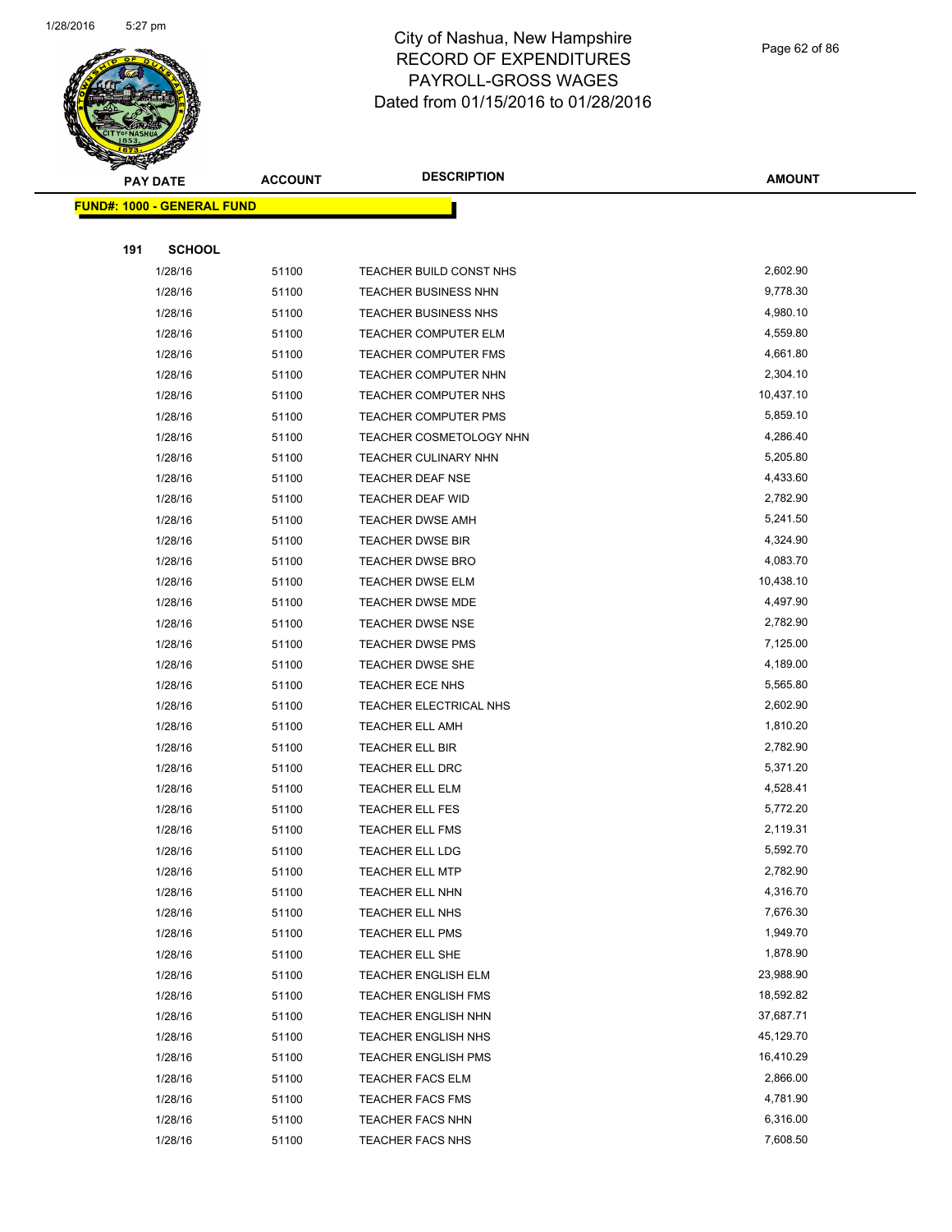

Page 62 of 86

|     | <b>PAY DATE</b>                   | <b>ACCOUNT</b> | <b>DESCRIPTION</b>                            | <b>AMOUNT</b>        |
|-----|-----------------------------------|----------------|-----------------------------------------------|----------------------|
|     | <b>FUND#: 1000 - GENERAL FUND</b> |                |                                               |                      |
|     |                                   |                |                                               |                      |
| 191 | <b>SCHOOL</b>                     |                |                                               |                      |
|     | 1/28/16                           | 51100          | TEACHER BUILD CONST NHS                       | 2,602.90             |
|     | 1/28/16                           | 51100          | TEACHER BUSINESS NHN                          | 9,778.30             |
|     | 1/28/16                           | 51100          | <b>TEACHER BUSINESS NHS</b>                   | 4,980.10             |
|     | 1/28/16                           | 51100          | TEACHER COMPUTER ELM                          | 4,559.80             |
|     | 1/28/16                           | 51100          | <b>TEACHER COMPUTER FMS</b>                   | 4,661.80             |
|     | 1/28/16                           | 51100          | TEACHER COMPUTER NHN                          | 2,304.10             |
|     | 1/28/16                           | 51100          | TEACHER COMPUTER NHS                          | 10,437.10            |
|     | 1/28/16                           | 51100          | <b>TEACHER COMPUTER PMS</b>                   | 5,859.10             |
|     | 1/28/16                           | 51100          | TEACHER COSMETOLOGY NHN                       | 4,286.40             |
|     | 1/28/16                           | 51100          | TEACHER CULINARY NHN                          | 5,205.80             |
|     | 1/28/16                           | 51100          | TEACHER DEAF NSE                              | 4,433.60             |
|     | 1/28/16                           | 51100          | TEACHER DEAF WID                              | 2,782.90             |
|     | 1/28/16                           | 51100          | <b>TEACHER DWSE AMH</b>                       | 5,241.50             |
|     | 1/28/16                           | 51100          | TEACHER DWSE BIR                              | 4,324.90             |
|     | 1/28/16                           | 51100          | <b>TEACHER DWSE BRO</b>                       | 4,083.70             |
|     | 1/28/16                           | 51100          | <b>TEACHER DWSE ELM</b>                       | 10,438.10            |
|     | 1/28/16                           | 51100          | <b>TEACHER DWSE MDE</b>                       | 4,497.90             |
|     | 1/28/16                           | 51100          | <b>TEACHER DWSE NSE</b>                       | 2,782.90             |
|     | 1/28/16                           | 51100          | <b>TEACHER DWSE PMS</b>                       | 7,125.00             |
|     | 1/28/16                           | 51100          | TEACHER DWSE SHE                              | 4,189.00             |
|     | 1/28/16                           | 51100          | TEACHER ECE NHS                               | 5,565.80             |
|     | 1/28/16                           | 51100          | TEACHER ELECTRICAL NHS                        | 2,602.90             |
|     | 1/28/16                           | 51100          | <b>TEACHER ELL AMH</b>                        | 1,810.20             |
|     | 1/28/16                           | 51100          | <b>TEACHER ELL BIR</b>                        | 2,782.90             |
|     | 1/28/16                           | 51100          | TEACHER ELL DRC                               | 5,371.20             |
|     | 1/28/16                           | 51100          | <b>TEACHER ELL ELM</b>                        | 4,528.41             |
|     | 1/28/16                           | 51100          | TEACHER ELL FES                               | 5,772.20             |
|     | 1/28/16                           | 51100          | <b>TEACHER ELL FMS</b>                        | 2,119.31             |
|     | 1/28/16                           | 51100          | <b>TEACHER ELL LDG</b>                        | 5,592.70             |
|     | 1/28/16                           | 51100          | TEACHER ELL MTP                               | 2,782.90             |
|     | 1/28/16                           | 51100          | TEACHER ELL NHN                               | 4,316.70             |
|     | 1/28/16                           | 51100          | TEACHER ELL NHS                               | 7,676.30<br>1,949.70 |
|     | 1/28/16                           | 51100          | <b>TEACHER ELL PMS</b>                        | 1,878.90             |
|     | 1/28/16<br>1/28/16                | 51100<br>51100 | TEACHER ELL SHE<br><b>TEACHER ENGLISH ELM</b> | 23,988.90            |
|     | 1/28/16                           | 51100          | <b>TEACHER ENGLISH FMS</b>                    | 18,592.82            |
|     | 1/28/16                           | 51100          | <b>TEACHER ENGLISH NHN</b>                    | 37,687.71            |
|     | 1/28/16                           | 51100          | TEACHER ENGLISH NHS                           | 45,129.70            |
|     | 1/28/16                           | 51100          | <b>TEACHER ENGLISH PMS</b>                    | 16,410.29            |
|     | 1/28/16                           | 51100          | <b>TEACHER FACS ELM</b>                       | 2,866.00             |
|     | 1/28/16                           | 51100          | <b>TEACHER FACS FMS</b>                       | 4,781.90             |
|     | 1/28/16                           | 51100          | <b>TEACHER FACS NHN</b>                       | 6,316.00             |
|     | 1/28/16                           | 51100          | TEACHER FACS NHS                              | 7,608.50             |
|     |                                   |                |                                               |                      |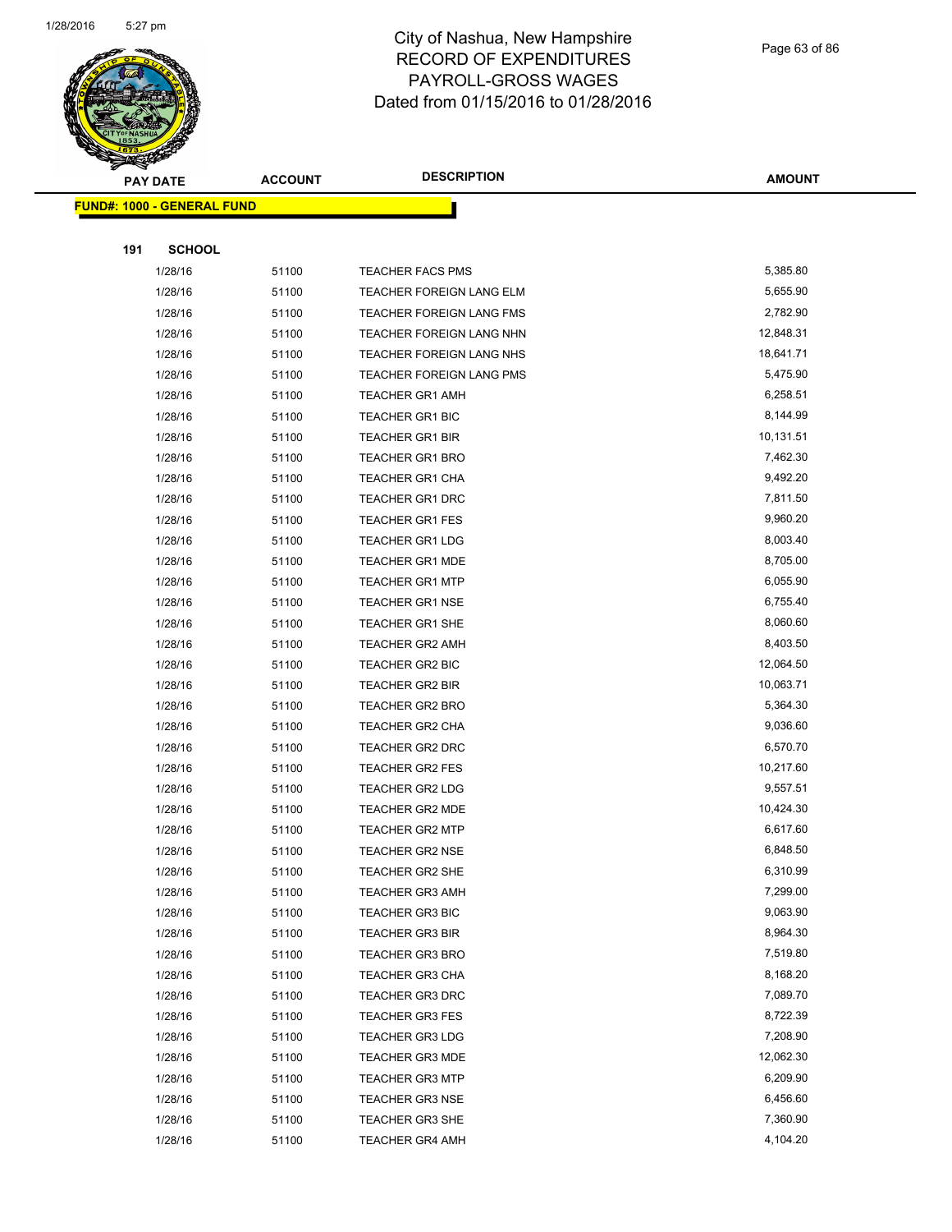

Page 63 of 86

|     | <b>PAY DATE</b>                   | <b>ACCOUNT</b> | <b>DESCRIPTION</b>                               | <b>AMOUNT</b>         |
|-----|-----------------------------------|----------------|--------------------------------------------------|-----------------------|
|     | <b>FUND#: 1000 - GENERAL FUND</b> |                |                                                  |                       |
|     |                                   |                |                                                  |                       |
| 191 | <b>SCHOOL</b>                     |                |                                                  |                       |
|     | 1/28/16                           | 51100          | <b>TEACHER FACS PMS</b>                          | 5,385.80              |
|     | 1/28/16                           | 51100          | TEACHER FOREIGN LANG ELM                         | 5,655.90              |
|     | 1/28/16                           | 51100          | TEACHER FOREIGN LANG FMS                         | 2,782.90              |
|     | 1/28/16                           | 51100          | TEACHER FOREIGN LANG NHN                         | 12,848.31             |
|     | 1/28/16                           | 51100          | TEACHER FOREIGN LANG NHS                         | 18,641.71             |
|     | 1/28/16                           | 51100          | TEACHER FOREIGN LANG PMS                         | 5,475.90              |
|     | 1/28/16                           | 51100          | <b>TEACHER GR1 AMH</b>                           | 6,258.51              |
|     | 1/28/16                           | 51100          | TEACHER GR1 BIC                                  | 8,144.99              |
|     | 1/28/16                           | 51100          | <b>TEACHER GR1 BIR</b>                           | 10,131.51<br>7,462.30 |
|     | 1/28/16<br>1/28/16                | 51100<br>51100 | <b>TEACHER GR1 BRO</b><br><b>TEACHER GR1 CHA</b> | 9,492.20              |
|     | 1/28/16                           | 51100          | <b>TEACHER GR1 DRC</b>                           | 7,811.50              |
|     | 1/28/16                           | 51100          | <b>TEACHER GR1 FES</b>                           | 9,960.20              |
|     | 1/28/16                           | 51100          | <b>TEACHER GR1 LDG</b>                           | 8,003.40              |
|     | 1/28/16                           | 51100          | <b>TEACHER GR1 MDE</b>                           | 8,705.00              |
|     | 1/28/16                           | 51100          | <b>TEACHER GR1 MTP</b>                           | 6,055.90              |
|     | 1/28/16                           | 51100          | <b>TEACHER GR1 NSE</b>                           | 6,755.40              |
|     | 1/28/16                           | 51100          | <b>TEACHER GR1 SHE</b>                           | 8,060.60              |
|     | 1/28/16                           | 51100          | <b>TEACHER GR2 AMH</b>                           | 8,403.50              |
|     | 1/28/16                           | 51100          | <b>TEACHER GR2 BIC</b>                           | 12,064.50             |
|     | 1/28/16                           | 51100          | <b>TEACHER GR2 BIR</b>                           | 10,063.71             |
|     | 1/28/16                           | 51100          | <b>TEACHER GR2 BRO</b>                           | 5,364.30              |
|     | 1/28/16                           | 51100          | <b>TEACHER GR2 CHA</b>                           | 9,036.60              |
|     | 1/28/16                           | 51100          | TEACHER GR2 DRC                                  | 6,570.70              |
|     | 1/28/16                           | 51100          | <b>TEACHER GR2 FES</b>                           | 10,217.60             |
|     | 1/28/16                           | 51100          | <b>TEACHER GR2 LDG</b>                           | 9,557.51              |
|     | 1/28/16                           | 51100          | <b>TEACHER GR2 MDE</b>                           | 10,424.30             |
|     | 1/28/16                           | 51100          | <b>TEACHER GR2 MTP</b>                           | 6,617.60              |
|     | 1/28/16                           | 51100          | <b>TEACHER GR2 NSE</b>                           | 6,848.50              |
|     | 1/28/16                           | 51100          | TEACHER GR2 SHE<br><b>TEACHER GR3 AMH</b>        | 6,310.99<br>7,299.00  |
|     | 1/28/16<br>1/28/16                | 51100<br>51100 | <b>TEACHER GR3 BIC</b>                           | 9,063.90              |
|     | 1/28/16                           | 51100          | TEACHER GR3 BIR                                  | 8,964.30              |
|     | 1/28/16                           | 51100          | <b>TEACHER GR3 BRO</b>                           | 7,519.80              |
|     | 1/28/16                           | 51100          | <b>TEACHER GR3 CHA</b>                           | 8,168.20              |
|     | 1/28/16                           | 51100          | <b>TEACHER GR3 DRC</b>                           | 7,089.70              |
|     | 1/28/16                           | 51100          | <b>TEACHER GR3 FES</b>                           | 8,722.39              |
|     | 1/28/16                           | 51100          | TEACHER GR3 LDG                                  | 7,208.90              |
|     | 1/28/16                           | 51100          | <b>TEACHER GR3 MDE</b>                           | 12,062.30             |
|     | 1/28/16                           | 51100          | <b>TEACHER GR3 MTP</b>                           | 6,209.90              |
|     | 1/28/16                           | 51100          | <b>TEACHER GR3 NSE</b>                           | 6,456.60              |
|     | 1/28/16                           | 51100          | TEACHER GR3 SHE                                  | 7,360.90              |
|     | 1/28/16                           | 51100          | <b>TEACHER GR4 AMH</b>                           | 4,104.20              |
|     |                                   |                |                                                  |                       |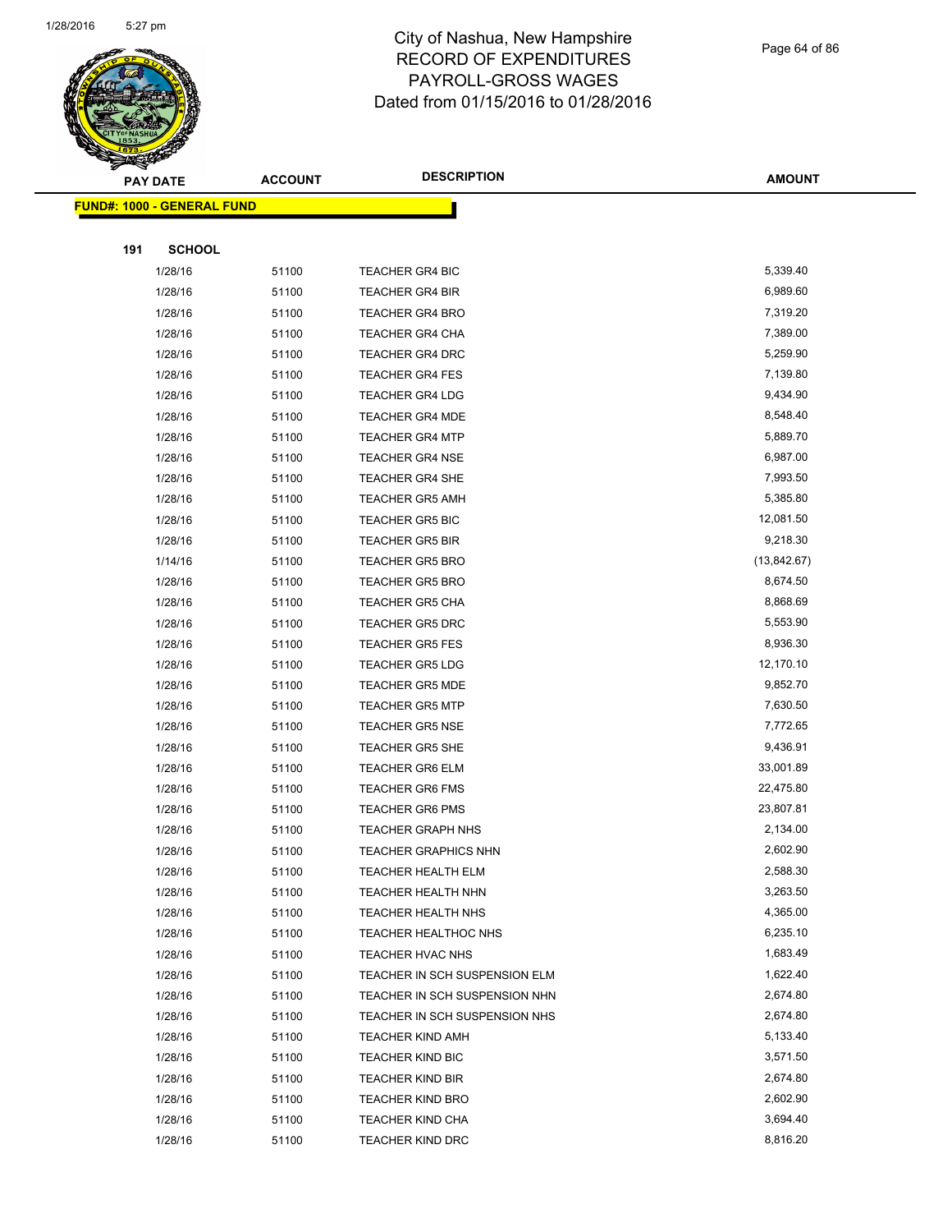

#### Page 64 of 86

|     | ॼ<br><b>PAY DATE</b>               | <b>ACCOUNT</b> | <b>DESCRIPTION</b>                          | <b>AMOUNT</b>        |
|-----|------------------------------------|----------------|---------------------------------------------|----------------------|
|     | <u> FUND#: 1000 - GENERAL FUND</u> |                |                                             |                      |
|     |                                    |                |                                             |                      |
| 191 | <b>SCHOOL</b>                      |                |                                             |                      |
|     | 1/28/16                            | 51100          | <b>TEACHER GR4 BIC</b>                      | 5,339.40             |
|     | 1/28/16                            | 51100          | <b>TEACHER GR4 BIR</b>                      | 6,989.60             |
|     | 1/28/16                            | 51100          | <b>TEACHER GR4 BRO</b>                      | 7,319.20             |
|     | 1/28/16                            | 51100          | <b>TEACHER GR4 CHA</b>                      | 7,389.00             |
|     | 1/28/16                            | 51100          | <b>TEACHER GR4 DRC</b>                      | 5,259.90             |
|     | 1/28/16                            | 51100          | <b>TEACHER GR4 FES</b>                      | 7,139.80             |
|     | 1/28/16                            | 51100          | <b>TEACHER GR4 LDG</b>                      | 9,434.90             |
|     | 1/28/16                            | 51100          | <b>TEACHER GR4 MDE</b>                      | 8,548.40             |
|     | 1/28/16                            | 51100          | <b>TEACHER GR4 MTP</b>                      | 5,889.70             |
|     | 1/28/16                            | 51100          | <b>TEACHER GR4 NSE</b>                      | 6,987.00             |
|     | 1/28/16                            | 51100          | <b>TEACHER GR4 SHE</b>                      | 7,993.50             |
|     | 1/28/16                            | 51100          | <b>TEACHER GR5 AMH</b>                      | 5,385.80             |
|     | 1/28/16                            | 51100          | <b>TEACHER GR5 BIC</b>                      | 12,081.50            |
|     | 1/28/16                            | 51100          | <b>TEACHER GR5 BIR</b>                      | 9,218.30             |
|     | 1/14/16                            | 51100          | <b>TEACHER GR5 BRO</b>                      | (13,842.67)          |
|     | 1/28/16                            | 51100          | <b>TEACHER GR5 BRO</b>                      | 8,674.50             |
|     | 1/28/16                            | 51100          | <b>TEACHER GR5 CHA</b>                      | 8,868.69             |
|     | 1/28/16                            | 51100          | <b>TEACHER GR5 DRC</b>                      | 5,553.90             |
|     | 1/28/16                            | 51100          | <b>TEACHER GR5 FES</b>                      | 8,936.30             |
|     | 1/28/16                            | 51100          | <b>TEACHER GR5 LDG</b>                      | 12,170.10            |
|     | 1/28/16                            | 51100          | <b>TEACHER GR5 MDE</b>                      | 9,852.70             |
|     | 1/28/16                            | 51100          | <b>TEACHER GR5 MTP</b>                      | 7,630.50             |
|     | 1/28/16                            | 51100          | <b>TEACHER GR5 NSE</b>                      | 7,772.65             |
|     | 1/28/16                            | 51100          | <b>TEACHER GR5 SHE</b>                      | 9,436.91             |
|     | 1/28/16                            | 51100          | <b>TEACHER GR6 ELM</b>                      | 33,001.89            |
|     | 1/28/16                            | 51100          | <b>TEACHER GR6 FMS</b>                      | 22,475.80            |
|     | 1/28/16                            | 51100          | <b>TEACHER GR6 PMS</b>                      | 23,807.81            |
|     | 1/28/16                            | 51100          | <b>TEACHER GRAPH NHS</b>                    | 2,134.00             |
|     | 1/28/16                            | 51100          | <b>TEACHER GRAPHICS NHN</b>                 | 2,602.90             |
|     | 1/28/16                            | 51100          | TEACHER HEALTH ELM                          | 2,588.30             |
|     | 1/28/16                            | 51100          | TEACHER HEALTH NHN                          | 3,263.50             |
|     | 1/28/16                            | 51100          | TEACHER HEALTH NHS                          | 4,365.00             |
|     | 1/28/16                            | 51100          | TEACHER HEALTHOC NHS                        | 6,235.10             |
|     | 1/28/16                            | 51100          | TEACHER HVAC NHS                            | 1,683.49             |
|     | 1/28/16                            | 51100          | TEACHER IN SCH SUSPENSION ELM               | 1,622.40             |
|     | 1/28/16                            | 51100          | TEACHER IN SCH SUSPENSION NHN               | 2,674.80             |
|     | 1/28/16                            | 51100          | TEACHER IN SCH SUSPENSION NHS               | 2,674.80             |
|     | 1/28/16                            | 51100          | <b>TEACHER KIND AMH</b>                     | 5,133.40             |
|     | 1/28/16                            | 51100          | <b>TEACHER KIND BIC</b>                     | 3,571.50<br>2,674.80 |
|     | 1/28/16                            | 51100          | <b>TEACHER KIND BIR</b>                     | 2,602.90             |
|     | 1/28/16<br>1/28/16                 | 51100<br>51100 | <b>TEACHER KIND BRO</b><br>TEACHER KIND CHA | 3,694.40             |
|     | 1/28/16                            | 51100          | TEACHER KIND DRC                            | 8,816.20             |
|     |                                    |                |                                             |                      |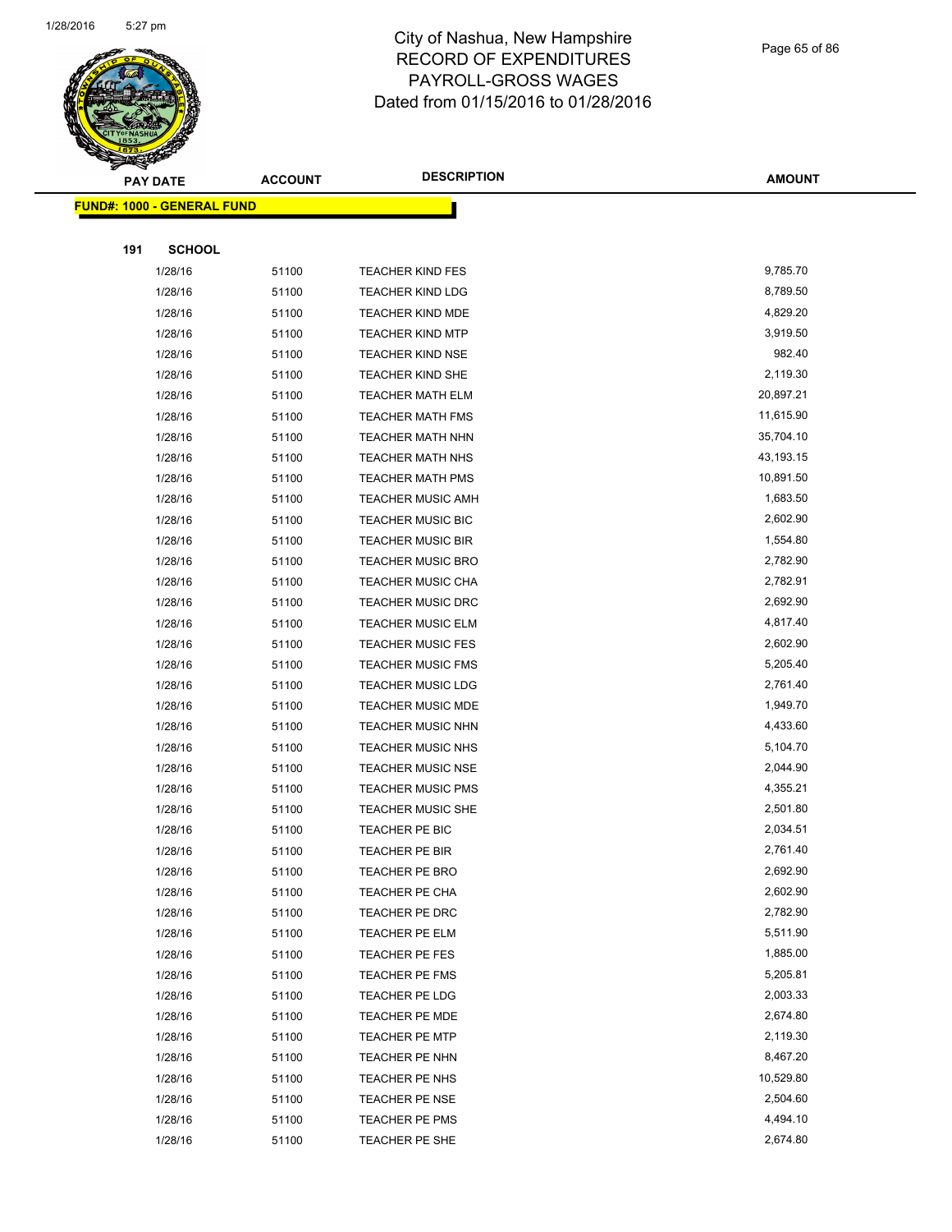

#### Page 65 of 86

|     | <b>PAY DATE</b>                    | <b>ACCOUNT</b> | <b>DESCRIPTION</b>       | <b>AMOUNT</b> |
|-----|------------------------------------|----------------|--------------------------|---------------|
|     | <u> FUND#: 1000 - GENERAL FUND</u> |                |                          |               |
|     |                                    |                |                          |               |
| 191 | <b>SCHOOL</b>                      |                |                          |               |
|     | 1/28/16                            | 51100          | <b>TEACHER KIND FES</b>  | 9,785.70      |
|     | 1/28/16                            | 51100          | <b>TEACHER KIND LDG</b>  | 8,789.50      |
|     | 1/28/16                            | 51100          | <b>TEACHER KIND MDE</b>  | 4,829.20      |
|     | 1/28/16                            | 51100          | <b>TEACHER KIND MTP</b>  | 3,919.50      |
|     | 1/28/16                            | 51100          | <b>TEACHER KIND NSE</b>  | 982.40        |
|     | 1/28/16                            | 51100          | <b>TEACHER KIND SHE</b>  | 2,119.30      |
|     | 1/28/16                            | 51100          | <b>TEACHER MATH ELM</b>  | 20,897.21     |
|     | 1/28/16                            | 51100          | <b>TEACHER MATH FMS</b>  | 11,615.90     |
|     | 1/28/16                            | 51100          | TEACHER MATH NHN         | 35,704.10     |
|     | 1/28/16                            | 51100          | <b>TEACHER MATH NHS</b>  | 43,193.15     |
|     | 1/28/16                            | 51100          | <b>TEACHER MATH PMS</b>  | 10,891.50     |
|     | 1/28/16                            | 51100          | <b>TEACHER MUSIC AMH</b> | 1,683.50      |
|     | 1/28/16                            | 51100          | TEACHER MUSIC BIC        | 2,602.90      |
|     | 1/28/16                            | 51100          | <b>TEACHER MUSIC BIR</b> | 1,554.80      |
|     | 1/28/16                            | 51100          | <b>TEACHER MUSIC BRO</b> | 2,782.90      |
|     | 1/28/16                            | 51100          | TEACHER MUSIC CHA        | 2,782.91      |
|     | 1/28/16                            | 51100          | <b>TEACHER MUSIC DRC</b> | 2,692.90      |
|     | 1/28/16                            | 51100          | <b>TEACHER MUSIC ELM</b> | 4,817.40      |
|     | 1/28/16                            | 51100          | <b>TEACHER MUSIC FES</b> | 2,602.90      |
|     | 1/28/16                            | 51100          | <b>TEACHER MUSIC FMS</b> | 5,205.40      |
|     | 1/28/16                            | 51100          | <b>TEACHER MUSIC LDG</b> | 2,761.40      |
|     | 1/28/16                            | 51100          | TEACHER MUSIC MDE        | 1,949.70      |
|     | 1/28/16                            | 51100          | <b>TEACHER MUSIC NHN</b> | 4,433.60      |
|     | 1/28/16                            | 51100          | TEACHER MUSIC NHS        | 5,104.70      |
|     | 1/28/16                            | 51100          | <b>TEACHER MUSIC NSE</b> | 2,044.90      |
|     | 1/28/16                            | 51100          | <b>TEACHER MUSIC PMS</b> | 4,355.21      |
|     | 1/28/16                            | 51100          | <b>TEACHER MUSIC SHE</b> | 2,501.80      |
|     | 1/28/16                            | 51100          | TEACHER PE BIC           | 2,034.51      |
|     | 1/28/16                            | 51100          | <b>TEACHER PE BIR</b>    | 2,761.40      |
|     | 1/28/16                            | 51100          | TEACHER PE BRO           | 2,692.90      |
|     | 1/28/16                            | 51100          | TEACHER PE CHA           | 2,602.90      |
|     | 1/28/16                            | 51100          | TEACHER PE DRC           | 2,782.90      |
|     | 1/28/16                            | 51100          | TEACHER PE ELM           | 5,511.90      |
|     | 1/28/16                            | 51100          | TEACHER PE FES           | 1,885.00      |
|     | 1/28/16                            | 51100          | TEACHER PE FMS           | 5,205.81      |
|     | 1/28/16                            | 51100          | TEACHER PE LDG           | 2,003.33      |
|     | 1/28/16                            | 51100          | TEACHER PE MDE           | 2,674.80      |
|     | 1/28/16                            | 51100          | <b>TEACHER PE MTP</b>    | 2,119.30      |
|     | 1/28/16                            | 51100          | TEACHER PE NHN           | 8,467.20      |
|     | 1/28/16                            | 51100          | TEACHER PE NHS           | 10,529.80     |
|     | 1/28/16                            | 51100          | TEACHER PE NSE           | 2,504.60      |
|     | 1/28/16                            | 51100          | TEACHER PE PMS           | 4,494.10      |
|     | 1/28/16                            | 51100          | TEACHER PE SHE           | 2,674.80      |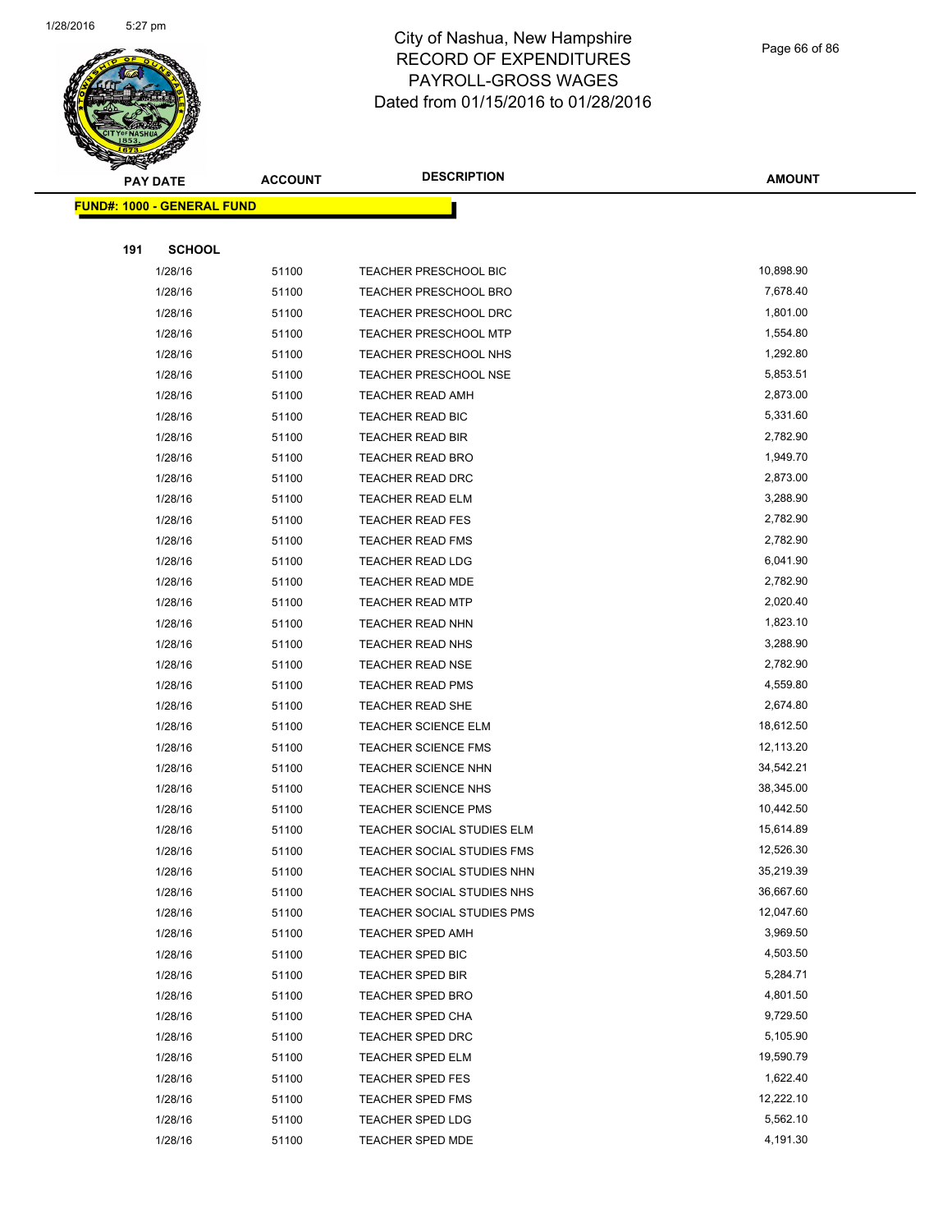

Page 66 of 86

|     | <b>PAY DATE</b>                   | <b>ACCOUNT</b> | <b>DESCRIPTION</b>                         | <b>AMOUNT</b>          |
|-----|-----------------------------------|----------------|--------------------------------------------|------------------------|
|     | <b>FUND#: 1000 - GENERAL FUND</b> |                |                                            |                        |
|     |                                   |                |                                            |                        |
| 191 | <b>SCHOOL</b>                     |                |                                            |                        |
|     | 1/28/16                           | 51100          | TEACHER PRESCHOOL BIC                      | 10,898.90              |
|     | 1/28/16                           | 51100          | TEACHER PRESCHOOL BRO                      | 7,678.40               |
|     | 1/28/16                           | 51100          | <b>TEACHER PRESCHOOL DRC</b>               | 1,801.00               |
|     | 1/28/16                           | 51100          | TEACHER PRESCHOOL MTP                      | 1,554.80               |
|     | 1/28/16                           | 51100          | <b>TEACHER PRESCHOOL NHS</b>               | 1,292.80               |
|     | 1/28/16                           | 51100          | <b>TEACHER PRESCHOOL NSE</b>               | 5,853.51               |
|     | 1/28/16                           | 51100          | <b>TEACHER READ AMH</b>                    | 2,873.00               |
|     | 1/28/16                           | 51100          | TEACHER READ BIC                           | 5,331.60               |
|     | 1/28/16                           | 51100          | <b>TEACHER READ BIR</b>                    | 2,782.90               |
|     | 1/28/16                           | 51100          | <b>TEACHER READ BRO</b>                    | 1,949.70               |
|     | 1/28/16                           | 51100          | <b>TEACHER READ DRC</b>                    | 2,873.00               |
|     | 1/28/16                           | 51100          | <b>TEACHER READ ELM</b>                    | 3,288.90               |
|     | 1/28/16                           | 51100          | <b>TEACHER READ FES</b>                    | 2,782.90               |
|     | 1/28/16                           | 51100          | <b>TEACHER READ FMS</b>                    | 2,782.90               |
|     | 1/28/16                           | 51100          | <b>TEACHER READ LDG</b>                    | 6,041.90               |
|     | 1/28/16                           | 51100          | <b>TEACHER READ MDE</b>                    | 2,782.90               |
|     | 1/28/16                           | 51100          | <b>TEACHER READ MTP</b>                    | 2,020.40               |
|     | 1/28/16                           | 51100          | TEACHER READ NHN                           | 1,823.10               |
|     | 1/28/16                           | 51100          | <b>TEACHER READ NHS</b>                    | 3,288.90               |
|     | 1/28/16                           | 51100          | TEACHER READ NSE                           | 2,782.90               |
|     | 1/28/16                           | 51100          | <b>TEACHER READ PMS</b>                    | 4,559.80               |
|     | 1/28/16                           | 51100          | TEACHER READ SHE                           | 2,674.80               |
|     | 1/28/16                           | 51100          | <b>TEACHER SCIENCE ELM</b>                 | 18,612.50              |
|     | 1/28/16                           | 51100          | TEACHER SCIENCE FMS<br>TEACHER SCIENCE NHN | 12,113.20<br>34,542.21 |
|     | 1/28/16<br>1/28/16                | 51100<br>51100 | TEACHER SCIENCE NHS                        | 38,345.00              |
|     | 1/28/16                           | 51100          | TEACHER SCIENCE PMS                        | 10,442.50              |
|     | 1/28/16                           | 51100          | TEACHER SOCIAL STUDIES ELM                 | 15,614.89              |
|     | 1/28/16                           | 51100          | TEACHER SOCIAL STUDIES FMS                 | 12,526.30              |
|     | 1/28/16                           | 51100          | TEACHER SOCIAL STUDIES NHN                 | 35,219.39              |
|     | 1/28/16                           | 51100          | TEACHER SOCIAL STUDIES NHS                 | 36,667.60              |
|     | 1/28/16                           | 51100          | TEACHER SOCIAL STUDIES PMS                 | 12,047.60              |
|     | 1/28/16                           | 51100          | TEACHER SPED AMH                           | 3,969.50               |
|     | 1/28/16                           | 51100          | <b>TEACHER SPED BIC</b>                    | 4,503.50               |
|     | 1/28/16                           | 51100          | <b>TEACHER SPED BIR</b>                    | 5,284.71               |
|     | 1/28/16                           | 51100          | TEACHER SPED BRO                           | 4,801.50               |
|     | 1/28/16                           | 51100          | <b>TEACHER SPED CHA</b>                    | 9,729.50               |
|     | 1/28/16                           | 51100          | TEACHER SPED DRC                           | 5,105.90               |
|     | 1/28/16                           | 51100          | <b>TEACHER SPED ELM</b>                    | 19,590.79              |
|     | 1/28/16                           | 51100          | <b>TEACHER SPED FES</b>                    | 1,622.40               |
|     | 1/28/16                           | 51100          | <b>TEACHER SPED FMS</b>                    | 12,222.10              |
|     | 1/28/16                           | 51100          | TEACHER SPED LDG                           | 5,562.10               |
|     | 1/28/16                           | 51100          | <b>TEACHER SPED MDE</b>                    | 4,191.30               |
|     |                                   |                |                                            |                        |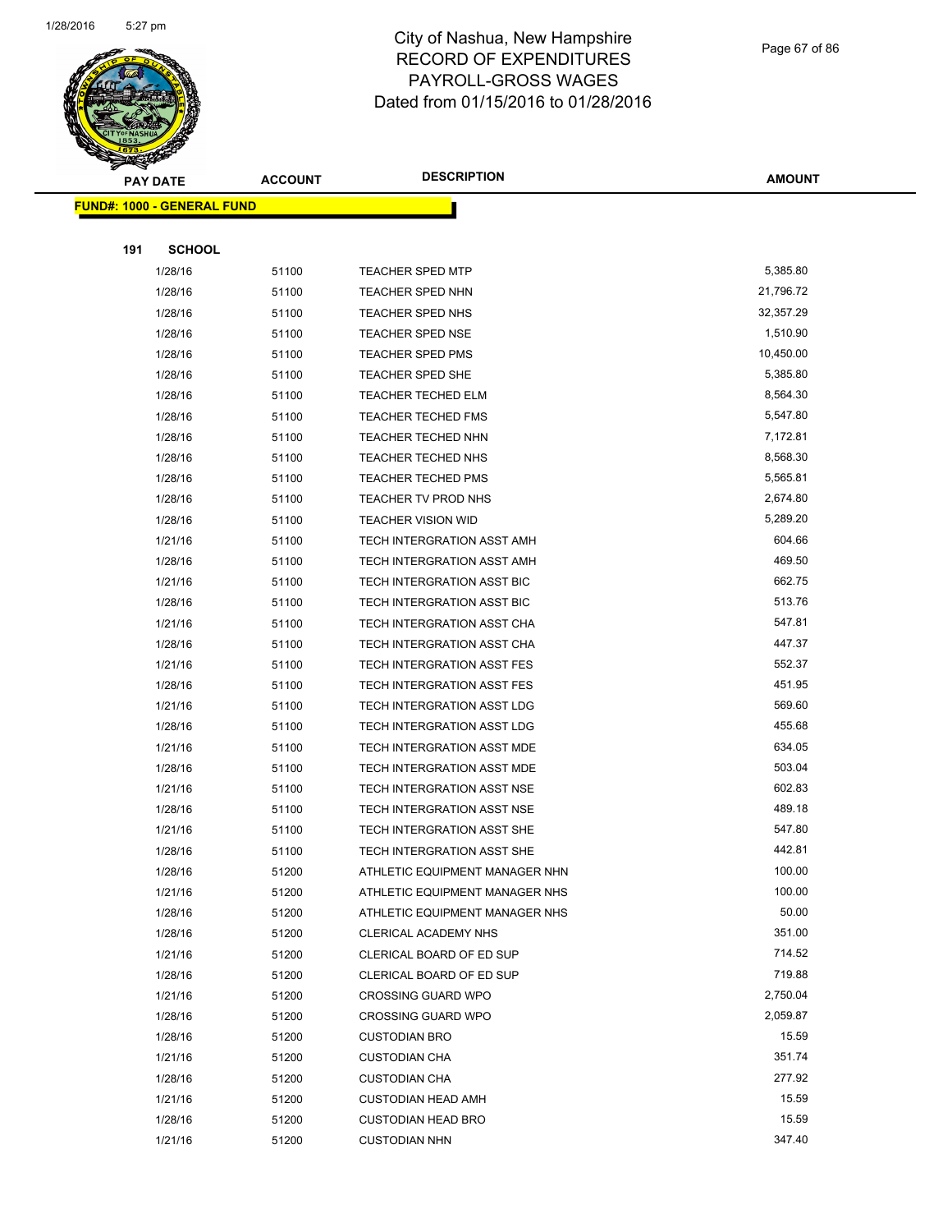

Page 67 of 86

|     | <b>PAY DATE</b>                   | <b>ACCOUNT</b> | <b>DESCRIPTION</b>                                     | <b>AMOUNT</b>      |
|-----|-----------------------------------|----------------|--------------------------------------------------------|--------------------|
|     | <b>FUND#: 1000 - GENERAL FUND</b> |                |                                                        |                    |
|     |                                   |                |                                                        |                    |
| 191 | <b>SCHOOL</b>                     |                |                                                        |                    |
|     | 1/28/16                           | 51100          | <b>TEACHER SPED MTP</b>                                | 5,385.80           |
|     | 1/28/16                           | 51100          | TEACHER SPED NHN                                       | 21,796.72          |
|     | 1/28/16                           | 51100          | TEACHER SPED NHS                                       | 32,357.29          |
|     | 1/28/16                           | 51100          | <b>TEACHER SPED NSE</b>                                | 1,510.90           |
|     | 1/28/16                           | 51100          | TEACHER SPED PMS                                       | 10,450.00          |
|     | 1/28/16                           | 51100          | TEACHER SPED SHE                                       | 5,385.80           |
|     | 1/28/16                           | 51100          | <b>TEACHER TECHED ELM</b>                              | 8,564.30           |
|     | 1/28/16                           | 51100          | <b>TEACHER TECHED FMS</b>                              | 5,547.80           |
|     | 1/28/16                           | 51100          | <b>TEACHER TECHED NHN</b>                              | 7,172.81           |
|     | 1/28/16                           | 51100          | <b>TEACHER TECHED NHS</b>                              | 8,568.30           |
|     | 1/28/16                           | 51100          | <b>TEACHER TECHED PMS</b>                              | 5,565.81           |
|     | 1/28/16                           | 51100          | TEACHER TV PROD NHS                                    | 2,674.80           |
|     | 1/28/16                           | 51100          | <b>TEACHER VISION WID</b>                              | 5,289.20           |
|     | 1/21/16                           | 51100          | TECH INTERGRATION ASST AMH                             | 604.66             |
|     | 1/28/16                           | 51100          | TECH INTERGRATION ASST AMH                             | 469.50             |
|     | 1/21/16                           | 51100          | TECH INTERGRATION ASST BIC                             | 662.75             |
|     | 1/28/16                           | 51100          | TECH INTERGRATION ASST BIC                             | 513.76             |
|     | 1/21/16                           | 51100          | TECH INTERGRATION ASST CHA                             | 547.81             |
|     | 1/28/16                           | 51100          | TECH INTERGRATION ASST CHA                             | 447.37             |
|     | 1/21/16                           | 51100          | TECH INTERGRATION ASST FES                             | 552.37             |
|     | 1/28/16                           | 51100          | TECH INTERGRATION ASST FES                             | 451.95             |
|     | 1/21/16                           | 51100          | TECH INTERGRATION ASST LDG                             | 569.60             |
|     | 1/28/16                           | 51100          | TECH INTERGRATION ASST LDG                             | 455.68             |
|     | 1/21/16                           | 51100          | TECH INTERGRATION ASST MDE                             | 634.05             |
|     | 1/28/16                           | 51100          | TECH INTERGRATION ASST MDE                             | 503.04             |
|     | 1/21/16                           | 51100          | TECH INTERGRATION ASST NSE                             | 602.83             |
|     | 1/28/16                           | 51100          | TECH INTERGRATION ASST NSE                             | 489.18             |
|     | 1/21/16                           | 51100          | TECH INTERGRATION ASST SHE                             | 547.80             |
|     | 1/28/16                           | 51100          | TECH INTERGRATION ASST SHE                             | 442.81             |
|     | 1/28/16                           | 51200          | ATHLETIC EQUIPMENT MANAGER NHN                         | 100.00             |
|     | 1/21/16                           | 51200          | ATHLETIC EQUIPMENT MANAGER NHS                         | 100.00             |
|     | 1/28/16                           | 51200          | ATHLETIC EQUIPMENT MANAGER NHS                         | 50.00              |
|     | 1/28/16                           | 51200          | CLERICAL ACADEMY NHS                                   | 351.00             |
|     | 1/21/16                           | 51200          | CLERICAL BOARD OF ED SUP                               | 714.52             |
|     | 1/28/16<br>1/21/16                | 51200          | CLERICAL BOARD OF ED SUP                               | 719.88<br>2,750.04 |
|     |                                   | 51200          | <b>CROSSING GUARD WPO</b><br><b>CROSSING GUARD WPO</b> | 2,059.87           |
|     | 1/28/16<br>1/28/16                | 51200<br>51200 | <b>CUSTODIAN BRO</b>                                   | 15.59              |
|     | 1/21/16                           | 51200          | <b>CUSTODIAN CHA</b>                                   | 351.74             |
|     | 1/28/16                           | 51200          | <b>CUSTODIAN CHA</b>                                   | 277.92             |
|     | 1/21/16                           | 51200          | <b>CUSTODIAN HEAD AMH</b>                              | 15.59              |
|     | 1/28/16                           | 51200          | <b>CUSTODIAN HEAD BRO</b>                              | 15.59              |
|     | 1/21/16                           | 51200          | <b>CUSTODIAN NHN</b>                                   | 347.40             |
|     |                                   |                |                                                        |                    |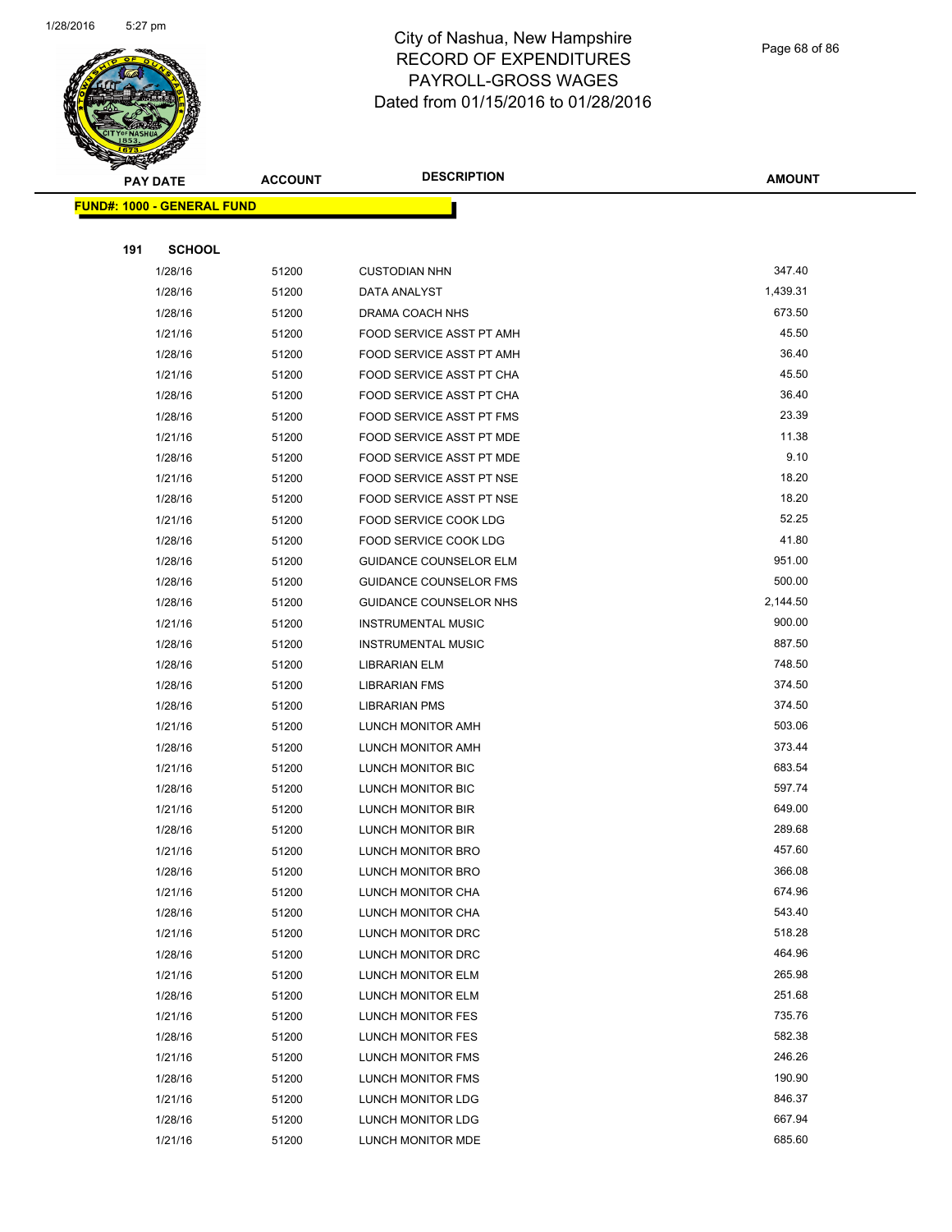

Page 68 of 86

| <b>PAY DATE</b>                   | <b>ACCOUNT</b> | <b>DESCRIPTION</b>                     | <b>AMOUNT</b>    |
|-----------------------------------|----------------|----------------------------------------|------------------|
| <b>FUND#: 1000 - GENERAL FUND</b> |                |                                        |                  |
|                                   |                |                                        |                  |
| <b>SCHOOL</b><br>191              |                |                                        |                  |
| 1/28/16                           | 51200          | <b>CUSTODIAN NHN</b>                   | 347.40           |
| 1/28/16                           | 51200          | DATA ANALYST                           | 1,439.31         |
| 1/28/16                           | 51200          | DRAMA COACH NHS                        | 673.50           |
| 1/21/16                           | 51200          | FOOD SERVICE ASST PT AMH               | 45.50            |
| 1/28/16                           | 51200          | FOOD SERVICE ASST PT AMH               | 36.40            |
| 1/21/16                           | 51200          | FOOD SERVICE ASST PT CHA               | 45.50            |
| 1/28/16                           | 51200          | FOOD SERVICE ASST PT CHA               | 36.40            |
| 1/28/16                           | 51200          | FOOD SERVICE ASST PT FMS               | 23.39            |
| 1/21/16                           | 51200          | FOOD SERVICE ASST PT MDE               | 11.38            |
| 1/28/16                           | 51200          | FOOD SERVICE ASST PT MDE               | 9.10             |
| 1/21/16                           | 51200          | FOOD SERVICE ASST PT NSE               | 18.20            |
| 1/28/16                           | 51200          | FOOD SERVICE ASST PT NSE               | 18.20            |
| 1/21/16                           | 51200          | FOOD SERVICE COOK LDG                  | 52.25            |
| 1/28/16                           | 51200          | FOOD SERVICE COOK LDG                  | 41.80            |
| 1/28/16                           | 51200          | <b>GUIDANCE COUNSELOR ELM</b>          | 951.00           |
| 1/28/16                           | 51200          | <b>GUIDANCE COUNSELOR FMS</b>          | 500.00           |
| 1/28/16                           | 51200          | <b>GUIDANCE COUNSELOR NHS</b>          | 2,144.50         |
| 1/21/16                           | 51200          | <b>INSTRUMENTAL MUSIC</b>              | 900.00           |
| 1/28/16                           | 51200          | <b>INSTRUMENTAL MUSIC</b>              | 887.50           |
| 1/28/16                           | 51200          | <b>LIBRARIAN ELM</b>                   | 748.50           |
| 1/28/16                           | 51200          | <b>LIBRARIAN FMS</b>                   | 374.50           |
| 1/28/16                           | 51200          | <b>LIBRARIAN PMS</b>                   | 374.50           |
| 1/21/16                           | 51200          | LUNCH MONITOR AMH                      | 503.06           |
| 1/28/16                           | 51200          | LUNCH MONITOR AMH                      | 373.44           |
| 1/21/16                           | 51200          | LUNCH MONITOR BIC                      | 683.54           |
| 1/28/16                           | 51200          | LUNCH MONITOR BIC                      | 597.74           |
| 1/21/16                           | 51200          | LUNCH MONITOR BIR                      | 649.00           |
| 1/28/16                           | 51200          | <b>LUNCH MONITOR BIR</b>               | 289.68           |
| 1/21/16                           | 51200          | LUNCH MONITOR BRO                      | 457.60           |
| 1/28/16                           | 51200          | LUNCH MONITOR BRO                      | 366.08<br>674.96 |
| 1/21/16<br>1/28/16                | 51200<br>51200 | LUNCH MONITOR CHA                      | 543.40           |
| 1/21/16                           | 51200          | LUNCH MONITOR CHA<br>LUNCH MONITOR DRC | 518.28           |
| 1/28/16                           | 51200          | LUNCH MONITOR DRC                      | 464.96           |
| 1/21/16                           | 51200          | LUNCH MONITOR ELM                      | 265.98           |
| 1/28/16                           | 51200          | LUNCH MONITOR ELM                      | 251.68           |
| 1/21/16                           | 51200          | LUNCH MONITOR FES                      | 735.76           |
| 1/28/16                           | 51200          | LUNCH MONITOR FES                      | 582.38           |
| 1/21/16                           | 51200          | LUNCH MONITOR FMS                      | 246.26           |
| 1/28/16                           | 51200          | LUNCH MONITOR FMS                      | 190.90           |
| 1/21/16                           | 51200          | LUNCH MONITOR LDG                      | 846.37           |
| 1/28/16                           | 51200          | LUNCH MONITOR LDG                      | 667.94           |
| 1/21/16                           | 51200          | LUNCH MONITOR MDE                      | 685.60           |
|                                   |                |                                        |                  |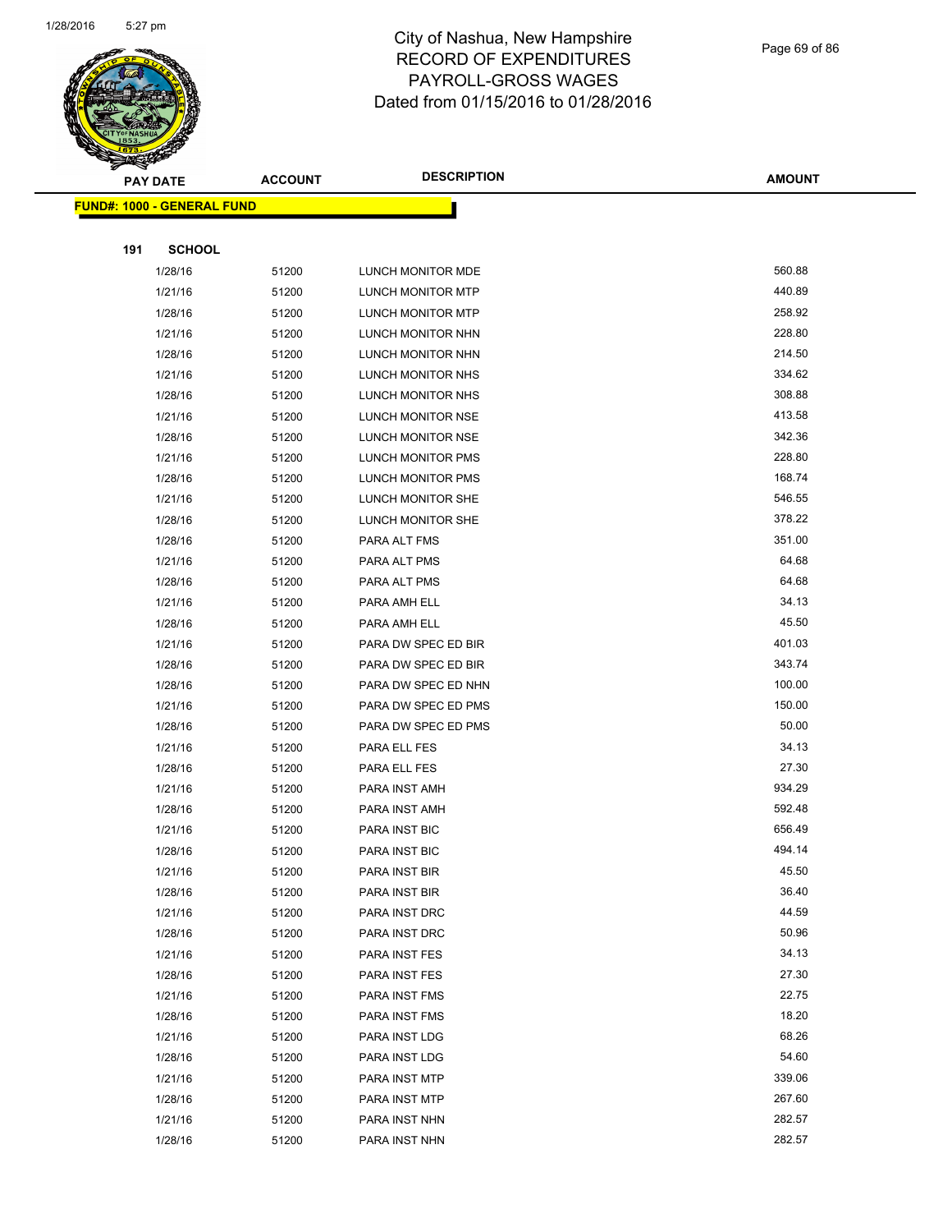

#### Page 69 of 86

|     | ॼ<br><b>PAY DATE</b>              | <b>ACCOUNT</b> | <b>DESCRIPTION</b>  | <b>AMOUNT</b> |
|-----|-----------------------------------|----------------|---------------------|---------------|
|     | <b>FUND#: 1000 - GENERAL FUND</b> |                |                     |               |
|     |                                   |                |                     |               |
| 191 | <b>SCHOOL</b>                     |                |                     |               |
|     | 1/28/16                           | 51200          | LUNCH MONITOR MDE   | 560.88        |
|     | 1/21/16                           | 51200          | LUNCH MONITOR MTP   | 440.89        |
|     | 1/28/16                           | 51200          | LUNCH MONITOR MTP   | 258.92        |
|     | 1/21/16                           | 51200          | LUNCH MONITOR NHN   | 228.80        |
|     | 1/28/16                           | 51200          | LUNCH MONITOR NHN   | 214.50        |
|     | 1/21/16                           | 51200          | LUNCH MONITOR NHS   | 334.62        |
|     | 1/28/16                           | 51200          | LUNCH MONITOR NHS   | 308.88        |
|     | 1/21/16                           | 51200          | LUNCH MONITOR NSE   | 413.58        |
|     | 1/28/16                           | 51200          | LUNCH MONITOR NSE   | 342.36        |
|     | 1/21/16                           | 51200          | LUNCH MONITOR PMS   | 228.80        |
|     | 1/28/16                           | 51200          | LUNCH MONITOR PMS   | 168.74        |
|     | 1/21/16                           | 51200          | LUNCH MONITOR SHE   | 546.55        |
|     | 1/28/16                           | 51200          | LUNCH MONITOR SHE   | 378.22        |
|     | 1/28/16                           | 51200          | PARA ALT FMS        | 351.00        |
|     | 1/21/16                           | 51200          | PARA ALT PMS        | 64.68         |
|     | 1/28/16                           | 51200          | PARA ALT PMS        | 64.68         |
|     | 1/21/16                           | 51200          | PARA AMH ELL        | 34.13         |
|     | 1/28/16                           | 51200          | PARA AMH ELL        | 45.50         |
|     | 1/21/16                           | 51200          | PARA DW SPEC ED BIR | 401.03        |
|     | 1/28/16                           | 51200          | PARA DW SPEC ED BIR | 343.74        |
|     | 1/28/16                           | 51200          | PARA DW SPEC ED NHN | 100.00        |
|     | 1/21/16                           | 51200          | PARA DW SPEC ED PMS | 150.00        |
|     | 1/28/16                           | 51200          | PARA DW SPEC ED PMS | 50.00         |
|     | 1/21/16                           | 51200          | PARA ELL FES        | 34.13         |
|     | 1/28/16                           | 51200          | PARA ELL FES        | 27.30         |
|     | 1/21/16                           | 51200          | PARA INST AMH       | 934.29        |
|     | 1/28/16                           | 51200          | PARA INST AMH       | 592.48        |
|     | 1/21/16                           | 51200          | PARA INST BIC       | 656.49        |
|     | 1/28/16                           | 51200          | PARA INST BIC       | 494.14        |
|     | 1/21/16                           | 51200          | PARA INST BIR       | 45.50         |
|     | 1/28/16                           | 51200          | PARA INST BIR       | 36.40         |
|     | 1/21/16                           | 51200          | PARA INST DRC       | 44.59         |
|     | 1/28/16                           | 51200          | PARA INST DRC       | 50.96         |
|     | 1/21/16                           | 51200          | PARA INST FES       | 34.13         |
|     | 1/28/16                           | 51200          | PARA INST FES       | 27.30         |
|     | 1/21/16                           | 51200          | PARA INST FMS       | 22.75         |
|     | 1/28/16                           | 51200          | PARA INST FMS       | 18.20         |
|     | 1/21/16                           | 51200          | PARA INST LDG       | 68.26         |
|     | 1/28/16                           | 51200          | PARA INST LDG       | 54.60         |
|     | 1/21/16                           | 51200          | PARA INST MTP       | 339.06        |
|     | 1/28/16                           | 51200          | PARA INST MTP       | 267.60        |
|     | 1/21/16                           | 51200          | PARA INST NHN       | 282.57        |
|     | 1/28/16                           | 51200          | PARA INST NHN       | 282.57        |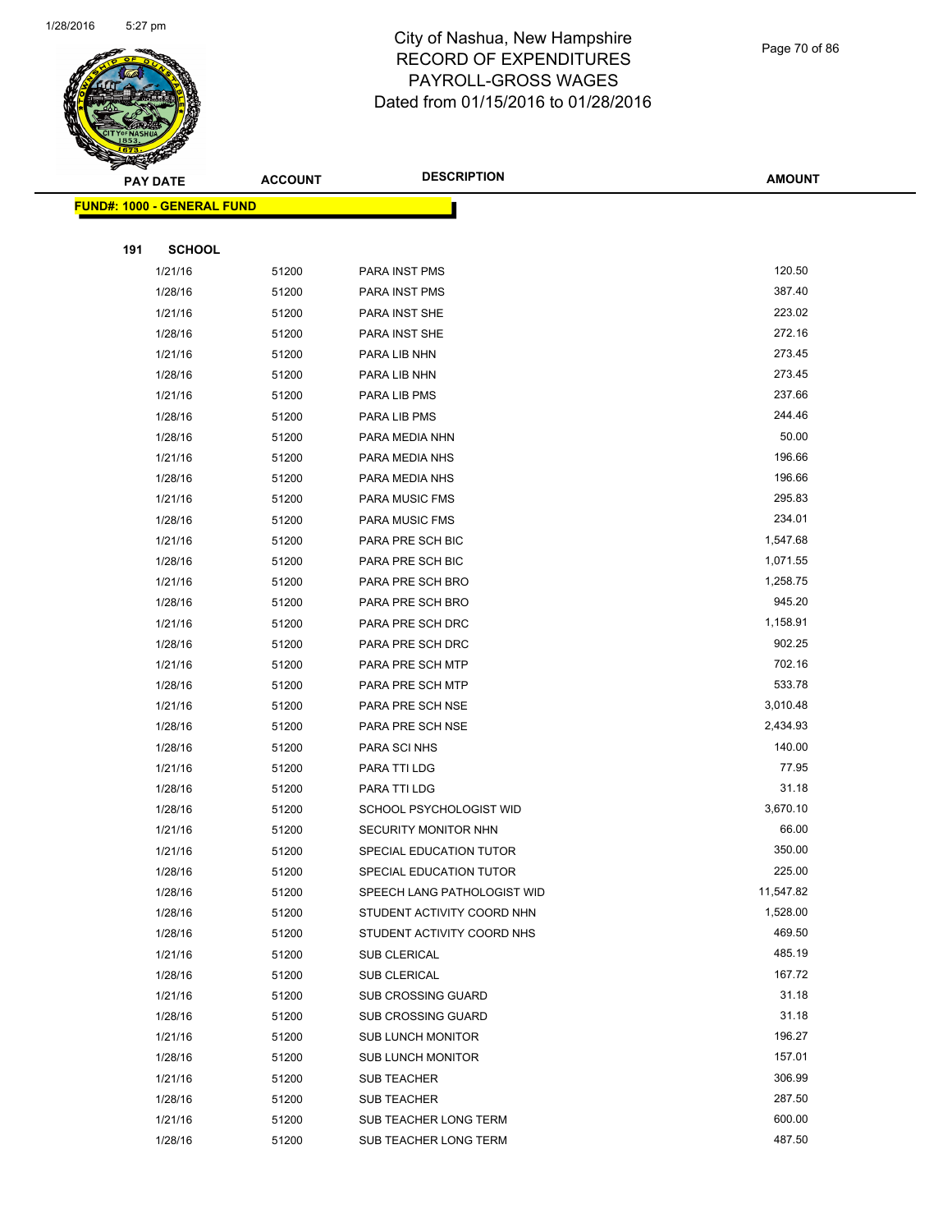

Page 70 of 86

|     | <b>PAY DATE</b>                   | <b>ACCOUNT</b> | <b>DESCRIPTION</b>           | <b>AMOUNT</b>   |  |
|-----|-----------------------------------|----------------|------------------------------|-----------------|--|
|     | <b>FUND#: 1000 - GENERAL FUND</b> |                |                              |                 |  |
|     |                                   |                |                              |                 |  |
| 191 | <b>SCHOOL</b>                     |                |                              |                 |  |
|     | 1/21/16                           | 51200          | PARA INST PMS                | 120.50          |  |
|     | 1/28/16                           | 51200          | PARA INST PMS                | 387.40          |  |
|     | 1/21/16                           | 51200          | PARA INST SHE                | 223.02          |  |
|     | 1/28/16                           | 51200          | PARA INST SHE                | 272.16          |  |
|     | 1/21/16                           | 51200          | PARA LIB NHN                 | 273.45          |  |
|     | 1/28/16                           | 51200          | PARA LIB NHN                 | 273.45          |  |
|     | 1/21/16                           | 51200          | PARA LIB PMS                 | 237.66          |  |
|     | 1/28/16                           | 51200          | PARA LIB PMS                 | 244.46          |  |
|     | 1/28/16                           | 51200          | PARA MEDIA NHN               | 50.00           |  |
|     | 1/21/16                           | 51200          | PARA MEDIA NHS               | 196.66          |  |
|     | 1/28/16                           | 51200          | PARA MEDIA NHS               | 196.66          |  |
|     | 1/21/16                           | 51200          | PARA MUSIC FMS               | 295.83          |  |
|     | 1/28/16                           | 51200          | PARA MUSIC FMS               | 234.01          |  |
|     | 1/21/16                           | 51200          | PARA PRE SCH BIC             | 1,547.68        |  |
|     | 1/28/16                           | 51200          | PARA PRE SCH BIC             | 1,071.55        |  |
|     | 1/21/16                           | 51200          | PARA PRE SCH BRO             | 1,258.75        |  |
|     | 1/28/16                           | 51200          | PARA PRE SCH BRO             | 945.20          |  |
|     | 1/21/16                           | 51200          | PARA PRE SCH DRC             | 1,158.91        |  |
|     | 1/28/16                           | 51200          | PARA PRE SCH DRC             | 902.25          |  |
|     | 1/21/16                           | 51200          | PARA PRE SCH MTP             | 702.16          |  |
|     | 1/28/16                           | 51200          | PARA PRE SCH MTP             | 533.78          |  |
|     | 1/21/16                           | 51200          | PARA PRE SCH NSE             | 3,010.48        |  |
|     | 1/28/16                           | 51200          | PARA PRE SCH NSE             | 2,434.93        |  |
|     | 1/28/16                           | 51200          | PARA SCI NHS                 | 140.00<br>77.95 |  |
|     | 1/21/16<br>1/28/16                | 51200          | PARA TTI LDG<br>PARA TTI LDG | 31.18           |  |
|     | 1/28/16                           | 51200          | SCHOOL PSYCHOLOGIST WID      | 3,670.10        |  |
|     | 1/21/16                           | 51200<br>51200 | SECURITY MONITOR NHN         | 66.00           |  |
|     | 1/21/16                           | 51200          | SPECIAL EDUCATION TUTOR      | 350.00          |  |
|     | 1/28/16                           | 51200          | SPECIAL EDUCATION TUTOR      | 225.00          |  |
|     | 1/28/16                           | 51200          | SPEECH LANG PATHOLOGIST WID  | 11,547.82       |  |
|     | 1/28/16                           | 51200          | STUDENT ACTIVITY COORD NHN   | 1,528.00        |  |
|     | 1/28/16                           | 51200          | STUDENT ACTIVITY COORD NHS   | 469.50          |  |
|     | 1/21/16                           | 51200          | <b>SUB CLERICAL</b>          | 485.19          |  |
|     | 1/28/16                           | 51200          | SUB CLERICAL                 | 167.72          |  |
|     | 1/21/16                           | 51200          | <b>SUB CROSSING GUARD</b>    | 31.18           |  |
|     | 1/28/16                           | 51200          | <b>SUB CROSSING GUARD</b>    | 31.18           |  |
|     | 1/21/16                           | 51200          | <b>SUB LUNCH MONITOR</b>     | 196.27          |  |
|     | 1/28/16                           | 51200          | <b>SUB LUNCH MONITOR</b>     | 157.01          |  |
|     | 1/21/16                           | 51200          | <b>SUB TEACHER</b>           | 306.99          |  |
|     | 1/28/16                           | 51200          | <b>SUB TEACHER</b>           | 287.50          |  |
|     | 1/21/16                           | 51200          | SUB TEACHER LONG TERM        | 600.00          |  |
|     | 1/28/16                           | 51200          | SUB TEACHER LONG TERM        | 487.50          |  |
|     |                                   |                |                              |                 |  |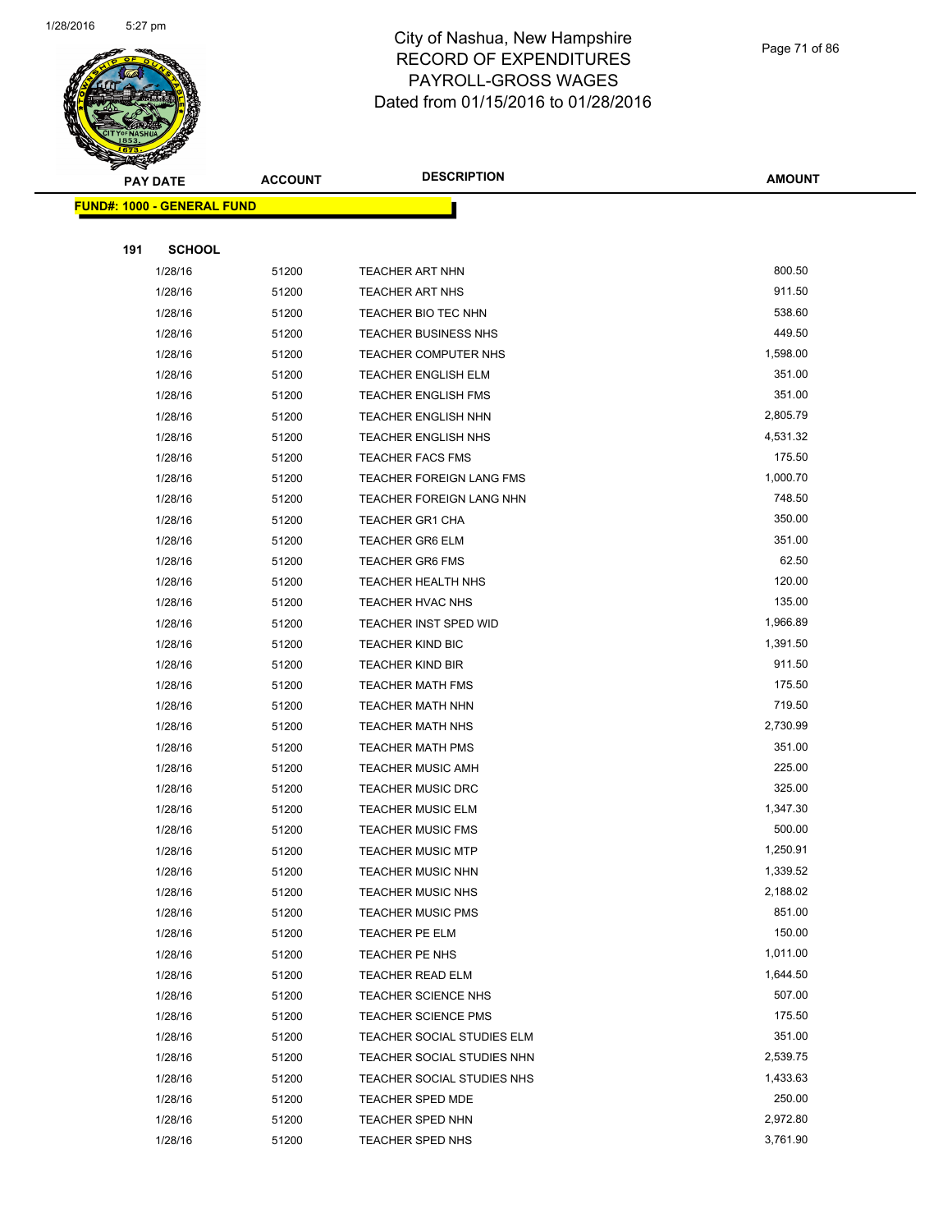

#### Page 71 of 86

|     | <b>PAY DATE</b>                   | <b>ACCOUNT</b> | <b>DESCRIPTION</b>          | <b>AMOUNT</b> |
|-----|-----------------------------------|----------------|-----------------------------|---------------|
|     | <b>FUND#: 1000 - GENERAL FUND</b> |                |                             |               |
|     |                                   |                |                             |               |
| 191 | <b>SCHOOL</b>                     |                |                             |               |
|     | 1/28/16                           | 51200          | <b>TEACHER ART NHN</b>      | 800.50        |
|     | 1/28/16                           | 51200          | <b>TEACHER ART NHS</b>      | 911.50        |
|     | 1/28/16                           | 51200          | TEACHER BIO TEC NHN         | 538.60        |
|     | 1/28/16                           | 51200          | <b>TEACHER BUSINESS NHS</b> | 449.50        |
|     | 1/28/16                           | 51200          | <b>TEACHER COMPUTER NHS</b> | 1,598.00      |
|     | 1/28/16                           | 51200          | <b>TEACHER ENGLISH ELM</b>  | 351.00        |
|     | 1/28/16                           | 51200          | <b>TEACHER ENGLISH FMS</b>  | 351.00        |
|     | 1/28/16                           | 51200          | <b>TEACHER ENGLISH NHN</b>  | 2,805.79      |
|     | 1/28/16                           | 51200          | <b>TEACHER ENGLISH NHS</b>  | 4,531.32      |
|     | 1/28/16                           | 51200          | <b>TEACHER FACS FMS</b>     | 175.50        |
|     | 1/28/16                           | 51200          | TEACHER FOREIGN LANG FMS    | 1,000.70      |
|     | 1/28/16                           | 51200          | TEACHER FOREIGN LANG NHN    | 748.50        |
|     | 1/28/16                           | 51200          | <b>TEACHER GR1 CHA</b>      | 350.00        |
|     | 1/28/16                           | 51200          | <b>TEACHER GR6 ELM</b>      | 351.00        |
|     | 1/28/16                           | 51200          | <b>TEACHER GR6 FMS</b>      | 62.50         |
|     | 1/28/16                           | 51200          | <b>TEACHER HEALTH NHS</b>   | 120.00        |
|     | 1/28/16                           | 51200          | TEACHER HVAC NHS            | 135.00        |
|     | 1/28/16                           | 51200          | TEACHER INST SPED WID       | 1,966.89      |
|     | 1/28/16                           | 51200          | <b>TEACHER KIND BIC</b>     | 1,391.50      |
|     | 1/28/16                           | 51200          | <b>TEACHER KIND BIR</b>     | 911.50        |
|     | 1/28/16                           | 51200          | <b>TEACHER MATH FMS</b>     | 175.50        |
|     | 1/28/16                           | 51200          | <b>TEACHER MATH NHN</b>     | 719.50        |
|     | 1/28/16                           | 51200          | <b>TEACHER MATH NHS</b>     | 2,730.99      |
|     | 1/28/16                           | 51200          | <b>TEACHER MATH PMS</b>     | 351.00        |
|     | 1/28/16                           | 51200          | <b>TEACHER MUSIC AMH</b>    | 225.00        |
|     | 1/28/16                           | 51200          | <b>TEACHER MUSIC DRC</b>    | 325.00        |
|     | 1/28/16                           | 51200          | <b>TEACHER MUSIC ELM</b>    | 1,347.30      |
|     | 1/28/16                           | 51200          | <b>TEACHER MUSIC FMS</b>    | 500.00        |
|     | 1/28/16                           | 51200          | <b>TEACHER MUSIC MTP</b>    | 1,250.91      |
|     | 1/28/16                           | 51200          | TEACHER MUSIC NHN           | 1,339.52      |
|     | 1/28/16                           | 51200          | <b>TEACHER MUSIC NHS</b>    | 2,188.02      |
|     | 1/28/16                           | 51200          | <b>TEACHER MUSIC PMS</b>    | 851.00        |
|     | 1/28/16                           | 51200          | TEACHER PE ELM              | 150.00        |
|     | 1/28/16                           | 51200          | TEACHER PE NHS              | 1,011.00      |
|     | 1/28/16                           | 51200          | TEACHER READ ELM            | 1,644.50      |
|     | 1/28/16                           | 51200          | <b>TEACHER SCIENCE NHS</b>  | 507.00        |
|     | 1/28/16                           | 51200          | <b>TEACHER SCIENCE PMS</b>  | 175.50        |
|     | 1/28/16                           | 51200          | TEACHER SOCIAL STUDIES ELM  | 351.00        |
|     | 1/28/16                           | 51200          | TEACHER SOCIAL STUDIES NHN  | 2,539.75      |
|     | 1/28/16                           | 51200          | TEACHER SOCIAL STUDIES NHS  | 1,433.63      |
|     | 1/28/16                           | 51200          | <b>TEACHER SPED MDE</b>     | 250.00        |
|     | 1/28/16                           | 51200          | TEACHER SPED NHN            | 2,972.80      |
|     | 1/28/16                           | 51200          | <b>TEACHER SPED NHS</b>     | 3,761.90      |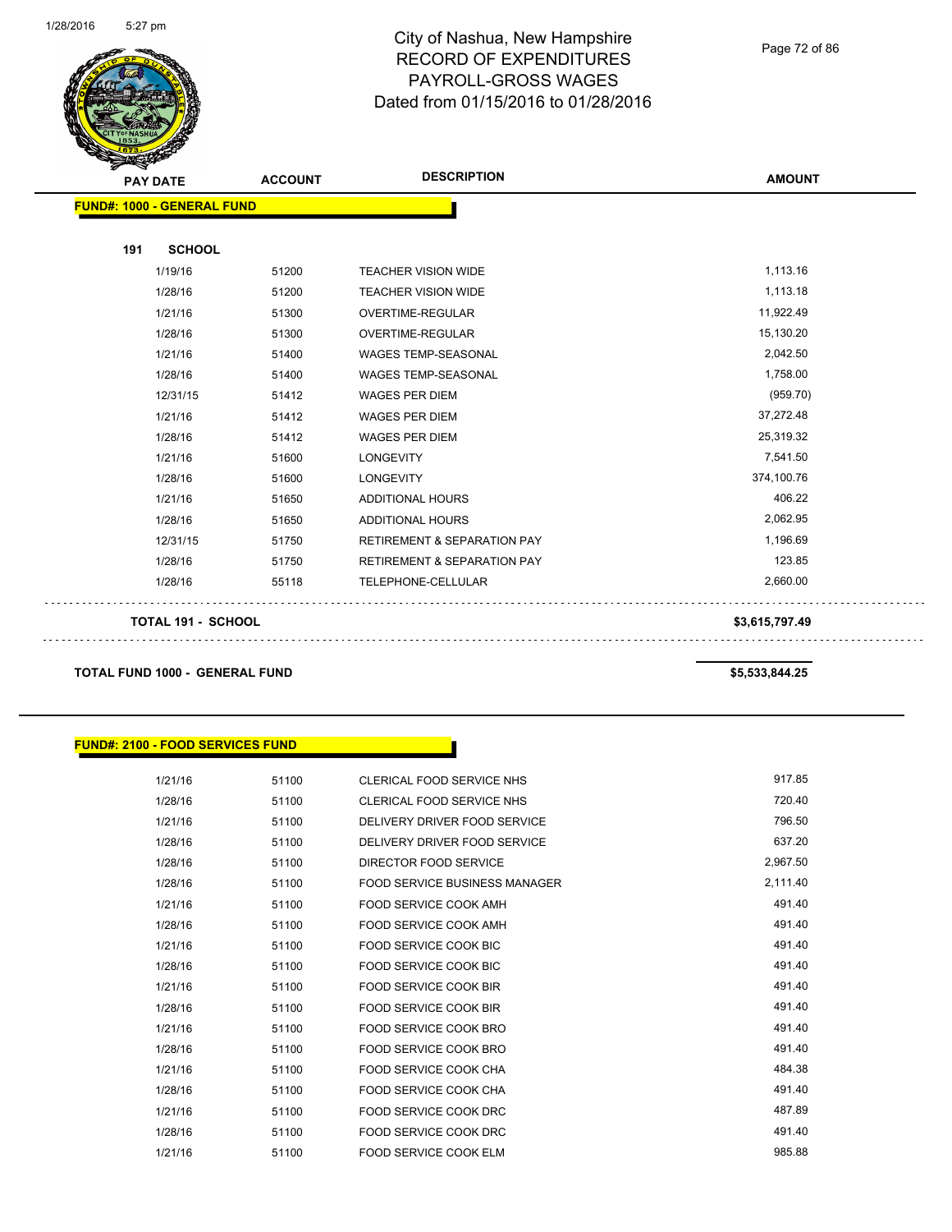

Page 72 of 86

| <b>FUND#: 1000 - GENERAL FUND</b><br><b>SCHOOL</b><br>191<br>1,113.16<br>1/19/16<br>51200<br><b>TEACHER VISION WIDE</b><br>1,113.18<br>1/28/16<br>51200<br><b>TEACHER VISION WIDE</b><br>11,922.49<br>1/21/16<br>51300<br>OVERTIME-REGULAR<br>15,130.20<br>1/28/16<br>51300<br>OVERTIME-REGULAR<br>2,042.50<br>1/21/16<br><b>WAGES TEMP-SEASONAL</b><br>51400<br>1,758.00<br>1/28/16<br><b>WAGES TEMP-SEASONAL</b><br>51400<br>(959.70)<br>12/31/15<br><b>WAGES PER DIEM</b><br>51412<br>37,272.48<br>1/21/16<br><b>WAGES PER DIEM</b><br>51412<br>25,319.32<br>1/28/16<br>51412<br><b>WAGES PER DIEM</b><br>7,541.50<br>1/21/16<br>51600<br><b>LONGEVITY</b> |  |
|---------------------------------------------------------------------------------------------------------------------------------------------------------------------------------------------------------------------------------------------------------------------------------------------------------------------------------------------------------------------------------------------------------------------------------------------------------------------------------------------------------------------------------------------------------------------------------------------------------------------------------------------------------------|--|
|                                                                                                                                                                                                                                                                                                                                                                                                                                                                                                                                                                                                                                                               |  |
|                                                                                                                                                                                                                                                                                                                                                                                                                                                                                                                                                                                                                                                               |  |
|                                                                                                                                                                                                                                                                                                                                                                                                                                                                                                                                                                                                                                                               |  |
|                                                                                                                                                                                                                                                                                                                                                                                                                                                                                                                                                                                                                                                               |  |
|                                                                                                                                                                                                                                                                                                                                                                                                                                                                                                                                                                                                                                                               |  |
|                                                                                                                                                                                                                                                                                                                                                                                                                                                                                                                                                                                                                                                               |  |
|                                                                                                                                                                                                                                                                                                                                                                                                                                                                                                                                                                                                                                                               |  |
|                                                                                                                                                                                                                                                                                                                                                                                                                                                                                                                                                                                                                                                               |  |
|                                                                                                                                                                                                                                                                                                                                                                                                                                                                                                                                                                                                                                                               |  |
|                                                                                                                                                                                                                                                                                                                                                                                                                                                                                                                                                                                                                                                               |  |
|                                                                                                                                                                                                                                                                                                                                                                                                                                                                                                                                                                                                                                                               |  |
|                                                                                                                                                                                                                                                                                                                                                                                                                                                                                                                                                                                                                                                               |  |
|                                                                                                                                                                                                                                                                                                                                                                                                                                                                                                                                                                                                                                                               |  |
| 374,100.76<br>1/28/16<br>51600<br><b>LONGEVITY</b>                                                                                                                                                                                                                                                                                                                                                                                                                                                                                                                                                                                                            |  |
| 406.22<br>1/21/16<br>ADDITIONAL HOURS<br>51650                                                                                                                                                                                                                                                                                                                                                                                                                                                                                                                                                                                                                |  |
| 2,062.95<br>1/28/16<br>51650<br>ADDITIONAL HOURS                                                                                                                                                                                                                                                                                                                                                                                                                                                                                                                                                                                                              |  |
| 1,196.69<br>12/31/15<br><b>RETIREMENT &amp; SEPARATION PAY</b><br>51750                                                                                                                                                                                                                                                                                                                                                                                                                                                                                                                                                                                       |  |
| 123.85<br>1/28/16<br>51750<br><b>RETIREMENT &amp; SEPARATION PAY</b>                                                                                                                                                                                                                                                                                                                                                                                                                                                                                                                                                                                          |  |
| 2,660.00<br>1/28/16<br>TELEPHONE-CELLULAR<br>55118                                                                                                                                                                                                                                                                                                                                                                                                                                                                                                                                                                                                            |  |
| <b>TOTAL 191 - SCHOOL</b><br>\$3,615,797.49                                                                                                                                                                                                                                                                                                                                                                                                                                                                                                                                                                                                                   |  |

**TOTAL FUND 1000 - GENERAL FUND \$5,533,844.25** 

| <b>FUND#: 2100 - FOOD SERVICES FUND</b> |       |                                      |          |  |  |
|-----------------------------------------|-------|--------------------------------------|----------|--|--|
|                                         |       |                                      |          |  |  |
| 1/21/16                                 | 51100 | <b>CLERICAL FOOD SERVICE NHS</b>     | 917.85   |  |  |
| 1/28/16                                 | 51100 | <b>CLERICAL FOOD SERVICE NHS</b>     | 720.40   |  |  |
| 1/21/16                                 | 51100 | DELIVERY DRIVER FOOD SERVICE         | 796.50   |  |  |
| 1/28/16                                 | 51100 | DELIVERY DRIVER FOOD SERVICE         | 637.20   |  |  |
| 1/28/16                                 | 51100 | DIRECTOR FOOD SERVICE                | 2,967.50 |  |  |
| 1/28/16                                 | 51100 | <b>FOOD SERVICE BUSINESS MANAGER</b> | 2,111.40 |  |  |
| 1/21/16                                 | 51100 | <b>FOOD SERVICE COOK AMH</b>         | 491.40   |  |  |
| 1/28/16                                 | 51100 | <b>FOOD SERVICE COOK AMH</b>         | 491.40   |  |  |
| 1/21/16                                 | 51100 | <b>FOOD SERVICE COOK BIC</b>         | 491.40   |  |  |
| 1/28/16                                 | 51100 | <b>FOOD SERVICE COOK BIC</b>         | 491.40   |  |  |
| 1/21/16                                 | 51100 | <b>FOOD SERVICE COOK BIR</b>         | 491.40   |  |  |
| 1/28/16                                 | 51100 | <b>FOOD SERVICE COOK BIR</b>         | 491.40   |  |  |
| 1/21/16                                 | 51100 | <b>FOOD SERVICE COOK BRO</b>         | 491.40   |  |  |
| 1/28/16                                 | 51100 | <b>FOOD SERVICE COOK BRO</b>         | 491.40   |  |  |
| 1/21/16                                 | 51100 | <b>FOOD SERVICE COOK CHA</b>         | 484.38   |  |  |
| 1/28/16                                 | 51100 | <b>FOOD SERVICE COOK CHA</b>         | 491.40   |  |  |
| 1/21/16                                 | 51100 | FOOD SERVICE COOK DRC                | 487.89   |  |  |
| 1/28/16                                 | 51100 | FOOD SERVICE COOK DRC                | 491.40   |  |  |
| 1/21/16                                 | 51100 | <b>FOOD SERVICE COOK ELM</b>         | 985.88   |  |  |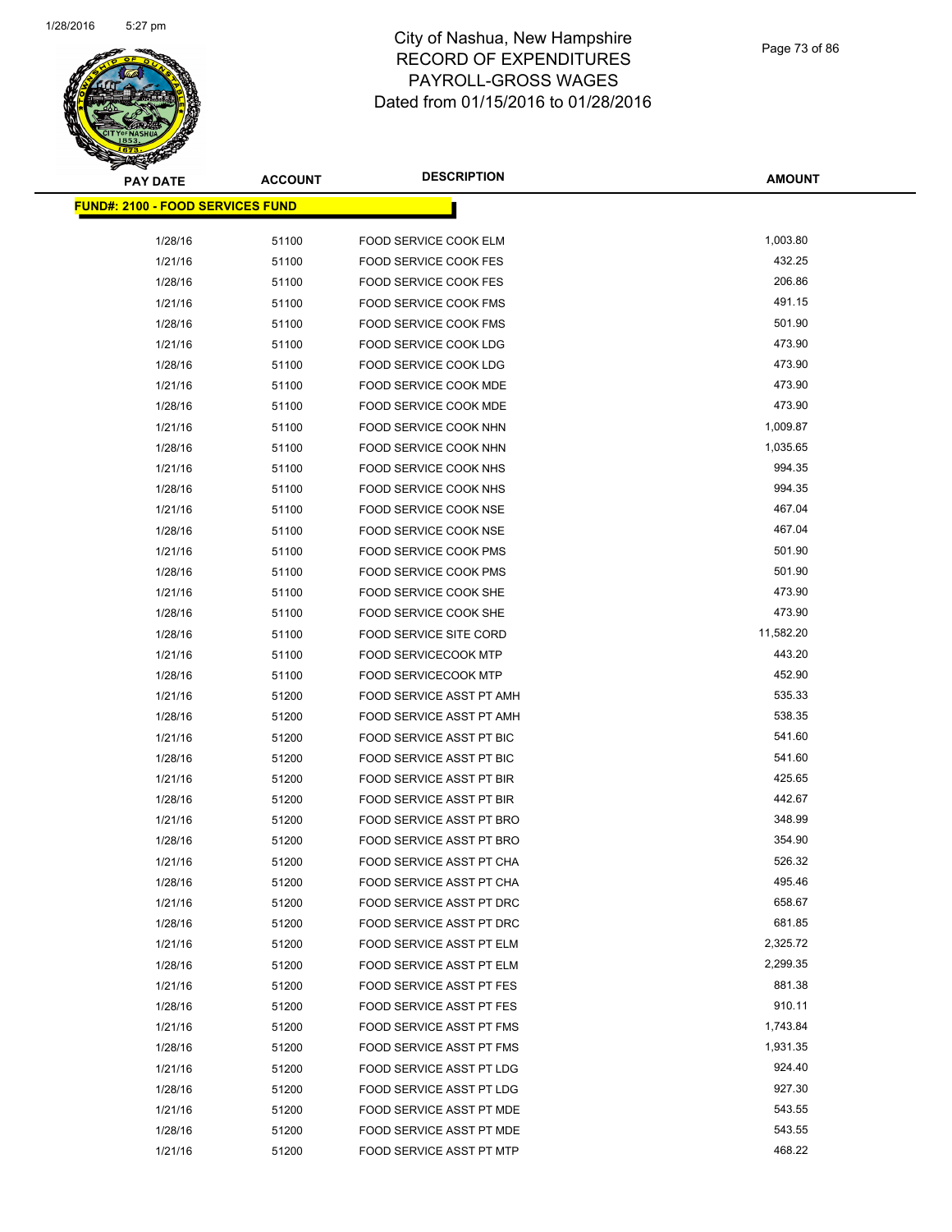

| <b>PAY DATE</b>                          | <b>ACCOUNT</b> | <b>DESCRIPTION</b>              | <b>AMOUNT</b>      |
|------------------------------------------|----------------|---------------------------------|--------------------|
| <u> FUND#: 2100 - FOOD SERVICES FUND</u> |                |                                 |                    |
|                                          |                |                                 |                    |
| 1/28/16                                  | 51100          | FOOD SERVICE COOK ELM           | 1,003.80<br>432.25 |
| 1/21/16                                  | 51100          | <b>FOOD SERVICE COOK FES</b>    |                    |
| 1/28/16                                  | 51100          | FOOD SERVICE COOK FES           | 206.86             |
| 1/21/16                                  | 51100          | FOOD SERVICE COOK FMS           | 491.15             |
| 1/28/16                                  | 51100          | FOOD SERVICE COOK FMS           | 501.90             |
| 1/21/16                                  | 51100          | <b>FOOD SERVICE COOK LDG</b>    | 473.90             |
| 1/28/16                                  | 51100          | FOOD SERVICE COOK LDG           | 473.90             |
| 1/21/16                                  | 51100          | <b>FOOD SERVICE COOK MDE</b>    | 473.90             |
| 1/28/16                                  | 51100          | FOOD SERVICE COOK MDE           | 473.90             |
| 1/21/16                                  | 51100          | FOOD SERVICE COOK NHN           | 1,009.87           |
| 1/28/16                                  | 51100          | FOOD SERVICE COOK NHN           | 1,035.65           |
| 1/21/16                                  | 51100          | FOOD SERVICE COOK NHS           | 994.35             |
| 1/28/16                                  | 51100          | FOOD SERVICE COOK NHS           | 994.35             |
| 1/21/16                                  | 51100          | FOOD SERVICE COOK NSE           | 467.04             |
| 1/28/16                                  | 51100          | FOOD SERVICE COOK NSE           | 467.04             |
| 1/21/16                                  | 51100          | <b>FOOD SERVICE COOK PMS</b>    | 501.90             |
| 1/28/16                                  | 51100          | FOOD SERVICE COOK PMS           | 501.90             |
| 1/21/16                                  | 51100          | FOOD SERVICE COOK SHE           | 473.90             |
| 1/28/16                                  | 51100          | FOOD SERVICE COOK SHE           | 473.90             |
| 1/28/16                                  | 51100          | <b>FOOD SERVICE SITE CORD</b>   | 11,582.20          |
| 1/21/16                                  | 51100          | <b>FOOD SERVICECOOK MTP</b>     | 443.20             |
| 1/28/16                                  | 51100          | <b>FOOD SERVICECOOK MTP</b>     | 452.90             |
| 1/21/16                                  | 51200          | FOOD SERVICE ASST PT AMH        | 535.33             |
| 1/28/16                                  | 51200          | FOOD SERVICE ASST PT AMH        | 538.35             |
| 1/21/16                                  | 51200          | FOOD SERVICE ASST PT BIC        | 541.60             |
| 1/28/16                                  | 51200          | FOOD SERVICE ASST PT BIC        | 541.60             |
| 1/21/16                                  | 51200          | FOOD SERVICE ASST PT BIR        | 425.65             |
| 1/28/16                                  | 51200          | FOOD SERVICE ASST PT BIR        | 442.67             |
| 1/21/16                                  | 51200          | FOOD SERVICE ASST PT BRO        | 348.99             |
| 1/28/16                                  | 51200          | FOOD SERVICE ASST PT BRO        | 354.90             |
| 1/21/16                                  | 51200          | FOOD SERVICE ASST PT CHA        | 526.32             |
| 1/28/16                                  | 51200          | FOOD SERVICE ASST PT CHA        | 495.46             |
| 1/21/16                                  | 51200          | FOOD SERVICE ASST PT DRC        | 658.67             |
| 1/28/16                                  | 51200          | FOOD SERVICE ASST PT DRC        | 681.85             |
| 1/21/16                                  | 51200          | FOOD SERVICE ASST PT ELM        | 2,325.72           |
| 1/28/16                                  | 51200          | FOOD SERVICE ASST PT ELM        | 2,299.35           |
| 1/21/16                                  | 51200          | <b>FOOD SERVICE ASST PT FES</b> | 881.38             |
| 1/28/16                                  | 51200          | <b>FOOD SERVICE ASST PT FES</b> | 910.11             |
| 1/21/16                                  | 51200          | <b>FOOD SERVICE ASST PT FMS</b> | 1,743.84           |
| 1/28/16                                  | 51200          | FOOD SERVICE ASST PT FMS        | 1,931.35           |
| 1/21/16                                  | 51200          | <b>FOOD SERVICE ASST PT LDG</b> | 924.40             |
| 1/28/16                                  | 51200          | FOOD SERVICE ASST PT LDG        | 927.30             |
| 1/21/16                                  | 51200          | FOOD SERVICE ASST PT MDE        | 543.55             |
| 1/28/16                                  | 51200          | FOOD SERVICE ASST PT MDE        | 543.55             |
| 1/21/16                                  | 51200          | FOOD SERVICE ASST PT MTP        | 468.22             |
|                                          |                |                                 |                    |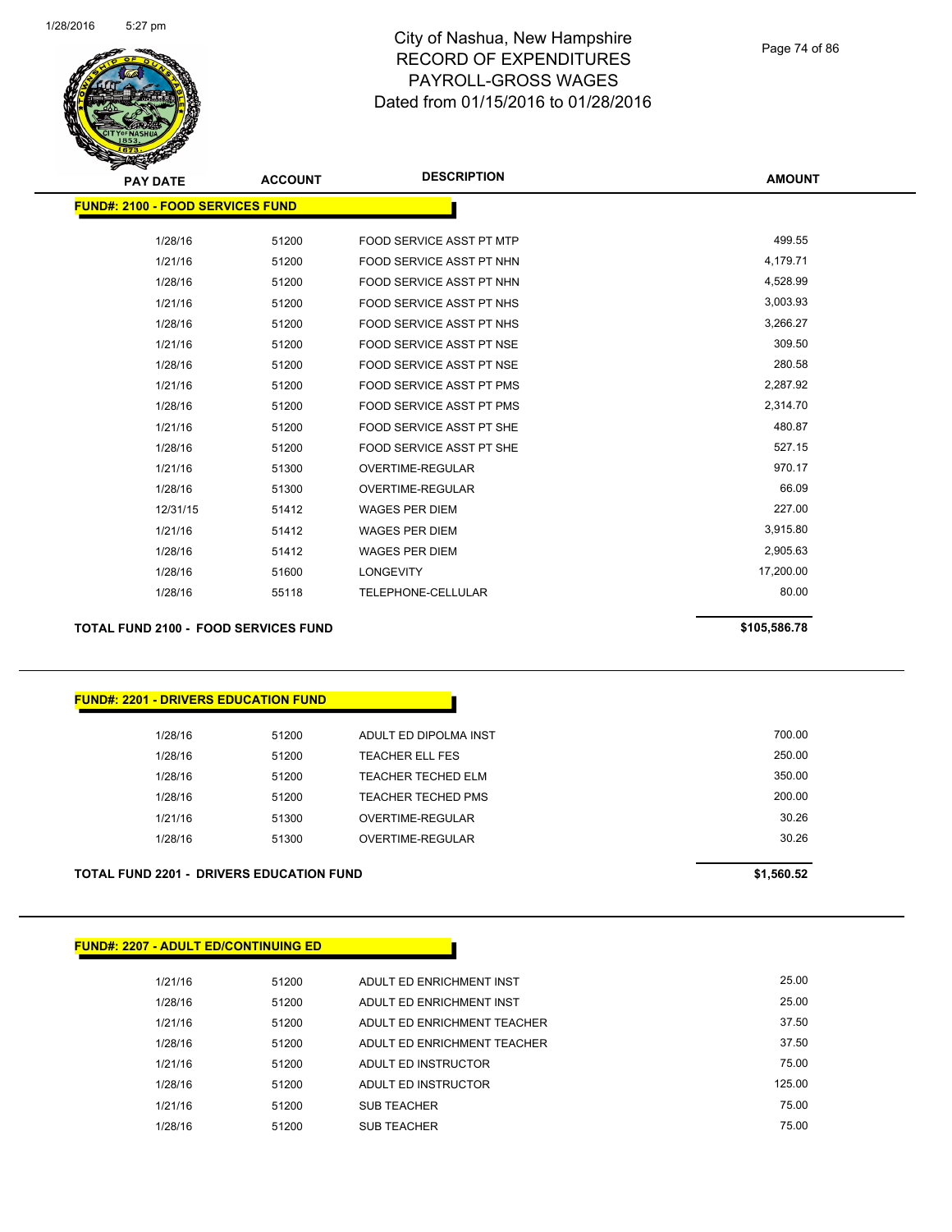

| z.<br><b>PAY DATE</b>                   | <b>ACCOUNT</b> | <b>DESCRIPTION</b>              | <b>AMOUNT</b> |
|-----------------------------------------|----------------|---------------------------------|---------------|
|                                         |                |                                 |               |
| <b>FUND#: 2100 - FOOD SERVICES FUND</b> |                |                                 |               |
| 1/28/16                                 | 51200          | <b>FOOD SERVICE ASST PT MTP</b> | 499.55        |
| 1/21/16                                 | 51200          | FOOD SERVICE ASST PT NHN        | 4,179.71      |
| 1/28/16                                 | 51200          | FOOD SERVICE ASST PT NHN        | 4,528.99      |
| 1/21/16                                 | 51200          | FOOD SERVICE ASST PT NHS        | 3,003.93      |
| 1/28/16                                 | 51200          | FOOD SERVICE ASST PT NHS        | 3,266.27      |
| 1/21/16                                 | 51200          | <b>FOOD SERVICE ASST PT NSE</b> | 309.50        |
| 1/28/16                                 | 51200          | <b>FOOD SERVICE ASST PT NSE</b> | 280.58        |
| 1/21/16                                 | 51200          | <b>FOOD SERVICE ASST PT PMS</b> | 2,287.92      |
| 1/28/16                                 | 51200          | <b>FOOD SERVICE ASST PT PMS</b> | 2,314.70      |
| 1/21/16                                 | 51200          | FOOD SERVICE ASST PT SHE        | 480.87        |
| 1/28/16                                 | 51200          | FOOD SERVICE ASST PT SHE        | 527.15        |
| 1/21/16                                 | 51300          | <b>OVERTIME-REGULAR</b>         | 970.17        |
| 1/28/16                                 | 51300          | <b>OVERTIME-REGULAR</b>         | 66.09         |
| 12/31/15                                | 51412          | <b>WAGES PER DIEM</b>           | 227.00        |
| 1/21/16                                 | 51412          | <b>WAGES PER DIEM</b>           | 3,915.80      |
| 1/28/16                                 | 51412          | <b>WAGES PER DIEM</b>           | 2,905.63      |
| 1/28/16                                 | 51600          | <b>LONGEVITY</b>                | 17,200.00     |
| 1/28/16                                 | 55118          | TELEPHONE-CELLULAR              | 80.00         |
|                                         |                |                                 |               |

**TOTAL FUND 2100 - FOOD SERVICES FUND \$105,586.78** 

| <u> FUND#: 2201 - DRIVERS EDUCATION FUND</u> |  |
|----------------------------------------------|--|

| <b>TOTAL FUND 2201 - DRIVERS EDUCATION FUND</b> |       |                        | \$1,560.52 |
|-------------------------------------------------|-------|------------------------|------------|
| 1/28/16                                         | 51300 | OVERTIME-REGULAR       | 30.26      |
| 1/21/16                                         | 51300 | OVERTIME-REGULAR       | 30.26      |
| 1/28/16                                         | 51200 | TEACHER TECHED PMS     | 200.00     |
| 1/28/16                                         | 51200 | TEACHER TECHED ELM     | 350.00     |
| 1/28/16                                         | 51200 | <b>TEACHER ELL FES</b> | 250.00     |
| 1/28/16                                         | 51200 | ADULT ED DIPOLMA INST  | 700.00     |
|                                                 |       |                        |            |

# **FUND#: 2207 - ADULT ED/CONTINUING ED**

| 1/21/16 | 51200 | ADULT ED ENRICHMENT INST    | 25.00  |
|---------|-------|-----------------------------|--------|
| 1/28/16 | 51200 | ADULT ED ENRICHMENT INST    | 25.00  |
| 1/21/16 | 51200 | ADULT ED ENRICHMENT TEACHER | 37.50  |
| 1/28/16 | 51200 | ADULT ED ENRICHMENT TEACHER | 37.50  |
| 1/21/16 | 51200 | ADULT ED INSTRUCTOR         | 75.00  |
| 1/28/16 | 51200 | ADULT ED INSTRUCTOR         | 125.00 |
| 1/21/16 | 51200 | <b>SUB TEACHER</b>          | 75.00  |
| 1/28/16 | 51200 | <b>SUB TEACHER</b>          | 75.00  |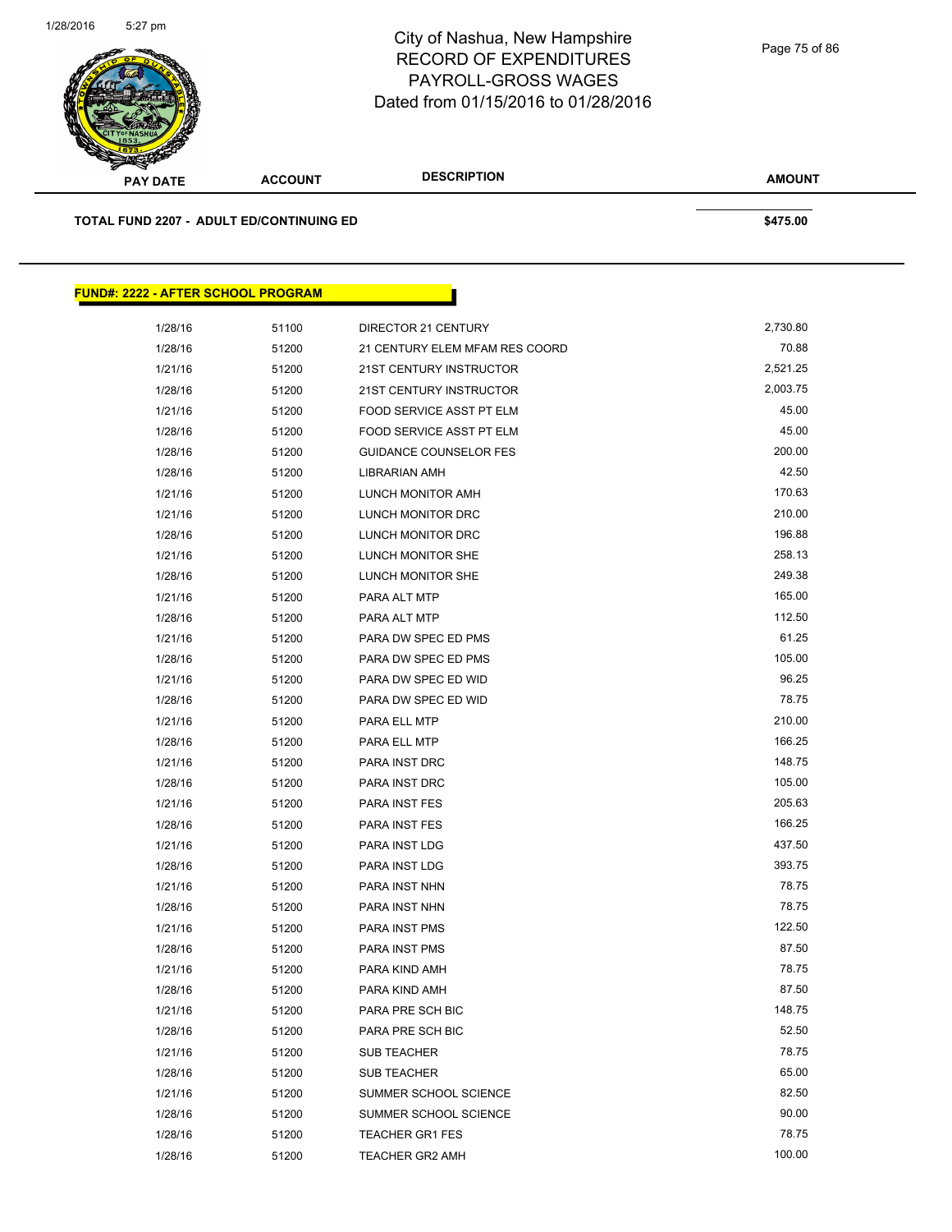

**TOTAL FUND 2207 - ADULT ED/CONTINUING ED \$475.00** 

**FUND#: 2222 - AFTER SCHOOL PROGRAM**

| 2222 - AFTER SCHOOL PROGRAM |       |                                |          |
|-----------------------------|-------|--------------------------------|----------|
|                             |       |                                |          |
| 1/28/16                     | 51100 | DIRECTOR 21 CENTURY            | 2,730.80 |
| 1/28/16                     | 51200 | 21 CENTURY ELEM MFAM RES COORD | 70.88    |
| 1/21/16                     | 51200 | <b>21ST CENTURY INSTRUCTOR</b> | 2,521.25 |
| 1/28/16                     | 51200 | 21ST CENTURY INSTRUCTOR        | 2,003.75 |
| 1/21/16                     | 51200 | FOOD SERVICE ASST PT ELM       | 45.00    |
| 1/28/16                     | 51200 | FOOD SERVICE ASST PT ELM       | 45.00    |
| 1/28/16                     | 51200 | <b>GUIDANCE COUNSELOR FES</b>  | 200.00   |
| 1/28/16                     | 51200 | LIBRARIAN AMH                  | 42.50    |
| 1/21/16                     | 51200 | LUNCH MONITOR AMH              | 170.63   |
| 1/21/16                     | 51200 | LUNCH MONITOR DRC              | 210.00   |
| 1/28/16                     | 51200 | LUNCH MONITOR DRC              | 196.88   |
| 1/21/16                     | 51200 | LUNCH MONITOR SHE              | 258.13   |
| 1/28/16                     | 51200 | <b>LUNCH MONITOR SHE</b>       | 249.38   |
| 1/21/16                     | 51200 | PARA ALT MTP                   | 165.00   |
| 1/28/16                     | 51200 | PARA ALT MTP                   | 112.50   |
| 1/21/16                     | 51200 | PARA DW SPEC ED PMS            | 61.25    |
| 1/28/16                     | 51200 | PARA DW SPEC ED PMS            | 105.00   |
| 1/21/16                     | 51200 | PARA DW SPEC ED WID            | 96.25    |
| 1/28/16                     | 51200 | PARA DW SPEC ED WID            | 78.75    |
| 1/21/16                     | 51200 | PARA ELL MTP                   | 210.00   |
| 1/28/16                     | 51200 | PARA ELL MTP                   | 166.25   |
| 1/21/16                     | 51200 | PARA INST DRC                  | 148.75   |
| 1/28/16                     | 51200 | PARA INST DRC                  | 105.00   |
| 1/21/16                     | 51200 | <b>PARA INST FES</b>           | 205.63   |
| 1/28/16                     | 51200 | <b>PARA INST FES</b>           | 166.25   |
| 1/21/16                     | 51200 | PARA INST LDG                  | 437.50   |
| 1/28/16                     | 51200 | PARA INST LDG                  | 393.75   |
| 1/21/16                     | 51200 | PARA INST NHN                  | 78.75    |
| 1/28/16                     | 51200 | PARA INST NHN                  | 78.75    |
| 1/21/16                     | 51200 | <b>PARA INST PMS</b>           | 122.50   |
| 1/28/16                     | 51200 | <b>PARA INST PMS</b>           | 87.50    |
| 1/21/16                     | 51200 | PARA KIND AMH                  | 78.75    |
| 1/28/16                     | 51200 | PARA KIND AMH                  | 87.50    |
| 1/21/16                     | 51200 | PARA PRE SCH BIC               | 148.75   |
| 1/28/16                     | 51200 | PARA PRE SCH BIC               | 52.50    |
| 1/21/16                     | 51200 | <b>SUB TEACHER</b>             | 78.75    |
| 1/28/16                     | 51200 | SUB TEACHER                    | 65.00    |
| 1/21/16                     | 51200 | SUMMER SCHOOL SCIENCE          | 82.50    |
| 1/28/16                     | 51200 | SUMMER SCHOOL SCIENCE          | 90.00    |
| 1/28/16                     | 51200 | <b>TEACHER GR1 FES</b>         | 78.75    |
| 1/28/16                     | 51200 | TEACHER GR2 AMH                | 100.00   |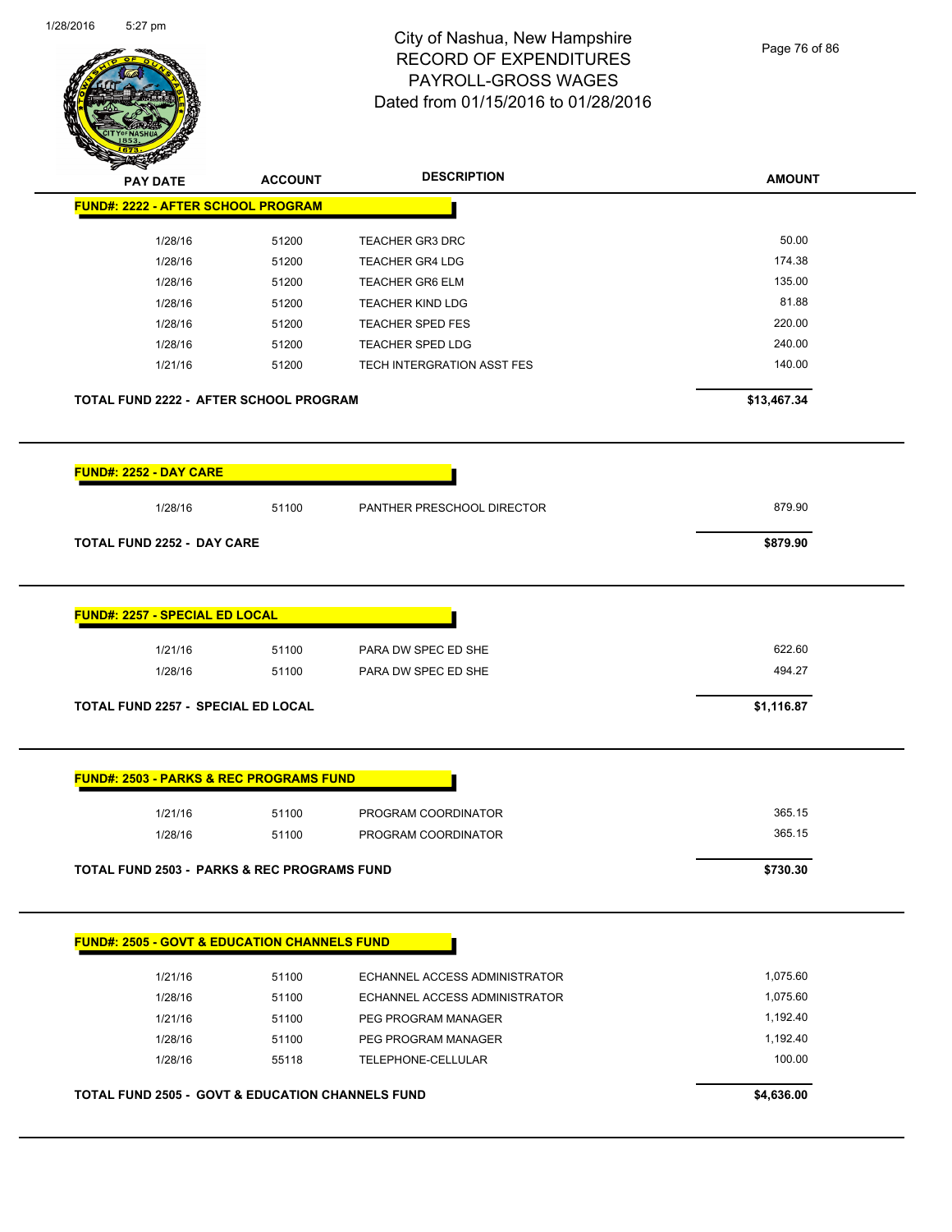$\overline{\phantom{a}}$ 



#### City of Nashua, New Hampshire RECORD OF EXPENDITURES PAYROLL-GROSS WAGES Dated from 01/15/2016 to 01/28/2016

Page 76 of 86

| <b>PAY DATE</b>                                         | <b>ACCOUNT</b> | <b>DESCRIPTION</b>            | <b>AMOUNT</b> |
|---------------------------------------------------------|----------------|-------------------------------|---------------|
| <b>FUND#: 2222 - AFTER SCHOOL PROGRAM</b>               |                |                               |               |
| 1/28/16                                                 | 51200          | <b>TEACHER GR3 DRC</b>        | 50.00         |
| 1/28/16                                                 | 51200          | <b>TEACHER GR4 LDG</b>        | 174.38        |
| 1/28/16                                                 | 51200          | <b>TEACHER GR6 ELM</b>        | 135.00        |
| 1/28/16                                                 | 51200          | <b>TEACHER KIND LDG</b>       | 81.88         |
| 1/28/16                                                 | 51200          | <b>TEACHER SPED FES</b>       | 220.00        |
| 1/28/16                                                 | 51200          | <b>TEACHER SPED LDG</b>       | 240.00        |
| 1/21/16                                                 | 51200          | TECH INTERGRATION ASST FES    | 140.00        |
| <b>TOTAL FUND 2222 - AFTER SCHOOL PROGRAM</b>           |                |                               | \$13,467.34   |
| FUND#: 2252 - DAY CARE                                  |                |                               |               |
| 1/28/16                                                 | 51100          | PANTHER PRESCHOOL DIRECTOR    | 879.90        |
| <b>TOTAL FUND 2252 - DAY CARE</b>                       |                |                               | \$879.90      |
| <b>FUND#: 2257 - SPECIAL ED LOCAL</b>                   |                |                               |               |
| 1/21/16                                                 | 51100          | PARA DW SPEC ED SHE           | 622.60        |
| 1/28/16                                                 | 51100          | PARA DW SPEC ED SHE           | 494.27        |
| TOTAL FUND 2257 - SPECIAL ED LOCAL                      |                |                               | \$1,116.87    |
| <b>FUND#: 2503 - PARKS &amp; REC PROGRAMS FUND</b>      |                |                               |               |
| 1/21/16                                                 | 51100          | PROGRAM COORDINATOR           | 365.15        |
| 1/28/16                                                 | 51100          | PROGRAM COORDINATOR           | 365.15        |
| <b>TOTAL FUND 2503 - PARKS &amp; REC PROGRAMS FUND</b>  |                |                               | \$730.30      |
| <b>FUND#: 2505 - GOVT &amp; EDUCATION CHANNELS FUND</b> |                |                               |               |
| 1/21/16                                                 | 51100          | ECHANNEL ACCESS ADMINISTRATOR | 1,075.60      |
| 1/28/16                                                 | 51100          | ECHANNEL ACCESS ADMINISTRATOR | 1,075.60      |
| 1/21/16                                                 | 51100          | PEG PROGRAM MANAGER           | 1,192.40      |
| 1/28/16                                                 | 51100          | PEG PROGRAM MANAGER           | 1,192.40      |
| 1/28/16                                                 | 55118          | TELEPHONE-CELLULAR            | 100.00        |
| TOTAL FUND 2505 - GOVT & EDUCATION CHANNELS FUND        |                |                               | \$4,636.00    |
|                                                         |                |                               |               |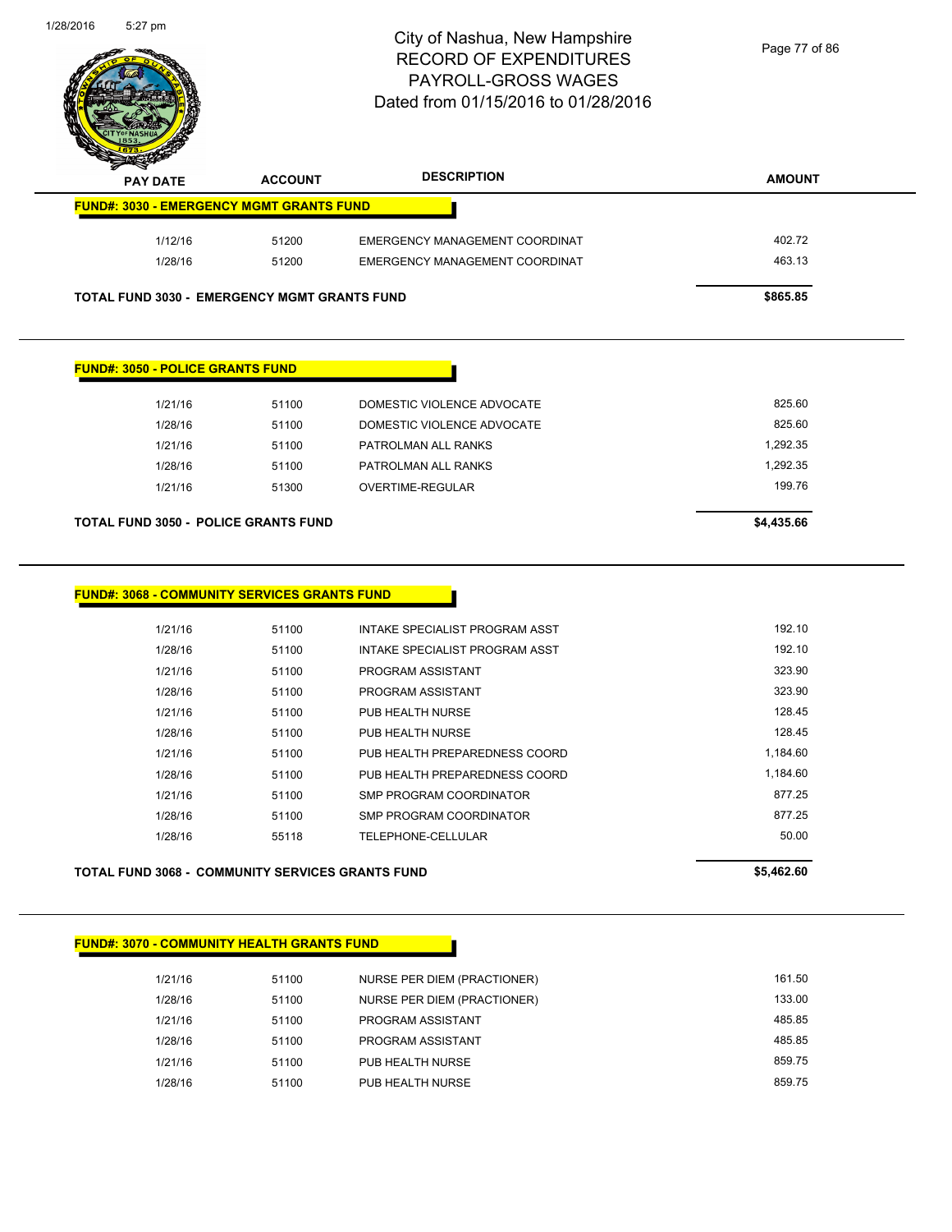

| <b>Explorer</b><br><b>PAY DATE</b> | <b>ACCOUNT</b>                                      | <b>DESCRIPTION</b>             | <b>AMOUNT</b> |
|------------------------------------|-----------------------------------------------------|--------------------------------|---------------|
|                                    | <b>FUND#: 3030 - EMERGENCY MGMT GRANTS FUND</b>     |                                |               |
| 1/12/16                            | 51200                                               | EMERGENCY MANAGEMENT COORDINAT | 402.72        |
| 1/28/16                            | 51200                                               | EMERGENCY MANAGEMENT COORDINAT | 463.13        |
|                                    | <b>TOTAL FUND 3030 - EMERGENCY MGMT GRANTS FUND</b> |                                | \$865.85      |

#### **FUND#: 3050 - POLICE GRANTS FUND**

| 51100<br>51300 | PATROLMAN ALL RANKS<br>OVERTIME-REGULAR | 1.292.35<br>199.76 |
|----------------|-----------------------------------------|--------------------|
|                |                                         |                    |
|                |                                         |                    |
| 51100          | PATROLMAN ALL RANKS                     | 1.292.35           |
| 51100          | DOMESTIC VIOLENCE ADVOCATE              | 825.60             |
| 51100          | DOMESTIC VIOLENCE ADVOCATE              | 825.60             |
|                |                                         |                    |

#### **FUND#: 3068 - COMMUNITY SERVICES GRANTS FUND**

| 1/21/16 | 51100 | INTAKE SPECIALIST PROGRAM ASST | 192.10   |
|---------|-------|--------------------------------|----------|
| 1/28/16 | 51100 | INTAKE SPECIALIST PROGRAM ASST | 192.10   |
| 1/21/16 | 51100 | PROGRAM ASSISTANT              | 323.90   |
| 1/28/16 | 51100 | PROGRAM ASSISTANT              | 323.90   |
| 1/21/16 | 51100 | PUB HEALTH NURSE               | 128.45   |
| 1/28/16 | 51100 | PUB HEALTH NURSE               | 128.45   |
| 1/21/16 | 51100 | PUB HEALTH PREPAREDNESS COORD  | 1,184.60 |
| 1/28/16 | 51100 | PUB HEALTH PREPAREDNESS COORD  | 1.184.60 |
| 1/21/16 | 51100 | SMP PROGRAM COORDINATOR        | 877.25   |
| 1/28/16 | 51100 | SMP PROGRAM COORDINATOR        | 877.25   |
| 1/28/16 | 55118 | TELEPHONE-CELLULAR             | 50.00    |
|         |       |                                |          |

#### **TOTAL FUND 3068 - COMMUNITY SERVICES GRANTS FUND \$5,462.60**

#### **FUND#: 3070 - COMMUNITY HEALTH GRANTS FUND**

| 1/21/16 | 51100 | NURSE PER DIEM (PRACTIONER) | 161.50 |
|---------|-------|-----------------------------|--------|
| 1/28/16 | 51100 | NURSE PER DIEM (PRACTIONER) | 133.00 |
| 1/21/16 | 51100 | PROGRAM ASSISTANT           | 485.85 |
| 1/28/16 | 51100 | PROGRAM ASSISTANT           | 485.85 |
| 1/21/16 | 51100 | PUB HEALTH NURSE            | 859.75 |
| 1/28/16 | 51100 | PUB HEALTH NURSE            | 859.75 |
|         |       |                             |        |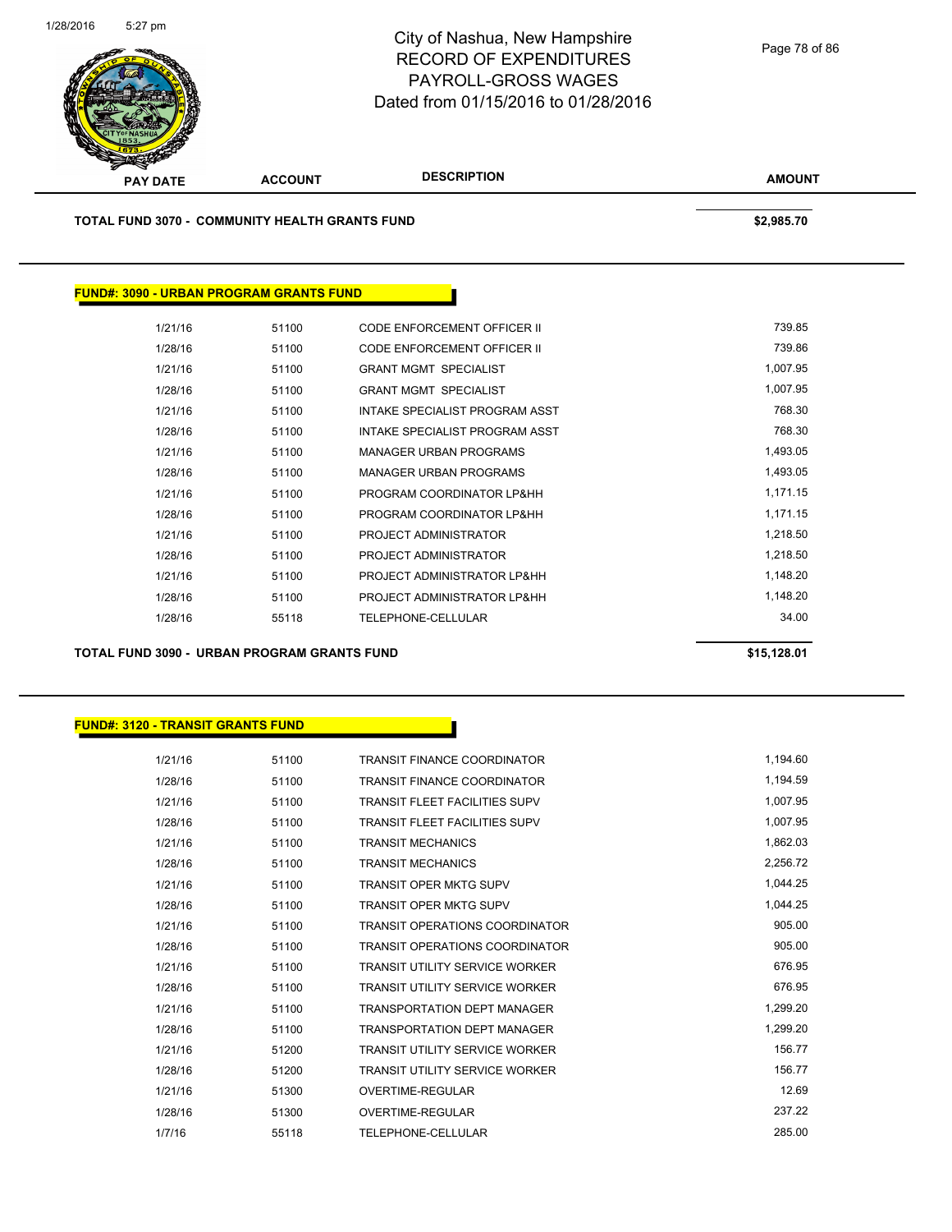

**TOTAL FUND 3070 - COMMUNITY HEALTH GRANTS FUND \$2,985.70** 

# **FUND#: 3090 - URBAN PROGRAM GRANTS FUND**

| 1/21/16 | 51100 | CODE ENFORCEMENT OFFICER II        | 739.85   |
|---------|-------|------------------------------------|----------|
| 1/28/16 | 51100 | <b>CODE ENFORCEMENT OFFICER II</b> | 739.86   |
| 1/21/16 | 51100 | <b>GRANT MGMT SPECIALIST</b>       | 1,007.95 |
| 1/28/16 | 51100 | <b>GRANT MGMT SPECIALIST</b>       | 1.007.95 |
| 1/21/16 | 51100 | INTAKE SPECIALIST PROGRAM ASST     | 768.30   |
| 1/28/16 | 51100 | INTAKE SPECIALIST PROGRAM ASST     | 768.30   |
| 1/21/16 | 51100 | <b>MANAGER URBAN PROGRAMS</b>      | 1,493.05 |
| 1/28/16 | 51100 | <b>MANAGER URBAN PROGRAMS</b>      | 1,493.05 |
| 1/21/16 | 51100 | PROGRAM COORDINATOR LP&HH          | 1,171.15 |
| 1/28/16 | 51100 | PROGRAM COORDINATOR LP&HH          | 1,171.15 |
| 1/21/16 | 51100 | PROJECT ADMINISTRATOR              | 1,218.50 |
| 1/28/16 | 51100 | PROJECT ADMINISTRATOR              | 1,218.50 |
| 1/21/16 | 51100 | PROJECT ADMINISTRATOR LP&HH        | 1,148.20 |
| 1/28/16 | 51100 | PROJECT ADMINISTRATOR LP&HH        | 1,148.20 |
| 1/28/16 | 55118 | TELEPHONE-CELLULAR                 | 34.00    |
|         |       |                                    |          |

**TOTAL FUND 3090 - URBAN PROGRAM GRANTS FUND \$15,128.01** 

#### **FUND#: 3120 - TRANSIT GRANTS FUND**

| 1/21/16 | 51100 | <b>TRANSIT FINANCE COORDINATOR</b>    | 1,194.60 |
|---------|-------|---------------------------------------|----------|
| 1/28/16 | 51100 | <b>TRANSIT FINANCE COORDINATOR</b>    | 1,194.59 |
| 1/21/16 | 51100 | <b>TRANSIT FLEET FACILITIES SUPV</b>  | 1,007.95 |
| 1/28/16 | 51100 | <b>TRANSIT FLEET FACILITIES SUPV</b>  | 1,007.95 |
| 1/21/16 | 51100 | <b>TRANSIT MECHANICS</b>              | 1,862.03 |
| 1/28/16 | 51100 | <b>TRANSIT MECHANICS</b>              | 2,256.72 |
| 1/21/16 | 51100 | <b>TRANSIT OPER MKTG SUPV</b>         | 1,044.25 |
| 1/28/16 | 51100 | <b>TRANSIT OPER MKTG SUPV</b>         | 1.044.25 |
| 1/21/16 | 51100 | <b>TRANSIT OPERATIONS COORDINATOR</b> | 905.00   |
| 1/28/16 | 51100 | <b>TRANSIT OPERATIONS COORDINATOR</b> | 905.00   |
| 1/21/16 | 51100 | <b>TRANSIT UTILITY SERVICE WORKER</b> | 676.95   |
| 1/28/16 | 51100 | <b>TRANSIT UTILITY SERVICE WORKER</b> | 676.95   |
| 1/21/16 | 51100 | <b>TRANSPORTATION DEPT MANAGER</b>    | 1,299.20 |
| 1/28/16 | 51100 | <b>TRANSPORTATION DEPT MANAGER</b>    | 1.299.20 |
| 1/21/16 | 51200 | <b>TRANSIT UTILITY SERVICE WORKER</b> | 156.77   |
| 1/28/16 | 51200 | <b>TRANSIT UTILITY SERVICE WORKER</b> | 156.77   |
| 1/21/16 | 51300 | OVERTIME-REGULAR                      | 12.69    |
| 1/28/16 | 51300 | OVERTIME-REGULAR                      | 237.22   |
| 1/7/16  | 55118 | TELEPHONE-CELLULAR                    | 285.00   |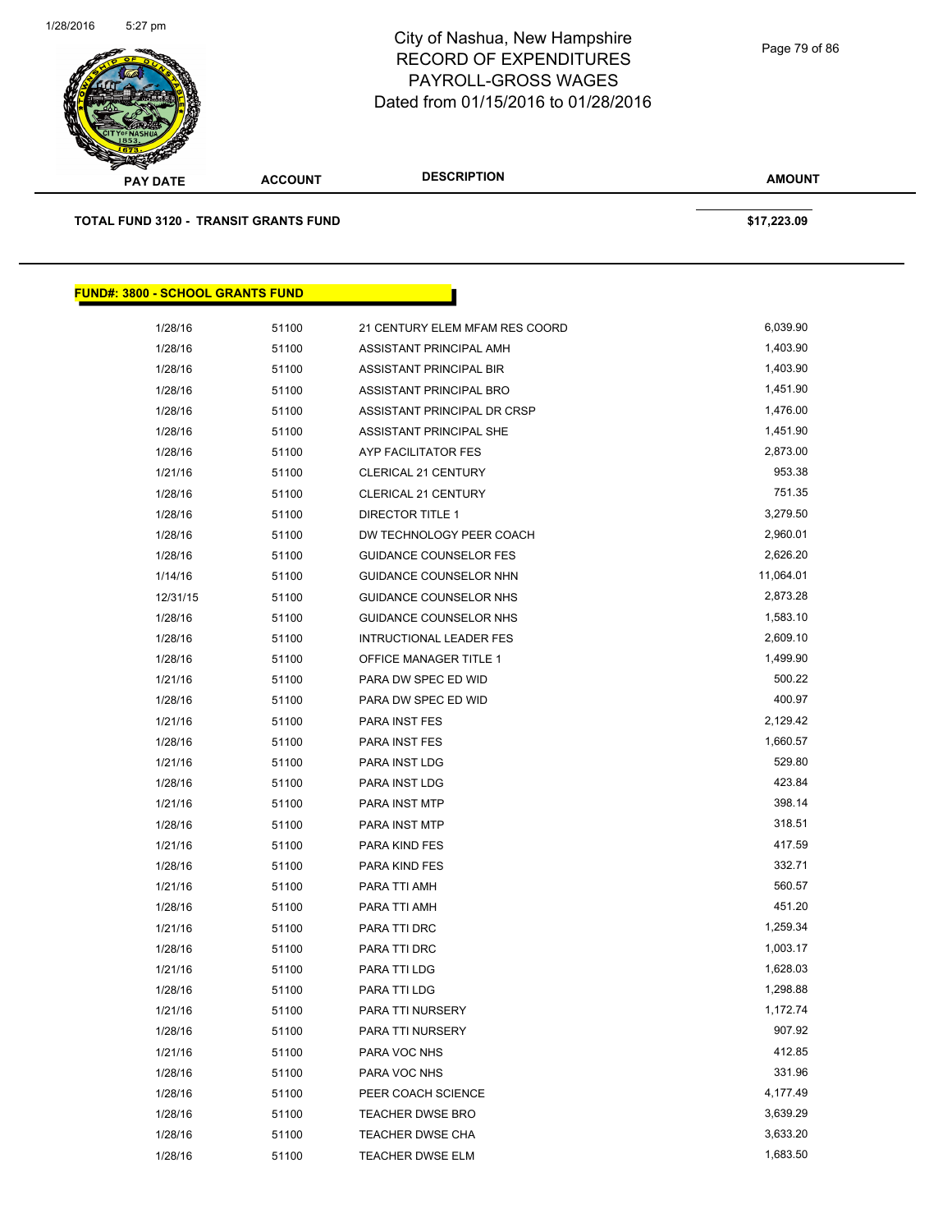

| <b>PAY DATE</b>                              | <b>ACCOUNT</b> | <b>DESCRIPTION</b>             | <b>AMOUNT</b> |  |
|----------------------------------------------|----------------|--------------------------------|---------------|--|
| <b>TOTAL FUND 3120 - TRANSIT GRANTS FUND</b> |                |                                | \$17,223.09   |  |
| <b>FUND#: 3800 - SCHOOL GRANTS FUND</b>      |                |                                |               |  |
| 1/28/16                                      | 51100          | 21 CENTURY ELEM MFAM RES COORD | 6,039.90      |  |
| 1/28/16                                      | 51100          | ASSISTANT PRINCIPAL AMH        | 1,403.90      |  |
| 1/28/16                                      | 51100          | ASSISTANT PRINCIPAL BIR        | 1,403.90      |  |
| 1/28/16                                      | 51100          | ASSISTANT PRINCIPAL BRO        | 1,451.90      |  |
| 1/28/16                                      | 51100          | ASSISTANT PRINCIPAL DR CRSP    | 1,476.00      |  |
| 1/28/16                                      | 51100          | ASSISTANT PRINCIPAL SHE        | 1,451.90      |  |
| 1/28/16                                      | 51100          | AYP FACILITATOR FES            | 2,873.00      |  |
| 1/21/16                                      | 51100          | <b>CLERICAL 21 CENTURY</b>     | 953.38        |  |
| 1/28/16                                      | 51100          | <b>CLERICAL 21 CENTURY</b>     | 751.35        |  |
| 1/28/16                                      | 51100          | DIRECTOR TITLE 1               | 3,279.50      |  |
| 1/28/16                                      | 51100          | DW TECHNOLOGY PEER COACH       | 2,960.01      |  |
| 1/28/16                                      | 51100          | <b>GUIDANCE COUNSELOR FES</b>  | 2,626.20      |  |
| 1/14/16                                      | 51100          | GUIDANCE COUNSELOR NHN         | 11,064.01     |  |
| 12/31/15                                     | 51100          | GUIDANCE COUNSELOR NHS         | 2,873.28      |  |
| 1/28/16                                      | 51100          | <b>GUIDANCE COUNSELOR NHS</b>  | 1,583.10      |  |
| 1/28/16                                      | 51100          | <b>INTRUCTIONAL LEADER FES</b> | 2,609.10      |  |
| 1/28/16                                      | 51100          | OFFICE MANAGER TITLE 1         | 1,499.90      |  |
| 1/21/16                                      | 51100          | PARA DW SPEC ED WID            | 500.22        |  |
| 1/28/16                                      | 51100          | PARA DW SPEC ED WID            | 400.97        |  |
| 1/21/16                                      | 51100          | PARA INST FES                  | 2,129.42      |  |
| 1/28/16                                      | 51100          | PARA INST FES                  | 1,660.57      |  |
| 1/21/16                                      | 51100          | PARA INST LDG                  | 529.80        |  |
| 1/28/16                                      | 51100          | PARA INST LDG                  | 423.84        |  |
| 1/21/16                                      | 51100          | PARA INST MTP                  | 398.14        |  |
| 1/28/16                                      | 51100          | PARA INST MTP                  | 318.51        |  |
| 1/21/16                                      | 51100          | PARA KIND FES                  | 417.59        |  |
| 1/28/16                                      | 51100          | PARA KIND FES                  | 332.71        |  |
| 1/21/16                                      | 51100          | PARA TTI AMH                   | 560.57        |  |
| 1/28/16                                      | 51100          | PARA TTI AMH                   | 451.20        |  |
| 1/21/16                                      | 51100          | PARA TTI DRC                   | 1,259.34      |  |
| 1/28/16                                      | 51100          | PARA TTI DRC                   | 1,003.17      |  |
| 1/21/16                                      | 51100          | PARA TTI LDG                   | 1,628.03      |  |
| 1/28/16                                      | 51100          | PARA TTI LDG                   | 1,298.88      |  |
| 1/21/16                                      | 51100          | PARA TTI NURSERY               | 1,172.74      |  |
| 1/28/16                                      | 51100          | PARA TTI NURSERY               | 907.92        |  |
| 1/21/16                                      | 51100          | PARA VOC NHS                   | 412.85        |  |
| 1/28/16                                      | 51100          | PARA VOC NHS                   | 331.96        |  |
| 1/28/16                                      | 51100          | PEER COACH SCIENCE             | 4,177.49      |  |
| 1/28/16                                      | 51100          | <b>TEACHER DWSE BRO</b>        | 3,639.29      |  |
| 1/28/16                                      | 51100          | <b>TEACHER DWSE CHA</b>        | 3,633.20      |  |
| 1/28/16                                      | 51100          | TEACHER DWSE ELM               | 1,683.50      |  |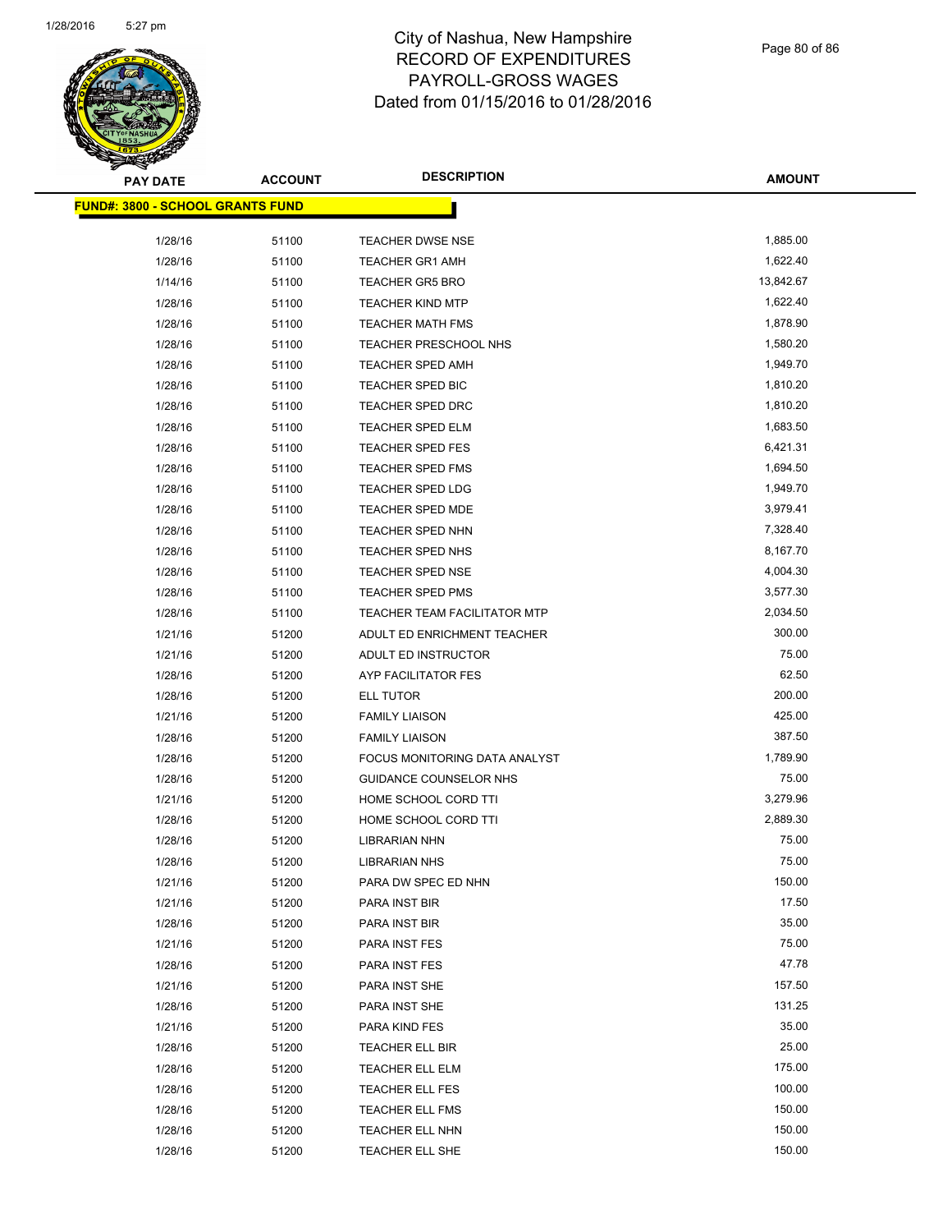

Page 80 of 86

| <b>PAY DATE</b>                         | <b>ACCOUNT</b> | <b>DESCRIPTION</b>                    | <b>AMOUNT</b>     |
|-----------------------------------------|----------------|---------------------------------------|-------------------|
| <b>FUND#: 3800 - SCHOOL GRANTS FUND</b> |                |                                       |                   |
|                                         |                |                                       |                   |
| 1/28/16                                 | 51100          | TEACHER DWSE NSE                      | 1,885.00          |
| 1/28/16                                 | 51100          | <b>TEACHER GR1 AMH</b>                | 1,622.40          |
| 1/14/16                                 | 51100          | <b>TEACHER GR5 BRO</b>                | 13,842.67         |
| 1/28/16                                 | 51100          | <b>TEACHER KIND MTP</b>               | 1,622.40          |
| 1/28/16                                 | 51100          | TEACHER MATH FMS                      | 1,878.90          |
| 1/28/16                                 | 51100          | TEACHER PRESCHOOL NHS                 | 1,580.20          |
| 1/28/16                                 | 51100          | <b>TEACHER SPED AMH</b>               | 1,949.70          |
| 1/28/16                                 | 51100          | TEACHER SPED BIC                      | 1,810.20          |
| 1/28/16                                 | 51100          | <b>TEACHER SPED DRC</b>               | 1,810.20          |
| 1/28/16                                 | 51100          | TEACHER SPED ELM                      | 1,683.50          |
| 1/28/16                                 | 51100          | <b>TEACHER SPED FES</b>               | 6,421.31          |
| 1/28/16                                 | 51100          | <b>TEACHER SPED FMS</b>               | 1,694.50          |
| 1/28/16                                 | 51100          | <b>TEACHER SPED LDG</b>               | 1,949.70          |
| 1/28/16                                 | 51100          | TEACHER SPED MDE                      | 3,979.41          |
| 1/28/16                                 | 51100          | TEACHER SPED NHN                      | 7,328.40          |
| 1/28/16                                 | 51100          | TEACHER SPED NHS                      | 8,167.70          |
| 1/28/16                                 | 51100          | <b>TEACHER SPED NSE</b>               | 4,004.30          |
| 1/28/16                                 | 51100          | TEACHER SPED PMS                      | 3,577.30          |
| 1/28/16                                 | 51100          | TEACHER TEAM FACILITATOR MTP          | 2,034.50          |
| 1/21/16                                 | 51200          | ADULT ED ENRICHMENT TEACHER           | 300.00            |
| 1/21/16                                 | 51200          | ADULT ED INSTRUCTOR                   | 75.00             |
| 1/28/16                                 | 51200          | AYP FACILITATOR FES                   | 62.50             |
| 1/28/16                                 | 51200          | ELL TUTOR                             | 200.00            |
| 1/21/16                                 | 51200          | <b>FAMILY LIAISON</b>                 | 425.00            |
| 1/28/16                                 | 51200          | <b>FAMILY LIAISON</b>                 | 387.50            |
| 1/28/16                                 | 51200          | FOCUS MONITORING DATA ANALYST         | 1,789.90          |
| 1/28/16                                 | 51200          | GUIDANCE COUNSELOR NHS                | 75.00<br>3,279.96 |
| 1/21/16                                 | 51200          | HOME SCHOOL CORD TTI                  | 2,889.30          |
| 1/28/16                                 | 51200          | HOME SCHOOL CORD TTI                  | 75.00             |
| 1/28/16                                 | 51200          | LIBRARIAN NHN<br><b>LIBRARIAN NHS</b> | 75.00             |
| 1/28/16                                 | 51200          |                                       | 150.00            |
| 1/21/16<br>1/21/16                      | 51200          | PARA DW SPEC ED NHN<br>PARA INST BIR  | 17.50             |
|                                         | 51200          |                                       | 35.00             |
| 1/28/16<br>1/21/16                      | 51200          | PARA INST BIR                         | 75.00             |
|                                         | 51200          | PARA INST FES                         | 47.78             |
| 1/28/16<br>1/21/16                      | 51200          | PARA INST FES                         | 157.50            |
| 1/28/16                                 | 51200          | PARA INST SHE<br>PARA INST SHE        | 131.25            |
|                                         | 51200          | PARA KIND FES                         | 35.00             |
| 1/21/16<br>1/28/16                      | 51200<br>51200 | TEACHER ELL BIR                       | 25.00             |
| 1/28/16                                 |                | TEACHER ELL ELM                       | 175.00            |
|                                         | 51200          |                                       | 100.00            |
| 1/28/16                                 | 51200          | TEACHER ELL FES                       | 150.00            |
| 1/28/16                                 | 51200          | TEACHER ELL FMS                       | 150.00            |
| 1/28/16                                 | 51200          | TEACHER ELL NHN                       | 150.00            |
| 1/28/16                                 | 51200          | TEACHER ELL SHE                       |                   |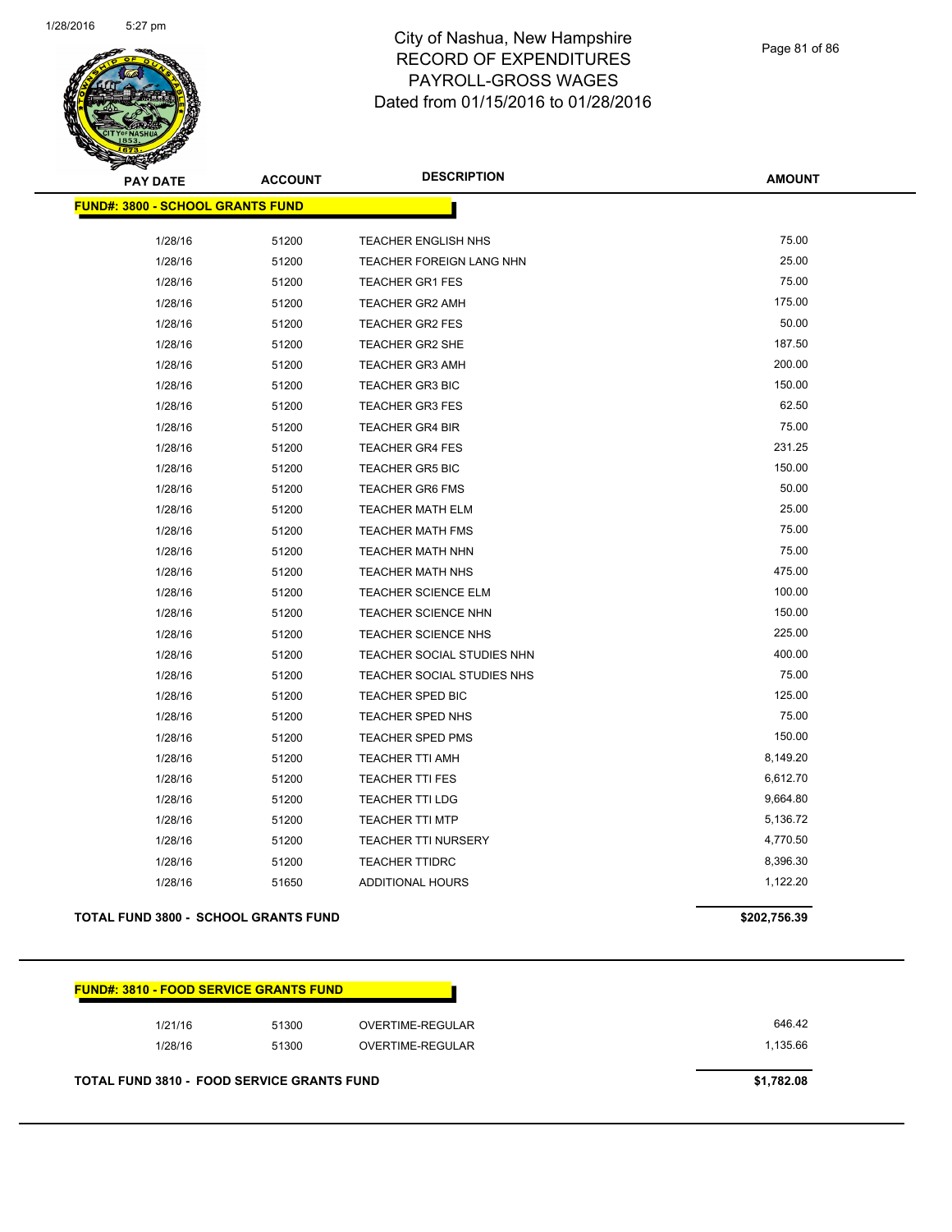

Page 81 of 86

| <b>PAY DATE</b>                         | <b>ACCOUNT</b> | <b>DESCRIPTION</b>              | <b>AMOUNT</b> |
|-----------------------------------------|----------------|---------------------------------|---------------|
| <b>FUND#: 3800 - SCHOOL GRANTS FUND</b> |                |                                 |               |
|                                         |                |                                 |               |
| 1/28/16                                 | 51200          | TEACHER ENGLISH NHS             | 75.00         |
| 1/28/16                                 | 51200          | <b>TEACHER FOREIGN LANG NHN</b> | 25.00         |
| 1/28/16                                 | 51200          | <b>TEACHER GR1 FES</b>          | 75.00         |
| 1/28/16                                 | 51200          | TEACHER GR2 AMH                 | 175.00        |
| 1/28/16                                 | 51200          | <b>TEACHER GR2 FES</b>          | 50.00         |
| 1/28/16                                 | 51200          | TEACHER GR2 SHE                 | 187.50        |
| 1/28/16                                 | 51200          | <b>TEACHER GR3 AMH</b>          | 200.00        |
| 1/28/16                                 | 51200          | <b>TEACHER GR3 BIC</b>          | 150.00        |
| 1/28/16                                 | 51200          | <b>TEACHER GR3 FES</b>          | 62.50         |
| 1/28/16                                 | 51200          | <b>TEACHER GR4 BIR</b>          | 75.00         |
| 1/28/16                                 | 51200          | <b>TEACHER GR4 FES</b>          | 231.25        |
| 1/28/16                                 | 51200          | <b>TEACHER GR5 BIC</b>          | 150.00        |
| 1/28/16                                 | 51200          | <b>TEACHER GR6 FMS</b>          | 50.00         |
| 1/28/16                                 | 51200          | <b>TEACHER MATH ELM</b>         | 25.00         |
| 1/28/16                                 | 51200          | <b>TEACHER MATH FMS</b>         | 75.00         |
| 1/28/16                                 | 51200          | TEACHER MATH NHN                | 75.00         |
| 1/28/16                                 | 51200          | <b>TEACHER MATH NHS</b>         | 475.00        |
| 1/28/16                                 | 51200          | TEACHER SCIENCE ELM             | 100.00        |
| 1/28/16                                 | 51200          | TEACHER SCIENCE NHN             | 150.00        |
| 1/28/16                                 | 51200          | TEACHER SCIENCE NHS             | 225.00        |
| 1/28/16                                 | 51200          | TEACHER SOCIAL STUDIES NHN      | 400.00        |
| 1/28/16                                 | 51200          | TEACHER SOCIAL STUDIES NHS      | 75.00         |
| 1/28/16                                 | 51200          | <b>TEACHER SPED BIC</b>         | 125.00        |
| 1/28/16                                 | 51200          | TEACHER SPED NHS                | 75.00         |
| 1/28/16                                 | 51200          | <b>TEACHER SPED PMS</b>         | 150.00        |
| 1/28/16                                 | 51200          | TEACHER TTI AMH                 | 8,149.20      |
| 1/28/16                                 | 51200          | <b>TEACHER TTI FES</b>          | 6,612.70      |
| 1/28/16                                 | 51200          | <b>TEACHER TTI LDG</b>          | 9,664.80      |
| 1/28/16                                 | 51200          | <b>TEACHER TTI MTP</b>          | 5,136.72      |
| 1/28/16                                 | 51200          | TEACHER TTI NURSERY             | 4,770.50      |
| 1/28/16                                 | 51200          | <b>TEACHER TTIDRC</b>           | 8,396.30      |
| 1/28/16                                 | 51650          | <b>ADDITIONAL HOURS</b>         | 1,122.20      |
|                                         |                |                                 |               |

#### **TOTAL FUND 3800 - SCHOOL GRANTS FUND \$202,756.39**

| <b>FUND#: 3810 - FOOD SERVICE GRANTS FUND</b> |       |                  |          |
|-----------------------------------------------|-------|------------------|----------|
| 1/21/16                                       | 51300 | OVERTIME-REGULAR | 646.42   |
| 1/28/16                                       | 51300 | OVERTIME-REGULAR | 1,135.66 |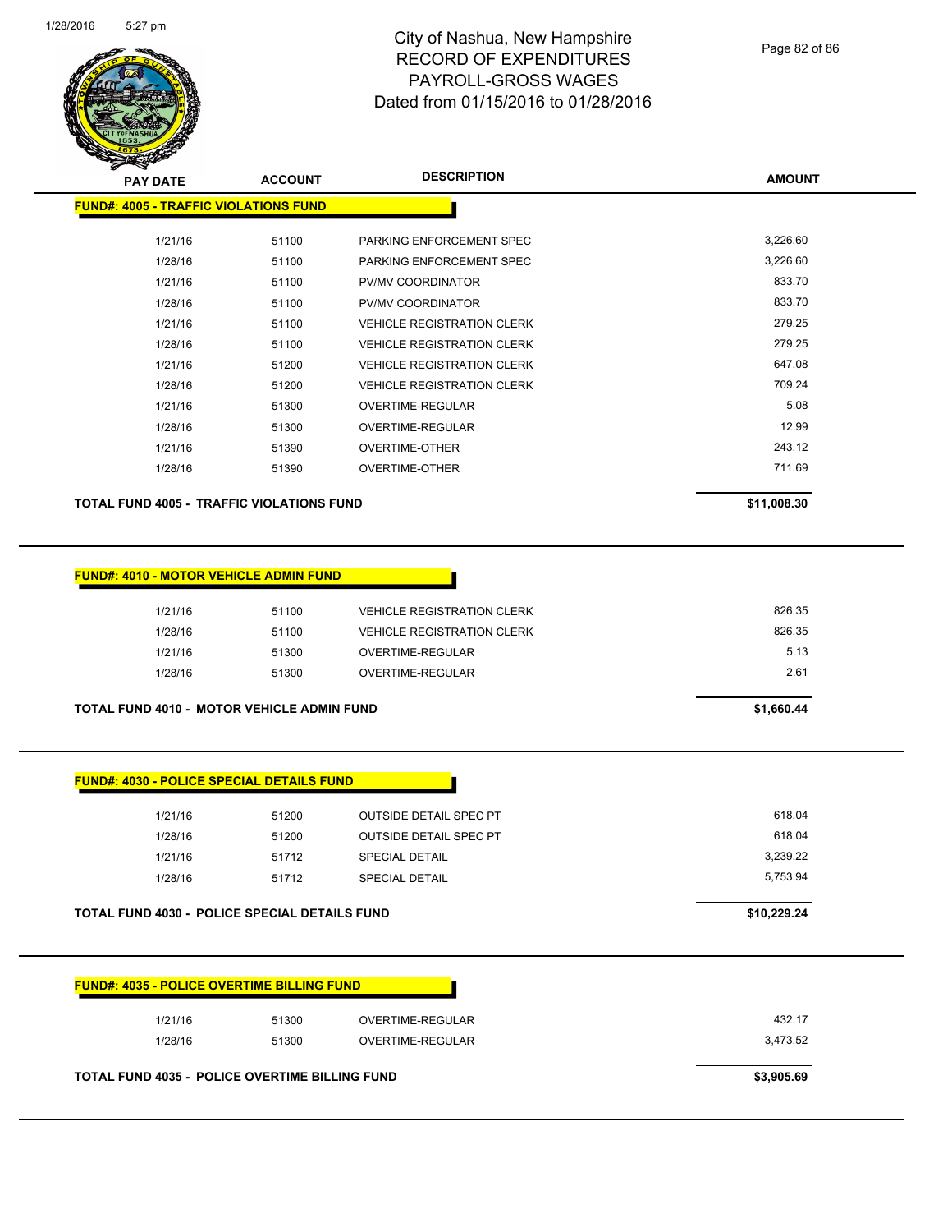

Page 82 of 86

| <b>PAY DATE</b>                                  | <b>ACCOUNT</b> | <b>DESCRIPTION</b>                | <b>AMOUNT</b> |
|--------------------------------------------------|----------------|-----------------------------------|---------------|
| <b>FUND#: 4005 - TRAFFIC VIOLATIONS FUND</b>     |                |                                   |               |
| 1/21/16                                          | 51100          | PARKING ENFORCEMENT SPEC          | 3,226.60      |
| 1/28/16                                          | 51100          | PARKING ENFORCEMENT SPEC          | 3,226.60      |
| 1/21/16                                          | 51100          | PV/MV COORDINATOR                 | 833.70        |
| 1/28/16                                          | 51100          | PV/MV COORDINATOR                 | 833.70        |
| 1/21/16                                          | 51100          | <b>VEHICLE REGISTRATION CLERK</b> | 279.25        |
| 1/28/16                                          | 51100          | <b>VEHICLE REGISTRATION CLERK</b> | 279.25        |
| 1/21/16                                          | 51200          | <b>VEHICLE REGISTRATION CLERK</b> | 647.08        |
| 1/28/16                                          | 51200          | <b>VEHICLE REGISTRATION CLERK</b> | 709.24        |
| 1/21/16                                          | 51300          | OVERTIME-REGULAR                  | 5.08          |
| 1/28/16                                          | 51300          | OVERTIME-REGULAR                  | 12.99         |
| 1/21/16                                          | 51390          | <b>OVERTIME-OTHER</b>             | 243.12        |
| 1/28/16                                          | 51390          | <b>OVERTIME-OTHER</b>             | 711.69        |
| <b>TOTAL FUND 4005 - TRAFFIC VIOLATIONS FUND</b> |                |                                   | \$11,008.30   |

| 1/21/16 | 51100 | <b>VEHICLE REGISTRATION CLERK</b> | 826.35 |
|---------|-------|-----------------------------------|--------|
| 1/28/16 | 51100 | <b>VEHICLE REGISTRATION CLERK</b> | 826.35 |
| 1/21/16 | 51300 | OVERTIME-REGULAR                  | 5.13   |
| 1/28/16 | 51300 | OVERTIME-REGULAR                  | 2.61   |
|         |       |                                   |        |

**TOTAL FUND 4010 - MOTOR VEHICLE ADMIN FUND \$1,660.44** 

| 1/21/16 | 51200 | <b>OUTSIDE DETAIL SPEC PT</b> | 618.04   |
|---------|-------|-------------------------------|----------|
| 1/28/16 | 51200 | <b>OUTSIDE DETAIL SPEC PT</b> | 618.04   |
| 1/21/16 | 51712 | <b>SPECIAL DETAIL</b>         | 3,239.22 |
| 1/28/16 | 51712 | <b>SPECIAL DETAIL</b>         | 5,753.94 |
|         |       |                               |          |

**TOTAL FUND 4030 - POLICE SPECIAL DETAILS FUND \$10,229.24** 

| 1/21/16 | 51300 | OVERTIME-REGULAR | 432.17   |
|---------|-------|------------------|----------|
| 1/28/16 | 51300 | OVERTIME-REGULAR | 3,473.52 |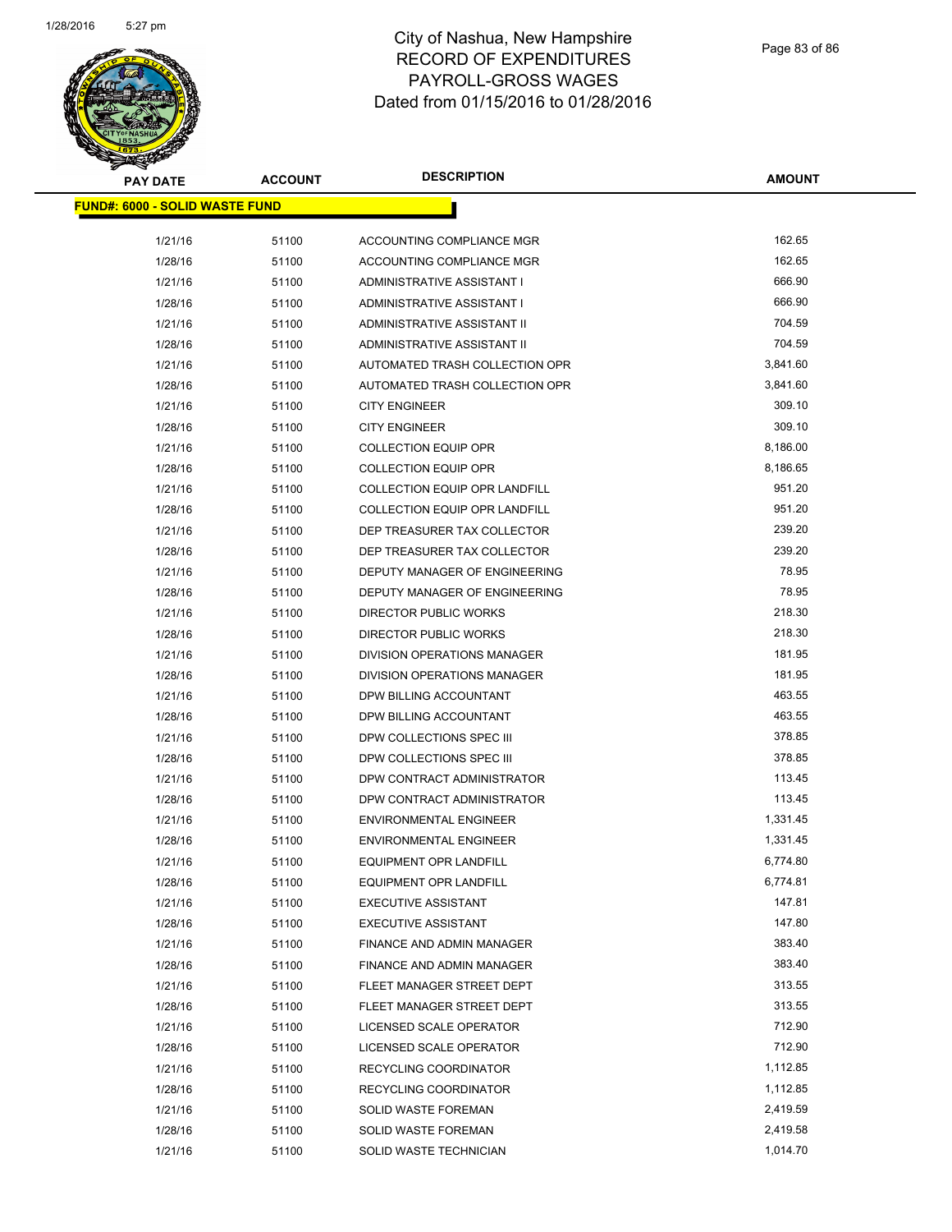

| <b>PAY DATE</b>                        | <b>ACCOUNT</b> | <b>DESCRIPTION</b>                   | <b>AMOUNT</b> |
|----------------------------------------|----------------|--------------------------------------|---------------|
| <u> FUND#: 6000 - SOLID WASTE FUND</u> |                |                                      |               |
|                                        |                |                                      |               |
| 1/21/16                                | 51100          | ACCOUNTING COMPLIANCE MGR            | 162.65        |
| 1/28/16                                | 51100          | ACCOUNTING COMPLIANCE MGR            | 162.65        |
| 1/21/16                                | 51100          | ADMINISTRATIVE ASSISTANT I           | 666.90        |
| 1/28/16                                | 51100          | ADMINISTRATIVE ASSISTANT I           | 666.90        |
| 1/21/16                                | 51100          | ADMINISTRATIVE ASSISTANT II          | 704.59        |
| 1/28/16                                | 51100          | ADMINISTRATIVE ASSISTANT II          | 704.59        |
| 1/21/16                                | 51100          | AUTOMATED TRASH COLLECTION OPR       | 3,841.60      |
| 1/28/16                                | 51100          | AUTOMATED TRASH COLLECTION OPR       | 3,841.60      |
| 1/21/16                                | 51100          | <b>CITY ENGINEER</b>                 | 309.10        |
| 1/28/16                                | 51100          | <b>CITY ENGINEER</b>                 | 309.10        |
| 1/21/16                                | 51100          | <b>COLLECTION EQUIP OPR</b>          | 8,186.00      |
| 1/28/16                                | 51100          | <b>COLLECTION EQUIP OPR</b>          | 8,186.65      |
| 1/21/16                                | 51100          | COLLECTION EQUIP OPR LANDFILL        | 951.20        |
| 1/28/16                                | 51100          | COLLECTION EQUIP OPR LANDFILL        | 951.20        |
| 1/21/16                                | 51100          | DEP TREASURER TAX COLLECTOR          | 239.20        |
| 1/28/16                                | 51100          | DEP TREASURER TAX COLLECTOR          | 239.20        |
| 1/21/16                                | 51100          | <b>DEPUTY MANAGER OF ENGINEERING</b> | 78.95         |
| 1/28/16                                | 51100          | DEPUTY MANAGER OF ENGINEERING        | 78.95         |
| 1/21/16                                | 51100          | DIRECTOR PUBLIC WORKS                | 218.30        |
| 1/28/16                                | 51100          | DIRECTOR PUBLIC WORKS                | 218.30        |
| 1/21/16                                | 51100          | DIVISION OPERATIONS MANAGER          | 181.95        |
| 1/28/16                                | 51100          | DIVISION OPERATIONS MANAGER          | 181.95        |
| 1/21/16                                | 51100          | DPW BILLING ACCOUNTANT               | 463.55        |
| 1/28/16                                | 51100          | DPW BILLING ACCOUNTANT               | 463.55        |
| 1/21/16                                | 51100          | DPW COLLECTIONS SPEC III             | 378.85        |
| 1/28/16                                | 51100          | DPW COLLECTIONS SPEC III             | 378.85        |
| 1/21/16                                | 51100          | DPW CONTRACT ADMINISTRATOR           | 113.45        |
| 1/28/16                                | 51100          | DPW CONTRACT ADMINISTRATOR           | 113.45        |
| 1/21/16                                | 51100          | <b>ENVIRONMENTAL ENGINEER</b>        | 1,331.45      |
| 1/28/16                                | 51100          | <b>ENVIRONMENTAL ENGINEER</b>        | 1,331.45      |
| 1/21/16                                | 51100          | <b>EQUIPMENT OPR LANDFILL</b>        | 6,774.80      |
| 1/28/16                                | 51100          | <b>EQUIPMENT OPR LANDFILL</b>        | 6,774.81      |
| 1/21/16                                | 51100          | <b>EXECUTIVE ASSISTANT</b>           | 147.81        |
| 1/28/16                                | 51100          | <b>EXECUTIVE ASSISTANT</b>           | 147.80        |
| 1/21/16                                | 51100          | FINANCE AND ADMIN MANAGER            | 383.40        |
| 1/28/16                                | 51100          | FINANCE AND ADMIN MANAGER            | 383.40        |
| 1/21/16                                | 51100          | FLEET MANAGER STREET DEPT            | 313.55        |
| 1/28/16                                | 51100          | FLEET MANAGER STREET DEPT            | 313.55        |
| 1/21/16                                | 51100          | LICENSED SCALE OPERATOR              | 712.90        |
| 1/28/16                                | 51100          | LICENSED SCALE OPERATOR              | 712.90        |
| 1/21/16                                | 51100          | RECYCLING COORDINATOR                | 1,112.85      |
| 1/28/16                                | 51100          | RECYCLING COORDINATOR                | 1,112.85      |
| 1/21/16                                | 51100          | SOLID WASTE FOREMAN                  | 2,419.59      |
| 1/28/16                                | 51100          | SOLID WASTE FOREMAN                  | 2,419.58      |
| 1/21/16                                | 51100          | SOLID WASTE TECHNICIAN               | 1,014.70      |
|                                        |                |                                      |               |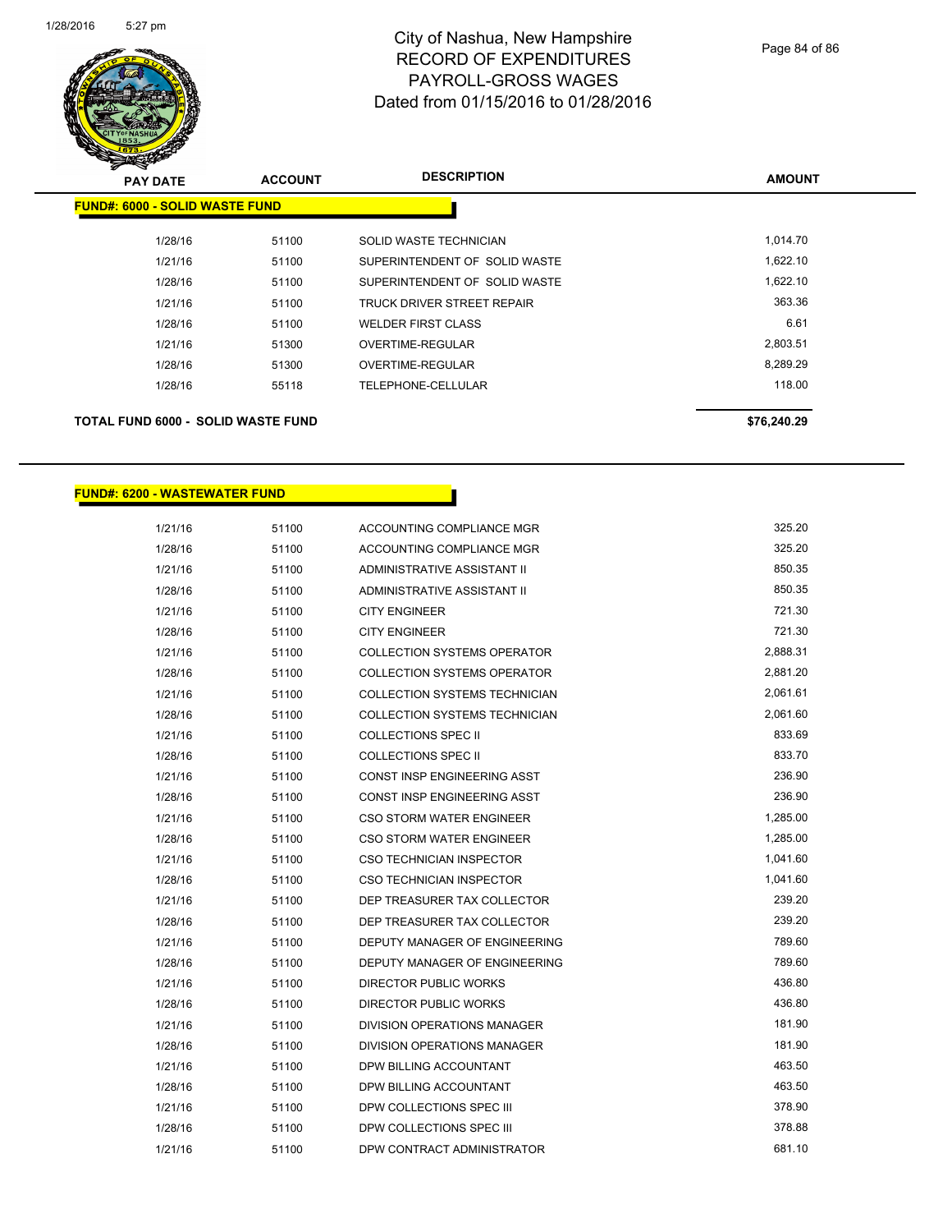

| <b>PAY DATE</b>                           | <b>ACCOUNT</b> | <b>DESCRIPTION</b>                | <b>AMOUNT</b> |
|-------------------------------------------|----------------|-----------------------------------|---------------|
| <b>FUND#: 6000 - SOLID WASTE FUND</b>     |                |                                   |               |
| 1/28/16                                   | 51100          | SOLID WASTE TECHNICIAN            | 1,014.70      |
| 1/21/16                                   | 51100          | SUPERINTENDENT OF SOLID WASTE     | 1,622.10      |
| 1/28/16                                   | 51100          | SUPERINTENDENT OF SOLID WASTE     | 1,622.10      |
| 1/21/16                                   | 51100          | <b>TRUCK DRIVER STREET REPAIR</b> | 363.36        |
| 1/28/16                                   | 51100          | <b>WELDER FIRST CLASS</b>         | 6.61          |
| 1/21/16                                   | 51300          | OVERTIME-REGULAR                  | 2,803.51      |
| 1/28/16                                   | 51300          | OVERTIME-REGULAR                  | 8,289.29      |
| 1/28/16                                   | 55118          | TELEPHONE-CELLULAR                | 118.00        |
| <b>TOTAL FUND 6000 - SOLID WASTE FUND</b> |                |                                   | \$76.240.29   |

#### **FUND#: 6200 - WASTEWATER FUND**

| 1/21/16 | 51100 | ACCOUNTING COMPLIANCE MGR          | 325.20   |
|---------|-------|------------------------------------|----------|
| 1/28/16 | 51100 | ACCOUNTING COMPLIANCE MGR          | 325.20   |
| 1/21/16 | 51100 | ADMINISTRATIVE ASSISTANT II        | 850.35   |
| 1/28/16 | 51100 | ADMINISTRATIVE ASSISTANT II        | 850.35   |
| 1/21/16 | 51100 | <b>CITY ENGINEER</b>               | 721.30   |
| 1/28/16 | 51100 | <b>CITY ENGINEER</b>               | 721.30   |
| 1/21/16 | 51100 | <b>COLLECTION SYSTEMS OPERATOR</b> | 2,888.31 |
| 1/28/16 | 51100 | <b>COLLECTION SYSTEMS OPERATOR</b> | 2,881.20 |
| 1/21/16 | 51100 | COLLECTION SYSTEMS TECHNICIAN      | 2,061.61 |
| 1/28/16 | 51100 | COLLECTION SYSTEMS TECHNICIAN      | 2,061.60 |
| 1/21/16 | 51100 | COLLECTIONS SPEC II                | 833.69   |
| 1/28/16 | 51100 | <b>COLLECTIONS SPEC II</b>         | 833.70   |
| 1/21/16 | 51100 | CONST INSP ENGINEERING ASST        | 236.90   |
| 1/28/16 | 51100 | CONST INSP ENGINEERING ASST        | 236.90   |
| 1/21/16 | 51100 | <b>CSO STORM WATER ENGINEER</b>    | 1,285.00 |
| 1/28/16 | 51100 | CSO STORM WATER ENGINEER           | 1,285.00 |
| 1/21/16 | 51100 | <b>CSO TECHNICIAN INSPECTOR</b>    | 1,041.60 |
| 1/28/16 | 51100 | CSO TECHNICIAN INSPECTOR           | 1,041.60 |
| 1/21/16 | 51100 | DEP TREASURER TAX COLLECTOR        | 239.20   |
| 1/28/16 | 51100 | DEP TREASURER TAX COLLECTOR        | 239.20   |
| 1/21/16 | 51100 | DEPUTY MANAGER OF ENGINEERING      | 789.60   |
| 1/28/16 | 51100 | DEPUTY MANAGER OF ENGINEERING      | 789.60   |
| 1/21/16 | 51100 | DIRECTOR PUBLIC WORKS              | 436.80   |
| 1/28/16 | 51100 | DIRECTOR PUBLIC WORKS              | 436.80   |
| 1/21/16 | 51100 | DIVISION OPERATIONS MANAGER        | 181.90   |
| 1/28/16 | 51100 | DIVISION OPERATIONS MANAGER        | 181.90   |
| 1/21/16 | 51100 | DPW BILLING ACCOUNTANT             | 463.50   |
| 1/28/16 | 51100 | DPW BILLING ACCOUNTANT             | 463.50   |
| 1/21/16 | 51100 | DPW COLLECTIONS SPEC III           | 378.90   |
| 1/28/16 | 51100 | DPW COLLECTIONS SPEC III           | 378.88   |
| 1/21/16 | 51100 | DPW CONTRACT ADMINISTRATOR         | 681.10   |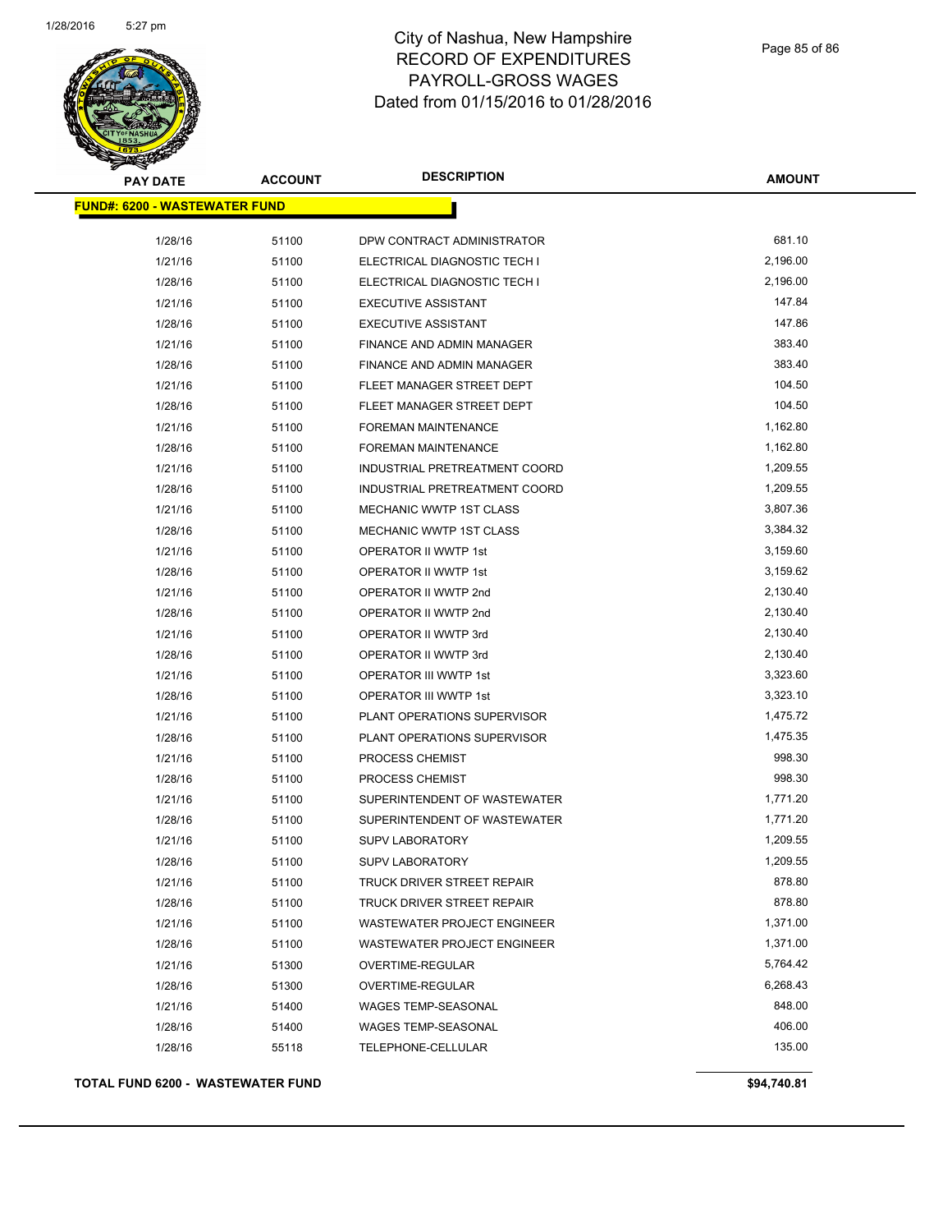

| <b>PAY DATE</b>                       | <b>ACCOUNT</b> | <b>DESCRIPTION</b>                 | <b>AMOUNT</b> |
|---------------------------------------|----------------|------------------------------------|---------------|
| <u> FUND#: 6200 - WASTEWATER FUND</u> |                |                                    |               |
| 1/28/16                               | 51100          | DPW CONTRACT ADMINISTRATOR         | 681.10        |
| 1/21/16                               | 51100          | ELECTRICAL DIAGNOSTIC TECH I       | 2,196.00      |
| 1/28/16                               | 51100          | ELECTRICAL DIAGNOSTIC TECH I       | 2,196.00      |
| 1/21/16                               | 51100          | <b>EXECUTIVE ASSISTANT</b>         | 147.84        |
| 1/28/16                               | 51100          | <b>EXECUTIVE ASSISTANT</b>         | 147.86        |
| 1/21/16                               | 51100          | FINANCE AND ADMIN MANAGER          | 383.40        |
| 1/28/16                               | 51100          | FINANCE AND ADMIN MANAGER          | 383.40        |
| 1/21/16                               | 51100          | FLEET MANAGER STREET DEPT          | 104.50        |
| 1/28/16                               | 51100          | FLEET MANAGER STREET DEPT          | 104.50        |
| 1/21/16                               | 51100          | <b>FOREMAN MAINTENANCE</b>         | 1,162.80      |
| 1/28/16                               | 51100          | <b>FOREMAN MAINTENANCE</b>         | 1,162.80      |
| 1/21/16                               | 51100          | INDUSTRIAL PRETREATMENT COORD      | 1,209.55      |
| 1/28/16                               | 51100          | INDUSTRIAL PRETREATMENT COORD      | 1,209.55      |
| 1/21/16                               | 51100          | MECHANIC WWTP 1ST CLASS            | 3,807.36      |
| 1/28/16                               | 51100          | MECHANIC WWTP 1ST CLASS            | 3,384.32      |
| 1/21/16                               | 51100          | OPERATOR II WWTP 1st               | 3,159.60      |
| 1/28/16                               | 51100          | OPERATOR II WWTP 1st               | 3,159.62      |
| 1/21/16                               | 51100          | OPERATOR II WWTP 2nd               | 2,130.40      |
| 1/28/16                               | 51100          | OPERATOR II WWTP 2nd               | 2,130.40      |
| 1/21/16                               | 51100          | OPERATOR II WWTP 3rd               | 2,130.40      |
| 1/28/16                               | 51100          | OPERATOR II WWTP 3rd               | 2,130.40      |
| 1/21/16                               | 51100          | OPERATOR III WWTP 1st              | 3,323.60      |
| 1/28/16                               | 51100          | OPERATOR III WWTP 1st              | 3,323.10      |
| 1/21/16                               | 51100          | PLANT OPERATIONS SUPERVISOR        | 1,475.72      |
| 1/28/16                               | 51100          | PLANT OPERATIONS SUPERVISOR        | 1,475.35      |
| 1/21/16                               | 51100          | PROCESS CHEMIST                    | 998.30        |
| 1/28/16                               | 51100          | PROCESS CHEMIST                    | 998.30        |
| 1/21/16                               | 51100          | SUPERINTENDENT OF WASTEWATER       | 1,771.20      |
| 1/28/16                               | 51100          | SUPERINTENDENT OF WASTEWATER       | 1,771.20      |
| 1/21/16                               | 51100          | <b>SUPV LABORATORY</b>             | 1,209.55      |
| 1/28/16                               | 51100          | <b>SUPV LABORATORY</b>             | 1,209.55      |
| 1/21/16                               | 51100          | TRUCK DRIVER STREET REPAIR         | 878.80        |
| 1/28/16                               | 51100          | TRUCK DRIVER STREET REPAIR         | 878.80        |
| 1/21/16                               | 51100          | <b>WASTEWATER PROJECT ENGINEER</b> | 1,371.00      |
| 1/28/16                               | 51100          | WASTEWATER PROJECT ENGINEER        | 1,371.00      |
| 1/21/16                               | 51300          | OVERTIME-REGULAR                   | 5,764.42      |
| 1/28/16                               | 51300          | OVERTIME-REGULAR                   | 6,268.43      |
| 1/21/16                               | 51400          | WAGES TEMP-SEASONAL                | 848.00        |
| 1/28/16                               | 51400          | WAGES TEMP-SEASONAL                | 406.00        |
| 1/28/16                               | 55118          | TELEPHONE-CELLULAR                 | 135.00        |
|                                       |                |                                    |               |

**TOTAL FUND 6200 - WASTEWATER FUND \$94,740.81**